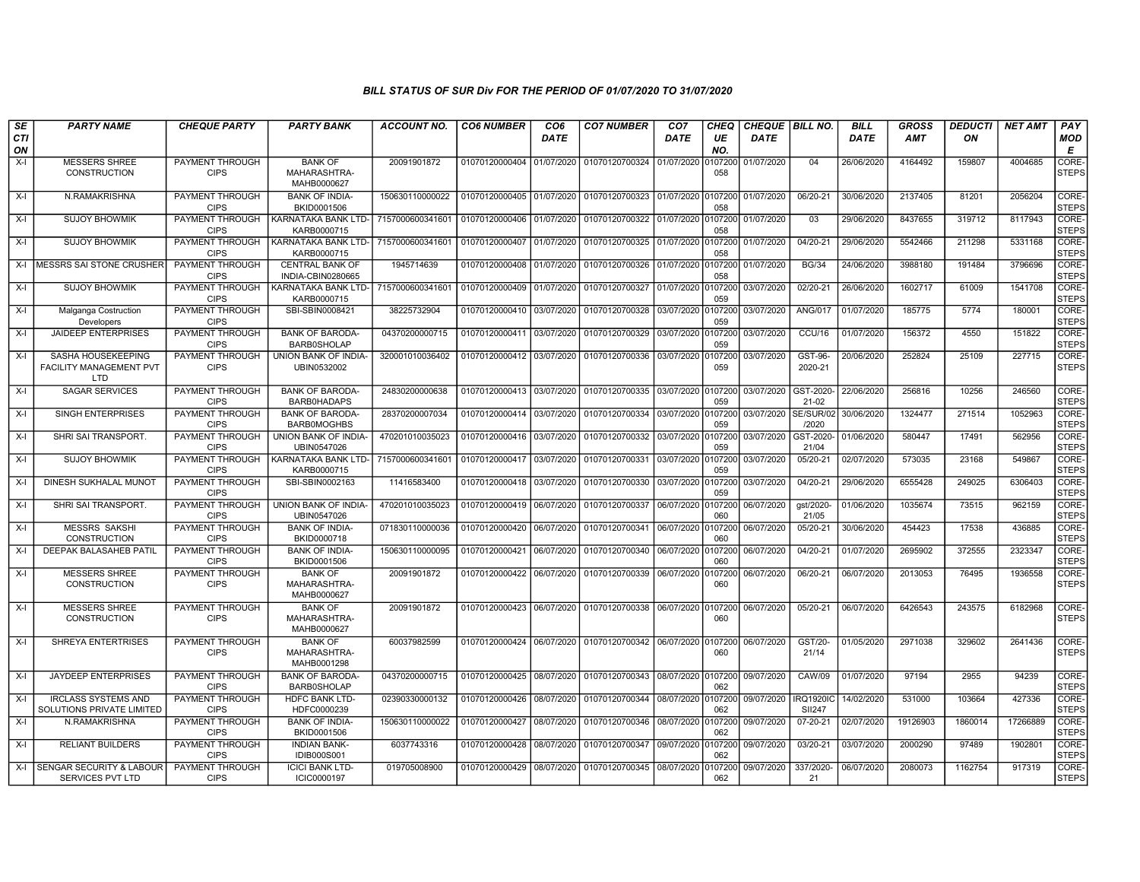| SE        | <b>PARTY NAME</b>                                              | <b>CHEQUE PARTY</b>                   | <b>PARTY BANK</b>                                   | ACCOUNT NO.      | <b>CO6 NUMBER</b>         | CO <sub>6</sub> | <b>CO7 NUMBER</b>                                   | CO <sub>7</sub> | CHEQ           | <b>CHEQUE   BILL NO.</b> |                                   | BILL       | <b>GROSS</b> | <b>DEDUCTI</b> | <b>NET AMT</b> | <b>PAY</b>            |
|-----------|----------------------------------------------------------------|---------------------------------------|-----------------------------------------------------|------------------|---------------------------|-----------------|-----------------------------------------------------|-----------------|----------------|--------------------------|-----------------------------------|------------|--------------|----------------|----------------|-----------------------|
| CTI<br>ON |                                                                |                                       |                                                     |                  |                           | DATE            |                                                     | DATE            | UE<br>NO.      | DATE                     |                                   | DATE       | <b>AMT</b>   | ON             |                | <b>MOD</b><br>E       |
| $X-I$     | <b>MESSERS SHREE</b><br>CONSTRUCTION                           | PAYMENT THROUGH<br><b>CIPS</b>        | <b>BANK OF</b><br>MAHARASHTRA-<br>MAHB0000627       | 20091901872      | 01070120000404            | 01/07/2020      | 01070120700324 01/07/2020                           |                 | 107200<br>058  | 01/07/2020               | 04                                | 26/06/2020 | 4164492      | 159807         | 4004685        | CORE-<br><b>STEPS</b> |
| $X-I$     | N.RAMAKRISHNA                                                  | PAYMENT THROUGH<br><b>CIPS</b>        | <b>BANK OF INDIA-</b><br>BKID0001506                | 150630110000022  | 01070120000405 01/07/2020 |                 | 01070120700323 01/07/2020                           |                 | 107200<br>058  | 01/07/2020               | 06/20-21                          | 30/06/2020 | 2137405      | 81201          | 2056204        | CORE-<br><b>STEPS</b> |
| X-I       | <b>SUJOY BHOWMIK</b>                                           | PAYMENT THROUGH<br><b>CIPS</b>        | KARNATAKA BANK LTD- 7157000600341601<br>KARB0000715 |                  | 01070120000406            | 01/07/2020      | 01070120700322                                      | 01/07/2020      | 0107200<br>058 | 01/07/2020               | 03                                | 29/06/2020 | 8437655      | 319712         | 8117943        | CORE-<br><b>STEPS</b> |
| $X-I$     | <b>SUJOY BHOWMIK</b>                                           | PAYMENT THROUGH<br><b>CIPS</b>        | KARNATAKA BANK LTD- 7157000600341601<br>KARB0000715 |                  | 01070120000407 01/07/2020 |                 | 01070120700325                                      | 01/07/2020      | 107200<br>058  | 01/07/2020               | 04/20-21                          | 29/06/2020 | 5542466      | 211298         | 5331168        | CORE-<br><b>STEPS</b> |
| $X-I$     | MESSRS SAI STONE CRUSHER                                       | PAYMENT THROUGH<br><b>CIPS</b>        | <b>CENTRAL BANK OF</b><br>INDIA-CBIN0280665         | 1945714639       | 01070120000408 01/07/2020 |                 | 01070120700326                                      | 01/07/2020      | 0107200<br>058 | 01/07/2020               | <b>BG/34</b>                      | 24/06/2020 | 3988180      | 191484         | 3796696        | CORE-<br><b>STEPS</b> |
| $X-I$     | <b>SUJOY BHOWMIK</b>                                           | PAYMENT THROUGH<br><b>CIPS</b>        | KARNATAKA BANK LTD- 715700060034160<br>KARB0000715  |                  | 01070120000409            | 01/07/2020      | 01070120700327                                      | 01/07/2020      | 107200<br>059  | 03/07/2020               | $02/20 - 21$                      | 26/06/2020 | 1602717      | 61009          | 1541708        | CORE-<br><b>STEPS</b> |
| $X-I$     | Malganga Costruction<br>Developers                             | <b>PAYMENT THROUGH</b><br><b>CIPS</b> | SBI-SBIN0008421                                     | 38225732904      | 01070120000410 03/07/2020 |                 | 01070120700328                                      | 03/07/2020      | 0107200<br>059 | 03/07/2020               | <b>ANG/017</b>                    | 01/07/2020 | 185775       | 5774           | 180001         | CORE-<br><b>STEPS</b> |
| $X-I$     | <b>JAIDEEP ENTERPRISES</b>                                     | PAYMENT THROUGH<br><b>CIPS</b>        | <b>BANK OF BARODA-</b><br><b>BARB0SHOLAP</b>        | 04370200000715   | 01070120000411            | 03/07/2020      | 01070120700329                                      | 03/07/2020      | 0107200<br>059 | 03/07/2020               | CCU/16                            | 01/07/2020 | 156372       | 4550           | 151822         | CORE-<br><b>STEPS</b> |
| $X-I$     | SASHA HOUSEKEEPING<br>FACILITY MANAGEMENT PVT<br><b>LTD</b>    | PAYMENT THROUGH<br><b>CIPS</b>        | UNION BANK OF INDIA-<br>UBIN0532002                 | 320001010036402  | 01070120000412            | 03/07/2020      | 01070120700336                                      | 03/07/2020      | 107200<br>059  | 03/07/2020               | GST-96-<br>2020-21                | 20/06/2020 | 252824       | 25109          | 227715         | CORE-<br><b>STEPS</b> |
| $X-I$     | <b>SAGAR SERVICES</b>                                          | PAYMENT THROUGH<br><b>CIPS</b>        | <b>BANK OF BARODA</b><br>BARB0HADAPS                | 24830200000638   | 01070120000413            | 03/07/2020      | 01070120700335                                      | 03/07/2020      | 0107200<br>059 | 03/07/2020               | GST-2020<br>21-02                 | 22/06/2020 | 256816       | 10256          | 246560         | CORE-<br><b>STEPS</b> |
| $X-I$     | SINGH ENTERPRISES                                              | PAYMENT THROUGH<br><b>CIPS</b>        | <b>BANK OF BARODA-</b><br><b>BARB0MOGHBS</b>        | 28370200007034   | 01070120000414            | 03/07/2020      | 01070120700334                                      | 03/07/2020      | 0107200<br>059 | 03/07/2020               | SE/SUR/02<br>/2020                | 30/06/2020 | 1324477      | 271514         | 1052963        | CORE-<br><b>STEPS</b> |
| $X-I$     | SHRI SAI TRANSPORT.                                            | PAYMENT THROUGH<br><b>CIPS</b>        | UNION BANK OF INDIA-<br>UBIN0547026                 | 470201010035023  | 01070120000416            | 03/07/2020      | 01070120700332                                      | 03/07/2020      | 107200<br>059  | 03/07/2020               | GST-2020-<br>21/04                | 01/06/2020 | 580447       | 17491          | 562956         | CORE-<br><b>STEPS</b> |
| $X-I$     | <b>SUJOY BHOWMIK</b>                                           | PAYMENT THROUGH<br><b>CIPS</b>        | KARNATAKA BANK LTD-<br>KARB0000715                  | 7157000600341601 | 01070120000417 03/07/2020 |                 | 01070120700331 03/07/2020                           |                 | 107200<br>059  | 03/07/2020               | 05/20-21                          | 02/07/2020 | 573035       | 23168          | 549867         | CORE-<br><b>STEPS</b> |
| $X-I$     | <b>DINESH SUKHALAL MUNOT</b>                                   | PAYMENT THROUGH<br><b>CIPS</b>        | SBI-SBIN0002163                                     | 11416583400      | 01070120000418            | 03/07/2020      | 01070120700330                                      | 03/07/2020      | 107200<br>059  | 03/07/2020               | 04/20-21                          | 29/06/2020 | 6555428      | 249025         | 6306403        | CORE-<br><b>STEPS</b> |
| $X-I$     | SHRI SAI TRANSPORT.                                            | PAYMENT THROUGH<br><b>CIPS</b>        | UNION BANK OF INDIA-<br>UBIN0547026                 | 470201010035023  | 01070120000419            | 06/07/2020      | 01070120700337                                      | 06/07/2020      | 0107200<br>060 | 06/07/2020               | gst/2020-<br>21/05                | 01/06/2020 | 1035674      | 73515          | 962159         | CORE-<br><b>STEPS</b> |
| X-I       | <b>MESSRS SAKSHI</b><br><b>CONSTRUCTION</b>                    | <b>PAYMENT THROUGH</b><br><b>CIPS</b> | <b>BANK OF INDIA-</b><br>BKID0000718                | 071830110000036  | 01070120000420            | 06/07/2020      | 01070120700341                                      | 06/07/2020      | 107200<br>060  | 06/07/2020               | 05/20-21                          | 30/06/2020 | 454423       | 17538          | 436885         | CORE-<br><b>STEPS</b> |
| $X-I$     | DEEPAK BALASAHEB PATIL                                         | <b>PAYMENT THROUGH</b><br><b>CIPS</b> | <b>BANK OF INDIA-</b><br>BKID0001506                | 150630110000095  | 01070120000421            | 06/07/2020      | 01070120700340                                      | 06/07/2020      | 0107200<br>060 | 06/07/2020               | $04/20 - 21$                      | 01/07/2020 | 2695902      | 372555         | 2323347        | CORE-<br><b>STEPS</b> |
| $X-I$     | <b>MESSERS SHREE</b><br>CONSTRUCTION                           | PAYMENT THROUGH<br><b>CIPS</b>        | <b>BANK OF</b><br>MAHARASHTRA-<br>MAHB0000627       | 20091901872      | 01070120000422            | 06/07/2020      | 01070120700339                                      | 06/07/2020      | 107200<br>060  | 06/07/2020               | 06/20-21                          | 06/07/2020 | 2013053      | 76495          | 1936558        | CORE-<br><b>STEPS</b> |
| $X-I$     | <b>MESSERS SHREE</b><br><b>CONSTRUCTION</b>                    | PAYMENT THROUGH<br><b>CIPS</b>        | <b>BANK OF</b><br>MAHARASHTRA-<br>MAHB0000627       | 20091901872      |                           |                 | 01070120000423 06/07/2020 01070120700338 06/07/2020 |                 | 0107200<br>060 | 06/07/2020               | 05/20-21                          | 06/07/2020 | 6426543      | 243575         | 6182968        | CORE-<br><b>STEPS</b> |
| $X-I$     | SHREYA ENTERTRISES                                             | PAYMENT THROUGH<br><b>CIPS</b>        | <b>BANK OF</b><br>MAHARASHTRA-<br>MAHB0001298       | 60037982599      | 01070120000424            | 06/07/2020      | 01070120700342 06/07/2020                           |                 | 107200<br>060  | 06/07/2020               | GST/20-<br>21/14                  | 01/05/2020 | 2971038      | 329602         | 2641436        | CORE-<br><b>STEPS</b> |
| $X-I$     | JAYDEEP ENTERPRISES                                            | PAYMENT THROUGH<br><b>CIPS</b>        | <b>BANK OF BARODA-</b><br><b>BARB0SHOLAP</b>        | 04370200000715   | 01070120000425            | 08/07/2020      | 01070120700343                                      | 08/07/2020      | 0107200<br>062 | 09/07/2020               | <b>CAW/09</b>                     | 01/07/2020 | 97194        | 2955           | 94239          | CORE-<br><b>STEPS</b> |
| $X-I$     | <b>IRCLASS SYSTEMS AND</b><br><b>SOLUTIONS PRIVATE LIMITED</b> | PAYMENT THROUGH<br><b>CIPS</b>        | <b>HDFC BANK LTD-</b><br>HDFC0000239                | 02390330000132   | 01070120000426            | 08/07/2020      | 01070120700344                                      | 08/07/2020      | 107200<br>062  | 09/07/2020               | <b>IRQ1920IC</b><br><b>SII247</b> | 14/02/2020 | 531000       | 103664         | 427336         | CORE-<br><b>STEPS</b> |
| $X-I$     | N.RAMAKRISHNA                                                  | PAYMENT THROUGH<br><b>CIPS</b>        | <b>BANK OF INDIA-</b><br>BKID0001506                | 150630110000022  | 01070120000427            | 08/07/2020      | 01070120700346 08/07/2020                           |                 | 107200<br>062  | 09/07/2020               | 07-20-21                          | 02/07/2020 | 19126903     | 1860014        | 17266889       | CORE-<br><b>STEPS</b> |
| $X-I$     | <b>RELIANT BUILDERS</b>                                        | PAYMENT THROUGH<br><b>CIPS</b>        | <b>INDIAN BANK-</b><br><b>IDIB000S001</b>           | 6037743316       | 01070120000428            | 08/07/2020      | 01070120700347 09/07/2020                           |                 | 0107200<br>062 | 09/07/2020               | 03/20-21                          | 03/07/2020 | 2000290      | 97489          | 1902801        | CORE-<br><b>STEPS</b> |
| $X-I$     | <b>SENGAR SECURITY &amp; LABOUR</b><br>SERVICES PVT LTD        | PAYMENT THROUGH<br><b>CIPS</b>        | <b>ICICI BANK LTD-</b><br>ICIC0000197               | 019705008900     | 01070120000429            | 08/07/2020      | 01070120700345                                      | 08/07/2020      | 107200<br>062  | 09/07/2020               | 337/2020-<br>-21                  | 06/07/2020 | 2080073      | 1162754        | 917319         | CORE-<br><b>STEPS</b> |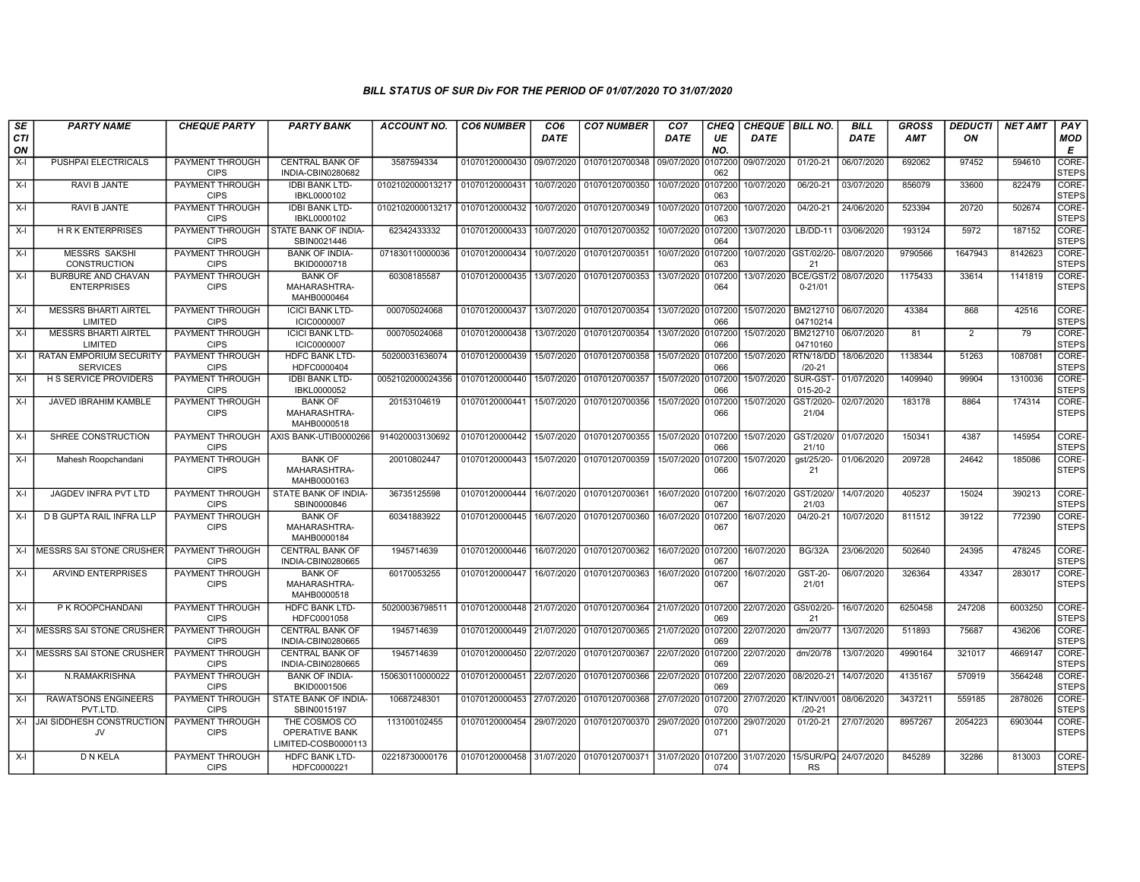| SE        | <b>PARTY NAME</b>                                 | <b>CHEQUE PARTY</b>                   | <b>PARTY BANK</b>                                      | <b>ACCOUNT NO.</b> | <b>CO6 NUMBER</b>         | CO <sub>6</sub> | <b>CO7 NUMBER</b>         | CO <sub>7</sub> | <b>CHEQ</b>    | <b>CHEQUE   BILL NO.</b> |                                   | <b>BILL</b> | <b>GROSS</b> | <b>DEDUCTI</b> | <b>NET AMT</b> | PAY                   |
|-----------|---------------------------------------------------|---------------------------------------|--------------------------------------------------------|--------------------|---------------------------|-----------------|---------------------------|-----------------|----------------|--------------------------|-----------------------------------|-------------|--------------|----------------|----------------|-----------------------|
| CTI<br>ON |                                                   |                                       |                                                        |                    |                           | <b>DATE</b>     |                           | <b>DATE</b>     | UE<br>NO.      | <b>DATE</b>              |                                   | DATE        | AMT          | ON             |                | MOD<br>Е              |
| $X-I$     | PUSHPAI ELECTRICALS                               | PAYMENT THROUGH<br><b>CIPS</b>        | <b>CENTRAL BANK OF</b><br>INDIA-CBIN0280682            | 3587594334         | 01070120000430            | 09/07/2020      | 01070120700348            | 09/07/2020      | 107200<br>062  | 09/07/2020               | 01/20-21                          | 06/07/2020  | 692062       | 97452          | 594610         | CORE-<br><b>STEPS</b> |
| $X-I$     | RAVI B JANTE                                      | PAYMENT THROUGH<br><b>CIPS</b>        | <b>IDBI BANK LTD-</b><br>IBKL0000102                   | 0102102000013217   | 01070120000431            | 10/07/2020      | 01070120700350            | 10/07/2020      | 107200<br>063  | 10/07/2020               | 06/20-21                          | 03/07/2020  | 856079       | 33600          | 822479         | CORE-<br><b>STEPS</b> |
| $X-I$     | RAVI B JANTE                                      | PAYMENT THROUGH<br><b>CIPS</b>        | <b>IDBI BANK LTD-</b><br>IBKL0000102                   | 0102102000013217   | 01070120000432            | 10/07/2020      | 01070120700349            | 10/07/2020      | 0107200<br>063 | 10/07/2020               | 04/20-21                          | 24/06/2020  | 523394       | 20720          | 502674         | CORE-<br><b>STEPS</b> |
| $X-I$     | <b>HRKENTERPRISES</b>                             | <b>CIPS</b>                           | PAYMENT THROUGH ISTATE BANK OF INDIA-<br>SBIN0021446   | 62342433332        | 01070120000433            | 10/07/2020      | 01070120700352            | 10/07/2020      | 107200<br>064  | 13/07/2020               | $LB/DD-11$                        | 03/06/2020  | 193124       | 5972           | 187152         | CORE-<br><b>STEPS</b> |
| $X-I$     | <b>MESSRS SAKSHI</b><br>CONSTRUCTION              | PAYMENT THROUGH<br><b>CIPS</b>        | <b>BANK OF INDIA-</b><br>BKID0000718                   | 071830110000036    | 01070120000434            | 10/07/2020      | 01070120700351            | 10/07/2020      | 107200<br>063  | 10/07/2020               | GST/02/20-<br>21                  | 08/07/2020  | 9790566      | 1647943        | 8142623        | CORE-<br><b>STEPS</b> |
| $X-I$     | <b>BURBURE AND CHAVAN</b><br><b>ENTERPRISES</b>   | PAYMENT THROUGH<br><b>CIPS</b>        | <b>BANK OF</b><br>MAHARASHTRA-<br>MAHB0000464          | 60308185587        | 01070120000435            | 13/07/2020      | 01070120700353            | 13/07/2020      | 0107200<br>064 | 13/07/2020               | BCE/GST/2<br>$0 - 21/01$          | 08/07/2020  | 1175433      | 33614          | 1141819        | CORE-<br><b>STEPS</b> |
| $X-I$     | <b>MESSRS BHARTI AIRTEL</b><br>LIMITED            | <b>PAYMENT THROUGH</b><br><b>CIPS</b> | <b>ICICI BANK LTD-</b><br>ICIC0000007                  | 000705024068       | 01070120000437            | 13/07/2020      | 01070120700354            | 13/07/2020      | 0107200<br>066 | 15/07/2020               | BM212710<br>04710214              | 06/07/2020  | 43384        | 868            | 42516          | CORE-<br><b>STEPS</b> |
| $X-I$     | <b>MESSRS BHARTI AIRTEL</b><br>LIMITED            | <b>PAYMENT THROUGH</b><br><b>CIPS</b> | <b>ICICI BANK LTD-</b><br><b>ICIC0000007</b>           | 000705024068       | 01070120000438            | 13/07/2020      | 01070120700354            | 13/07/2020      | 107200<br>066  | 15/07/2020               | BM212710<br>04710160              | 06/07/2020  | 81           | $\overline{2}$ | 79             | CORE-<br><b>STEPS</b> |
| $X-I$     | <b>RATAN EMPORIUM SECURITY</b><br><b>SERVICES</b> | PAYMENT THROUGH<br><b>CIPS</b>        | <b>HDFC BANK LTD-</b><br>HDFC0000404                   | 50200031636074     | 01070120000439            | 15/07/2020      | 01070120700358            | 15/07/2020      | 107200<br>066  | 15/07/2020 RTN/18/DD     | $/20 - 21$                        | 18/06/2020  | 1138344      | 51263          | 1087081        | CORE-<br><b>STEPS</b> |
| X-I       | <b>H S SERVICE PROVIDERS</b>                      | PAYMENT THROUGH<br><b>CIPS</b>        | <b>IDBI BANK LTD-</b><br>IBKL0000052                   | 0052102000024356   | 01070120000440            | 15/07/2020      | 01070120700357            | 15/07/2020      | 107200<br>066  | 15/07/2020               | SUR-GST<br>015-20-2               | 01/07/2020  | 1409940      | 99904          | 1310036        | CORE-<br><b>STEPS</b> |
| $X-I$     | <b>JAVED IBRAHIM KAMBLE</b>                       | <b>PAYMENT THROUGH</b><br><b>CIPS</b> | <b>BANK OF</b><br>MAHARASHTRA-<br>MAHB0000518          | 20153104619        | 01070120000441            | 15/07/2020      | 01070120700356            | 15/07/2020      | 107200<br>066  | 15/07/2020               | GST/2020<br>21/04                 | 02/07/2020  | 183178       | 8864           | 174314         | CORE-<br><b>STEPS</b> |
| $X-I$     | SHREE CONSTRUCTION                                | PAYMENT THROUGH<br><b>CIPS</b>        | AXIS BANK-UTIB0000266                                  | 914020003130692    | 01070120000442            | 15/07/2020      | 01070120700355            | 15/07/2020      | 0107200<br>066 | 15/07/2020               | GST/2020<br>21/10                 | 01/07/2020  | 150341       | 4387           | 145954         | CORE-<br><b>STEPS</b> |
| $X-I$     | Mahesh Roopchandani                               | PAYMENT THROUGH<br><b>CIPS</b>        | <b>BANK OF</b><br>MAHARASHTRA-<br>MAHB0000163          | 20010802447        | 01070120000443            | 15/07/2020      | 01070120700359            | 15/07/2020      | 107200<br>066  | 15/07/2020               | gst/25/20-<br>21                  | 01/06/2020  | 209728       | 24642          | 185086         | CORE-<br><b>STEPS</b> |
| $X-I$     | <b>JAGDEV INFRA PVT LTD</b>                       | PAYMENT THROUGH<br><b>CIPS</b>        | STATE BANK OF INDIA-<br>SBIN0000846                    | 36735125598        | 01070120000444            | 16/07/2020      | 01070120700361            | 16/07/2020      | 107200<br>067  | 16/07/2020               | GST/2020<br>21/03                 | 14/07/2020  | 405237       | 15024          | 390213         | CORE-<br><b>STEPS</b> |
| $X-I$     | D B GUPTA RAIL INFRA LLP                          | <b>PAYMENT THROUGH</b><br><b>CIPS</b> | <b>BANK OF</b><br>MAHARASHTRA-<br>MAHB0000184          | 60341883922        | 01070120000445            | 16/07/2020      | 01070120700360            | 16/07/2020      | 0107200<br>067 | 16/07/2020               | $04/20-21$                        | 10/07/2020  | 811512       | 39122          | 772390         | CORE-<br><b>STEPS</b> |
| $X-I$     | <b>MESSRS SAI STONE CRUSHER</b>                   | PAYMENT THROUGH<br><b>CIPS</b>        | <b>CENTRAL BANK OF</b><br>INDIA-CBIN0280665            | 1945714639         | 01070120000446            | 16/07/2020      | 01070120700362            | 16/07/2020      | 0107200<br>067 | 16/07/2020               | <b>BG/32A</b>                     | 23/06/2020  | 502640       | 24395          | 478245         | CORE-<br><b>STEPS</b> |
| $X-I$     | <b>ARVIND ENTERPRISES</b>                         | <b>PAYMENT THROUGH</b><br><b>CIPS</b> | <b>BANK OF</b><br>MAHARASHTRA-<br>MAHB0000518          | 60170053255        | 01070120000447            | 16/07/2020      | 01070120700363            | 16/07/2020      | 0107200<br>067 | 16/07/2020               | GST-20-<br>21/01                  | 06/07/2020  | 326364       | 43347          | 283017         | CORE-<br><b>STEPS</b> |
| $X-I$     | P K ROOPCHANDANI                                  | PAYMENT THROUGH<br><b>CIPS</b>        | HDFC BANK LTD-<br>HDFC0001058                          | 50200036798511     | 01070120000448 21/07/2020 |                 | 01070120700364            | 21/07/2020      | 0107200<br>069 | 22/07/2020               | GSt/02/20<br>21                   | 16/07/2020  | 6250458      | 247208         | 6003250        | CORE-<br><b>STEPS</b> |
| $X-I$     | <b>MESSRS SAI STONE CRUSHER</b>                   | PAYMENT THROUGH<br><b>CIPS</b>        | <b>CENTRAL BANK OF</b><br>INDIA-CBIN0280665            | 1945714639         | 01070120000449 21/07/2020 |                 | 01070120700365            | 21/07/2020      | 0107200<br>069 | 22/07/2020               | dm/20/77                          | 13/07/2020  | 511893       | 75687          | 436206         | CORE-<br><b>STEPS</b> |
| $X-I$     | MESSRS SAI STONE CRUSHER                          | <b>PAYMENT THROUGH</b><br><b>CIPS</b> | <b>CENTRAL BANK OF</b><br>INDIA-CBIN0280665            | 1945714639         | 01070120000450            | 22/07/2020      | 01070120700367            | 22/07/2020      | 107200<br>069  | 22/07/2020               | dm/20/78                          | 13/07/2020  | 4990164      | 321017         | 4669147        | CORE-<br><b>STEPS</b> |
| $X-I$     | N.RAMAKRISHNA                                     | PAYMENT THROUGH<br><b>CIPS</b>        | <b>BANK OF INDIA-</b><br>BKID0001506                   | 150630110000022    | 01070120000451            | 22/07/2020      | 01070120700366            | 22/07/2020      | 107200<br>069  | 22/07/2020               | 08/2020-21                        | 14/07/2020  | 4135167      | 570919         | 3564248        | CORE-<br><b>STEPS</b> |
| X-I       | <b>RAWATSONS ENGINEERS</b><br>PVT.LTD             | <b>PAYMENT THROUGH</b><br><b>CIPS</b> | STATE BANK OF INDIA-<br>SBIN0015197                    | 10687248301        | 01070120000453            | 27/07/2020      | 01070120700368            | 27/07/2020      | 107200<br>070  | 27/07/2020 KT/INV/001    | $/20 - 21$                        | 08/06/2020  | 3437211      | 559185         | 2878026        | CORE-<br><b>STEPS</b> |
| $X-I$     | JAI SIDDHESH CONSTRUCTION<br>JV                   | PAYMENT THROUGH<br><b>CIPS</b>        | THE COSMOS CO<br>OPERATIVE BANK<br>LIMITED-COSB0000113 | 113100102455       | 01070120000454            | 29/07/2020      | 01070120700370            | 29/07/2020      | 107200<br>071  | 29/07/2020               | 01/20-21                          | 27/07/2020  | 8957267      | 2054223        | 6903044        | CORE-<br><b>STEPS</b> |
| $X-I$     | D N KELA                                          | PAYMENT THROUGH<br><b>CIPS</b>        | <b>HDFC BANK LTD-</b><br>HDFC0000221                   | 02218730000176     | 01070120000458 31/07/2020 |                 | 01070120700371 31/07/2020 |                 | 0107200<br>074 | 31/07/2020               | 15/SUR/PQ 24/07/2020<br><b>RS</b> |             | 845289       | 32286          | 813003         | CORE-<br><b>STEPS</b> |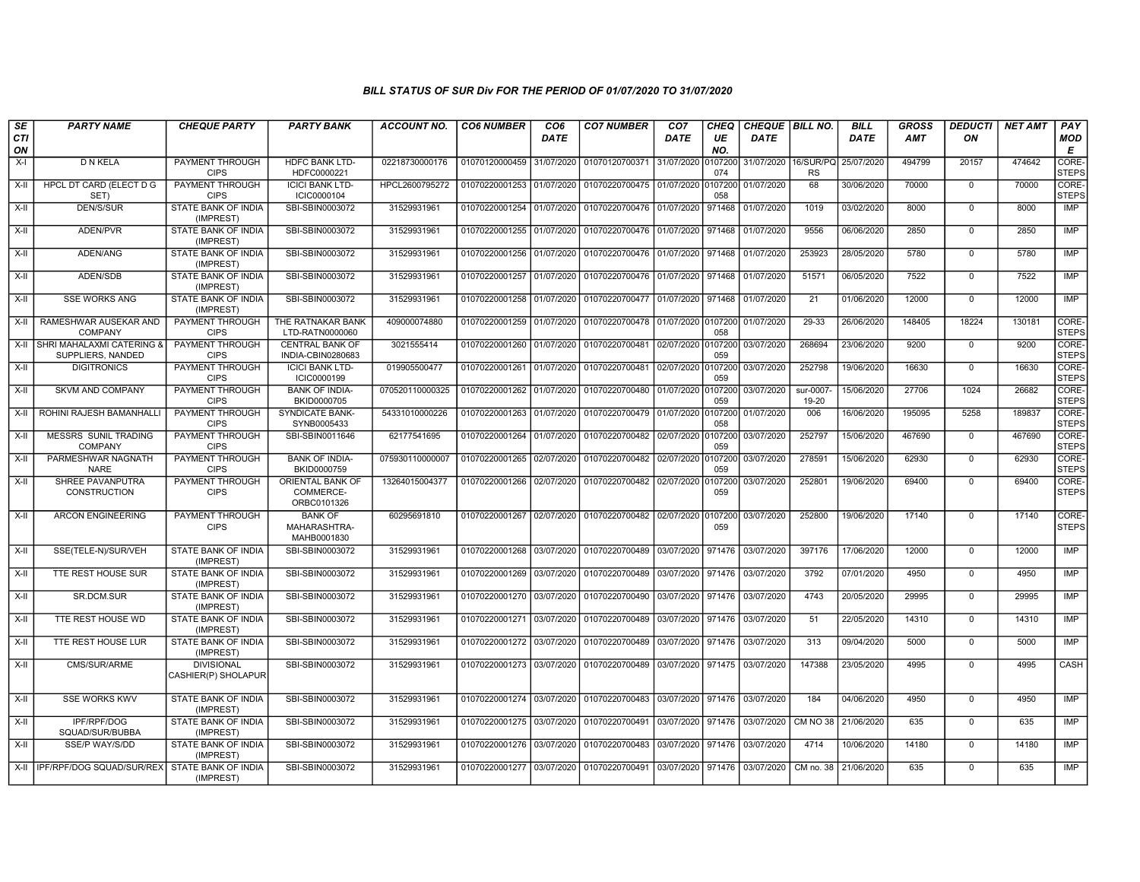| SE        | <b>PARTY NAME</b>                                      | <b>CHEQUE PARTY</b>                      | <b>PARTY BANK</b>                             | <b>ACCOUNT NO.</b> | <b>CO6 NUMBER</b>         | CO <sub>6</sub> | <b>CO7 NUMBER</b>                                                     | CO <sub>7</sub>     | <b>CHEQ</b>    | CHEQUE   BILL NO. |                        | <b>BILL</b>          | <b>GROSS</b> | <b>DEDUCTI</b> | <b>NET AMT</b> | <b>PAY</b>            |
|-----------|--------------------------------------------------------|------------------------------------------|-----------------------------------------------|--------------------|---------------------------|-----------------|-----------------------------------------------------------------------|---------------------|----------------|-------------------|------------------------|----------------------|--------------|----------------|----------------|-----------------------|
| CTI<br>ON |                                                        |                                          |                                               |                    |                           | DATE            |                                                                       | <b>DATE</b>         | UE<br>NO.      | DATE              |                        | <b>DATE</b>          | <b>AMT</b>   | ΟN             |                | <b>MOD</b><br>E       |
| $X-I$     | D N KELA                                               | PAYMENT THROUGH<br><b>CIPS</b>           | <b>HDFC BANK LTD-</b><br>HDFC0000221          | 02218730000176     | 01070120000459            | 31/07/2020      | 01070120700371                                                        | 31/07/2020          | 0107200<br>074 | 31/07/2020        | 16/SUR/PQ<br><b>RS</b> | 25/07/2020           | 494799       | 20157          | 474642         | CORE-<br><b>STEPS</b> |
| $X-II$    | HPCL DT CARD (ELECT D G<br>SET)                        | <b>PAYMENT THROUGH</b><br><b>CIPS</b>    | <b>ICICI BANK LTD-</b><br>ICIC0000104         | HPCL2600795272     | 01070220001253            | 01/07/2020      | 01070220700475 01/07/2020 0107200                                     |                     | 058            | 01/07/2020        | 68                     | 30/06/2020           | 70000        | $\overline{0}$ | 70000          | CORE-<br><b>STEPS</b> |
| X-II      | <b>DEN/S/SUR</b>                                       | STATE BANK OF INDIA<br>(IMPREST)         | SBI-SBIN0003072                               | 31529931961        | 01070220001254 01/07/2020 |                 | 01070220700476 01/07/2020 971468                                      |                     |                | 01/07/2020        | 1019                   | 03/02/2020           | 8000         | $\mathbf 0$    | 8000           | IMP                   |
| $X-H$     | ADEN/PVR                                               | <b>STATE BANK OF INDIA</b><br>(IMPREST)  | SBI-SBIN0003072                               | 31529931961        | 01070220001255 01/07/2020 |                 | 01070220700476 01/07/2020 971468                                      |                     |                | 01/07/2020        | 9556                   | 06/06/2020           | 2850         | $\overline{0}$ | 2850           | IMP                   |
| X-II      | ADEN/ANG                                               | STATE BANK OF INDIA<br>(IMPREST)         | SBI-SBIN0003072                               | 31529931961        | 01070220001256 01/07/2020 |                 | 01070220700476 01/07/2020 971468                                      |                     |                | 01/07/2020        | 253923                 | 28/05/2020           | 5780         | $\mathbf 0$    | 5780           | <b>IMP</b>            |
| $X-H$     | ADEN/SDB                                               | STATE BANK OF INDIA<br>(IMPREST)         | SBI-SBIN0003072                               | 31529931961        | 01070220001257            | 01/07/2020      | 01070220700476 01/07/2020 971468                                      |                     |                | 01/07/2020        | 51571                  | 06/05/2020           | 7522         | $\mathbf 0$    | 7522           | <b>IMP</b>            |
| X-II      | <b>SSE WORKS ANG</b>                                   | STATE BANK OF INDIA<br>(IMPREST)         | SBI-SBIN0003072                               | 31529931961        | 01070220001258            | 01/07/2020      | 01070220700477 01/07/2020 971468                                      |                     |                | 01/07/2020        | 21                     | 01/06/2020           | 12000        | $\Omega$       | 12000          | IMP                   |
| X-II      | RAMESHWAR AUSEKAR AND<br><b>COMPANY</b>                | PAYMENT THROUGH<br><b>CIPS</b>           | THE RATNAKAR BANK<br>LTD-RATN0000060          | 409000074880       | 01070220001259            | 01/07/2020      | 01070220700478 01/07/2020 0107200                                     |                     | 058            | 01/07/2020        | 29-33                  | 26/06/2020           | 148405       | 18224          | 130181         | CORE-<br><b>STEPS</b> |
| X-II      | SHRI MAHALAXMI CATERING &<br>SUPPLIERS, NANDED         | <b>PAYMENT THROUGH</b><br><b>CIPS</b>    | <b>CENTRAL BANK OF</b><br>INDIA-CBIN0280683   | 3021555414         | 01070220001260 01/07/2020 |                 | 01070220700481 02/07/2020 0107200                                     |                     | 059            | 03/07/2020        | 268694                 | 23/06/2020           | 9200         | $\mathbf 0$    | 9200           | CORE-<br><b>STEPS</b> |
| $X-II$    | <b>DIGITRONICS</b>                                     | PAYMENT THROUGH<br><b>CIPS</b>           | <b>ICICI BANK LTD-</b><br>ICIC0000199         | 019905500477       | 01070220001261 01/07/2020 |                 | 01070220700481                                                        | 02/07/2020 0107200  | 059            | 03/07/2020        | 252798                 | 19/06/2020           | 16630        | $\mathbf 0$    | 16630          | CORE-<br><b>STEPS</b> |
| $X-II$    | <b>SKVM AND COMPANY</b>                                | PAYMENT THROUGH<br><b>CIPS</b>           | <b>BANK OF INDIA-</b><br>BKID0000705          | 070520110000325    | 01070220001262 01/07/2020 |                 | 01070220700480 01/07/2020 0107200                                     |                     | 059            | 03/07/2020        | sur-0007-<br>19-20     | 15/06/2020           | 27706        | 1024           | 26682          | CORE-<br><b>STEPS</b> |
| X-II      | ROHINI RAJESH BAMANHALLI                               | PAYMENT THROUGH<br><b>CIPS</b>           | <b>SYNDICATE BANK-</b><br>SYNB0005433         | 54331010000226     | 01070220001263 01/07/2020 |                 | 01070220700479 01/07/2020 0107200                                     |                     | 058            | 01/07/2020        | 006                    | 16/06/2020           | 195095       | 5258           | 189837         | CORE-<br><b>STEPS</b> |
| $X-II$    | <b>MESSRS SUNIL TRADING</b><br><b>COMPANY</b>          | <b>PAYMENT THROUGH</b><br><b>CIPS</b>    | SBI-SBIN0011646                               | 62177541695        | 01070220001264 01/07/2020 |                 | 01070220700482 02/07/2020 0107200                                     |                     | 059            | 03/07/2020        | 252797                 | 15/06/2020           | 467690       | $\Omega$       | 467690         | CORE-<br><b>STEPS</b> |
| X-II      | PARMESHWAR NAGNATH<br><b>NARE</b>                      | PAYMENT THROUGH<br><b>CIPS</b>           | <b>BANK OF INDIA-</b><br>BKID0000759          | 075930110000007    | 01070220001265 02/07/2020 |                 | 01070220700482 02/07/2020 0107200                                     |                     | 059            | 03/07/2020        | 278591                 | 15/06/2020           | 62930        | $\mathbf 0$    | 62930          | CORE-<br><b>STEPS</b> |
| X-II      | SHREE PAVANPUTRA<br><b>CONSTRUCTION</b>                | PAYMENT THROUGH<br><b>CIPS</b>           | ORIENTAL BANK OF<br>COMMERCE-<br>ORBC0101326  | 13264015004377     | 01070220001266            | 02/07/2020      | 01070220700482                                                        | 02/07/2020          | 0107200<br>059 | 03/07/2020        | 252801                 | 19/06/2020           | 69400        | $\mathbf 0$    | 69400          | CORE-<br><b>STEPS</b> |
| $X-H$     | <b>ARCON ENGINEERING</b>                               | PAYMENT THROUGH<br><b>CIPS</b>           | <b>BANK OF</b><br>MAHARASHTRA-<br>MAHB0001830 | 60295691810        | 01070220001267 02/07/2020 |                 | 01070220700482 02/07/2020 0107200                                     |                     | 059            | 03/07/2020        | 252800                 | 19/06/2020           | 17140        | $\mathbf 0$    | 17140          | CORE-<br><b>STEPS</b> |
| $X-H$     | SSE(TELE-N)/SUR/VEH                                    | <b>STATE BANK OF INDIA</b><br>(IMPREST)  | SBI-SBIN0003072                               | 31529931961        | 01070220001268            | 03/07/2020      | 01070220700489 03/07/2020 971476                                      |                     |                | 03/07/2020        | 397176                 | 17/06/2020           | 12000        | $\overline{0}$ | 12000          | <b>IMP</b>            |
| X-II      | TTE REST HOUSE SUR                                     | <b>STATE BANK OF INDIA</b><br>(IMPREST)  | SBI-SBIN0003072                               | 31529931961        | 01070220001269            | 03/07/2020      | 01070220700489                                                        | 03/07/2020   971476 |                | 03/07/2020        | 3792                   | 07/01/2020           | 4950         | $\mathbf 0$    | 4950           | <b>IMP</b>            |
| $X-II$    | SR.DCM.SUR                                             | STATE BANK OF INDIA<br>(IMPREST)         | SBI-SBIN0003072                               | 31529931961        | 01070220001270 03/07/2020 |                 | 01070220700490                                                        | 03/07/2020 971476   |                | 03/07/2020        | 4743                   | 20/05/2020           | 29995        | $\mathbf 0$    | 29995          | <b>IMP</b>            |
| X-II      | TTE REST HOUSE WD                                      | STATE BANK OF INDIA<br>(IMPREST)         | SBI-SBIN0003072                               | 31529931961        | 01070220001271 03/07/2020 |                 | 01070220700489 03/07/2020 971476                                      |                     |                | 03/07/2020        | 51                     | 22/05/2020           | 14310        | $\mathbf 0$    | 14310          | <b>IMP</b>            |
| $X-H$     | TTE REST HOUSE LUR                                     | STATE BANK OF INDIA<br>(IMPREST)         | SBI-SBIN0003072                               | 31529931961        | 01070220001272            | 03/07/2020      | 01070220700489 03/07/2020 971476                                      |                     |                | 03/07/2020        | 313                    | 09/04/2020           | 5000         | $\overline{0}$ | 5000           | <b>IMP</b>            |
| X-II      | CMS/SUR/ARME                                           | <b>DIVISIONAL</b><br>CASHIER(P) SHOLAPUR | SBI-SBIN0003072                               | 31529931961        | 01070220001273 03/07/2020 |                 | 01070220700489 03/07/2020 971475 03/07/2020                           |                     |                |                   | 147388                 | 23/05/2020           | 4995         | $\mathbf 0$    | 4995           | CASH                  |
| $X-H$     | <b>SSE WORKS KWV</b>                                   | <b>STATE BANK OF INDIA</b><br>(IMPREST)  | SBI-SBIN0003072                               | 31529931961        | 01070220001274 03/07/2020 |                 | 01070220700483 03/07/2020 971476                                      |                     |                | 03/07/2020        | 184                    | 04/06/2020           | 4950         | $\overline{0}$ | 4950           | <b>IMP</b>            |
| $X-H$     | <b>IPF/RPF/DOG</b><br>SQUAD/SUR/BUBBA                  | STATE BANK OF INDIA<br>(IMPREST)         | SBI-SBIN0003072                               | 31529931961        | 01070220001275 03/07/2020 |                 | 01070220700491 03/07/2020 971476                                      |                     |                | 03/07/2020        |                        | CM NO 38 21/06/2020  | 635          | $\mathbf 0$    | 635            | IMP                   |
| $X-H$     | SSE/P WAY/S/DD                                         | <b>STATE BANK OF INDIA</b><br>(IMPREST)  | SBI-SBIN0003072                               | 31529931961        | 01070220001276            | 03/07/2020      | 01070220700483 03/07/2020 971476                                      |                     |                | 03/07/2020        | 4714                   | 10/06/2020           | 14180        | $\Omega$       | 14180          | IMP                   |
|           | X-II   IPF/RPF/DOG SQUAD/SUR/REX   STATE BANK OF INDIA | (IMPREST)                                | SBI-SBIN0003072                               | 31529931961        |                           |                 | 01070220001277 03/07/2020 01070220700491 03/07/2020 971476 03/07/2020 |                     |                |                   |                        | CM no. 38 21/06/2020 | 635          | $\mathbf 0$    | 635            | IMP                   |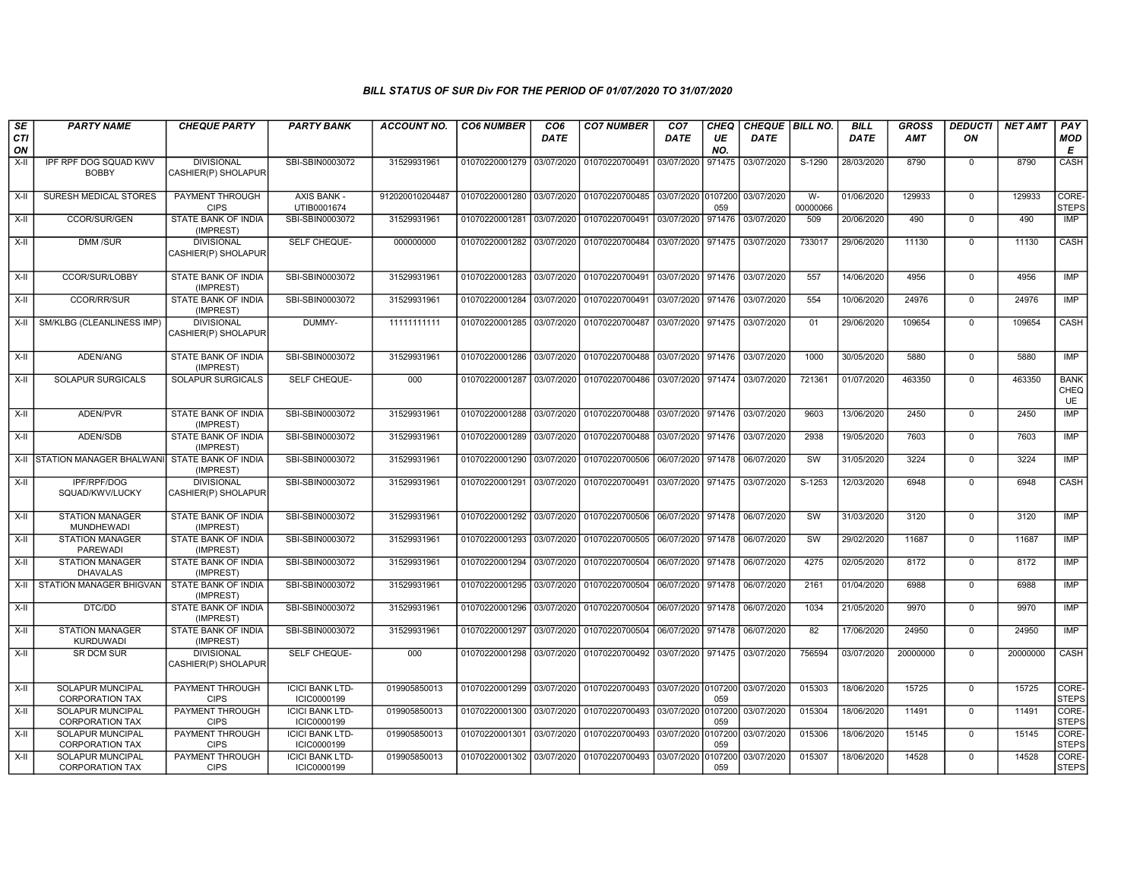| SE<br>CTI | <b>PARTY NAME</b>                                 | <b>CHEQUE PARTY</b>                      | <b>PARTY BANK</b>                     | <b>ACCOUNT NO.</b> | <b>CO6 NUMBER</b>         | CO <sub>6</sub><br><b>DATE</b> | <b>CO7 NUMBER</b>                                                     | CO <sub>7</sub><br><b>DATE</b> | <b>CHEQ</b><br>UE | CHEQUE   BILL NO.<br><b>DATE</b> |                   | <b>BILL</b><br><b>DATE</b> | GROSS<br><b>AMT</b> | <b>DEDUCTI</b><br>ON | <b>NET AMT</b> | PAY<br><b>MOD</b>                |
|-----------|---------------------------------------------------|------------------------------------------|---------------------------------------|--------------------|---------------------------|--------------------------------|-----------------------------------------------------------------------|--------------------------------|-------------------|----------------------------------|-------------------|----------------------------|---------------------|----------------------|----------------|----------------------------------|
| ON        |                                                   |                                          |                                       |                    |                           |                                |                                                                       |                                | NO.               |                                  |                   |                            |                     |                      |                | Е                                |
| $X-H$     | IPF RPF DOG SQUAD KWV<br><b>BOBBY</b>             | <b>DIVISIONAL</b><br>CASHIER(P) SHOLAPUR | SBI-SBIN0003072                       | 31529931961        | 01070220001279            | 03/07/2020                     | 01070220700491                                                        | 03/07/2020                     | 971475            | 03/07/2020                       | S-1290            | 28/03/2020                 | 8790                | $\mathbf 0$          | 8790           | CASH                             |
| X-II      | <b>SURESH MEDICAL STORES</b>                      | PAYMENT THROUGH<br><b>CIPS</b>           | AXIS BANK -<br>UTIB0001674            | 912020010204487    | 01070220001280            | 03/07/2020                     | 01070220700485 03/07/2020 0107200 03/07/2020                          |                                | 059               |                                  | $W -$<br>00000066 | 01/06/2020                 | 129933              | $\mathbf 0$          | 129933         | CORE-<br><b>STEPS</b>            |
| $X-H$     | CCOR/SUR/GEN                                      | <b>STATE BANK OF INDIA</b><br>(IMPREST)  | SBI-SBIN0003072                       | 31529931961        | 01070220001281 03/07/2020 |                                | 01070220700491 03/07/2020 971476 03/07/2020                           |                                |                   |                                  | 509               | 20/06/2020                 | 490                 | $\mathbf 0$          | 490            | IMP                              |
| X-II      | DMM /SUR                                          | <b>DIVISIONAL</b><br>CASHIER(P) SHOLAPUR | SELF CHEQUE-                          | 000000000          | 01070220001282 03/07/2020 |                                | 01070220700484 03/07/2020 971475                                      |                                |                   | 03/07/2020                       | 733017            | 29/06/2020                 | 11130               | $\Omega$             | 11130          | CASH                             |
| X-II      | <b>CCOR/SUR/LOBBY</b>                             | STATE BANK OF INDIA<br>(IMPREST)         | SBI-SBIN0003072                       | 31529931961        |                           |                                | 01070220001283 03/07/2020 01070220700491 03/07/2020 971476 03/07/2020 |                                |                   |                                  | 557               | 14/06/2020                 | 4956                | $\mathbf 0$          | 4956           | IMP                              |
| X-II      | CCOR/RR/SUR                                       | STATE BANK OF INDIA<br>(IMPREST)         | SBI-SBIN0003072                       | 31529931961        | 01070220001284            | 03/07/2020                     | 01070220700491                                                        | 03/07/2020 971476              |                   | 03/07/2020                       | 554               | 10/06/2020                 | 24976               | $\mathbf 0$          | 24976          | IMP                              |
| X-II      | SM/KLBG (CLEANLINESS IMP)                         | <b>DIVISIONAL</b><br>CASHIER(P) SHOLAPUR | DUMMY-                                | 11111111111        | 01070220001285            | 03/07/2020                     | 01070220700487 03/07/2020 971475                                      |                                |                   | 03/07/2020                       | 01                | 29/06/2020                 | 109654              | $\Omega$             | 109654         | CASH                             |
| $X-II$    | ADEN/ANG                                          | STATE BANK OF INDIA<br>(IMPREST)         | SBI-SBIN0003072                       | 31529931961        | 01070220001286            | 03/07/2020                     | 01070220700488 03/07/2020 971476                                      |                                |                   | 03/07/2020                       | 1000              | 30/05/2020                 | 5880                | $\Omega$             | 5880           | IMP                              |
| X-II      | <b>SOLAPUR SURGICALS</b>                          | <b>SOLAPUR SURGICALS</b>                 | SELF CHEQUE-                          | 000                | 01070220001287            | 03/07/2020                     | 01070220700486 03/07/2020 971474                                      |                                |                   | 03/07/2020                       | 721361            | 01/07/2020                 | 463350              | $\mathbf 0$          | 463350         | <b>BANK</b><br>CHEQ<br><b>UE</b> |
| $X-H$     | ADEN/PVR                                          | <b>STATE BANK OF INDIA</b><br>(IMPREST)  | SBI-SBIN0003072                       | 31529931961        | 01070220001288 03/07/2020 |                                | 01070220700488 03/07/2020 971476                                      |                                |                   | 03/07/2020                       | 9603              | 13/06/2020                 | 2450                | $\overline{0}$       | 2450           | IMP                              |
| X-II      | ADEN/SDB                                          | STATE BANK OF INDIA<br>(IMPREST)         | SBI-SBIN0003072                       | 31529931961        | 01070220001289            | 03/07/2020                     | 01070220700488 03/07/2020 971476                                      |                                |                   | 03/07/2020                       | 2938              | 19/05/2020                 | 7603                | $\mathbf 0$          | 7603           | IMP                              |
| $X-H$     | STATION MANAGER BHALWANI STATE BANK OF INDIA      | (IMPREST)                                | SBI-SBIN0003072                       | 31529931961        | 01070220001290            | 03/07/2020                     | 01070220700506 06/07/2020 971478                                      |                                |                   | 06/07/2020                       | <b>SW</b>         | 31/05/2020                 | 3224                | $\mathbf 0$          | 3224           | <b>IMP</b>                       |
| $X-II$    | <b>IPF/RPF/DOG</b><br>SQUAD/KWV/LUCKY             | <b>DIVISIONAL</b><br>CASHIER(P) SHOLAPUR | SBI-SBIN0003072                       | 31529931961        | 01070220001291            | 03/07/2020                     | 01070220700491 03/07/2020 971475                                      |                                |                   | 03/07/2020                       | $S-1253$          | 12/03/2020                 | 6948                | $\overline{0}$       | 6948           | <b>CASH</b>                      |
| $X-II$    | <b>STATION MANAGER</b><br><b>MUNDHEWADI</b>       | STATE BANK OF INDIA<br>(IMPREST)         | SBI-SBIN0003072                       | 31529931961        | 01070220001292            | 03/07/2020                     | 01070220700506 06/07/2020 971478                                      |                                |                   | 06/07/2020                       | <b>SW</b>         | 31/03/2020                 | 3120                | $\mathbf 0$          | 3120           | <b>IMP</b>                       |
| $X-H$     | <b>STATION MANAGER</b><br>PAREWADI                | <b>STATE BANK OF INDIA</b><br>(IMPREST)  | SBI-SBIN0003072                       | 31529931961        | 01070220001293            | 03/07/2020                     | 01070220700505 06/07/2020 971478                                      |                                |                   | 06/07/2020                       | SW                | 29/02/2020                 | 11687               | $\mathbf 0$          | 11687          | <b>IMP</b>                       |
| $X-H$     | <b>STATION MANAGER</b><br><b>DHAVALAS</b>         | <b>STATE BANK OF INDIA</b><br>(IMPREST)  | SBI-SBIN0003072                       | 31529931961        | 01070220001294 03/07/2020 |                                | 01070220700504 06/07/2020 971478                                      |                                |                   | 06/07/2020                       | 4275              | 02/05/2020                 | 8172                | $\overline{0}$       | 8172           | IMP                              |
| $X-H$     | <b>STATION MANAGER BHIGVAN</b>                    | STATE BANK OF INDIA<br>(IMPREST)         | SBI-SBIN0003072                       | 31529931961        | 01070220001295            | 03/07/2020                     | 01070220700504 06/07/2020 971478                                      |                                |                   | 06/07/2020                       | 2161              | 01/04/2020                 | 6988                | $\mathbf 0$          | 6988           | <b>IMP</b>                       |
| X-II      | DTC/DD                                            | STATE BANK OF INDIA<br>(IMPREST)         | SBI-SBIN0003072                       | 31529931961        | 01070220001296 03/07/2020 |                                | 01070220700504 06/07/2020 971478                                      |                                |                   | 06/07/2020                       | 1034              | 21/05/2020                 | 9970                | $\mathbf 0$          | 9970           | IMP                              |
| $X-H$     | <b>STATION MANAGER</b><br>KURDUWADI               | STATE BANK OF INDIA<br>(IMPREST)         | SBI-SBIN0003072                       | 31529931961        | 01070220001297            | 03/07/2020                     | 01070220700504 06/07/2020 971478                                      |                                |                   | 06/07/2020                       | 82                | 17/06/2020                 | 24950               | $\overline{0}$       | 24950          | <b>IMP</b>                       |
| X-II      | <b>SR DCM SUR</b>                                 | <b>DIVISIONAL</b><br>CASHIER(P) SHOLAPUR | <b>SELF CHEQUE-</b>                   | 000                |                           |                                | 01070220001298 03/07/2020 01070220700492 03/07/2020 971475            |                                |                   | 03/07/2020                       | 756594            | 03/07/2020                 | 20000000            | $\mathbf 0$          | 20000000       | <b>CASH</b>                      |
| $X-II$    | SOLAPUR MUNCIPAL<br><b>CORPORATION TAX</b>        | PAYMENT THROUGH<br><b>CIPS</b>           | <b>ICICI BANK LTD-</b><br>ICIC0000199 | 019905850013       | 01070220001299            | 03/07/2020                     | 01070220700493 03/07/2020 0107200                                     |                                | 059               | 03/07/2020                       | 015303            | 18/06/2020                 | 15725               | $\mathbf 0$          | 15725          | CORE-<br><b>STEPS</b>            |
| $X-H$     | <b>SOLAPUR MUNCIPAL</b><br><b>CORPORATION TAX</b> | <b>PAYMENT THROUGH</b><br><b>CIPS</b>    | <b>ICICI BANK LTD-</b><br>ICIC0000199 | 019905850013       | 01070220001300            | 03/07/2020                     | 01070220700493 03/07/2020 0107200                                     |                                | 059               | 03/07/2020                       | 015304            | 18/06/2020                 | 11491               | 0                    | 11491          | CORE-<br><b>STEPS</b>            |
| $X-H$     | <b>SOLAPUR MUNCIPAL</b><br><b>CORPORATION TAX</b> | <b>PAYMENT THROUGH</b><br><b>CIPS</b>    | <b>ICICI BANK LTD-</b><br>ICIC0000199 | 019905850013       | 01070220001301 03/07/2020 |                                | 01070220700493 03/07/2020                                             |                                | 0107200<br>059    | 03/07/2020                       | 015306            | 18/06/2020                 | 15145               | $\Omega$             | 15145          | CORE-<br><b>STEPS</b>            |
| X-II      | <b>SOLAPUR MUNCIPAL</b><br><b>CORPORATION TAX</b> | PAYMENT THROUGH<br><b>CIPS</b>           | <b>ICICI BANK LTD-</b><br>ICIC0000199 | 019905850013       | 01070220001302 03/07/2020 |                                | 01070220700493                                                        | 03/07/2020                     | 0107200<br>059    | 03/07/2020                       | 015307            | 18/06/2020                 | 14528               | $\mathbf 0$          | 14528          | CORE-<br><b>STEPS</b>            |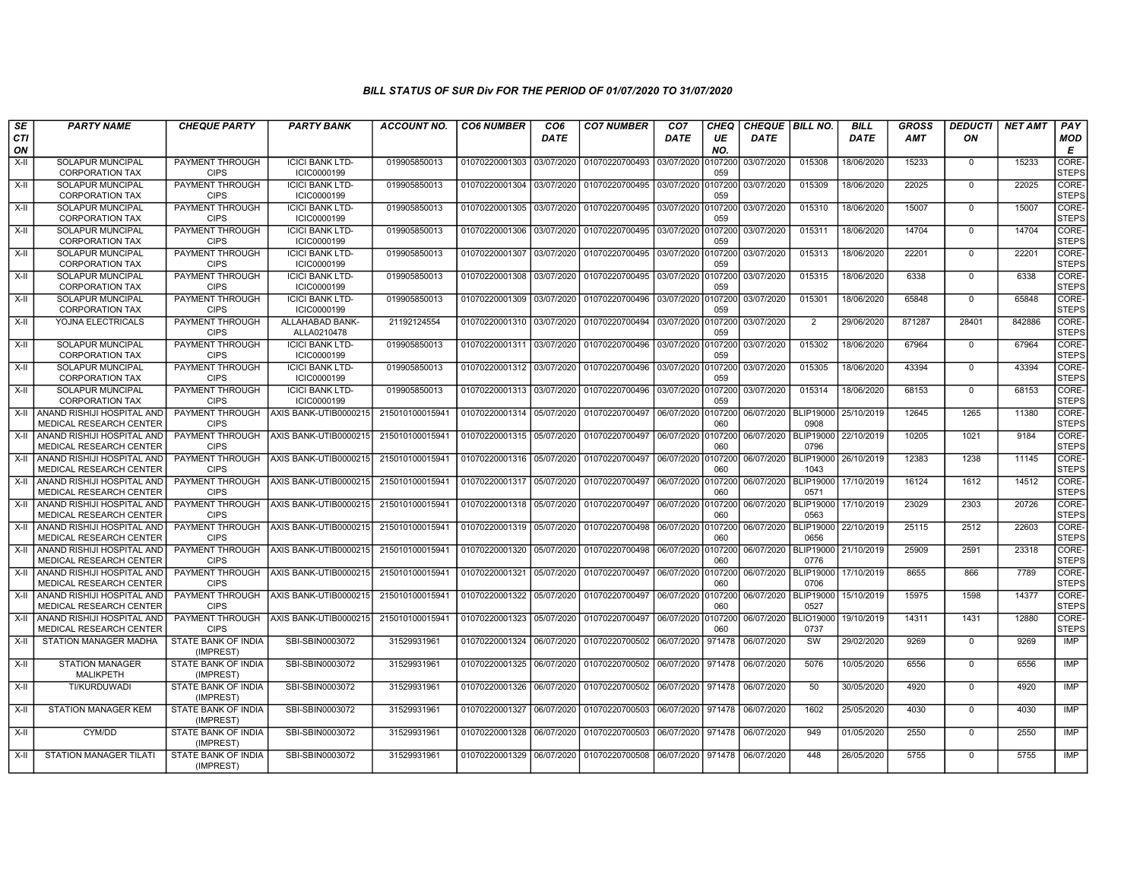| SE               | <b>PARTY NAME</b>                                            | <b>CHEQUE PARTY</b>                     | <b>PARTY BANK</b>                     | ACCOUNT NO.     | <b>CO6 NUMBER</b>         | CO6         | <b>CO7 NUMBER</b>                           | CO7                | CHEQ           | CHEQUE   BILL NO. |                          | <b>BILL</b> | <b>GROSS</b> | DEDUCTI     | NET AMT | <b>PAY</b>            |
|------------------|--------------------------------------------------------------|-----------------------------------------|---------------------------------------|-----------------|---------------------------|-------------|---------------------------------------------|--------------------|----------------|-------------------|--------------------------|-------------|--------------|-------------|---------|-----------------------|
| <b>CTI</b><br>ON |                                                              |                                         |                                       |                 |                           | <b>DATE</b> |                                             | <b>DATE</b>        | UE<br>NO.      | <b>DATE</b>       |                          | <b>DATE</b> | <b>AMT</b>   | ON          |         | <b>MOD</b><br>E       |
| $X-H$            | SOLAPUR MUNCIPAL<br><b>CORPORATION TAX</b>                   | PAYMENT THROUGH<br><b>CIPS</b>          | <b>ICICI BANK LTD-</b><br>ICIC0000199 | 019905850013    | 01070220001303            | 03/07/2020  | 01070220700493                              | 03/07/2020         | 0107200<br>059 | 03/07/2020        | 015308                   | 18/06/2020  | 15233        | $\Omega$    | 15233   | CORE-<br><b>STEPS</b> |
| X-II             | SOLAPUR MUNCIPAL<br><b>CORPORATION TAX</b>                   | PAYMENT THROUGH<br><b>CIPS</b>          | <b>ICICI BANK LTD-</b><br>ICIC0000199 | 019905850013    | 01070220001304 03/07/2020 |             | 01070220700495 03/07/2020                   |                    | 0107200<br>059 | 03/07/2020        | 015309                   | 18/06/2020  | 22025        | $\mathbf 0$ | 22025   | CORE-<br><b>STEPS</b> |
| $X-II$           | <b>SOLAPUR MUNCIPAL</b><br><b>CORPORATION TAX</b>            | PAYMENT THROUGH<br><b>CIPS</b>          | <b>ICICI BANK LTD-</b><br>ICIC0000199 | 019905850013    | 01070220001305 03/07/2020 |             | 01070220700495 03/07/2020                   |                    | 0107200<br>059 | 03/07/2020        | 015310                   | 18/06/2020  | 15007        | $\Omega$    | 15007   | CORE-<br><b>STEPS</b> |
| X-II             | <b>SOLAPUR MUNCIPAL</b><br><b>CORPORATION TAX</b>            | PAYMENT THROUGH<br><b>CIPS</b>          | <b>ICICI BANK LTD-</b><br>ICIC0000199 | 019905850013    | 01070220001306            | 03/07/2020  | 01070220700495                              | 03/07/2020         | 010720<br>059  | 03/07/2020        | 015311                   | 18/06/2020  | 14704        | $\mathbf 0$ | 14704   | CORE-<br><b>STEPS</b> |
| $X-H$            | <b>SOLAPUR MUNCIPAL</b><br><b>CORPORATION TAX</b>            | PAYMENT THROUGH<br><b>CIPS</b>          | <b>ICICI BANK LTD-</b><br>ICIC0000199 | 019905850013    | 01070220001307            | 03/07/2020  | 01070220700495                              | 03/07/2020 0107200 | 059            | 03/07/2020        | 015313                   | 18/06/2020  | 22201        | $\Omega$    | 22201   | CORE-<br>STEPS        |
| $X-II$           | <b>SOLAPUR MUNCIPAL</b><br><b>CORPORATION TAX</b>            | PAYMENT THROUGH<br><b>CIPS</b>          | <b>ICICI BANK LTD-</b><br>ICIC0000199 | 019905850013    | 01070220001308            | 03/07/2020  | 01070220700495                              | 03/07/2020 0107200 | 059            | 03/07/2020        | 015315                   | 18/06/2020  | 6338         | $\mathbf 0$ | 6338    | CORE-<br><b>STEPS</b> |
| $X-II$           | <b>SOLAPUR MUNCIPAL</b><br><b>CORPORATION TAX</b>            | PAYMENT THROUGH<br><b>CIPS</b>          | <b>ICICI BANK LTD-</b><br>ICIC0000199 | 019905850013    | 01070220001309            | 03/07/2020  | 01070220700496 03/07/2020                   |                    | 0107200<br>059 | 03/07/2020        | 015301                   | 18/06/2020  | 65848        | $\Omega$    | 65848   | CORE-<br><b>STEPS</b> |
| $X-H$            | YOJNA ELECTRICALS                                            | PAYMENT THROUGH<br><b>CIPS</b>          | ALLAHABAD BANK-<br>ALLA0210478        | 21192124554     | 01070220001310 03/07/2020 |             | 01070220700494 03/07/2020 0107200           |                    | 059            | 03/07/2020        | $\overline{2}$           | 29/06/2020  | 871287       | 28401       | 842886  | CORE-<br><b>STEPS</b> |
| $X-H$            | <b>SOLAPUR MUNCIPAL</b><br><b>CORPORATION TAX</b>            | <b>PAYMENT THROUGH</b><br><b>CIPS</b>   | <b>ICICI BANK LTD-</b><br>ICIC0000199 | 019905850013    | 01070220001311 03/07/2020 |             | 01070220700496                              | 03/07/2020 0107200 | 059            | 03/07/2020        | 015302                   | 18/06/2020  | 67964        | $\Omega$    | 67964   | CORE-<br><b>STEPS</b> |
| X-II             | SOLAPUR MUNCIPAL<br><b>CORPORATION TAX</b>                   | PAYMENT THROUGH<br><b>CIPS</b>          | <b>ICICI BANK LTD-</b><br>ICIC0000199 | 019905850013    | 01070220001312            | 03/07/2020  | 01070220700496                              | 03/07/2020 0107200 | 059            | 03/07/2020        | 015305                   | 18/06/2020  | 43394        | $\mathbf 0$ | 43394   | CORE-<br><b>STEPS</b> |
| $X-I$            | <b>SOLAPUR MUNCIPAL</b><br><b>CORPORATION TAX</b>            | PAYMENT THROUGH<br><b>CIPS</b>          | <b>ICICI BANK LTD-</b><br>ICIC0000199 | 019905850013    | 01070220001313            | 03/07/2020  | 01070220700496                              | 03/07/2020 0107200 | 059            | 03/07/2020        | 015314                   | 18/06/2020  | 68153        | $\Omega$    | 68153   | CORE-<br><b>STEPS</b> |
| X-II             | ANAND RISHIJI HOSPITAL AND<br>MEDICAL RESEARCH CENTER        | PAYMENT THROUGH<br><b>CIPS</b>          | AXIS BANK-UTIB0000215                 | 21501010001594  | 01070220001314 05/07/2020 |             | 01070220700497                              | 06/07/2020 0107200 | 060            | 06/07/2020        | <b>BLIP19000</b><br>0908 | 25/10/2019  | 12645        | 1265        | 11380   | CORE-<br><b>STEPS</b> |
| $X-H$            | ANAND RISHIJI HOSPITAL AND<br>MEDICAL RESEARCH CENTER        | PAYMENT THROUGH<br><b>CIPS</b>          | AXIS BANK-UTIB0000215                 | 215010100015941 | 01070220001315 05/07/2020 |             | 01070220700497 06/07/2020 0107200           |                    | 060            | 06/07/2020        | <b>BLIP19000</b><br>0796 | 22/10/2019  | 10205        | 1021        | 9184    | CORE-<br><b>STEPS</b> |
| X-II             | ANAND RISHIJI HOSPITAL AND<br>MEDICAL RESEARCH CENTER        | PAYMENT THROUGH<br><b>CIPS</b>          | AXIS BANK-UTIB0000215                 | 21501010001594  | 01070220001316            | 05/07/2020  | 01070220700497                              | 06/07/2020 0107200 | 060            | 06/07/2020        | <b>BLIP19000</b><br>1043 | 26/10/2019  | 12383        | 1238        | 11145   | CORE-<br><b>STEPS</b> |
| $X-II$           | ANAND RISHIJI HOSPITAL AND<br>MEDICAL RESEARCH CENTER        | <b>PAYMENT THROUGH</b><br><b>CIPS</b>   | AXIS BANK-UTIB0000215                 | 215010100015941 | 01070220001317            | 05/07/2020  | 01070220700497                              | 06/07/2020 0107200 | 060            | 06/07/2020        | <b>BLIP19000</b><br>0571 | 17/10/2019  | 16124        | 1612        | 14512   | CORE-<br><b>STEPS</b> |
| $X-H$            | ANAND RISHIJI HOSPITAL AND<br>MEDICAL RESEARCH CENTER        | PAYMENT THROUGH<br><b>CIPS</b>          | AXIS BANK-UTIB0000215                 | 215010100015941 | 01070220001318 05/07/2020 |             | 01070220700497 06/07/2020 0107200           |                    | 060            | 06/07/2020        | <b>BLIP19000</b><br>0563 | 17/10/2019  | 23029        | 2303        | 20726   | CORE-<br><b>STEPS</b> |
| $X-H$            | ANAND RISHIJI HOSPITAL AND<br>MEDICAL RESEARCH CENTER        | PAYMENT THROUGH<br><b>CIPS</b>          | AXIS BANK-UTIB0000215                 | 215010100015941 | 01070220001319 05/07/2020 |             | 01070220700498                              | 06/07/2020 0107200 | 060            | 06/07/2020        | BLIP19000<br>0656        | 22/10/2019  | 25115        | 2512        | 22603   | CORE-<br><b>STEPS</b> |
| X-II             | ANAND RISHIJI HOSPITAL AND<br>MEDICAL RESEARCH CENTER        | PAYMENT THROUGH<br><b>CIPS</b>          | AXIS BANK-UTIB0000215                 | 215010100015941 | 01070220001320            | 05/07/2020  | 01070220700498                              | 06/07/2020 0107200 | 060            | 06/07/2020        | <b>BLIP19000</b><br>0776 | 21/10/2019  | 25909        | 2591        | 23318   | CORE-<br><b>STEPS</b> |
| $X-H$            | ANAND RISHIJI HOSPITAL AND<br>MEDICAL RESEARCH CENTER        | PAYMENT THROUGH<br><b>CIPS</b>          | AXIS BANK-UTIB0000215                 | 21501010001594  | 01070220001321            | 05/07/2020  | 01070220700497                              | 06/07/2020 0107200 | 060            | 06/07/2020        | <b>BLIP19000</b><br>0706 | 17/10/2019  | 8655         | 866         | 7789    | CORE-<br><b>STEPS</b> |
| $X-H$            | ANAND RISHIJI HOSPITAL AND<br><b>MEDICAL RESEARCH CENTER</b> | PAYMENT THROUGH<br><b>CIPS</b>          | AXIS BANK-UTIB0000215                 | 215010100015941 | 01070220001322 05/07/2020 |             | 01070220700497                              | 06/07/2020 0107200 | 060            | 06/07/2020        | BLIP19000<br>0527        | 15/10/2019  | 15975        | 1598        | 14377   | CORE-<br><b>STEPS</b> |
| $X-II$           | ANAND RISHIJI HOSPITAL AND<br>MEDICAL RESEARCH CENTER        | PAYMENT THROUGH<br><b>CIPS</b>          | AXIS BANK-UTIB0000215                 | 215010100015941 | 01070220001323            | 05/07/2020  | 01070220700497                              | 06/07/2020 0107200 | 060            | 06/07/2020        | <b>BLIO19000</b><br>0737 | 19/10/2019  | 14311        | 1431        | 12880   | CORE-<br><b>STEPS</b> |
| X-II             | STATION MANAGER MADHA                                        | <b>STATE BANK OF INDIA</b><br>(IMPREST) | SBI-SBIN0003072                       | 31529931961     | 01070220001324            | 06/07/2020  | 01070220700502                              | 06/07/2020         | 971478         | 06/07/2020        | SW                       | 29/02/2020  | 9269         | $\mathbf 0$ | 9269    | <b>IMP</b>            |
| $X-II$           | <b>STATION MANAGER</b><br><b>MALIKPETH</b>                   | STATE BANK OF INDIA<br>(IMPREST)        | SBI-SBIN0003072                       | 31529931961     | 01070220001325            | 06/07/2020  | 01070220700502 06/07/2020 971478            |                    |                | 06/07/2020        | 5076                     | 10/05/2020  | 6556         | $\Omega$    | 6556    | <b>IMP</b>            |
| $X-II$           | TI/KURDUWADI                                                 | STATE BANK OF INDIA<br>(IMPREST)        | SBI-SBIN0003072                       | 31529931961     | 01070220001326            | 06/07/2020  | 01070220700502 06/07/2020 971478            |                    |                | 06/07/2020        | 50                       | 30/05/2020  | 4920         | $\mathbf 0$ | 4920    | <b>IMP</b>            |
| $X-H$            | <b>STATION MANAGER KEM</b>                                   | <b>STATE BANK OF INDIA</b><br>(IMPREST) | SBI-SBIN0003072                       | 31529931961     | 01070220001327 06/07/2020 |             | 01070220700503 06/07/2020 971478 06/07/2020 |                    |                |                   | 1602                     | 25/05/2020  | 4030         | $\Omega$    | 4030    | IMP                   |
| X-II             | CYM/DD                                                       | STATE BANK OF INDIA<br>(IMPREST)        | SBI-SBIN0003072                       | 31529931961     | 01070220001328            | 06/07/2020  | 01070220700503 06/07/2020 971478            |                    |                | 06/07/2020        | 949                      | 01/05/2020  | 2550         | $\mathbf 0$ | 2550    | IMP                   |
| $X-H$            | <b>STATION MANAGER TILATI</b>                                | STATE BANK OF INDIA<br>(IMPREST)        | SBI-SBIN0003072                       | 31529931961     | 01070220001329            | 06/07/2020  | 01070220700508 06/07/2020 971478            |                    |                | 06/07/2020        | 448                      | 26/05/2020  | 5755         | $\Omega$    | 5755    | IMP                   |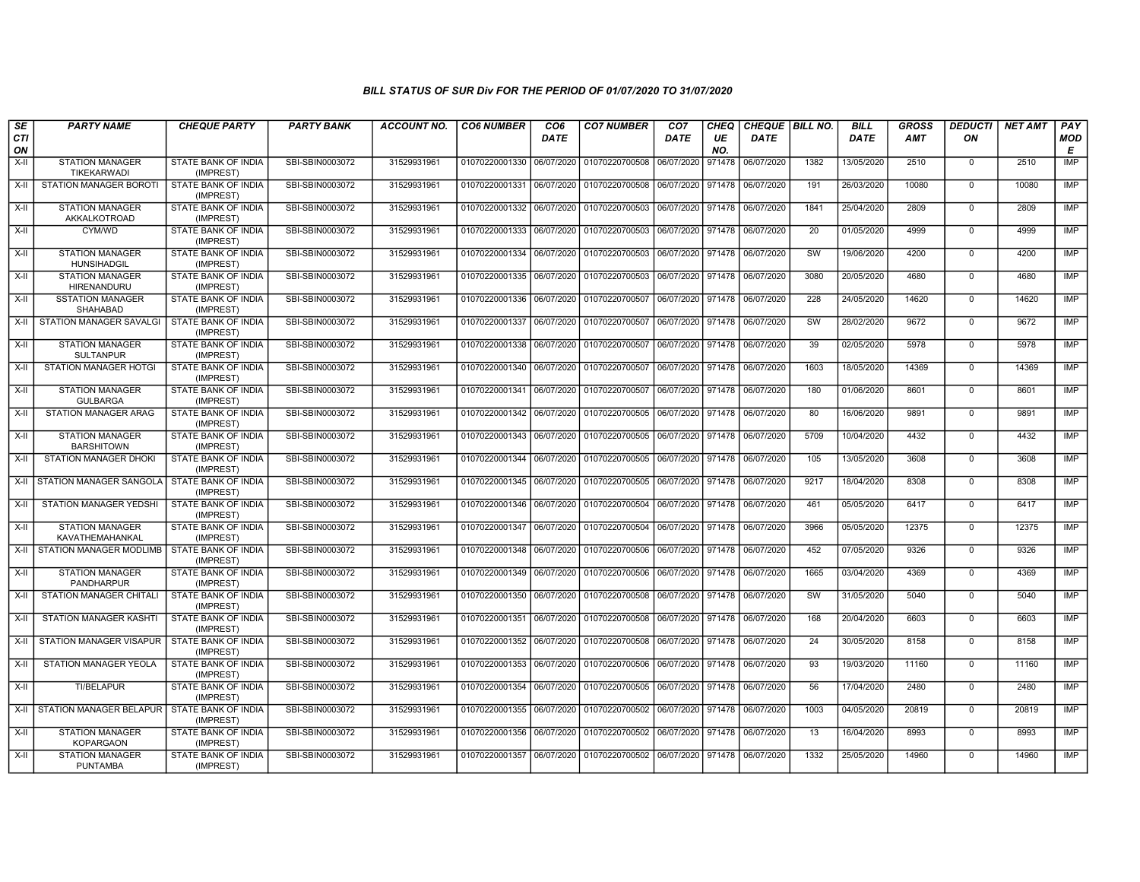| SE        | <b>PARTY NAME</b>                            | <b>CHEQUE PARTY</b>                     | <b>PARTY BANK</b> | <b>ACCOUNT NO.</b> | <b>CO6 NUMBER</b>         | CO <sub>6</sub> | <b>CO7 NUMBER</b>                        | CO <sub>7</sub>   | CHEQ      | CHEQUE   BILL NO. |      | <b>BILL</b> | <b>GROSS</b> | <b>DEDUCTI</b> | <b>NET AMT</b> | <b>PAY</b> |
|-----------|----------------------------------------------|-----------------------------------------|-------------------|--------------------|---------------------------|-----------------|------------------------------------------|-------------------|-----------|-------------------|------|-------------|--------------|----------------|----------------|------------|
| CTI<br>ON |                                              |                                         |                   |                    |                           | <b>DATE</b>     |                                          | <b>DATE</b>       | UE<br>NO. | <b>DATE</b>       |      | <b>DATE</b> | AMT          | ON             |                | MOD<br>Е   |
| X-II      | <b>STATION MANAGER</b><br>TIKEKARWADI        | STATE BANK OF INDIA<br>(IMPREST)        | SBI-SBIN0003072   | 31529931961        | 01070220001330 06/07/2020 |                 | 01070220700508                           | 06/07/2020        | 971478    | 06/07/2020        | 1382 | 13/05/2020  | 2510         | $\mathbf{0}$   | 2510           | <b>IMP</b> |
| X-II      | STATION MANAGER BOROTI                       | STATE BANK OF INDIA<br>(IMPREST)        | SBI-SBIN0003072   | 31529931961        | 01070220001331 06/07/2020 |                 | 01070220700508                           | 06/07/2020        | 971478    | 06/07/2020        | 191  | 26/03/2020  | 10080        | $\Omega$       | 10080          | <b>IMP</b> |
| $X-H$     | <b>STATION MANAGER</b><br>AKKALKOTROAD       | STATE BANK OF INDIA<br>(IMPREST)        | SBI-SBIN0003072   | 31529931961        | 01070220001332 06/07/2020 |                 | 01070220700503                           | 06/07/2020 971478 |           | 06/07/2020        | 1841 | 25/04/2020  | 2809         | $\mathbf{0}$   | 2809           | <b>IMP</b> |
| X-II      | CYM/WD                                       | STATE BANK OF INDIA<br>(IMPREST)        | SBI-SBIN0003072   | 31529931961        | 01070220001333 06/07/2020 |                 | 01070220700503                           | 06/07/2020        | 971478    | 06/07/2020        | 20   | 01/05/2020  | 4999         | $\mathbf{0}$   | 4999           | <b>IMP</b> |
| $X-II$    | <b>STATION MANAGER</b><br>HUNSIHADGIL        | STATE BANK OF INDIA<br>(IMPREST)        | SBI-SBIN0003072   | 31529931961        | 01070220001334            | 06/07/2020      | 01070220700503                           | 06/07/2020        | 971478    | 06/07/2020        | SW   | 19/06/2020  | 4200         | $\mathbf 0$    | 4200           | <b>IMP</b> |
| X-II      | <b>STATION MANAGER</b><br><b>HIRENANDURU</b> | STATE BANK OF INDIA<br>(IMPREST)        | SBI-SBIN0003072   | 31529931961        | 01070220001335 06/07/2020 |                 | 01070220700503                           | 06/07/2020 971478 |           | 06/07/2020        | 3080 | 20/05/2020  | 4680         | $\mathbf 0$    | 4680           | <b>IMP</b> |
| X-II      | <b>SSTATION MANAGER</b><br>SHAHABAD          | STATE BANK OF INDIA<br>(IMPREST)        | SBI-SBIN0003072   | 31529931961        | 01070220001336 06/07/2020 |                 | 01070220700507                           | 06/07/2020        | 971478    | 06/07/2020        | 228  | 24/05/2020  | 14620        | $\mathbf{0}$   | 14620          | <b>IMP</b> |
| X-II      | STATION MANAGER SAVALGI                      | STATE BANK OF INDIA<br>(IMPREST)        | SBI-SBIN0003072   | 31529931961        | 01070220001337 06/07/2020 |                 | 01070220700507                           | 06/07/2020 971478 |           | 06/07/2020        | sw   | 28/02/2020  | 9672         | $\mathbf 0$    | 9672           | IMP        |
| X-II      | <b>STATION MANAGER</b><br><b>SULTANPUR</b>   | <b>STATE BANK OF INDIA</b><br>(IMPREST) | SBI-SBIN0003072   | 31529931961        | 01070220001338 06/07/2020 |                 | 01070220700507                           | 06/07/2020        | 971478    | 06/07/2020        | 39   | 02/05/2020  | 5978         | $\Omega$       | 5978           | IMP        |
| $X-II$    | <b>STATION MANAGER HOTGI</b>                 | STATE BANK OF INDIA<br>(IMPREST)        | SBI-SBIN0003072   | 31529931961        | 01070220001340 06/07/2020 |                 | 01070220700507                           | 06/07/2020 971478 |           | 06/07/2020        | 1603 | 18/05/2020  | 14369        | $\mathbf{0}$   | 14369          | <b>IMP</b> |
| X-II      | <b>STATION MANAGER</b><br><b>GULBARGA</b>    | STATE BANK OF INDIA<br>(IMPREST)        | SBI-SBIN0003072   | 31529931961        | 01070220001341 06/07/2020 |                 | 01070220700507                           | 06/07/2020 971478 |           | 06/07/2020        | 180  | 01/06/2020  | 8601         | $\Omega$       | 8601           | <b>IMP</b> |
| X-II      | <b>STATION MANAGER ARAG</b>                  | STATE BANK OF INDIA<br>(IMPREST)        | SBI-SBIN0003072   | 31529931961        | 01070220001342 06/07/2020 |                 | 01070220700505                           | 06/07/2020        | 971478    | 06/07/2020        | 80   | 16/06/2020  | 9891         | $\mathbf 0$    | 9891           | <b>IMP</b> |
| X-II      | <b>STATION MANAGER</b><br><b>BARSHITOWN</b>  | STATE BANK OF INDIA<br>(IMPREST)        | SBI-SBIN0003072   | 31529931961        | 01070220001343 06/07/2020 |                 | 01070220700505                           | 06/07/2020 971478 |           | 06/07/2020        | 5709 | 10/04/2020  | 4432         | $\Omega$       | 4432           | IMP        |
| X-II      | STATION MANAGER DHOKI                        | STATE BANK OF INDIA<br>(IMPREST)        | SBI-SBIN0003072   | 31529931961        | 01070220001344 06/07/2020 |                 | 01070220700505                           | 06/07/2020        | 971478    | 06/07/2020        | 105  | 13/05/2020  | 3608         | $\mathbf 0$    | 3608           | <b>IMP</b> |
|           | X-II STATION MANAGER SANGOLA                 | STATE BANK OF INDIA<br>(IMPREST)        | SBI-SBIN0003072   | 31529931961        | 01070220001345 06/07/2020 |                 | 01070220700505                           | 06/07/2020 971478 |           | 06/07/2020        | 9217 | 18/04/2020  | 8308         | $\mathbf 0$    | 8308           | <b>IMP</b> |
| X-II      | STATION MANAGER YEDSHI                       | STATE BANK OF INDIA<br>(IMPREST)        | SBI-SBIN0003072   | 31529931961        | 01070220001346 06/07/2020 |                 | 01070220700504                           | 06/07/2020 971478 |           | 06/07/2020        | 461  | 05/05/2020  | 6417         | $\mathbf 0$    | 6417           | IMP        |
| $X-H$     | <b>STATION MANAGER</b><br>KAVATHEMAHANKAL    | STATE BANK OF INDIA<br>(IMPREST)        | SBI-SBIN0003072   | 31529931961        | 01070220001347 06/07/2020 |                 | 01070220700504                           | 06/07/2020        | 971478    | 06/07/2020        | 3966 | 05/05/2020  | 12375        | $\mathbf{0}$   | 12375          | IMP        |
|           | X-II STATION MANAGER MODLIMB                 | STATE BANK OF INDIA<br>(IMPREST)        | SBI-SBIN0003072   | 31529931961        | 01070220001348 06/07/2020 |                 | 01070220700506                           | 06/07/2020        | 971478    | 06/07/2020        | 452  | 07/05/2020  | 9326         | $\mathbf{0}$   | 9326           | <b>IMP</b> |
| $X-II$    | <b>STATION MANAGER</b><br>PANDHARPUR         | STATE BANK OF INDIA<br>(IMPREST)        | SBI-SBIN0003072   | 31529931961        | 01070220001349 06/07/2020 |                 | 01070220700506                           | 06/07/2020 971478 |           | 06/07/2020        | 1665 | 03/04/2020  | 4369         | $\mathbf{0}$   | 4369           | <b>IMP</b> |
| X-II      | STATION MANAGER CHITALI                      | STATE BANK OF INDIA<br>(IMPREST)        | SBI-SBIN0003072   | 31529931961        | 01070220001350 06/07/2020 |                 | 01070220700508 06/07/2020 971478         |                   |           | 06/07/2020        | sw   | 31/05/2020  | 5040         | $\mathbf 0$    | 5040           | <b>IMP</b> |
| X-II      | <b>STATION MANAGER KASHTI</b>                | <b>STATE BANK OF INDIA</b><br>(IMPREST) | SBI-SBIN0003072   | 31529931961        | 01070220001351 06/07/2020 |                 | 01070220700508                           | 06/07/2020        | 971478    | 06/07/2020        | 168  | 20/04/2020  | 6603         | $\mathbf 0$    | 6603           | IMP        |
| X-II      | I STATION MANAGER VISAPUR                    | STATE BANK OF INDIA<br>(IMPREST)        | SBI-SBIN0003072   | 31529931961        | 01070220001352 06/07/2020 |                 | 01070220700508                           | 06/07/2020        | 971478    | 06/07/2020        | 24   | 30/05/2020  | 8158         | $\mathbf 0$    | 8158           | <b>IMP</b> |
| $X-II$    | STATION MANAGER YEOLA                        | STATE BANK OF INDIA<br>(IMPREST)        | SBI-SBIN0003072   | 31529931961        | 01070220001353 06/07/2020 |                 | 01070220700506                           | 06/07/2020        | 971478    | 06/07/2020        | 93   | 19/03/2020  | 11160        | $\mathbf{0}$   | 11160          | <b>IMP</b> |
| X-II      | TI/BELAPUR                                   | STATE BANK OF INDIA<br>(IMPREST)        | SBI-SBIN0003072   | 31529931961        | 01070220001354 06/07/2020 |                 | 01070220700505                           | 06/07/2020 971478 |           | 06/07/2020        | 56   | 17/04/2020  | 2480         | $\mathbf 0$    | 2480           | IMP        |
|           | X-II   STATION MANAGER BELAPUR               | STATE BANK OF INDIA<br>(IMPREST)        | SBI-SBIN0003072   | 31529931961        | 01070220001355 06/07/2020 |                 | 01070220700502                           | 06/07/2020        | 971478    | 06/07/2020        | 1003 | 04/05/2020  | 20819        | $\Omega$       | 20819          | <b>IMP</b> |
| X-II      | <b>STATION MANAGER</b><br><b>KOPARGAON</b>   | STATE BANK OF INDIA<br>(IMPREST)        | SBI-SBIN0003072   | 31529931961        | 01070220001356 06/07/2020 |                 | 01070220700502                           | 06/07/2020        | 971478    | 06/07/2020        | 13   | 16/04/2020  | 8993         | $\mathbf 0$    | 8993           | IMP        |
| X-II      | <b>STATION MANAGER</b><br><b>PUNTAMBA</b>    | STATE BANK OF INDIA<br>(IMPREST)        | SBI-SBIN0003072   | 31529931961        |                           |                 | 01070220001357 06/07/2020 01070220700502 | 06/07/2020        | 971478    | 06/07/2020        | 1332 | 25/05/2020  | 14960        | $\Omega$       | 14960          | <b>IMP</b> |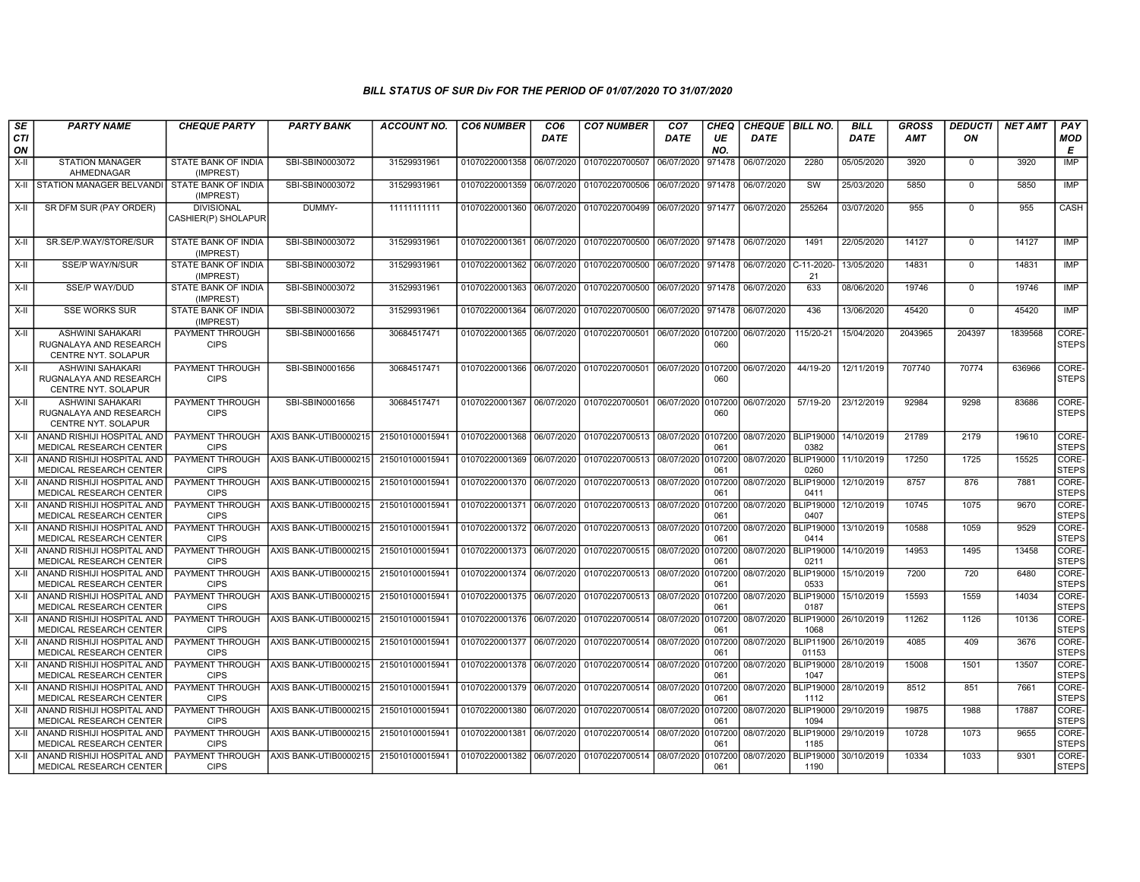| SE             | <b>PARTY NAME</b>                                                                   | <b>CHEQUE PARTY</b>                               | <b>PARTY BANK</b>                              | <b>ACCOUNT NO.</b>                 | <b>CO6 NUMBER</b>                           | CO <sub>6</sub>          | <b>CO7 NUMBER</b>                                                      | CO <sub>7</sub>    | CHEQ      | CHEQUE   BILL NO.        |                                              | <b>BILL</b>              | <b>GROSS</b>  | <b>DEDUCTI</b> | <b>NET AMT</b> | <b>PAY</b>                     |
|----------------|-------------------------------------------------------------------------------------|---------------------------------------------------|------------------------------------------------|------------------------------------|---------------------------------------------|--------------------------|------------------------------------------------------------------------|--------------------|-----------|--------------------------|----------------------------------------------|--------------------------|---------------|----------------|----------------|--------------------------------|
| CTI<br>ON      |                                                                                     |                                                   |                                                |                                    |                                             | <b>DATE</b>              |                                                                        | <b>DATE</b>        | UE<br>NO. | <b>DATE</b>              |                                              | DATE                     | AMT           | ON             |                | MOD<br>Е                       |
| $X-H$          | <b>STATION MANAGER</b><br>AHMEDNAGAR                                                | STATE BANK OF INDIA<br>(IMPREST)                  | SBI-SBIN0003072                                | 31529931961                        | 01070220001358                              | 06/07/2020               | 01070220700507                                                         | 06/07/2020         | 971478    | 06/07/2020               | 2280                                         | 05/05/2020               | 3920          | $\mathbf 0$    | 3920           | <b>IMP</b>                     |
| $X-H$          | STATION MANAGER BELVANDI                                                            | STATE BANK OF INDIA<br>(IMPREST)                  | SBI-SBIN0003072                                | 31529931961                        | 01070220001359 06/07/2020                   |                          | 01070220700506                                                         | 06/07/2020 971478  |           | 06/07/2020               | SW                                           | 25/03/2020               | 5850          | $\Omega$       | 5850           | <b>IMP</b>                     |
| X-II           | SR DFM SUR (PAY ORDER)                                                              | <b>DIVISIONAL</b><br>CASHIER(P) SHOLAPUR          | DUMMY-                                         | 11111111111                        | 01070220001360 06/07/2020                   |                          | 01070220700499 06/07/2020 971477                                       |                    |           | 06/07/2020               | 255264                                       | 03/07/2020               | 955           | $\Omega$       | 955            | CASH                           |
| X-II           | SR.SE/P.WAY/STORE/SUR                                                               | STATE BANK OF INDIA<br>(IMPREST)                  | SBI-SBIN0003072                                | 31529931961                        | 01070220001361 06/07/2020                   |                          | 01070220700500 06/07/2020 971478                                       |                    |           | 06/07/2020               | 1491                                         | 22/05/2020               | 14127         | $\Omega$       | 14127          | IMP                            |
| $X-II$         | <b>SSE/P WAY/N/SUR</b>                                                              | STATE BANK OF INDIA<br>(IMPREST)                  | SBI-SBIN0003072                                | 31529931961                        | 01070220001362                              | 06/07/2020               | 01070220700500                                                         | 06/07/2020 971478  |           | 06/07/2020               | C-11-2020<br>21                              | 13/05/2020               | 14831         | $\mathbf 0$    | 14831          | IMP                            |
| X-II           | <b>SSE/P WAY/DUD</b>                                                                | STATE BANK OF INDIA<br>(IMPREST)                  | SBI-SBIN0003072                                | 31529931961                        | 01070220001363                              | 06/07/2020               | 01070220700500                                                         | 06/07/2020 971478  |           | 06/07/2020               | 633                                          | 08/06/2020               | 19746         | $\mathbf 0$    | 19746          | IMP                            |
| $X-H$          | <b>SSE WORKS SUR</b>                                                                | <b>STATE BANK OF INDIA</b><br>(IMPREST)           | SBI-SBIN0003072                                | 31529931961                        | 01070220001364                              | 06/07/2020               | 01070220700500 06/07/2020 971478                                       |                    |           | 06/07/2020               | 436                                          | 13/06/2020               | 45420         | $\Omega$       | 45420          | IMP                            |
| X-II           | ASHWINI SAHAKARI<br>RUGNALAYA AND RESEARCH<br><b>CENTRE NYT, SOLAPUR</b>            | PAYMENT THROUGH<br><b>CIPS</b>                    | SBI-SBIN0001656                                | 30684517471                        | 01070220001365 06/07/2020                   |                          | 01070220700501                                                         | 06/07/2020 0107200 | 060       | 06/07/2020               | 115/20-21                                    | 15/04/2020               | 2043965       | 204397         | 1839568        | CORE-<br><b>STEPS</b>          |
| $X-H$          | <b>ASHWINI SAHAKARI</b><br>RUGNALAYA AND RESEARCH<br>CENTRE NYT. SOLAPUR            | <b>PAYMENT THROUGH</b><br><b>CIPS</b>             | SBI-SBIN0001656                                | 30684517471                        |                                             |                          | 01070220001366 06/07/2020 01070220700501 06/07/2020 0107200            |                    | 060       | 06/07/2020               | 44/19-20                                     | 12/11/2019               | 707740        | 70774          | 636966         | CORE-<br><b>STEPS</b>          |
| $X-II$         | ASHWINI SAHAKARI<br>RUGNALAYA AND RESEARCH<br>CENTRE NYT. SOLAPUR                   | PAYMENT THROUGH<br><b>CIPS</b>                    | SBI-SBIN0001656                                | 30684517471                        | 01070220001367                              | 06/07/2020               | 01070220700501 06/07/2020 0107200                                      |                    | 060       | 06/07/2020               | 57/19-20                                     | 23/12/2019               | 92984         | 9298           | 83686          | CORE-<br><b>STEPS</b>          |
| $X-H$          | ANAND RISHIJI HOSPITAL AND<br>MEDICAL RESEARCH CENTER                               | PAYMENT THROUGH<br><b>CIPS</b>                    | AXIS BANK-UTIB0000215                          | 215010100015941                    | 01070220001368                              | 06/07/2020               | 01070220700513 08/07/2020 0107200                                      |                    | 061       | 08/07/2020   BLIP19000   | 0382                                         | 14/10/2019               | 21789         | 2179           | 19610          | CORE-<br><b>STEPS</b>          |
| $X-H$          | ANAND RISHIJI HOSPITAL AND<br><b>MEDICAL RESEARCH CENTER</b>                        | PAYMENT THROUGH<br><b>CIPS</b>                    | AXIS BANK-UTIB0000215                          | 215010100015941                    | 01070220001369                              | 06/07/2020               | 01070220700513                                                         | 08/07/2020 0107200 | 061       | 08/07/2020               | <b>BLIP19000</b><br>0260                     | 11/10/2019               | 17250         | 1725           | 15525          | CORE-<br><b>STEPS</b>          |
| $X-H$          | ANAND RISHIJI HOSPITAL AND<br>MEDICAL RESEARCH CENTER                               | PAYMENT THROUGH<br><b>CIPS</b>                    | AXIS BANK-UTIB0000215                          | 215010100015941                    | 01070220001370 06/07/2020                   |                          | 01070220700513 08/07/2020 0107200                                      |                    | 061       | 08/07/2020 BLIP19000     | 0411                                         | 12/10/2019               | 8757          | 876            | 7881           | CORE-<br><b>STEPS</b>          |
| X-II           | ANAND RISHIJI HOSPITAL AND<br>MEDICAL RESEARCH CENTER                               | <b>PAYMENT THROUGH</b><br><b>CIPS</b>             | AXIS BANK-UTIB0000215                          | 215010100015941                    | 01070220001371 06/07/2020                   |                          | 01070220700513 08/07/2020 0107200                                      |                    | 061       | 08/07/2020               | <b>BLIP19000</b><br>0407                     | 12/10/2019               | 10745         | 1075           | 9670           | CORE-<br><b>STEPS</b>          |
| $X-H$          | ANAND RISHIJI HOSPITAL AND<br><b>MEDICAL RESEARCH CENTER</b>                        | PAYMENT THROUGH<br><b>CIPS</b>                    | AXIS BANK-UTIB0000215                          | 21501010001594                     | 01070220001372                              | 06/07/2020               | 01070220700513                                                         | 08/07/2020 0107200 | 061       | 08/07/2020               | <b>BLIP19000</b><br>0414                     | 13/10/2019               | 10588         | 1059           | 9529           | CORE-<br><b>STEPS</b>          |
| $X-H$<br>$X-H$ | ANAND RISHIJI HOSPITAL AND<br>MEDICAL RESEARCH CENTER                               | PAYMENT THROUGH<br><b>CIPS</b>                    | AXIS BANK-UTIB0000215                          | 21501010001594                     | 01070220001373                              | 06/07/2020               | 01070220700515 08/07/2020 0107200                                      |                    | 061       | 08/07/2020               | <b>BLIP19000</b><br>0211<br><b>BLIP19000</b> | 14/10/2019               | 14953<br>7200 | 1495<br>720    | 13458<br>6480  | CORE-<br><b>STEPS</b><br>CORE- |
| $X-H$          | ANAND RISHIJI HOSPITAL AND<br>MEDICAL RESEARCH CENTER<br>ANAND RISHIJI HOSPITAL AND | PAYMENT THROUGH<br><b>CIPS</b><br>PAYMENT THROUGH | AXIS BANK-UTIB0000215<br>AXIS BANK-UTIB0000215 | 215010100015941<br>215010100015941 | 01070220001374<br>01070220001375 06/07/2020 | 06/07/2020               | 01070220700513 08/07/2020 0107200<br>01070220700513 08/07/2020 0107200 |                    | 061       | 08/07/2020<br>08/07/2020 | 0533<br>BLIP19000                            | 15/10/2019<br>15/10/2019 | 15593         | 1559           | 14034          | <b>STEPS</b><br>CORE-          |
| X-II           | MEDICAL RESEARCH CENTER<br>ANAND RISHIJI HOSPITAL AND                               | <b>CIPS</b><br>PAYMENT THROUGH                    | AXIS BANK-UTIB0000215                          |                                    |                                             |                          |                                                                        |                    | 061       | 08/07/2020               | 0187<br>BLIP19000 26/10/2019                 |                          | 11262         |                | 10136          | <b>STEPS</b><br>CORE-          |
| $X-H$          | MEDICAL RESEARCH CENTER<br>ANAND RISHIJI HOSPITAL AND                               | <b>CIPS</b><br>PAYMENT THROUGH                    | AXIS BANK-UTIB0000215                          | 215010100015941<br>215010100015941 | 01070220001376<br>01070220001377            | 06/07/2020<br>06/07/2020 | 01070220700514 08/07/2020 0107200<br>01070220700514 08/07/2020 0107200 |                    | 061       | 08/07/2020               | 1068<br><b>BLIP11900</b>                     | 26/10/2019               | 4085          | 1126<br>409    | 3676           | <b>STEPS</b><br>CORE-          |
| $X-H$          | MEDICAL RESEARCH CENTER<br>ANAND RISHIJI HOSPITAL AND                               | <b>CIPS</b><br><b>PAYMENT THROUGH</b>             | AXIS BANK-UTIB0000215                          | 21501010001594                     | 01070220001378                              | 06/07/2020               | 01070220700514 08/07/2020 0107200                                      |                    | 061       | 08/07/2020               | 01153<br><b>BLIP19000</b>                    | 28/10/2019               | 15008         | 1501           | 13507          | <b>STEPS</b><br>CORE-          |
| $X-H$          | MEDICAL RESEARCH CENTER<br>ANAND RISHIJI HOSPITAL AND                               | <b>CIPS</b><br>PAYMENT THROUGH                    | AXIS BANK-UTIB0000215                          | 215010100015941                    | 01070220001379                              | 06/07/2020               | 01070220700514 08/07/2020 0107200                                      |                    | 061       | 08/07/2020               | 1047<br><b>BLIP19000</b>                     | 28/10/2019               | 8512          | 851            | 7661           | <b>STEPS</b><br>CORE-          |
| X-II           | MEDICAL RESEARCH CENTER<br>ANAND RISHIJI HOSPITAL AND                               | <b>CIPS</b><br>PAYMENT THROUGH                    | AXIS BANK-UTIB0000215                          | 215010100015941                    | 01070220001380 06/07/2020                   |                          | 01070220700514 08/07/2020 0107200                                      |                    | 061       | 08/07/2020               | 1112<br>BLIP19000                            | 29/10/2019               | 19875         | 1988           | 17887          | <b>STEPS</b><br>CORE-          |
| X-II           | MEDICAL RESEARCH CENTER<br>ANAND RISHIJI HOSPITAL AND                               | <b>CIPS</b><br>PAYMENT THROUGH                    | AXIS BANK-UTIB0000215                          | 215010100015941                    | 01070220001381                              | 06/07/2020               | 01070220700514 08/07/2020 0107200                                      |                    | 061       | 08/07/2020               | 1094<br>BLIP19000 29/10/2019                 |                          | 10728         | 1073           | 9655           | <b>STEPS</b><br>CORE-          |
| $X-H$          | MEDICAL RESEARCH CENTER<br>ANAND RISHIJI HOSPITAL AND                               | <b>CIPS</b><br>PAYMENT THROUGH                    | AXIS BANK-UTIB0000215                          | 215010100015941                    | 01070220001382 06/07/2020                   |                          | 01070220700514 08/07/2020 0107200                                      |                    | 061       | 08/07/2020               | 1185<br><b>BLIP19000</b>                     | 30/10/2019               | 10334         | 1033           | 9301           | <b>STEPS</b><br>CORE-          |
|                | MEDICAL RESEARCH CENTER                                                             | <b>CIPS</b>                                       |                                                |                                    |                                             |                          |                                                                        |                    | 061       |                          | 1190                                         |                          |               |                |                | <b>STEPS</b>                   |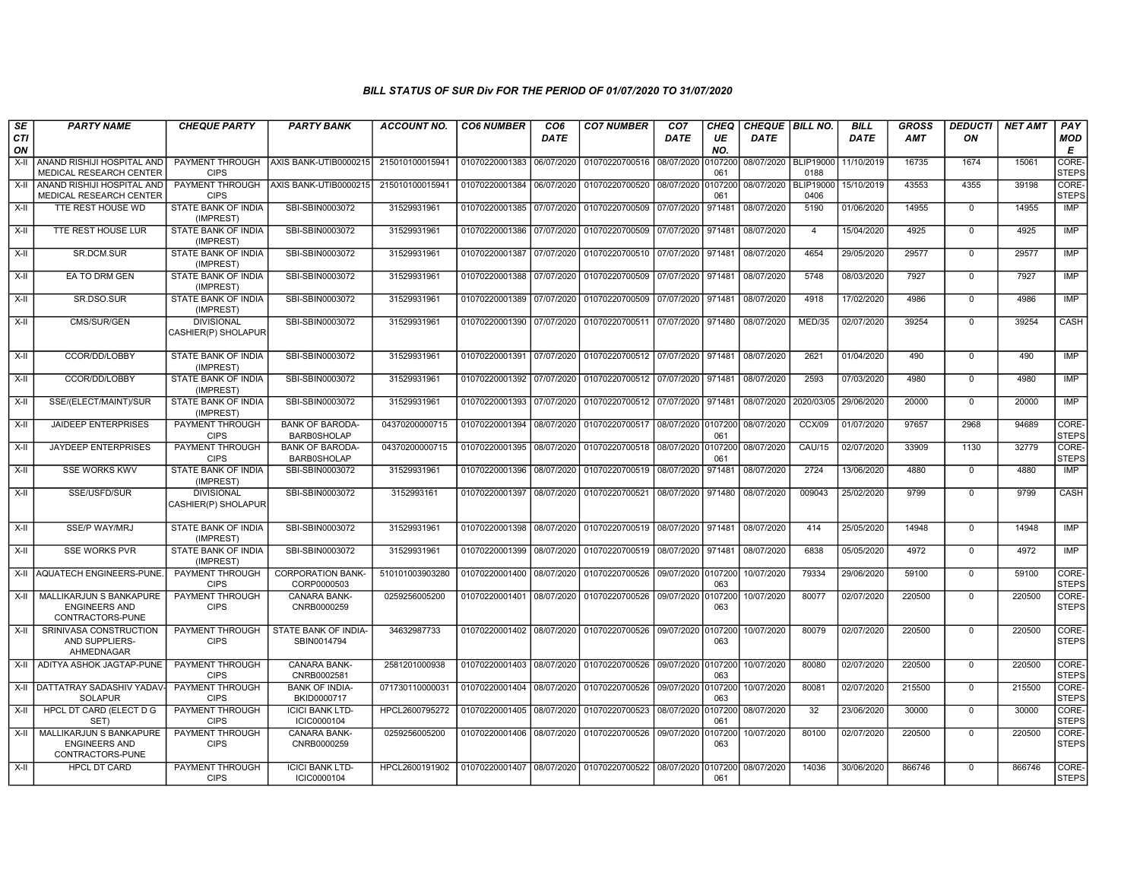| SE        | <b>PARTY NAME</b>                                                   | <b>CHEQUE PARTY</b>                      | <b>PARTY BANK</b>                            | <b>ACCOUNT NO.</b> | <b>CO6 NUMBER</b>         | CO <sub>6</sub> | <b>CO7 NUMBER</b>                 | CO <sub>7</sub> | CHEQ           | CHEQUE   BILL NO. |                          | <b>BILL</b> | <b>GROSS</b> | <b>DEDUCTI</b> | <b>NET AMT</b> | <b>PAY</b>            |
|-----------|---------------------------------------------------------------------|------------------------------------------|----------------------------------------------|--------------------|---------------------------|-----------------|-----------------------------------|-----------------|----------------|-------------------|--------------------------|-------------|--------------|----------------|----------------|-----------------------|
| CTI<br>ON |                                                                     |                                          |                                              |                    |                           | <b>DATE</b>     |                                   | <b>DATE</b>     | UE<br>NO.      | <b>DATE</b>       |                          | <b>DATE</b> | <b>AMT</b>   | ON             |                | <b>MOD</b><br>Е       |
| $X-II$    | ANAND RISHIJI HOSPITAL AND<br>MEDICAL RESEARCH CENTER               | PAYMENT THROUGH<br><b>CIPS</b>           | AXIS BANK-UTIB0000215                        | 215010100015941    | 01070220001383            | 06/07/2020      | 01070220700516 08/07/2020         |                 | 0107200<br>061 | 08/07/2020        | <b>BLIP19000</b><br>0188 | 11/10/2019  | 16735        | 1674           | 15061          | CORE-<br><b>STEPS</b> |
| $X-H$     | ANAND RISHIJI HOSPITAL AND<br>MEDICAL RESEARCH CENTER               | PAYMENT THROUGH<br><b>CIPS</b>           | AXIS BANK-UTIB0000215                        | 215010100015941    | 01070220001384            | 06/07/2020      | 01070220700520 08/07/2020         |                 | 0107200<br>061 | 08/07/2020        | <b>BLIP19000</b><br>0406 | 15/10/2019  | 43553        | 4355           | 39198          | CORE-<br><b>STEPS</b> |
| $X-H$     | TTE REST HOUSE WD                                                   | STATE BANK OF INDIA<br>(IMPREST)         | SBI-SBIN0003072                              | 31529931961        | 01070220001385 07/07/2020 |                 | 01070220700509 07/07/2020         |                 | 971481         | 08/07/2020        | 5190                     | 01/06/2020  | 14955        | $\mathbf 0$    | 14955          | IMP                   |
| X-II      | <b>TTE REST HOUSE LUR</b>                                           | <b>STATE BANK OF INDIA</b><br>(IMPREST)  | SBI-SBIN0003072                              | 31529931961        | 01070220001386            | 07/07/2020      | 01070220700509                    | 07/07/2020      | 971481         | 08/07/2020        | $\overline{4}$           | 15/04/2020  | 4925         | $\Omega$       | 4925           | <b>IMP</b>            |
| X-II      | SR.DCM.SUR                                                          | STATE BANK OF INDIA<br>(IMPREST)         | SBI-SBIN0003072                              | 31529931961        | 01070220001387            | 07/07/2020      | 01070220700510 07/07/2020         |                 | 971481         | 08/07/2020        | 4654                     | 29/05/2020  | 29577        | $\Omega$       | 29577          | IMP                   |
| X-II      | EA TO DRM GEN                                                       | STATE BANK OF INDIA<br>(IMPREST)         | SBI-SBIN0003072                              | 31529931961        | 01070220001388            | 07/07/2020      | 01070220700509                    | 07/07/2020      | 971481         | 08/07/2020        | 5748                     | 08/03/2020  | 7927         | $\mathbf 0$    | 7927           | IMP                   |
| X-II      | SR.DSO.SUR                                                          | STATE BANK OF INDIA<br>(IMPREST)         | SBI-SBIN0003072                              | 31529931961        | 01070220001389            | 07/07/2020      | 01070220700509 07/07/2020 971481  |                 |                | 08/07/2020        | 4918                     | 17/02/2020  | 4986         | $\Omega$       | 4986           | IMP                   |
| $X-II$    | CMS/SUR/GEN                                                         | <b>DIVISIONAL</b><br>CASHIER(P) SHOLAPUR | SBI-SBIN0003072                              | 31529931961        | 01070220001390            | 07/07/2020      | 01070220700511 07/07/2020 971480  |                 |                | 08/07/2020        | MED/35                   | 02/07/2020  | 39254        | $\mathbf 0$    | 39254          | <b>CASH</b>           |
| X-II      | CCOR/DD/LOBBY                                                       | <b>STATE BANK OF INDIA</b><br>(IMPREST)  | SBI-SBIN0003072                              | 31529931961        | 01070220001391            | 07/07/2020      | 01070220700512 07/07/2020 971481  |                 |                | 08/07/2020        | 2621                     | 01/04/2020  | 490          | $\mathbf 0$    | 490            | <b>IMP</b>            |
| X-II      | CCOR/DD/LOBBY                                                       | STATE BANK OF INDIA<br>(IMPREST)         | SBI-SBIN0003072                              | 31529931961        | 01070220001392            | 07/07/2020      | 01070220700512 07/07/2020 971481  |                 |                | 08/07/2020        | 2593                     | 07/03/2020  | 4980         | $\Omega$       | 4980           | IMP                   |
| X-II      | SSE/(ELECT/MAINT)/SUR                                               | <b>STATE BANK OF INDIA</b><br>(IMPREST)  | SBI-SBIN0003072                              | 31529931961        | 01070220001393            | 07/07/2020      | 01070220700512 07/07/2020 971481  |                 |                | 08/07/2020        | 2020/03/05               | 29/06/2020  | 20000        | $\mathbf 0$    | 20000          | IMP                   |
| $X-II$    | <b>JAIDEEP ENTERPRISES</b>                                          | PAYMENT THROUGH<br><b>CIPS</b>           | <b>BANK OF BARODA-</b><br><b>BARB0SHOLAP</b> | 04370200000715     | 01070220001394            | 08/07/2020      | 01070220700517 08/07/2020 0107200 |                 | 061            | 08/07/2020        | CCX/09                   | 01/07/2020  | 97657        | 2968           | 94689          | CORE-<br><b>STEPS</b> |
| $X-H$     | <b>JAYDEEP ENTERPRISES</b>                                          | PAYMENT THROUGH<br><b>CIPS</b>           | <b>BANK OF BARODA-</b><br><b>BARB0SHOLAP</b> | 04370200000715     | 01070220001395            | 08/07/2020      | 01070220700518 08/07/2020         |                 | 0107200<br>061 | 08/07/2020        | <b>CAU/15</b>            | 02/07/2020  | 33909        | 1130           | 32779          | CORE-<br>STEPS        |
| X-II      | <b>SSE WORKS KWV</b>                                                | STATE BANK OF INDIA<br>(IMPREST)         | SBI-SBIN0003072                              | 31529931961        | 01070220001396 08/07/2020 |                 | 01070220700519 08/07/2020         |                 | 971481         | 08/07/2020        | 2724                     | 13/06/2020  | 4880         | $\mathbf 0$    | 4880           | IMP                   |
| X-II      | SSE/USFD/SUR                                                        | <b>DIVISIONAL</b><br>CASHIER(P) SHOLAPUR | SBI-SBIN0003072                              | 3152993161         | 01070220001397 08/07/2020 |                 | 01070220700521 08/07/2020         |                 | 971480         | 08/07/2020        | 009043                   | 25/02/2020  | 9799         | $\Omega$       | 9799           | <b>CASH</b>           |
| $X-H$     | <b>SSE/P WAY/MRJ</b>                                                | STATE BANK OF INDIA<br>(IMPREST)         | SBI-SBIN0003072                              | 31529931961        | 01070220001398            | 08/07/2020      | 01070220700519 08/07/2020 971481  |                 |                | 08/07/2020        | 414                      | 25/05/2020  | 14948        | $\mathbf 0$    | 14948          | <b>IMP</b>            |
| X-II      | <b>SSE WORKS PVR</b>                                                | STATE BANK OF INDIA<br>(IMPREST)         | SBI-SBIN0003072                              | 31529931961        | 01070220001399 08/07/2020 |                 | 01070220700519 08/07/2020 971481  |                 |                | 08/07/2020        | 6838                     | 05/05/2020  | 4972         | $\mathbf 0$    | 4972           | IMP                   |
|           | X-II AQUATECH ENGINEERS-PUNE.                                       | PAYMENT THROUGH<br><b>CIPS</b>           | <b>CORPORATION BANK-</b><br>CORP0000503      | 510101003903280    | 01070220001400            | 08/07/2020      | 01070220700526 09/07/2020 0107200 |                 | 063            | 10/07/2020        | 79334                    | 29/06/2020  | 59100        | $\mathbf 0$    | 59100          | CORE-<br><b>STEPS</b> |
| X-II      | MALLIKARJUN S BANKAPURE<br><b>ENGINEERS AND</b><br>CONTRACTORS-PUNE | PAYMENT THROUGH<br><b>CIPS</b>           | CANARA BANK-<br>CNRB0000259                  | 0259256005200      | 01070220001401 08/07/2020 |                 | 01070220700526 09/07/2020         |                 | 0107200<br>063 | 10/07/2020        | 80077                    | 02/07/2020  | 220500       | $\mathbf{0}$   | 220500         | CORE-<br><b>STEPS</b> |
| X-II      | SRINIVASA CONSTRUCTION<br>AND SUPPLIERS-<br>AHMEDNAGAR              | <b>PAYMENT THROUGH</b><br><b>CIPS</b>    | STATE BANK OF INDIA-<br>SBIN0014794          | 34632987733        | 01070220001402 08/07/2020 |                 | 01070220700526 09/07/2020 0107200 |                 | 063            | 10/07/2020        | 80079                    | 02/07/2020  | 220500       | $\mathbf 0$    | 220500         | CORE-<br><b>STEPS</b> |
|           | X-II   ADITYA ASHOK JAGTAP-PUNE                                     | PAYMENT THROUGH<br><b>CIPS</b>           | CANARA BANK-<br>CNRB0002581                  | 2581201000938      | 01070220001403            | 08/07/2020      | 01070220700526 09/07/2020 0107200 |                 | 063            | 10/07/2020        | 80080                    | 02/07/2020  | 220500       | $\mathbf 0$    | 220500         | CORE-<br><b>STEPS</b> |
| X-II      | <b>DATTATRAY SADASHIV YADAV</b><br><b>SOLAPUR</b>                   | <b>PAYMENT THROUGH</b><br><b>CIPS</b>    | <b>BANK OF INDIA-</b><br>BKID0000717         | 071730110000031    | 01070220001404            | 08/07/2020      | 01070220700526 09/07/2020         |                 | 0107200<br>063 | 10/07/2020        | 80081                    | 02/07/2020  | 215500       | $\mathbf 0$    | 215500         | CORE-<br><b>STEPS</b> |
| X-II      | HPCL DT CARD (ELECT D G<br>SET)                                     | PAYMENT THROUGH<br><b>CIPS</b>           | <b>ICICI BANK LTD-</b><br>ICIC0000104        | HPCL2600795272     | 01070220001405            | 08/07/2020      | 01070220700523 08/07/2020         |                 | 0107200<br>061 | 08/07/2020        | 32                       | 23/06/2020  | 30000        | $\mathbf 0$    | 30000          | CORE-<br><b>STEPS</b> |
| X-II      | MALLIKARJUN S BANKAPURE<br><b>ENGINEERS AND</b><br>CONTRACTORS-PUNE | PAYMENT THROUGH<br><b>CIPS</b>           | CANARA BANK-<br>CNRB0000259                  | 0259256005200      | 01070220001406            | 08/07/2020      | 01070220700526 09/07/2020 0107200 |                 | 063            | 10/07/2020        | 80100                    | 02/07/2020  | 220500       | $\Omega$       | 220500         | CORE-<br><b>STEPS</b> |
| X-II      | <b>HPCL DT CARD</b>                                                 | PAYMENT THROUGH<br><b>CIPS</b>           | <b>ICICI BANK LTD-</b><br>ICIC0000104        | HPCL2600191902     | 01070220001407 08/07/2020 |                 | 01070220700522 08/07/2020 0107200 |                 | 061            | 08/07/2020        | 14036                    | 30/06/2020  | 866746       | $\mathbf 0$    | 866746         | CORE-<br><b>STEPS</b> |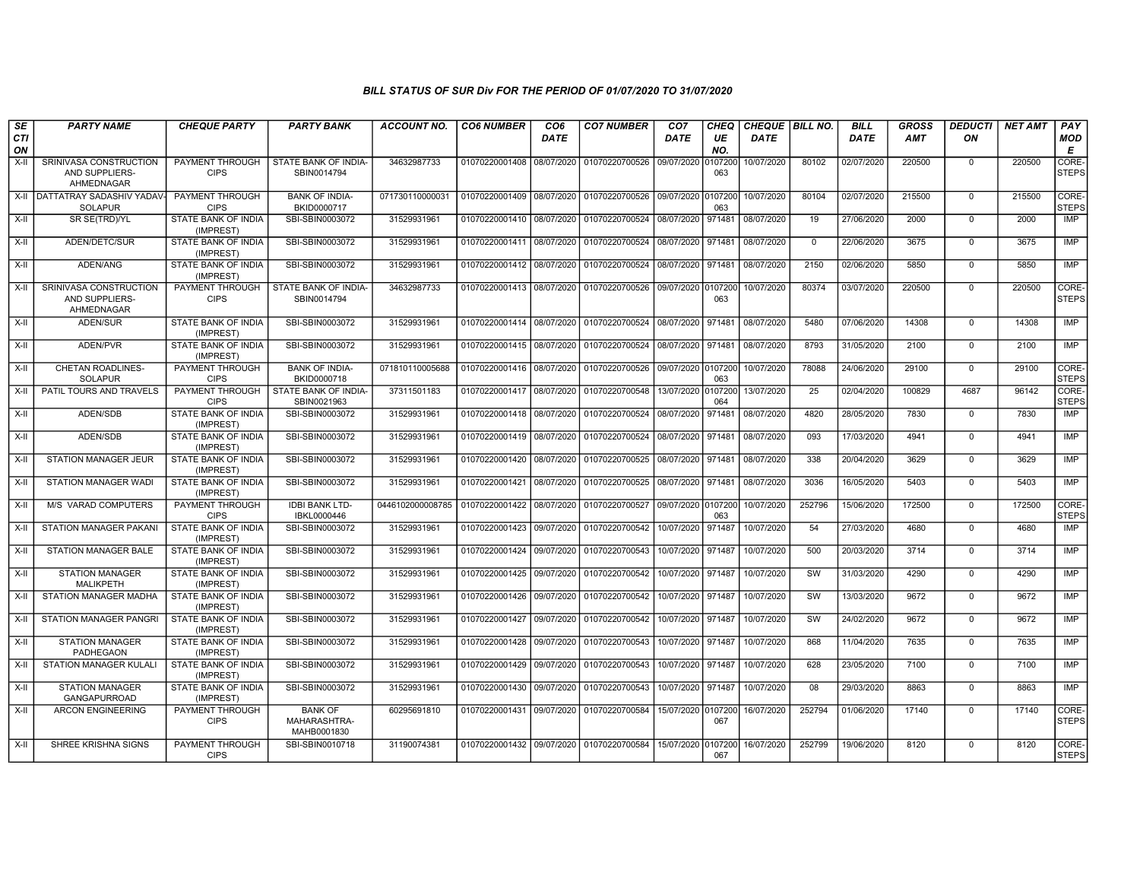| SE        | <b>PARTY NAME</b>                                      | <b>CHEQUE PARTY</b>                     | <b>PARTY BANK</b>                             | <b>ACCOUNT NO.</b> | <b>CO6 NUMBER</b>         | CO <sub>6</sub> | <b>CO7 NUMBER</b>                 | CO <sub>7</sub>    | <b>CHEQ</b>    | CHEQUE BILL NO. |          | <b>BILL</b> | <b>GROSS</b> | <b>DEDUCTI</b> | <b>NET AMT</b> | PAY                   |
|-----------|--------------------------------------------------------|-----------------------------------------|-----------------------------------------------|--------------------|---------------------------|-----------------|-----------------------------------|--------------------|----------------|-----------------|----------|-------------|--------------|----------------|----------------|-----------------------|
| CTI<br>ON |                                                        |                                         |                                               |                    |                           | <b>DATE</b>     |                                   | <b>DATE</b>        | UE<br>NO.      | <b>DATE</b>     |          | <b>DATE</b> | <b>AMT</b>   | ON             |                | <b>MOD</b><br>E       |
| X-II      | SRINIVASA CONSTRUCTION<br>AND SUPPLIERS-<br>AHMEDNAGAR | PAYMENT THROUGH<br><b>CIPS</b>          | STATE BANK OF INDIA-<br>SBIN0014794           | 34632987733        | 01070220001408            | 08/07/2020      | 01070220700526 09/07/2020         |                    | 0107200<br>063 | 10/07/2020      | 80102    | 02/07/2020  | 220500       | $\Omega$       | 220500         | CORE-<br><b>STEPS</b> |
| $X-H$     | DATTATRAY SADASHIV YADAV-<br><b>SOLAPUR</b>            | PAYMENT THROUGH<br><b>CIPS</b>          | <b>BANK OF INDIA-</b><br>BKID0000717          | 071730110000031    | 01070220001409 08/07/2020 |                 | 01070220700526 09/07/2020 0107200 |                    | 063            | 10/07/2020      | 80104    | 02/07/2020  | 215500       | $\mathbf 0$    | 215500         | CORE-<br><b>STEPS</b> |
| $X-H$     | SR SE(TRD)/YL                                          | <b>STATE BANK OF INDIA</b><br>(IMPREST) | SBI-SBIN0003072                               | 31529931961        | 01070220001410 08/07/2020 |                 | 01070220700524 08/07/2020 971481  |                    |                | 08/07/2020      | 19       | 27/06/2020  | 2000         | $\mathbf 0$    | 2000           | IMP                   |
| X-II      | ADEN/DETC/SUR                                          | STATE BANK OF INDIA<br>(IMPREST)        | SBI-SBIN0003072                               | 31529931961        | 01070220001411 08/07/2020 |                 | 01070220700524 08/07/2020 971481  |                    |                | 08/07/2020      | $\Omega$ | 22/06/2020  | 3675         | $\Omega$       | 3675           | IMP                   |
| $X-II$    | ADEN/ANG                                               | STATE BANK OF INDIA<br>(IMPREST)        | SBI-SBIN0003072                               | 31529931961        | 01070220001412 08/07/2020 |                 | 01070220700524 08/07/2020 971481  |                    |                | 08/07/2020      | 2150     | 02/06/2020  | 5850         | $\Omega$       | 5850           | <b>IMP</b>            |
| X-II      | SRINIVASA CONSTRUCTION<br>AND SUPPLIERS-<br>AHMEDNAGAR | PAYMENT THROUGH<br><b>CIPS</b>          | STATE BANK OF INDIA-<br>SBIN0014794           | 34632987733        | 01070220001413 08/07/2020 |                 | 01070220700526 09/07/2020 0107200 |                    | 063            | 10/07/2020      | 80374    | 03/07/2020  | 220500       | $\overline{0}$ | 220500         | CORE-<br><b>STEPS</b> |
| $X-II$    | ADEN/SUR                                               | STATE BANK OF INDIA<br>(IMPREST)        | SBI-SBIN0003072                               | 31529931961        | 01070220001414 08/07/2020 |                 | 01070220700524 08/07/2020 971481  |                    |                | 08/07/2020      | 5480     | 07/06/2020  | 14308        | $\overline{0}$ | 14308          | IMP                   |
| X-II      | ADEN/PVR                                               | STATE BANK OF INDIA<br>(IMPREST)        | SBI-SBIN0003072                               | 31529931961        | 01070220001415 08/07/2020 |                 | 01070220700524 08/07/2020 971481  |                    |                | 08/07/2020      | 8793     | 31/05/2020  | 2100         | $\mathbf 0$    | 2100           | IMP                   |
| $X-H$     | <b>CHETAN ROADLINES-</b><br><b>SOLAPUR</b>             | <b>PAYMENT THROUGH</b><br><b>CIPS</b>   | <b>BANK OF INDIA-</b><br>BKID0000718          | 071810110005688    | 01070220001416 08/07/2020 |                 | 01070220700526 09/07/2020 0107200 |                    | 063            | 10/07/2020      | 78088    | 24/06/2020  | 29100        | $\mathbf 0$    | 29100          | CORE-<br><b>STEPS</b> |
| X-II      | PATIL TOURS AND TRAVELS                                | PAYMENT THROUGH<br><b>CIPS</b>          | STATE BANK OF INDIA-<br>SBIN0021963           | 37311501183        | 01070220001417 08/07/2020 |                 | 01070220700548                    | 13/07/2020 0107200 | 064            | 13/07/2020      | 25       | 02/04/2020  | 100829       | 4687           | 96142          | CORE-<br><b>STEPS</b> |
| X-II      | ADEN/SDB                                               | STATE BANK OF INDIA<br>(IMPREST)        | SBI-SBIN0003072                               | 31529931961        | 01070220001418 08/07/2020 |                 | 01070220700524 08/07/2020         |                    | 971481         | 08/07/2020      | 4820     | 28/05/2020  | 7830         | $\mathbf 0$    | 7830           | <b>IMP</b>            |
| $X-II$    | ADEN/SDB                                               | STATE BANK OF INDIA<br>(IMPREST)        | SBI-SBIN0003072                               | 31529931961        | 01070220001419            | 08/07/2020      | 01070220700524                    | 08/07/2020 971481  |                | 08/07/2020      | 093      | 17/03/2020  | 4941         | $\mathbf 0$    | 4941           | <b>IMP</b>            |
| X-II      | <b>STATION MANAGER JEUR</b>                            | STATE BANK OF INDIA<br>(IMPREST)        | SBI-SBIN0003072                               | 31529931961        | 01070220001420 08/07/2020 |                 | 01070220700525 08/07/2020 971481  |                    |                | 08/07/2020      | 338      | 20/04/2020  | 3629         | $\mathbf 0$    | 3629           | <b>IMP</b>            |
| X-II      | STATION MANAGER WADI                                   | STATE BANK OF INDIA<br>(IMPREST)        | SBI-SBIN0003072                               | 31529931961        | 01070220001421            | 08/07/2020      | 01070220700525 08/07/2020 971481  |                    |                | 08/07/2020      | 3036     | 16/05/2020  | 5403         | $\mathbf 0$    | 5403           | IMP                   |
| X-II      | <b>M/S VARAD COMPUTERS</b>                             | PAYMENT THROUGH<br><b>CIPS</b>          | <b>IDBI BANK LTD-</b><br>IBKL0000446          | 0446102000008785   | 01070220001422            | 08/07/2020      | 01070220700527                    | 09/07/2020 0107200 | 063            | 10/07/2020      | 252796   | 15/06/2020  | 172500       | $\Omega$       | 172500         | CORE-<br><b>STEPS</b> |
| $X-H$     | <b>STATION MANAGER PAKANI</b>                          | <b>STATE BANK OF INDIA</b><br>(IMPREST) | SBI-SBIN0003072                               | 31529931961        | 01070220001423            | 09/07/2020      | 01070220700542                    | 10/07/2020 971487  |                | 10/07/2020      | 54       | 27/03/2020  | 4680         | $\overline{0}$ | 4680           | IMP                   |
| X-II      | <b>STATION MANAGER BALE</b>                            | <b>STATE BANK OF INDIA</b><br>(IMPREST) | SBI-SBIN0003072                               | 31529931961        | 01070220001424 09/07/2020 |                 | 01070220700543                    | 10/07/2020 971487  |                | 10/07/2020      | 500      | 20/03/2020  | 3714         | $\Omega$       | 3714           | IMP                   |
| X-II      | <b>STATION MANAGER</b><br>MALIKPETH                    | STATE BANK OF INDIA<br>(IMPREST)        | SBI-SBIN0003072                               | 31529931961        | 01070220001425            | 09/07/2020      | 01070220700542                    | 10/07/2020 971487  |                | 10/07/2020      | SW       | 31/03/2020  | 4290         | $\mathbf 0$    | 4290           | <b>IMP</b>            |
| X-II      | STATION MANAGER MADHA                                  | <b>STATE BANK OF INDIA</b><br>(IMPREST) | SBI-SBIN0003072                               | 31529931961        | 01070220001426            | 09/07/2020      | 01070220700542                    | 10/07/2020 971487  |                | 10/07/2020      | SW       | 13/03/2020  | 9672         | $\mathbf 0$    | 9672           | <b>IMP</b>            |
| $X-II$    | STATION MANAGER PANGRI                                 | STATE BANK OF INDIA<br>(IMPREST)        | SBI-SBIN0003072                               | 31529931961        | 01070220001427 09/07/2020 |                 | 01070220700542                    | 10/07/2020 971487  |                | 10/07/2020      | SW       | 24/02/2020  | 9672         | $\Omega$       | 9672           | <b>IMP</b>            |
| $X-H$     | <b>STATION MANAGER</b><br><b>PADHEGAON</b>             | <b>STATE BANK OF INDIA</b><br>(IMPREST) | SBI-SBIN0003072                               | 31529931961        | 01070220001428            | 09/07/2020      | 01070220700543                    | 10/07/2020 971487  |                | 10/07/2020      | 868      | 11/04/2020  | 7635         | $\Omega$       | 7635           | IMP                   |
| $X-H$     | <b>STATION MANAGER KULALI</b>                          | <b>STATE BANK OF INDIA</b><br>(IMPREST) | SBI-SBIN0003072                               | 31529931961        | 01070220001429            | 09/07/2020      | 01070220700543                    | 10/07/2020 971487  |                | 10/07/2020      | 628      | 23/05/2020  | 7100         | $\mathbf 0$    | 7100           | IMP                   |
| X-II      | <b>STATION MANAGER</b><br>GANGAPURROAD                 | STATE BANK OF INDIA<br>(IMPREST)        | SBI-SBIN0003072                               | 31529931961        | 01070220001430 09/07/2020 |                 | 01070220700543                    | 10/07/2020 971487  |                | 10/07/2020      | 08       | 29/03/2020  | 8863         | $\Omega$       | 8863           | <b>IMP</b>            |
| $X-II$    | <b>ARCON ENGINEERING</b>                               | PAYMENT THROUGH<br><b>CIPS</b>          | <b>BANK OF</b><br>MAHARASHTRA-<br>MAHB0001830 | 60295691810        | 01070220001431            | 09/07/2020      | 01070220700584                    | 15/07/2020 0107200 | 067            | 16/07/2020      | 252794   | 01/06/2020  | 17140        | $\mathbf 0$    | 17140          | CORE-<br><b>STEPS</b> |
| X-II      | SHREE KRISHNA SIGNS                                    | PAYMENT THROUGH<br><b>CIPS</b>          | SBI-SBIN0010718                               | 31190074381        | 01070220001432 09/07/2020 |                 | 01070220700584                    | 15/07/2020 0107200 | 067            | 16/07/2020      | 252799   | 19/06/2020  | 8120         | $\mathbf 0$    | 8120           | CORE-<br><b>STEPS</b> |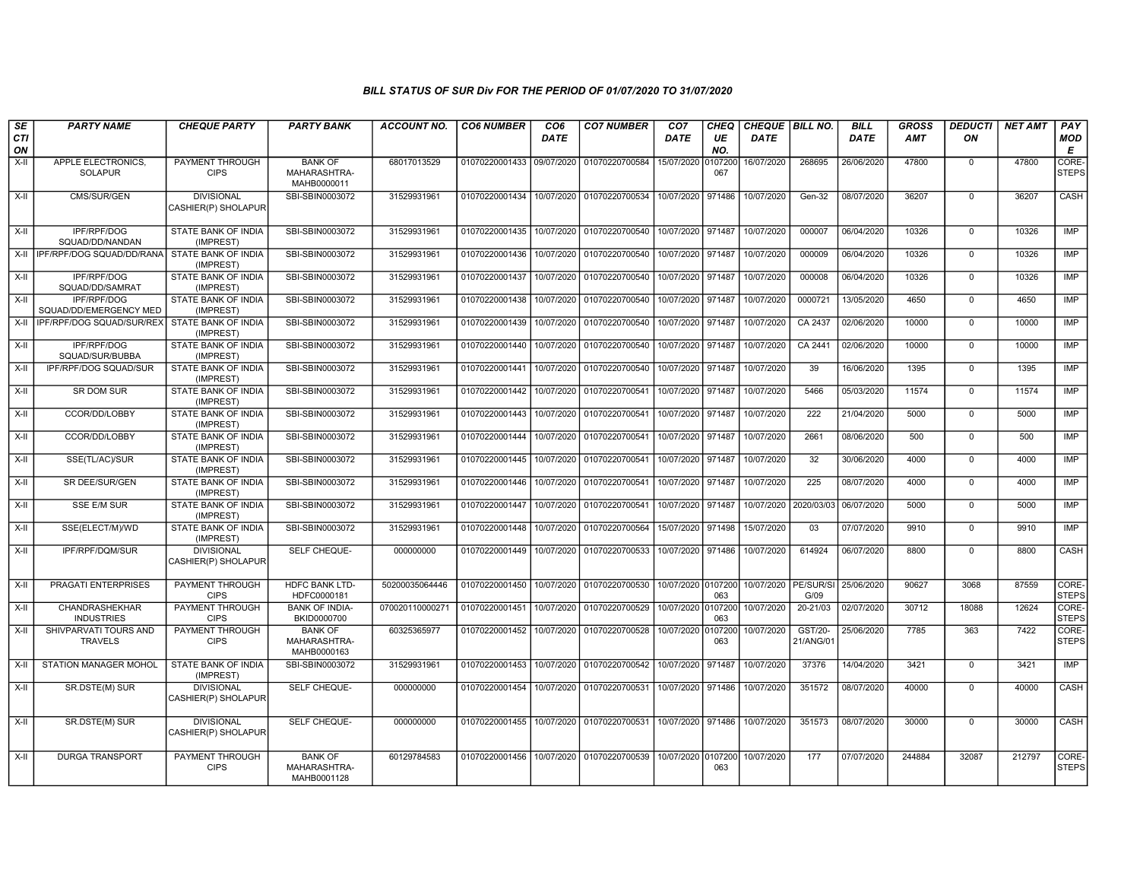| SE<br><b>CTI</b><br>ON | <b>PARTY NAME</b>                             | <b>CHEQUE PARTY</b>                      | <b>PARTY BANK</b>                             | <b>ACCOUNT NO.</b> | <b>CO6 NUMBER</b>                        | CO <sub>6</sub><br><b>DATE</b> | <b>CO7 NUMBER</b>                                                 | CO <sub>7</sub><br>DATE | <b>CHEQ</b><br>UE<br>NO. | CHEQUE   BILL NO.<br><b>DATE</b>                   |                      | <b>BILL</b><br>DATE | <b>GROSS</b><br>AMT | <b>DEDUCTI</b><br>ON | <b>NET AMT</b> | PAY<br><b>MOD</b><br>E |
|------------------------|-----------------------------------------------|------------------------------------------|-----------------------------------------------|--------------------|------------------------------------------|--------------------------------|-------------------------------------------------------------------|-------------------------|--------------------------|----------------------------------------------------|----------------------|---------------------|---------------------|----------------------|----------------|------------------------|
| X-II                   | APPLE ELECTRONICS,<br><b>SOLAPUR</b>          | PAYMENT THROUGH<br><b>CIPS</b>           | <b>BANK OF</b><br>MAHARASHTRA-<br>MAHB0000011 | 68017013529        | 01070220001433 09/07/2020                |                                | 01070220700584                                                    | 15/07/2020              | 0107200<br>067           | 16/07/2020                                         | 268695               | 26/06/2020          | 47800               | $\Omega$             | 47800          | CORE-<br><b>STEPS</b>  |
| $X-H$                  | CMS/SUR/GEN                                   | <b>DIVISIONAL</b><br>CASHIER(P) SHOLAPUR | SBI-SBIN0003072                               | 31529931961        | 01070220001434                           |                                | 10/07/2020 01070220700534                                         | 10/07/2020 971486       |                          | 10/07/2020                                         | Gen-32               | 08/07/2020          | 36207               | $\mathbf 0$          | 36207          | <b>CASH</b>            |
| X-II                   | IPF/RPF/DOG<br>SQUAD/DD/NANDAN                | STATE BANK OF INDIA<br>(IMPREST)         | SBI-SBIN0003072                               | 31529931961        |                                          |                                | 01070220001435   10/07/2020   01070220700540                      | 10/07/2020 971487       |                          | 10/07/2020                                         | 000007               | 06/04/2020          | 10326               | $\mathbf 0$          | 10326          | <b>IMP</b>             |
|                        | X-II IPF/RPF/DOG SQUAD/DD/RANA                | STATE BANK OF INDIA<br>(IMPREST)         | SBI-SBIN0003072                               | 31529931961        | 01070220001436                           | 10/07/2020                     | 01070220700540                                                    | 10/07/2020 971487       |                          | 10/07/2020                                         | 000009               | 06/04/2020          | 10326               | $\overline{0}$       | 10326          | IMP                    |
| $X-H$                  | IPF/RPF/DOG<br>SQUAD/DD/SAMRAT                | <b>STATE BANK OF INDIA</b><br>(IMPREST)  | SBI-SBIN0003072                               | 31529931961        | 01070220001437                           | 10/07/2020                     | 01070220700540                                                    | 10/07/2020 971487       |                          | 10/07/2020                                         | 000008               | 06/04/2020          | 10326               | $\mathbf 0$          | 10326          | <b>IMP</b>             |
| $X-H$                  | <b>IPF/RPF/DOG</b><br>SQUAD/DD/EMERGENCY MED  | STATE BANK OF INDIA<br>(IMPREST)         | SBI-SBIN0003072                               | 31529931961        | 01070220001438                           | 10/07/2020                     | 01070220700540                                                    | 10/07/2020 971487       |                          | 10/07/2020                                         | 0000721              | 13/05/2020          | 4650                | $\mathbf 0$          | 4650           | IMP                    |
| X-II                   | IPF/RPF/DOG SQUAD/SUR/REX STATE BANK OF INDIA | (IMPREST)                                | SBI-SBIN0003072                               | 31529931961        | 01070220001439 10/07/2020                |                                | 01070220700540                                                    | 10/07/2020 971487       |                          | 10/07/2020                                         | CA 2437              | 02/06/2020          | 10000               | $\Omega$             | 10000          | <b>IMP</b>             |
| $X-H$                  | <b>IPF/RPF/DOG</b><br>SQUAD/SUR/BUBBA         | <b>STATE BANK OF INDIA</b><br>(IMPREST)  | SBI-SBIN0003072                               | 31529931961        | 01070220001440                           | 10/07/2020                     | 01070220700540                                                    | 10/07/2020 971487       |                          | 10/07/2020                                         | CA 2441              | 02/06/2020          | 10000               | $\overline{0}$       | 10000          | <b>IMP</b>             |
| X-II                   | IPF/RPF/DOG SQUAD/SUR                         | STATE BANK OF INDIA<br>(IMPREST)         | SBI-SBIN0003072                               | 31529931961        | 01070220001441                           | 10/07/2020                     | 01070220700540                                                    | 10/07/2020 971487       |                          | 10/07/2020                                         | 39                   | 16/06/2020          | 1395                | $\mathbf 0$          | 1395           | IMP                    |
| X-II                   | <b>SR DOM SUR</b>                             | STATE BANK OF INDIA<br>(IMPREST)         | SBI-SBIN0003072                               | 31529931961        | 01070220001442                           | 10/07/2020                     | 01070220700541                                                    | 10/07/2020 971487       |                          | 10/07/2020                                         | 5466                 | 05/03/2020          | 11574               | $\mathbf 0$          | 11574          | IMP                    |
| X-II                   | CCOR/DD/LOBBY                                 | STATE BANK OF INDIA<br>(IMPREST)         | SBI-SBIN0003072                               | 31529931961        | 01070220001443                           | 10/07/2020                     | 01070220700541                                                    | 10/07/2020 971487       |                          | 10/07/2020                                         | 222                  | 21/04/2020          | 5000                | $\mathbf 0$          | 5000           | IMP                    |
| $X-H$                  | CCOR/DD/LOBBY                                 | <b>STATE BANK OF INDIA</b><br>(IMPREST)  | SBI-SBIN0003072                               | 31529931961        | 01070220001444 10/07/2020                |                                | 01070220700541                                                    | 10/07/2020 971487       |                          | 10/07/2020                                         | 2661                 | 08/06/2020          | 500                 | $\overline{0}$       | 500            | <b>IMP</b>             |
| X-II                   | SSE(TL/AC)/SUR                                | <b>STATE BANK OF INDIA</b><br>(IMPREST)  | SBI-SBIN0003072                               | 31529931961        | 01070220001445 10/07/2020                |                                | 01070220700541                                                    | 10/07/2020 971487       |                          | 10/07/2020                                         | $\overline{32}$      | 30/06/2020          | 4000                | $\Omega$             | 4000           | <b>IMP</b>             |
| X-II                   | SR DEE/SUR/GEN                                | STATE BANK OF INDIA<br>(IMPREST)         | SBI-SBIN0003072                               | 31529931961        | 01070220001446                           | 10/07/2020                     | 01070220700541                                                    | 10/07/2020 971487       |                          | 10/07/2020                                         | 225                  | 08/07/2020          | 4000                | $\mathbf 0$          | 4000           | <b>IMP</b>             |
| X-II                   | <b>SSE E/M SUR</b>                            | STATE BANK OF INDIA<br>(IMPREST)         | SBI-SBIN0003072                               | 31529931961        | 01070220001447                           | 10/07/2020                     | 01070220700541                                                    | 10/07/2020 971487       |                          | 10/07/2020                                         | 2020/03/03           | 06/07/2020          | 5000                | $\mathbf{0}$         | 5000           | <b>IMP</b>             |
| X-II                   | SSE(ELECT/M)/WD                               | STATE BANK OF INDIA<br>(IMPREST)         | SBI-SBIN0003072                               | 31529931961        | 01070220001448 10/07/2020                |                                | 01070220700564                                                    | 15/07/2020 971498       |                          | 15/07/2020                                         | 03                   | 07/07/2020          | 9910                | $\mathbf 0$          | 9910           | <b>IMP</b>             |
| $X-H$                  | IPF/RPF/DQM/SUR                               | <b>DIVISIONAL</b><br>CASHIER(P) SHOLAPUR | <b>SELF CHEQUE-</b>                           | 000000000          | 01070220001449 10/07/2020                |                                | 01070220700533                                                    | 10/07/2020 971486       |                          | 10/07/2020                                         | 614924               | 06/07/2020          | 8800                | $\Omega$             | 8800           | <b>CASH</b>            |
| $X-II$                 | <b>PRAGATI ENTERPRISES</b>                    | <b>PAYMENT THROUGH</b><br><b>CIPS</b>    | <b>HDFC BANK LTD-</b><br>HDFC0000181          | 50200035064446     | 01070220001450                           | 10/07/2020                     | 01070220700530                                                    |                         | 063                      | 10/07/2020 0107200 10/07/2020 PE/SUR/SI 25/06/2020 | G/09                 |                     | 90627               | 3068                 | 87559          | CORE-<br><b>STEPS</b>  |
| X-II                   | CHANDRASHEKHAR<br><b>INDUSTRIES</b>           | <b>PAYMENT THROUGH</b><br><b>CIPS</b>    | <b>BANK OF INDIA-</b><br>BKID0000700          | 070020110000271    | 01070220001451 10/07/2020 01070220700529 |                                |                                                                   | 10/07/2020 0107200      | 063                      | 10/07/2020                                         | 20-21/03             | 02/07/2020          | 30712               | 18088                | 12624          | CORE-<br><b>STEPS</b>  |
| $X-H$                  | SHIVPARVATI TOURS AND<br><b>TRAVELS</b>       | <b>PAYMENT THROUGH</b><br><b>CIPS</b>    | <b>BANK OF</b><br>MAHARASHTRA-<br>MAHB0000163 | 60325365977        | 01070220001452 10/07/2020                |                                | 01070220700528                                                    | 10/07/2020 0107200      | 063                      | 10/07/2020                                         | GST/20-<br>21/ANG/01 | 25/06/2020          | 7785                | 363                  | 7422           | CORE-<br><b>STEPS</b>  |
| $X-H$                  | <b>STATION MANAGER MOHOL</b>                  | <b>STATE BANK OF INDIA</b><br>(IMPREST)  | SBI-SBIN0003072                               | 31529931961        | 01070220001453                           | 10/07/2020                     | 01070220700542 10/07/2020 971487                                  |                         |                          | 10/07/2020                                         | 37376                | 14/04/2020          | 3421                | $\overline{0}$       | 3421           | IMP                    |
| $X-H$                  | SR.DSTE(M) SUR                                | <b>DIVISIONAL</b><br>CASHIER(P) SHOLAPUR | SELF CHEQUE-                                  | 000000000          | 01070220001454                           |                                | 10/07/2020 01070220700531                                         | 10/07/2020 971486       |                          | 10/07/2020                                         | 351572               | 08/07/2020          | 40000               | $\mathbf 0$          | 40000          | <b>CASH</b>            |
| $X-II$                 | SR.DSTE(M) SUR                                | <b>DIVISIONAL</b><br>CASHIER(P) SHOLAPUR | <b>SELF CHEQUE-</b>                           | 000000000          |                                          |                                | 01070220001455 10/07/2020 01070220700531                          | 10/07/2020 971486       |                          | 10/07/2020                                         | 351573               | 08/07/2020          | 30000               | $\Omega$             | 30000          | <b>CASH</b>            |
| X-II                   | <b>DURGA TRANSPORT</b>                        | PAYMENT THROUGH<br><b>CIPS</b>           | <b>BANK OF</b><br>MAHARASHTRA-<br>MAHB0001128 | 60129784583        |                                          |                                | 01070220001456   10/07/2020   01070220700539   10/07/2020 0107200 |                         | 063                      | 10/07/2020                                         | 177                  | 07/07/2020          | 244884              | 32087                | 212797         | CORE-<br><b>STEPS</b>  |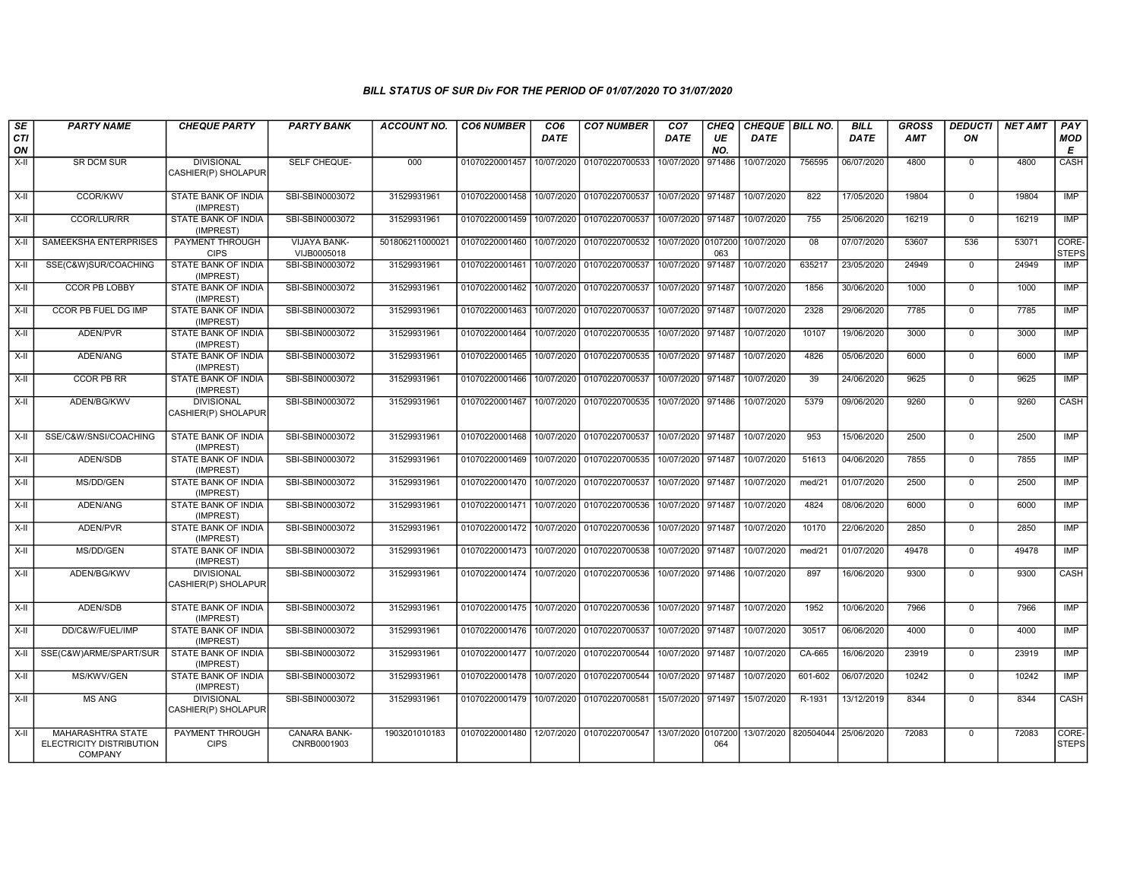| SE<br><b>CTI</b><br>ON | <b>PARTY NAME</b>                                               | <b>CHEQUE PARTY</b>                      | <b>PARTY BANK</b>           | <b>ACCOUNT NO.</b> | <b>CO6 NUMBER</b>                        | CO <sub>6</sub><br><b>DATE</b> | <b>CO7 NUMBER</b>                            | CO <sub>7</sub><br>DATE | <b>CHEQ</b><br>UE<br>NO. | CHEQUE BILL NO.<br><b>DATE</b> |                                 | <b>BILL</b><br>DATE | <b>GROSS</b><br><b>AMT</b> | <b>DEDUCTI</b><br>ON | <b>NET AMT</b> | PAY<br><b>MOD</b><br>E    |
|------------------------|-----------------------------------------------------------------|------------------------------------------|-----------------------------|--------------------|------------------------------------------|--------------------------------|----------------------------------------------|-------------------------|--------------------------|--------------------------------|---------------------------------|---------------------|----------------------------|----------------------|----------------|---------------------------|
| X-II                   | SR DCM SUR                                                      | <b>DIVISIONAL</b><br>CASHIER(P) SHOLAPUR | SELF CHEQUE-                | 000                | 01070220001457                           | 10/07/2020                     | 01070220700533                               | 10/07/2020              | 971486                   | 10/07/2020                     | 756595                          | 06/07/2020          | 4800                       | $\mathbf 0$          | 4800           | CASH                      |
| $X-H$                  | <b>CCOR/KWV</b>                                                 | <b>STATE BANK OF INDIA</b><br>(IMPREST)  | SBI-SBIN0003072             | 31529931961        | 01070220001458                           | 10/07/2020                     | 01070220700537                               | 10/07/2020 971487       |                          | 10/07/2020                     | 822                             | 17/05/2020          | 19804                      | $\mathbf 0$          | 19804          | IMP                       |
| X-II                   | <b>CCOR/LUR/RR</b>                                              | <b>STATE BANK OF INDIA</b><br>(IMPREST)  | SBI-SBIN0003072             | 31529931961        | 01070220001459                           | 10/07/2020                     | 01070220700537                               | 10/07/2020 971487       |                          | 10/07/2020                     | 755                             | 25/06/2020          | 16219                      | $\mathbf 0$          | 16219          | IMP                       |
| X-II                   | SAMEEKSHA ENTERPRISES                                           | PAYMENT THROUGH<br><b>CIPS</b>           | VIJAYA BANK-<br>VIJB0005018 | 501806211000021    | 01070220001460                           | 10/07/2020                     | 01070220700532                               | 10/07/2020 0107200      | 063                      | 10/07/2020                     | 08                              | 07/07/2020          | 53607                      | 536                  | 53071          | CORE-<br><b>STEPS</b>     |
| $X-II$                 | SSE(C&W)SUR/COACHING                                            | <b>STATE BANK OF INDIA</b><br>(IMPREST)  | SBI-SBIN0003072             | 31529931961        | 01070220001461                           |                                | 10/07/2020 01070220700537                    | 10/07/2020 971487       |                          | 10/07/2020                     | 635217                          | 23/05/2020          | 24949                      | $\overline{0}$       | 24949          | $\overline{\mathsf{IMP}}$ |
| $X-H$                  | <b>CCOR PB LOBBY</b>                                            | <b>STATE BANK OF INDIA</b><br>(IMPREST)  | SBI-SBIN0003072             | 31529931961        | 01070220001462                           | 10/07/2020                     | 01070220700537                               | 10/07/2020 971487       |                          | 10/07/2020                     | 1856                            | 30/06/2020          | 1000                       | $\overline{0}$       | 1000           | IMP                       |
| X-II                   | <b>CCOR PB FUEL DG IMP</b>                                      | <b>STATE BANK OF INDIA</b><br>(IMPREST)  | SBI-SBIN0003072             | 31529931961        | 01070220001463                           | 10/07/2020                     | 01070220700537                               | 10/07/2020 971487       |                          | 10/07/2020                     | 2328                            | 29/06/2020          | 7785                       | $\mathbf 0$          | 7785           | <b>IMP</b>                |
| X-II                   | ADEN/PVR                                                        | STATE BANK OF INDIA<br>(IMPREST)         | SBI-SBIN0003072             | 31529931961        | 01070220001464                           | 10/07/2020                     | 01070220700535                               | 10/07/2020 971487       |                          | 10/07/2020                     | 10107                           | 19/06/2020          | 3000                       | $\mathbf 0$          | 3000           | IMP                       |
| X-II                   | ADEN/ANG                                                        | STATE BANK OF INDIA<br>(IMPREST)         | SBI-SBIN0003072             | 31529931961        | 01070220001465 10/07/2020                |                                | 01070220700535                               | 10/07/2020 971487       |                          | 10/07/2020                     | 4826                            | 05/06/2020          | 6000                       | $\mathbf 0$          | 6000           | <b>IMP</b>                |
| X-II                   | <b>CCOR PB RR</b>                                               | STATE BANK OF INDIA<br>(IMPREST)         | SBI-SBIN0003072             | 31529931961        |                                          |                                | 01070220001466 10/07/2020 01070220700537     | 10/07/2020 971487       |                          | 10/07/2020                     | 39                              | 24/06/2020          | 9625                       | $\Omega$             | 9625           | IMP                       |
| $X-H$                  | ADEN/BG/KWV                                                     | <b>DIVISIONAL</b><br>CASHIER(P) SHOLAPUR | SBI-SBIN0003072             | 31529931961        |                                          |                                | 01070220001467 10/07/2020 01070220700535     | 10/07/2020 971486       |                          | 10/07/2020                     | 5379                            | 09/06/2020          | 9260                       | $\mathbf 0$          | 9260           | CASH                      |
| $X-H$                  | SSE/C&W/SNSI/COACHING                                           | STATE BANK OF INDIA<br>(IMPREST)         | SBI-SBIN0003072             | 31529931961        | 01070220001468                           |                                | 10/07/2020 01070220700537                    | 10/07/2020 971487       |                          | 10/07/2020                     | 953                             | 15/06/2020          | 2500                       | $\overline{0}$       | 2500           | IMP                       |
| $X-H$                  | ADEN/SDB                                                        | <b>STATE BANK OF INDIA</b><br>(IMPREST)  | SBI-SBIN0003072             | 31529931961        | 01070220001469 10/07/2020                |                                | 01070220700535                               | 10/07/2020 971487       |                          | 10/07/2020                     | 51613                           | 04/06/2020          | 7855                       | $\mathbf 0$          | 7855           | <b>IMP</b>                |
| X-II                   | MS/DD/GEN                                                       | STATE BANK OF INDIA<br>(IMPREST)         | SBI-SBIN0003072             | 31529931961        | 01070220001470 10/07/2020                |                                | 01070220700537                               | 10/07/2020 971487       |                          | 10/07/2020                     | med/21                          | 01/07/2020          | 2500                       | $\Omega$             | 2500           | IMP                       |
| X-II                   | ADEN/ANG                                                        | STATE BANK OF INDIA<br>(IMPREST)         | SBI-SBIN0003072             | 31529931961        | 01070220001471                           | 10/07/2020                     | 01070220700536                               | 10/07/2020 971487       |                          | 10/07/2020                     | 4824                            | 08/06/2020          | 6000                       | $\mathbf 0$          | 6000           | <b>IMP</b>                |
| $X-H$                  | ADEN/PVR                                                        | STATE BANK OF INDIA<br>(IMPREST)         | SBI-SBIN0003072             | 31529931961        | 01070220001472 10/07/2020                |                                | 01070220700536                               | 10/07/2020 971487       |                          | 10/07/2020                     | 10170                           | 22/06/2020          | 2850                       | $\overline{0}$       | 2850           | <b>IMP</b>                |
| $X-H$                  | MS/DD/GEN                                                       | STATE BANK OF INDIA<br>(IMPREST)         | SBI-SBIN0003072             | 31529931961        | 01070220001473                           | 10/07/2020                     | 01070220700538                               | 10/07/2020 971487       |                          | 10/07/2020                     | med/21                          | 01/07/2020          | 49478                      | $\mathbf 0$          | 49478          | <b>IMP</b>                |
| X-II                   | ADEN/BG/KWV                                                     | <b>DIVISIONAL</b><br>CASHIER(P) SHOLAPUR | SBI-SBIN0003072             | 31529931961        | 01070220001474 10/07/2020                |                                | 01070220700536                               | 10/07/2020 971486       |                          | 10/07/2020                     | 897                             | 16/06/2020          | 9300                       | $\mathbf 0$          | 9300           | CASH                      |
| X-II                   | ADEN/SDB                                                        | <b>STATE BANK OF INDIA</b><br>(IMPREST)  | SBI-SBIN0003072             | 31529931961        | 01070220001475 10/07/2020                |                                | 01070220700536                               | 10/07/2020 971487       |                          | 10/07/2020                     | 1952                            | 10/06/2020          | 7966                       | $\mathbf 0$          | 7966           | <b>IMP</b>                |
| $X-H$                  | DD/C&W/FUEL/IMP                                                 | <b>STATE BANK OF INDIA</b><br>(IMPREST)  | SBI-SBIN0003072             | 31529931961        | 01070220001476 10/07/2020                |                                | 01070220700537                               | 10/07/2020 971487       |                          | 10/07/2020                     | 30517                           | 06/06/2020          | 4000                       | $\mathbf 0$          | 4000           | <b>IMP</b>                |
| X-II                   | SSE(C&W)ARME/SPART/SUR                                          | STATE BANK OF INDIA<br>(IMPREST)         | SBI-SBIN0003072             | 31529931961        | 01070220001477                           | 10/07/2020                     | 01070220700544                               | 10/07/2020 971487       |                          | 10/07/2020                     | CA-665                          | 16/06/2020          | 23919                      | $\mathbf 0$          | 23919          | IMP                       |
| $X-II$                 | MS/KWV/GEN                                                      | STATE BANK OF INDIA<br>(IMPREST)         | SBI-SBIN0003072             | 31529931961        | 01070220001478                           | 10/07/2020                     | 01070220700544                               | 10/07/2020 971487       |                          | 10/07/2020                     | 601-602                         | 06/07/2020          | 10242                      | $\overline{0}$       | 10242          | <b>IMP</b>                |
| $X-H$                  | <b>MS ANG</b>                                                   | <b>DIVISIONAL</b><br>CASHIER(P) SHOLAPUR | SBI-SBIN0003072             | 31529931961        | 01070220001479 10/07/2020 01070220700581 |                                |                                              | 15/07/2020 971497       |                          | 15/07/2020                     | R-1931                          | 13/12/2019          | 8344                       | $\overline{0}$       | 8344           | CASH                      |
| X-II                   | MAHARASHTRA STATE<br>ELECTRICITY DISTRIBUTION<br><b>COMPANY</b> | PAYMENT THROUGH<br><b>CIPS</b>           | CANARA BANK-<br>CNRB0001903 | 1903201010183      | 01070220001480                           |                                | 12/07/2020 01070220700547 13/07/2020 0107200 |                         | 064                      |                                | 13/07/2020 820504044 25/06/2020 |                     | 72083                      | $\mathbf 0$          | 72083          | CORE-<br><b>STEPS</b>     |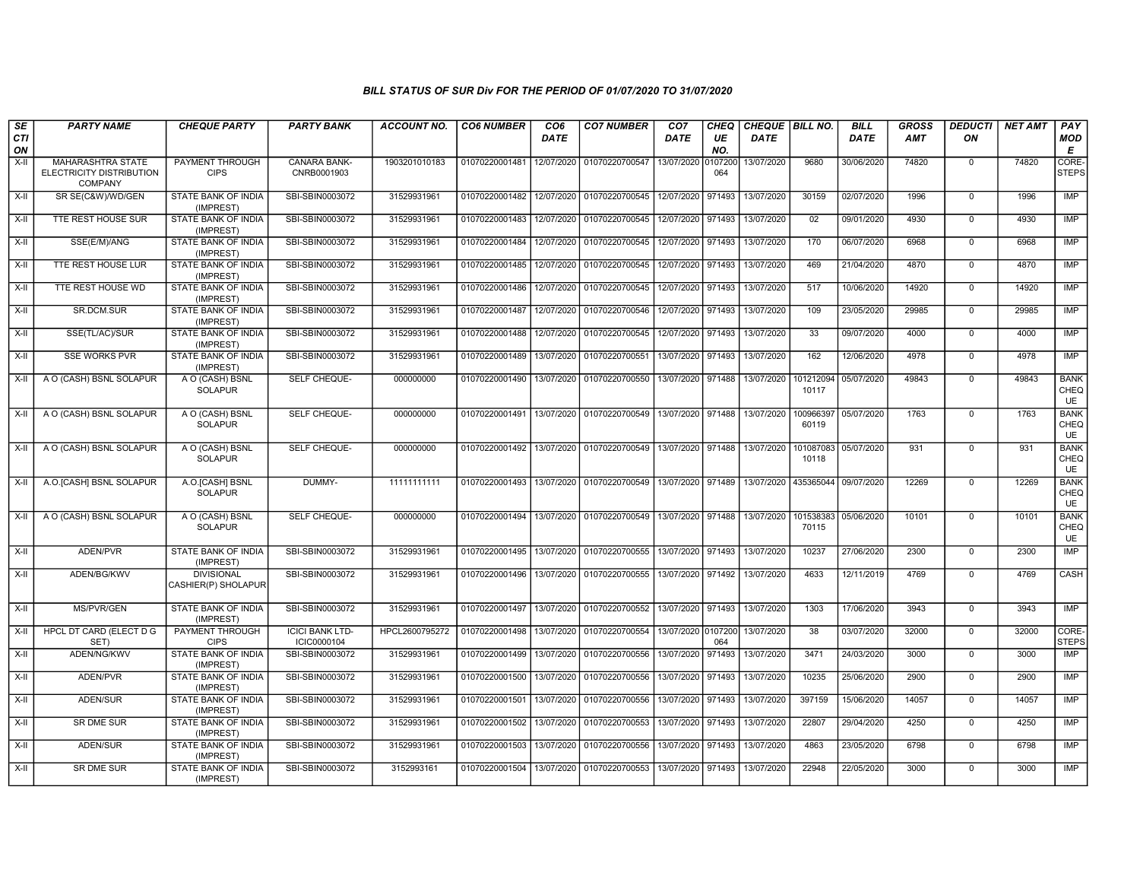| SE<br><b>CTI</b><br>ON | <b>PARTY NAME</b>                                                      | <b>CHEQUE PARTY</b>                      | <b>PARTY BANK</b>                     | <b>ACCOUNT NO.</b> | <b>CO6 NUMBER</b> | CO <sub>6</sub><br><b>DATE</b> | <b>CO7 NUMBER</b>         | CO <sub>7</sub><br>DATE | <b>CHEQ</b><br>UE<br>NO. | CHEQUE BILL NO.<br><b>DATE</b> |                    | <b>BILL</b><br><b>DATE</b> | <b>GROSS</b><br><b>AMT</b> | <b>DEDUCTI</b><br>ON | <b>NET AMT</b> | PAY<br>MOD<br>Е                  |
|------------------------|------------------------------------------------------------------------|------------------------------------------|---------------------------------------|--------------------|-------------------|--------------------------------|---------------------------|-------------------------|--------------------------|--------------------------------|--------------------|----------------------------|----------------------------|----------------------|----------------|----------------------------------|
| $X-I$                  | <b>MAHARASHTRA STATE</b><br>ELECTRICITY DISTRIBUTION<br><b>COMPANY</b> | PAYMENT THROUGH<br><b>CIPS</b>           | <b>CANARA BANK-</b><br>CNRB0001903    | 1903201010183      | 01070220001481    | 12/07/2020                     | 01070220700547            | 13/07/2020              | 107200<br>064            | 13/07/2020                     | 9680               | 30/06/2020                 | 74820                      | $^{\circ}$           | 74820          | CORE-<br><b>STEPS</b>            |
| X-II                   | SR SE(C&W)/WD/GEN                                                      | <b>STATE BANK OF INDIA</b><br>(IMPREST)  | SBI-SBIN0003072                       | 31529931961        | 01070220001482    | 12/07/2020                     | 01070220700545 12/07/2020 |                         | 971493                   | 13/07/2020                     | 30159              | 02/07/2020                 | 1996                       | $\Omega$             | 1996           | <b>IMP</b>                       |
| X-II                   | TTE REST HOUSE SUR                                                     | <b>STATE BANK OF INDIA</b><br>(IMPREST)  | SBI-SBIN0003072                       | 31529931961        | 01070220001483    | 12/07/2020                     | 01070220700545            | 12/07/2020              | 971493                   | 13/07/2020                     | 02                 | 09/01/2020                 | 4930                       | $\Omega$             | 4930           | IMP                              |
| X-II                   | SSE(E/M)/ANG                                                           | <b>STATE BANK OF INDIA</b><br>(IMPREST)  | SBI-SBIN0003072                       | 31529931961        | 01070220001484    | 12/07/2020                     | 01070220700545            | 12/07/2020              | 971493                   | 13/07/2020                     | 170                | 06/07/2020                 | 6968                       | $\mathbf 0$          | 6968           | IMP                              |
| X-II                   | TTE REST HOUSE LUR                                                     | STATE BANK OF INDIA<br>(IMPREST)         | SBI-SBIN0003072                       | 31529931961        | 01070220001485    | 12/07/2020                     | 01070220700545            | 12/07/2020              | 971493                   | 13/07/2020                     | 469                | 21/04/2020                 | 4870                       | $\mathbf 0$          | 4870           | <b>IMP</b>                       |
| X-II                   | TTE REST HOUSE WD                                                      | <b>STATE BANK OF INDIA</b><br>(IMPREST)  | SBI-SBIN0003072                       | 31529931961        | 01070220001486    | 12/07/2020                     | 01070220700545            | 12/07/2020              | 971493                   | 13/07/2020                     | 517                | 10/06/2020                 | 14920                      | $^{\circ}$           | 14920          | <b>IMP</b>                       |
| X-II                   | SR.DCM.SUR                                                             | <b>STATE BANK OF INDIA</b><br>(IMPREST)  | SBI-SBIN0003072                       | 31529931961        | 01070220001487    | 12/07/2020                     | 01070220700546            | 12/07/2020              | 971493                   | 13/07/2020                     | 109                | 23/05/2020                 | 29985                      | $\mathbf 0$          | 29985          | <b>IMP</b>                       |
| X-II                   | SSE(TL/AC)/SUR                                                         | STATE BANK OF INDIA<br>(IMPREST)         | SBI-SBIN0003072                       | 31529931961        | 01070220001488    | 12/07/2020                     | 01070220700545            | 12/07/2020              | 971493                   | 13/07/2020                     | 33                 | 09/07/2020                 | 4000                       | $\mathbf 0$          | 4000           | IMP                              |
| X-II                   | <b>SSE WORKS PVR</b>                                                   | STATE BANK OF INDIA<br>(IMPREST)         | SBI-SBIN0003072                       | 31529931961        | 01070220001489    | 13/07/2020                     | 01070220700551            | 13/07/2020              | 971493                   | 13/07/2020                     | 162                | 12/06/2020                 | 4978                       | $\mathbf 0$          | 4978           | <b>IMP</b>                       |
| $X-H$                  | A O (CASH) BSNL SOLAPUR                                                | A O (CASH) BSNL<br><b>SOLAPUR</b>        | SELF CHEQUE-                          | 000000000          | 01070220001490    | 13/07/2020                     | 01070220700550            | 13/07/2020              | 971488                   | 13/07/2020                     | 101212094<br>10117 | 05/07/2020                 | 49843                      | $\mathbf 0$          | 49843          | <b>BANK</b><br>CHEQ<br><b>UE</b> |
| X-II                   | A O (CASH) BSNL SOLAPUR                                                | A O (CASH) BSNL<br><b>SOLAPUR</b>        | SELF CHEQUE-                          | 000000000          | 01070220001491    | 13/07/2020                     | 01070220700549            | 13/07/2020              | 971488                   | 13/07/2020                     | 100966397<br>60119 | 05/07/2020                 | 1763                       | $\Omega$             | 1763           | <b>BANK</b><br>CHEQ<br>UE        |
| X-II                   | A O (CASH) BSNL SOLAPUR                                                | A O (CASH) BSNL<br><b>SOLAPUR</b>        | SELF CHEQUE-                          | 000000000          | 01070220001492    | 13/07/2020                     | 01070220700549            | 13/07/2020              | 971488                   | 13/07/2020                     | 101087083<br>10118 | 05/07/2020                 | 931                        | $\Omega$             | 931            | <b>BANK</b><br>CHEQ<br>UE        |
| X-II                   | A.O. [CASH] BSNL SOLAPUR                                               | A.O.[CASH] BSNL<br><b>SOLAPUR</b>        | DUMMY-                                | 11111111111        | 01070220001493    | 13/07/2020                     | 01070220700549            | 13/07/2020              | 971489                   | 13/07/2020                     | 435365044          | 09/07/2020                 | 12269                      | $\Omega$             | 12269          | <b>BANK</b><br>CHEQ<br>UE        |
| $X-H$                  | A O (CASH) BSNL SOLAPUR                                                | A O (CASH) BSNL<br><b>SOLAPUR</b>        | SELF CHEQUE-                          | 000000000          | 01070220001494    | 13/07/2020                     | 01070220700549            | 13/07/2020              | 971488                   | 13/07/2020                     | 101538383<br>70115 | 05/06/2020                 | 10101                      | $\mathbf 0$          | 10101          | <b>BANK</b><br>CHEQ<br>UE        |
| X-II                   | ADEN/PVR                                                               | STATE BANK OF INDIA<br>(IMPREST)         | SBI-SBIN0003072                       | 31529931961        | 01070220001495    | 13/07/2020                     | 01070220700555            | 13/07/2020              | 971493                   | 13/07/2020                     | 10237              | 27/06/2020                 | 2300                       | $\Omega$             | 2300           | <b>IMP</b>                       |
| X-II                   | ADEN/BG/KWV                                                            | <b>DIVISIONAL</b><br>CASHIER(P) SHOLAPUR | SBI-SBIN0003072                       | 31529931961        | 01070220001496    | 13/07/2020                     | 01070220700555            | 13/07/2020              | 971492                   | 13/07/2020                     | 4633               | 12/11/2019                 | 4769                       | $\mathbf 0$          | 4769           | CASH                             |
| $X-H$                  | MS/PVR/GEN                                                             | STATE BANK OF INDIA<br>(IMPREST)         | SBI-SBIN0003072                       | 31529931961        | 01070220001497    | 13/07/2020                     | 01070220700552            | 13/07/2020              | 971493                   | 13/07/2020                     | 1303               | 17/06/2020                 | 3943                       | $\mathbf 0$          | 3943           | IMP                              |
| $X-H$                  | HPCL DT CARD (ELECT D G<br>SET)                                        | PAYMENT THROUGH<br><b>CIPS</b>           | <b>ICICI BANK LTD-</b><br>ICIC0000104 | HPCL2600795272     | 01070220001498    | 13/07/2020                     | 01070220700554            | 13/07/2020 0107200      | 064                      | 13/07/2020                     | 38                 | 03/07/2020                 | 32000                      | $\mathbf 0$          | 32000          | CORE-<br><b>STEPS</b>            |
| X-II                   | ADEN/NG/KWV                                                            | STATE BANK OF INDIA<br>(IMPREST)         | SBI-SBIN0003072                       | 31529931961        | 01070220001499    | 13/07/2020                     | 01070220700556            | 13/07/2020              | 971493                   | 13/07/2020                     | 3471               | 24/03/2020                 | 3000                       | $\mathbf 0$          | 3000           | <b>IMP</b>                       |
| X-II                   | ADEN/PVR                                                               | <b>STATE BANK OF INDIA</b><br>(IMPREST)  | SBI-SBIN0003072                       | 31529931961        | 01070220001500    | 13/07/2020                     | 01070220700556            | 13/07/2020              | 971493                   | 13/07/2020                     | 10235              | 25/06/2020                 | 2900                       | $\mathbf 0$          | 2900           | <b>IMP</b>                       |
| X-II                   | <b>ADEN/SUR</b>                                                        | <b>STATE BANK OF INDIA</b><br>(IMPREST)  | SBI-SBIN0003072                       | 31529931961        | 01070220001501    | 13/07/2020                     | 01070220700556            | 13/07/2020              | 971493                   | 13/07/2020                     | 397159             | 15/06/2020                 | 14057                      | $\mathbf 0$          | 14057          | IMP                              |
| X-II                   | SR DME SUR                                                             | STATE BANK OF INDIA<br>(IMPREST)         | SBI-SBIN0003072                       | 31529931961        | 01070220001502    | 13/07/2020                     | 01070220700553            | 13/07/2020              | 971493                   | 13/07/2020                     | 22807              | 29/04/2020                 | 4250                       | $^{\circ}$           | 4250           | <b>IMP</b>                       |
| X-II                   | ADEN/SUR                                                               | STATE BANK OF INDIA<br>(IMPREST)         | SBI-SBIN0003072                       | 31529931961        | 01070220001503    | 13/07/2020                     | 01070220700556            | 13/07/2020              | 971493                   | 13/07/2020                     | 4863               | 23/05/2020                 | 6798                       | $\mathbf 0$          | 6798           | <b>IMP</b>                       |
| X-II                   | SR DME SUR                                                             | STATE BANK OF INDIA<br>(IMPREST)         | SBI-SBIN0003072                       | 3152993161         | 01070220001504    | 13/07/2020                     | 01070220700553            | 13/07/2020              | 971493                   | 13/07/2020                     | 22948              | 22/05/2020                 | 3000                       | $^{\circ}$           | 3000           | <b>IMP</b>                       |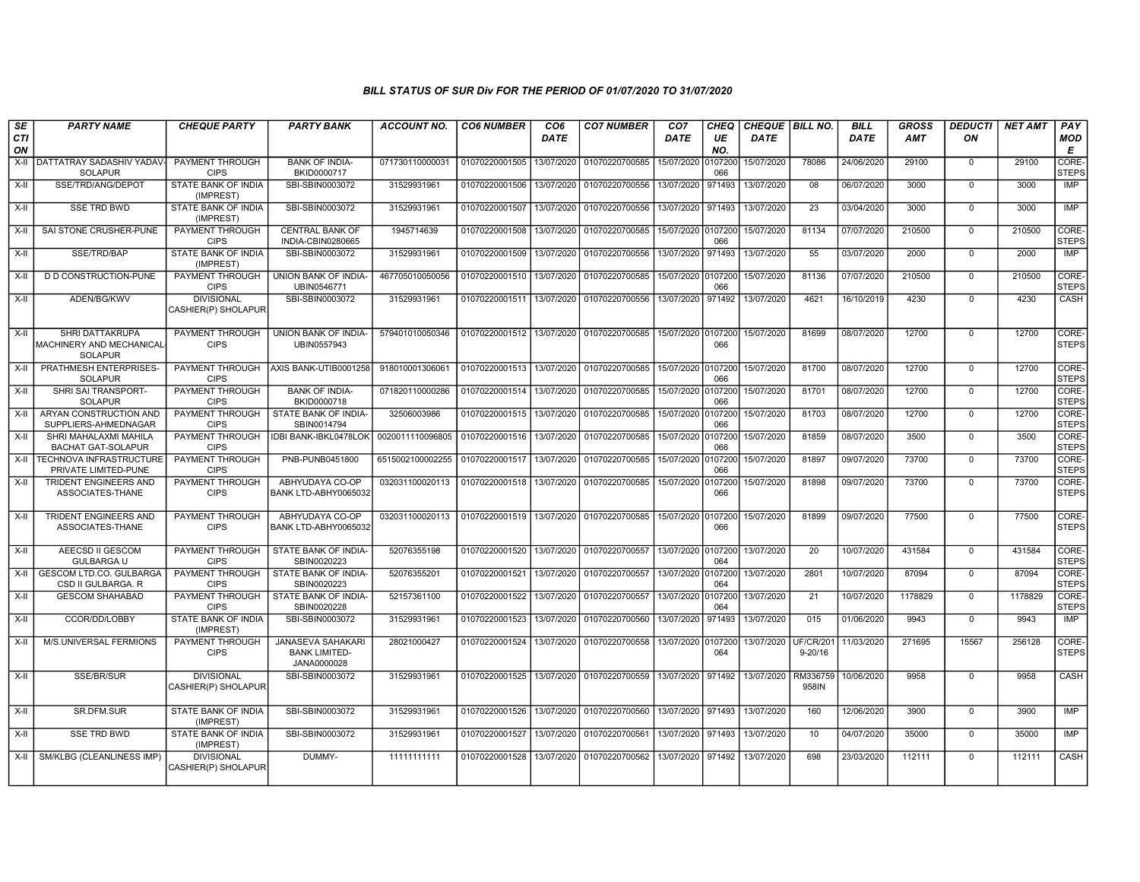| SE<br>CTI | <b>PARTY NAME</b>                                                    | <b>CHEQUE PARTY</b>                      | <b>PARTY BANK</b>                                               | <b>ACCOUNT NO.</b> | <b>CO6 NUMBER</b> | CO <sub>6</sub><br><b>DATE</b> | <b>CO7 NUMBER</b> | CO <sub>7</sub><br>DATE | <b>CHEQ</b><br>UE | CHEQUE   BILL NO.<br><b>DATE</b> |                          | <b>BILL</b><br>DATE | <b>GROSS</b><br><b>AMT</b> | <b>DEDUCTI</b><br>ON | <b>NET AMT</b> | PAY<br><b>MOD</b>     |
|-----------|----------------------------------------------------------------------|------------------------------------------|-----------------------------------------------------------------|--------------------|-------------------|--------------------------------|-------------------|-------------------------|-------------------|----------------------------------|--------------------------|---------------------|----------------------------|----------------------|----------------|-----------------------|
| ON        |                                                                      |                                          |                                                                 |                    |                   |                                |                   |                         | NO.               |                                  |                          |                     |                            |                      |                | Е                     |
| $X-II$    | DATTATRAY SADASHIV YADAV<br><b>SOLAPUR</b>                           | PAYMENT THROUGH<br><b>CIPS</b>           | <b>BANK OF INDIA-</b><br>BKID0000717                            | 071730110000031    | 01070220001505    | 13/07/2020                     | 01070220700585    | 15/07/2020              | 0107200<br>066    | 15/07/2020                       | 78086                    | 24/06/2020          | 29100                      | $\mathbf 0$          | 29100          | CORE-<br><b>STEPS</b> |
| X-II      | SSE/TRD/ANG/DEPOT                                                    | STATE BANK OF INDIA<br>(IMPREST)         | SBI-SBIN0003072                                                 | 31529931961        | 01070220001506    | 13/07/2020                     | 01070220700556    | 13/07/2020              | 971493            | 13/07/2020                       | 08                       | 06/07/2020          | 3000                       | $\Omega$             | 3000           | IMP                   |
| X-II      | <b>SSE TRD BWD</b>                                                   | STATE BANK OF INDIA<br>(IMPREST)         | SBI-SBIN0003072                                                 | 31529931961        | 01070220001507    | 13/07/2020                     | 01070220700556    | 13/07/2020              | 971493            | 13/07/2020                       | 23                       | 03/04/2020          | 3000                       | $\overline{0}$       | 3000           | <b>IMP</b>            |
| X-II      | SAI STONE CRUSHER-PUNE                                               | PAYMENT THROUGH<br><b>CIPS</b>           | <b>CENTRAL BANK OF</b><br>INDIA-CBIN0280665                     | 1945714639         | 01070220001508    | 13/07/2020                     | 01070220700585    | 15/07/2020              | 0107200<br>066    | 15/07/2020                       | 81134                    | 07/07/2020          | 210500                     | $\mathbf 0$          | 210500         | CORE-<br><b>STEPS</b> |
| $X-H$     | SSE/TRD/BAP                                                          | STATE BANK OF INDIA<br>(IMPREST)         | SBI-SBIN0003072                                                 | 31529931961        | 01070220001509    | 13/07/2020                     | 01070220700556    | 13/07/2020              | 971493            | 13/07/2020                       | 55                       | 03/07/2020          | 2000                       | $\Omega$             | 2000           | <b>IMP</b>            |
| $X-H$     | D D CONSTRUCTION-PUNE                                                | PAYMENT THROUGH<br><b>CIPS</b>           | UNION BANK OF INDIA-<br>UBIN0546771                             | 467705010050056    | 01070220001510    | 13/07/2020                     | 01070220700585    | 15/07/2020 0107200      | 066               | 15/07/2020                       | 81136                    | 07/07/2020          | 210500                     | $\Omega$             | 210500         | CORE-<br><b>STEPS</b> |
| $X-H$     | ADEN/BG/KWV                                                          | <b>DIVISIONAL</b><br>CASHIER(P) SHOLAPUR | SBI-SBIN0003072                                                 | 31529931961        | 01070220001511    | 13/07/2020                     | 01070220700556    | 13/07/2020              | 971492            | 13/07/2020                       | 4621                     | 16/10/2019          | 4230                       | $\overline{0}$       | 4230           | CASH                  |
| X-II      | <b>SHRI DATTAKRUPA</b><br>MACHINERY AND MECHANICAL<br><b>SOLAPUR</b> | PAYMENT THROUGH<br><b>CIPS</b>           | UNION BANK OF INDIA-<br>UBIN0557943                             | 579401010050346    | 01070220001512    | 13/07/2020                     | 01070220700585    | 15/07/2020 0107200      | 066               | 15/07/2020                       | 81699                    | 08/07/2020          | 12700                      | $\Omega$             | 12700          | CORE-<br><b>STEPS</b> |
| X-II      | PRATHMESH ENTERPRISES-<br><b>SOLAPUR</b>                             | PAYMENT THROUGH<br><b>CIPS</b>           | AXIS BANK-UTIB0001258                                           | 918010001306061    | 01070220001513    | 13/07/2020                     | 01070220700585    | 15/07/2020 0107200      | 066               | 15/07/2020                       | 81700                    | 08/07/2020          | 12700                      | $\Omega$             | 12700          | CORE-<br><b>STEPS</b> |
| $X-H$     | SHRI SAI TRANSPORT-<br><b>SOLAPUR</b>                                | PAYMENT THROUGH<br><b>CIPS</b>           | <b>BANK OF INDIA-</b><br>BKID0000718                            | 071820110000286    | 01070220001514    | 13/07/2020                     | 01070220700585    | 15/07/2020              | 0107200<br>066    | 15/07/2020                       | 81701                    | 08/07/2020          | 12700                      | $\overline{0}$       | 12700          | CORE-<br><b>STEPS</b> |
| $X-II$    | ARYAN CONSTRUCTION AND<br>SUPPLIERS-AHMEDNAGAR                       | PAYMENT THROUGH<br><b>CIPS</b>           | STATE BANK OF INDIA-<br>SBIN0014794                             | 32506003986        | 01070220001515    | 13/07/2020                     | 01070220700585    | 15/07/2020              | 0107200<br>066    | 15/07/2020                       | 81703                    | 08/07/2020          | 12700                      | $\mathbf 0$          | 12700          | CORE-<br><b>STEPS</b> |
| $X-H$     | SHRI MAHALAXMI MAHILA<br><b>BACHAT GAT-SOLAPUR</b>                   | PAYMENT THROUGH<br><b>CIPS</b>           | <b>IDBI BANK-IBKL0478LOK</b>                                    | 0020011110096805   | 01070220001516    | 13/07/2020                     | 01070220700585    | 15/07/2020              | 0107200<br>066    | 15/07/2020                       | 81859                    | 08/07/2020          | 3500                       | $\mathbf 0$          | 3500           | CORE-<br><b>STEPS</b> |
| $X-H$     | <b>TECHNOVA INFRASTRUCTURE</b><br>PRIVATE LIMITED-PUNE               | <b>PAYMENT THROUGH</b><br><b>CIPS</b>    | PNB-PUNB0451800                                                 | 6515002100002255   | 01070220001517    | 13/07/2020                     | 01070220700585    | 15/07/2020              | 0107200<br>066    | 15/07/2020                       | 81897                    | 09/07/2020          | 73700                      | $\Omega$             | 73700          | CORE-<br><b>STEPS</b> |
| $X-I$     | TRIDENT ENGINEERS AND<br>ASSOCIATES-THANE                            | PAYMENT THROUGH<br><b>CIPS</b>           | ABHYUDAYA CO-OP<br>BANK LTD-ABHY0065032                         | 032031100020113    | 01070220001518    | 13/07/2020                     | 01070220700585    | 15/07/2020              | 0107200<br>066    | 15/07/2020                       | 81898                    | 09/07/2020          | 73700                      | $\mathbf 0$          | 73700          | CORE-<br><b>STEPS</b> |
| $X-H$     | <b>TRIDENT ENGINEERS AND</b><br>ASSOCIATES-THANE                     | PAYMENT THROUGH<br><b>CIPS</b>           | ABHYUDAYA CO-OP<br>BANK LTD-ABHY0065032                         | 032031100020113    | 01070220001519    | 13/07/2020                     | 01070220700585    | 15/07/2020 0107200      | 066               | 15/07/2020                       | 81899                    | 09/07/2020          | 77500                      | $\mathbf 0$          | 77500          | CORE-<br><b>STEPS</b> |
| X-II      | AEECSD II GESCOM<br><b>GULBARGA U</b>                                | PAYMENT THROUGH<br><b>CIPS</b>           | STATE BANK OF INDIA-<br>SBIN0020223                             | 52076355198        | 01070220001520    | 13/07/2020                     | 01070220700557    | 13/07/2020              | 0107200<br>064    | 13/07/2020                       | 20                       | 10/07/2020          | 431584                     | $\overline{0}$       | 431584         | CORE-<br><b>STEPS</b> |
| X-II      | <b>GESCOM LTD.CO. GULBARGA</b><br>CSD II GULBARGA. R                 | <b>PAYMENT THROUGH</b><br><b>CIPS</b>    | STATE BANK OF INDIA-<br>SBIN0020223                             | 52076355201        | 01070220001521    | 13/07/2020                     | 01070220700557    | 13/07/2020              | 0107200<br>064    | 13/07/2020                       | 2801                     | 10/07/2020          | 87094                      | $\mathbf 0$          | 87094          | CORE-<br><b>STEPS</b> |
| X-II      | <b>GESCOM SHAHABAD</b>                                               | PAYMENT THROUGH<br><b>CIPS</b>           | STATE BANK OF INDIA-<br>SBIN0020228                             | 52157361100        | 01070220001522    | 13/07/2020                     | 01070220700557    | 13/07/2020              | 010720<br>064     | 13/07/2020                       | $\overline{21}$          | 10/07/2020          | 1178829                    | $\mathbf 0$          | 1178829        | CORE-<br><b>STEPS</b> |
| $X-H$     | CCOR/DD/LOBBY                                                        | STATE BANK OF INDIA<br>(IMPREST)         | SBI-SBIN0003072                                                 | 31529931961        | 01070220001523    | 13/07/2020                     | 01070220700560    | 13/07/2020              | 971493            | 13/07/2020                       | 015                      | 01/06/2020          | 9943                       | $\Omega$             | 9943           | <b>IMP</b>            |
| $X-I$     | M/S.UNIVERSAL FERMIONS                                               | PAYMENT THROUGH<br><b>CIPS</b>           | <b>JANASEVA SAHAKARI</b><br><b>BANK LIMITED-</b><br>JANA0000028 | 28021000427        | 01070220001524    | 13/07/2020                     | 01070220700558    | 13/07/2020 0107200      | 064               | 13/07/2020                       | UF/CR/201<br>$9 - 20/16$ | 11/03/2020          | 271695                     | 15567                | 256128         | CORE-<br><b>STEPS</b> |
| X-II      | SSE/BR/SUR                                                           | <b>DIVISIONAL</b><br>CASHIER(P) SHOLAPUR | SBI-SBIN0003072                                                 | 31529931961        | 01070220001525    | 13/07/2020                     | 01070220700559    | 13/07/2020              | 971492            | 13/07/2020                       | RM336759<br>958IN        | 10/06/2020          | 9958                       | $\mathbf 0$          | 9958           | CASH                  |
| X-II      | SR.DFM.SUR                                                           | STATE BANK OF INDIA<br>(IMPREST)         | SBI-SBIN0003072                                                 | 31529931961        | 01070220001526    | 13/07/2020                     | 01070220700560    | 13/07/2020              | 971493            | 13/07/2020                       | 160                      | 12/06/2020          | 3900                       | $\mathbf 0$          | 3900           | <b>IMP</b>            |
| X-II      | <b>SSE TRD BWD</b>                                                   | STATE BANK OF INDIA<br>(IMPREST)         | SBI-SBIN0003072                                                 | 31529931961        | 01070220001527    | 13/07/2020                     | 01070220700561    | 13/07/2020              | 971493            | 13/07/2020                       | 10                       | 04/07/2020          | 35000                      | $\overline{0}$       | 35000          | IMP                   |
| $X-H$     | SM/KLBG (CLEANLINESS IMP)                                            | <b>DIVISIONAL</b><br>CASHIER(P) SHOLAPUR | DUMMY-                                                          | 11111111111        | 01070220001528    | 13/07/2020                     | 01070220700562    | 13/07/2020 971492       |                   | 13/07/2020                       | 698                      | 23/03/2020          | 112111                     | $\mathbf 0$          | 112111         | CASH                  |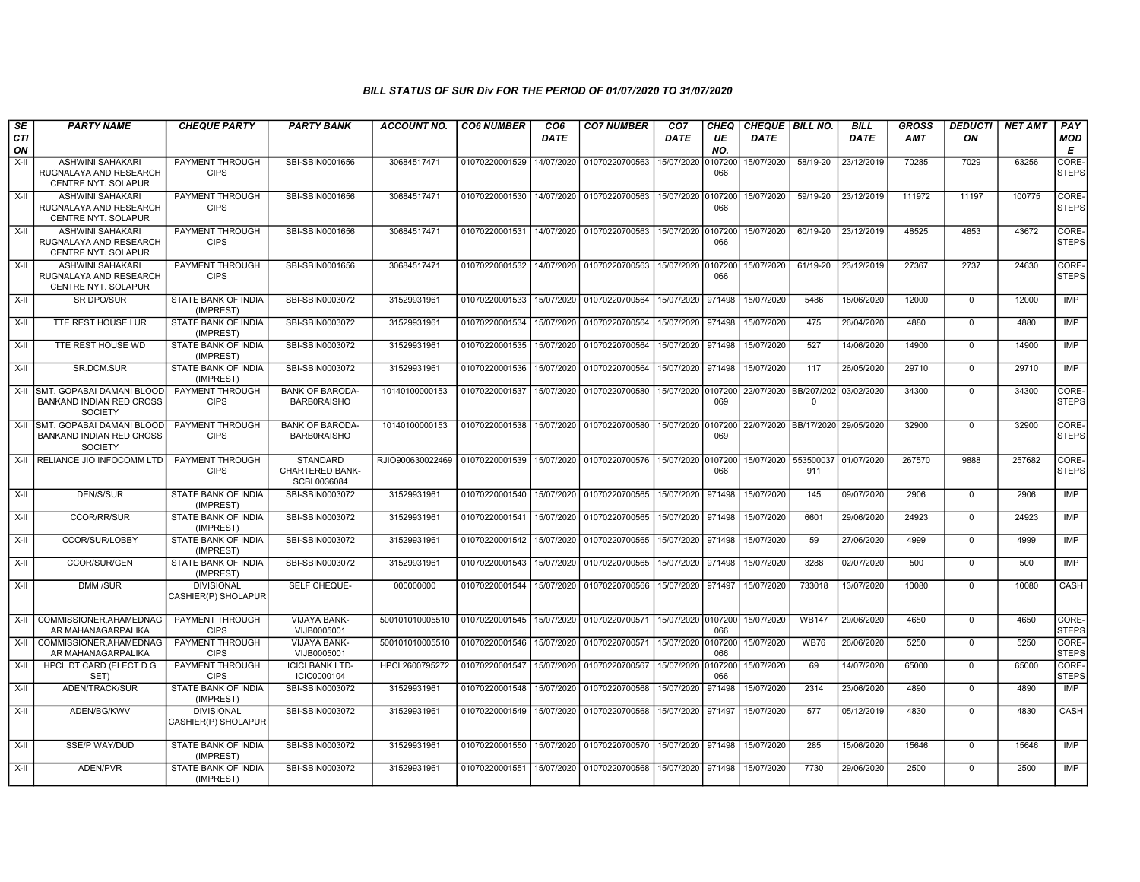| SE               | <b>PARTY NAME</b>                                                                   | <b>CHEQUE PARTY</b>                      | <b>PARTY BANK</b>                                        | <b>ACCOUNT NO.</b> | <b>CO6 NUMBER</b> | CO <sub>6</sub> | <b>CO7 NUMBER</b>         | CO <sub>7</sub>    | CHEQ           | <b>CHEQUE BILL NO.</b> |                       | <b>BILL</b> | <b>GROSS</b> | <b>DEDUCTI</b> | <b>NET AMT</b> | PAY                   |
|------------------|-------------------------------------------------------------------------------------|------------------------------------------|----------------------------------------------------------|--------------------|-------------------|-----------------|---------------------------|--------------------|----------------|------------------------|-----------------------|-------------|--------------|----------------|----------------|-----------------------|
| <b>CTI</b><br>ON |                                                                                     |                                          |                                                          |                    |                   | <b>DATE</b>     |                           | DATE               | UE<br>NO.      | DATE                   |                       | <b>DATE</b> | <b>AMT</b>   | ON             |                | <b>MOD</b><br>Е       |
| $X-II$           | <b>ASHWINI SAHAKARI</b><br>RUGNALAYA AND RESEARCH<br>CENTRE NYT. SOLAPUR            | <b>PAYMENT THROUGH</b><br><b>CIPS</b>    | SBI-SBIN0001656                                          | 30684517471        | 01070220001529    | 14/07/2020      | 01070220700563            | 15/07/2020         | 0107200<br>066 | 15/07/2020             | 58/19-20              | 23/12/2019  | 70285        | 7029           | 63256          | CORE-<br><b>STEPS</b> |
| X-II             | <b>ASHWINI SAHAKARI</b><br>RUGNALAYA AND RESEARCH<br><b>CENTRE NYT, SOLAPUR</b>     | PAYMENT THROUGH<br><b>CIPS</b>           | SBI-SBIN0001656                                          | 30684517471        | 01070220001530    |                 | 14/07/2020 01070220700563 | 15/07/2020         | 0107200<br>066 | 15/07/2020             | 59/19-20              | 23/12/2019  | 111972       | 11197          | 100775         | CORE-<br><b>STEPS</b> |
| X-II             | <b>ASHWINI SAHAKARI</b><br>RUGNALAYA AND RESEARCH<br>CENTRE NYT. SOLAPUR            | <b>PAYMENT THROUGH</b><br><b>CIPS</b>    | SBI-SBIN0001656                                          | 30684517471        | 01070220001531    |                 | 14/07/2020 01070220700563 | 15/07/2020         | 0107200<br>066 | 15/07/2020             | 60/19-20              | 23/12/2019  | 48525        | 4853           | 43672          | CORE-<br><b>STEPS</b> |
| $X-H$            | <b>ASHWINI SAHAKARI</b><br>RUGNALAYA AND RESEARCH<br><b>CENTRE NYT, SOLAPUR</b>     | PAYMENT THROUGH<br><b>CIPS</b>           | SBI-SBIN0001656                                          | 30684517471        | 01070220001532    |                 | 14/07/2020 01070220700563 | 15/07/2020         | 0107200<br>066 | 15/07/2020             | 61/19-20              | 23/12/2019  | 27367        | 2737           | 24630          | CORE-<br><b>STEPS</b> |
| $X-H$            | <b>SR DPO/SUR</b>                                                                   | <b>STATE BANK OF INDIA</b><br>(IMPREST)  | SBI-SBIN0003072                                          | 31529931961        | 01070220001533    |                 | 15/07/2020 01070220700564 | 15/07/2020         | 971498         | 15/07/2020             | 5486                  | 18/06/2020  | 12000        | $\Omega$       | 12000          | IMP                   |
| X-II             | TTE REST HOUSE LUR                                                                  | STATE BANK OF INDIA<br>(IMPREST)         | SBI-SBIN0003072                                          | 31529931961        | 01070220001534    |                 | 15/07/2020 01070220700564 | 15/07/2020 971498  |                | 15/07/2020             | 475                   | 26/04/2020  | 4880         | $\Omega$       | 4880           | <b>IMP</b>            |
| X-II             | TTE REST HOUSE WD                                                                   | STATE BANK OF INDIA<br>(IMPREST)         | SBI-SBIN0003072                                          | 31529931961        | 01070220001535    | 15/07/2020      | 01070220700564            | 15/07/2020         | 971498         | 15/07/2020             | 527                   | 14/06/2020  | 14900        | $\Omega$       | 14900          | <b>IMP</b>            |
| $X-H$            | SR.DCM.SUR                                                                          | STATE BANK OF INDIA<br>(IMPREST)         | SBI-SBIN0003072                                          | 31529931961        | 01070220001536    |                 | 15/07/2020 01070220700564 | 15/07/2020 971498  |                | 15/07/2020             | 117                   | 26/05/2020  | 29710        | $\mathbf 0$    | 29710          | <b>IMP</b>            |
|                  | X-II SMT. GOPABAI DAMANI BLOOD<br><b>BANKAND INDIAN RED CROSS</b><br><b>SOCIETY</b> | <b>PAYMENT THROUGH</b><br><b>CIPS</b>    | <b>BANK OF BARODA-</b><br><b>BARBORAISHO</b>             | 10140100000153     | 01070220001537    |                 | 15/07/2020 01070220700580 | 15/07/2020         | 0107200<br>069 | 22/07/2020 BB/207/202  | $\Omega$              | 03/02/2020  | 34300        | $\mathbf 0$    | 34300          | CORE-<br><b>STEPS</b> |
|                  | X-II SMT. GOPABAI DAMANI BLOOD<br><b>BANKAND INDIAN RED CROSS</b><br><b>SOCIETY</b> | <b>PAYMENT THROUGH</b><br><b>CIPS</b>    | <b>BANK OF BARODA-</b><br><b>BARB0RAISHO</b>             | 10140100000153     | 01070220001538    |                 | 15/07/2020 01070220700580 | 15/07/2020         | 0107200<br>069 |                        | 22/07/2020 BB/17/2020 | 29/05/2020  | 32900        | $\mathbf 0$    | 32900          | CORE-<br><b>STEPS</b> |
|                  | X-II RELIANCE JIO INFOCOMM LTD                                                      | PAYMENT THROUGH<br><b>CIPS</b>           | <b>STANDARD</b><br><b>CHARTERED BANK-</b><br>SCBL0036084 | RJIO900630022469   | 01070220001539    |                 | 15/07/2020 01070220700576 | 15/07/2020 0107200 | 066            | 15/07/2020             | 553500037<br>911      | 01/07/2020  | 267570       | 9888           | 257682         | CORE-<br><b>STEPS</b> |
| X-II             | <b>DEN/S/SUR</b>                                                                    | STATE BANK OF INDIA<br>(IMPREST)         | SBI-SBIN0003072                                          | 31529931961        | 01070220001540    |                 | 15/07/2020 01070220700565 | 15/07/2020         | 971498         | 15/07/2020             | 145                   | 09/07/2020  | 2906         | $\mathbf 0$    | 2906           | <b>IMP</b>            |
| X-II             | <b>CCOR/RR/SUR</b>                                                                  | <b>STATE BANK OF INDIA</b><br>(IMPREST)  | SBI-SBIN0003072                                          | 31529931961        | 01070220001541    | 15/07/2020      | 01070220700565            | 15/07/2020         | 971498         | 15/07/2020             | 6601                  | 29/06/2020  | 24923        | $\mathbf 0$    | 24923          | <b>IMP</b>            |
| X-II             | CCOR/SUR/LOBBY                                                                      | STATE BANK OF INDIA<br>(IMPREST)         | SBI-SBIN0003072                                          | 31529931961        | 01070220001542    | 15/07/2020      | 01070220700565            | 15/07/2020         | 971498         | 15/07/2020             | 59                    | 27/06/2020  | 4999         | $\Omega$       | 4999           | <b>IMP</b>            |
| X-II             | CCOR/SUR/GEN                                                                        | STATE BANK OF INDIA<br>(IMPREST)         | SBI-SBIN0003072                                          | 31529931961        | 01070220001543    | 15/07/2020      | 01070220700565            | 15/07/2020 971498  |                | 15/07/2020             | 3288                  | 02/07/2020  | 500          | $^{\circ}$     | 500            | <b>IMP</b>            |
| $X-H$            | <b>DMM/SUR</b>                                                                      | <b>DIVISIONAL</b><br>CASHIER(P) SHOLAPUR | <b>SELF CHEQUE-</b>                                      | 000000000          | 01070220001544    |                 | 15/07/2020 01070220700566 | 15/07/2020         | 971497         | 15/07/2020             | 733018                | 13/07/2020  | 10080        | $\mathbf 0$    | 10080          | <b>CASH</b>           |
| $X-H$            | COMMISSIONER, AHAMEDNAG<br>AR MAHANAGARPALIKA                                       | <b>PAYMENT THROUGH</b><br><b>CIPS</b>    | <b>VIJAYA BANK-</b><br>VIJB0005001                       | 500101010005510    | 01070220001545    | 15/07/2020      | 01070220700571            | 15/07/2020 0107200 | 066            | 15/07/2020             | <b>WB147</b>          | 29/06/2020  | 4650         | $\Omega$       | 4650           | CORE-<br><b>STEPS</b> |
| $X-H$            | COMMISSIONER, AHAMEDNAG<br>AR MAHANAGARPALIKA                                       | <b>PAYMENT THROUGH</b><br><b>CIPS</b>    | <b>VIJAYA BANK-</b><br>VIJB0005001                       | 500101010005510    | 01070220001546    |                 | 15/07/2020 01070220700571 | 15/07/2020         | 0107200<br>066 | 15/07/2020             | <b>WB76</b>           | 26/06/2020  | 5250         | $\mathbf 0$    | 5250           | CORE-<br><b>STEPS</b> |
| $X-H$            | HPCL DT CARD (ELECT D G<br>SET)                                                     | <b>PAYMENT THROUGH</b><br><b>CIPS</b>    | <b>ICICI BANK LTD-</b><br>ICIC0000104                    | HPCL2600795272     | 01070220001547    |                 | 15/07/2020 01070220700567 | 15/07/2020 0107200 | 066            | 15/07/2020             | 69                    | 14/07/2020  | 65000        | $^{\circ}$     | 65000          | CORE-<br><b>STEPS</b> |
| X-II             | ADEN/TRACK/SUR                                                                      | STATE BANK OF INDIA<br>(IMPREST)         | SBI-SBIN0003072                                          | 31529931961        | 01070220001548    | 15/07/2020      | 01070220700568            | 15/07/2020         | 971498         | 15/07/2020             | 2314                  | 23/06/2020  | 4890         | $\Omega$       | 4890           | <b>IMP</b>            |
| $X-II$           | ADEN/BG/KWV                                                                         | <b>DIVISIONAL</b><br>CASHIER(P) SHOLAPUR | SBI-SBIN0003072                                          | 31529931961        | 01070220001549    | 15/07/2020      | 01070220700568            | 15/07/2020         | 971497         | 15/07/2020             | 577                   | 05/12/2019  | 4830         | $\mathbf 0$    | 4830           | CASH                  |
| $X-H$            | <b>SSE/P WAY/DUD</b>                                                                | STATE BANK OF INDIA<br>(IMPREST)         | SBI-SBIN0003072                                          | 31529931961        | 01070220001550    |                 | 15/07/2020 01070220700570 | 15/07/2020         | 971498         | 15/07/2020             | 285                   | 15/06/2020  | 15646        | $\Omega$       | 15646          | IMP                   |
| $X-H$            | ADEN/PVR                                                                            | STATE BANK OF INDIA<br>(IMPREST)         | SBI-SBIN0003072                                          | 31529931961        | 01070220001551    |                 | 15/07/2020 01070220700568 | 15/07/2020 971498  |                | 15/07/2020             | 7730                  | 29/06/2020  | 2500         | $\Omega$       | 2500           | <b>IMP</b>            |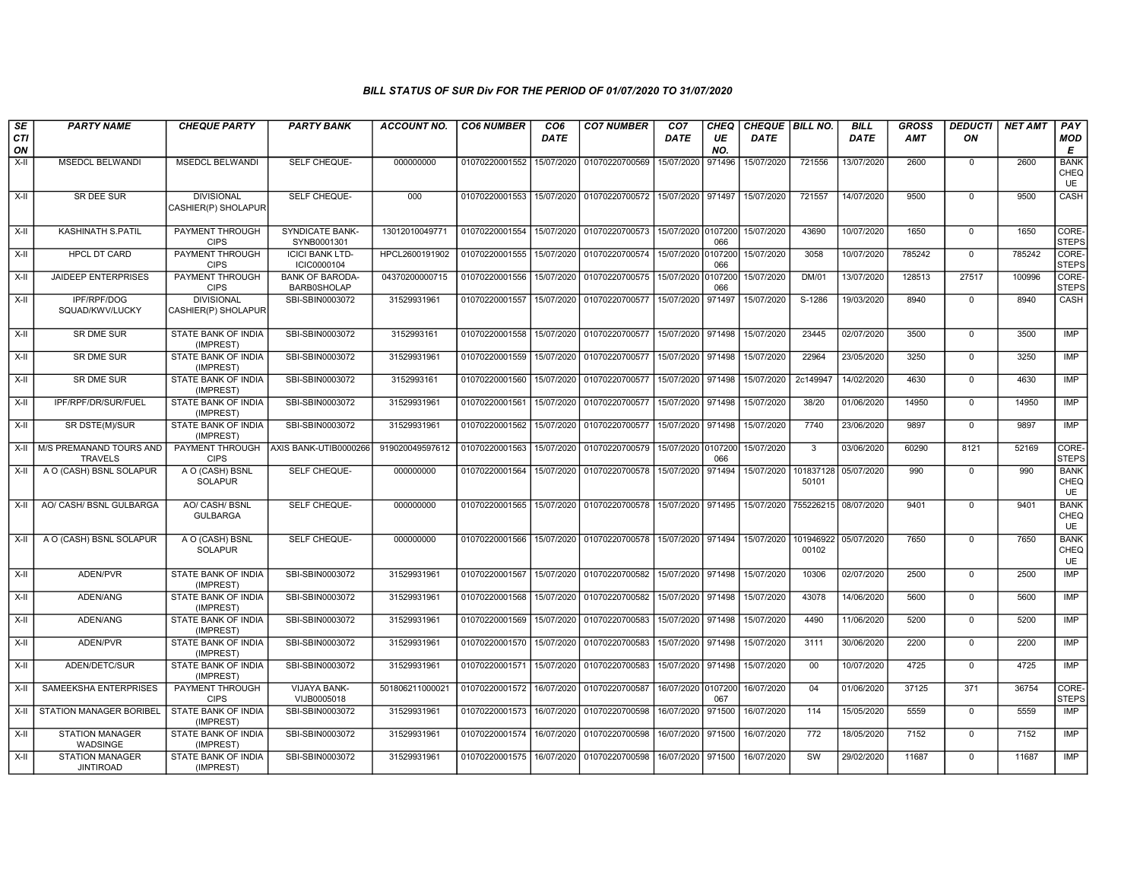| SE        | <b>PARTY NAME</b>                          | <b>CHEQUE PARTY</b>                      | <b>PARTY BANK</b>                            | <b>ACCOUNT NO.</b> | <b>CO6 NUMBER</b>                            | CO <sub>6</sub> | <b>CO7 NUMBER</b>                                                  | CO <sub>7</sub>    | CHEQ      | CHEQUE   BILL NO.    |                    | <b>BILL</b> | <b>GROSS</b> | <b>DEDUCTI</b> | <b>NET AMT</b> | <b>PAY</b>                       |
|-----------|--------------------------------------------|------------------------------------------|----------------------------------------------|--------------------|----------------------------------------------|-----------------|--------------------------------------------------------------------|--------------------|-----------|----------------------|--------------------|-------------|--------------|----------------|----------------|----------------------------------|
| CTI<br>ON |                                            |                                          |                                              |                    |                                              | <b>DATE</b>     |                                                                    | <b>DATE</b>        | UE<br>NO. | <b>DATE</b>          |                    | <b>DATE</b> | <b>AMT</b>   | ΟN             |                | <b>MOD</b><br>E                  |
| $X-H$     | <b>MSEDCL BELWANDI</b>                     | <b>MSEDCL BELWANDI</b>                   | SELF CHEQUE-                                 | 000000000          | 01070220001552                               | 15/07/2020      | 01070220700569                                                     | 15/07/2020         | 971496    | 15/07/2020           | 721556             | 13/07/2020  | 2600         | $\mathbf 0$    | 2600           | <b>BANK</b><br>CHEQ<br>UE        |
| X-II      | SR DEE SUR                                 | <b>DIVISIONAL</b><br>CASHIER(P) SHOLAPUR | SELF CHEQUE-                                 | 000                |                                              |                 | 01070220001553 15/07/2020 01070220700572                           | 15/07/2020         | 971497    | 15/07/2020           | 721557             | 14/07/2020  | 9500         | $\mathbf 0$    | 9500           | CASH                             |
| $X-II$    | <b>KASHINATH S.PATIL</b>                   | PAYMENT THROUGH<br><b>CIPS</b>           | <b>SYNDICATE BANK-</b><br>SYNB0001301        | 13012010049771     | 01070220001554 15/07/2020 01070220700573     |                 |                                                                    | 15/07/2020 0107200 | 066       | 15/07/2020           | 43690              | 10/07/2020  | 1650         | $\overline{0}$ | 1650           | CORE-<br><b>STEPS</b>            |
| $X-H$     | <b>HPCL DT CARD</b>                        | <b>PAYMENT THROUGH</b><br><b>CIPS</b>    | <b>ICICI BANK LTD-</b><br>ICIC0000104        | HPCL2600191902     | 01070220001555 15/07/2020 01070220700574     |                 |                                                                    | 15/07/2020 0107200 | 066       | 15/07/2020           | 3058               | 10/07/2020  | 785242       | $\mathbf 0$    | 785242         | CORE-<br><b>STEPS</b>            |
| X-II      | <b>JAIDEEP ENTERPRISES</b>                 | PAYMENT THROUGH<br><b>CIPS</b>           | <b>BANK OF BARODA-</b><br><b>BARB0SHOLAP</b> | 04370200000715     | 01070220001556   15/07/2020   01070220700575 |                 |                                                                    | 15/07/2020 0107200 | 066       | 15/07/2020           | <b>DM/01</b>       | 13/07/2020  | 128513       | 27517          | 100996         | CORE-<br><b>STEPS</b>            |
| X-II      | IPF/RPF/DOG<br>SQUAD/KWV/LUCKY             | <b>DIVISIONAL</b><br>CASHIER(P) SHOLAPUR | SBI-SBIN0003072                              | 31529931961        | 01070220001557                               | 15/07/2020      | 01070220700577                                                     | 15/07/2020         | 971497    | 15/07/2020           | S-1286             | 19/03/2020  | 8940         | $\mathbf 0$    | 8940           | CASH                             |
| $X-H$     | <b>SR DME SUR</b>                          | <b>STATE BANK OF INDIA</b><br>(IMPREST)  | SBI-SBIN0003072                              | 3152993161         | 01070220001558 15/07/2020 01070220700577     |                 |                                                                    | 15/07/2020 971498  |           | 15/07/2020           | 23445              | 02/07/2020  | 3500         | $\Omega$       | 3500           | IMP                              |
| X-II      | SR DME SUR                                 | STATE BANK OF INDIA<br>(IMPREST)         | SBI-SBIN0003072                              | 31529931961        | 01070220001559 15/07/2020                    |                 | 01070220700577                                                     | 15/07/2020         | 971498    | 15/07/2020           | 22964              | 23/05/2020  | 3250         | $\mathbf 0$    | 3250           | IMP                              |
| X-II      | <b>SR DME SUR</b>                          | STATE BANK OF INDIA<br>(IMPREST)         | SBI-SBIN0003072                              | 3152993161         | 01070220001560 15/07/2020                    |                 | 01070220700577                                                     | 15/07/2020         | 971498    | 15/07/2020           | 2c149947           | 14/02/2020  | 4630         | $\mathbf 0$    | 4630           | IMP                              |
| $X-II$    | IPF/RPF/DR/SUR/FUEL                        | STATE BANK OF INDIA<br>(IMPREST)         | SBI-SBIN0003072                              | 31529931961        | 01070220001561 15/07/2020 01070220700577     |                 |                                                                    | 15/07/2020 971498  |           | 15/07/2020           | 38/20              | 01/06/2020  | 14950        | $\Omega$       | 14950          | <b>IMP</b>                       |
| $X-H$     | SR DSTE(M)/SUR                             | <b>STATE BANK OF INDIA</b><br>(IMPREST)  | SBI-SBIN0003072                              | 31529931961        | 01070220001562   15/07/2020   01070220700577 |                 |                                                                    | 15/07/2020 971498  |           | 15/07/2020           | 7740               | 23/06/2020  | 9897         | $\mathbf 0$    | 9897           | <b>IMP</b>                       |
| X-II      | M/S PREMANAND TOURS AND<br><b>TRAVELS</b>  | PAYMENT THROUGH<br><b>CIPS</b>           | AXIS BANK-UTIB0000266                        | 919020049597612    | 01070220001563 15/07/2020                    |                 | 01070220700579                                                     | 15/07/2020 0107200 | 066       | 15/07/2020           | $\overline{3}$     | 03/06/2020  | 60290        | 8121           | 52169          | CORE-<br><b>STEPS</b>            |
| X-II      | A O (CASH) BSNL SOLAPUR                    | A O (CASH) BSNL<br><b>SOLAPUR</b>        | SELF CHEQUE-                                 | 000000000          | 01070220001564 15/07/2020                    |                 | 01070220700578                                                     | 15/07/2020         | 971494    | 15/07/2020           | 101837128<br>50101 | 05/07/2020  | 990          | $\mathbf 0$    | 990            | <b>BANK</b><br>CHEQ<br>UE        |
| X-II      | AO/ CASH/ BSNL GULBARGA                    | AO/ CASH/ BSNL<br><b>GULBARGA</b>        | <b>SELF CHEQUE-</b>                          | 000000000          |                                              |                 | 01070220001565   15/07/2020   01070220700578   15/07/2020   971495 |                    |           | 15/07/2020 755226215 |                    | 08/07/2020  | 9401         | $\mathbf 0$    | 9401           | <b>BANK</b><br>CHEQ<br><b>UE</b> |
| $X-II$    | A O (CASH) BSNL SOLAPUR                    | A O (CASH) BSNL<br><b>SOLAPUR</b>        | <b>SELF CHEQUE-</b>                          | 000000000          |                                              |                 | 01070220001566 15/07/2020 01070220700578 15/07/2020 971494         |                    |           | 15/07/2020           | 101946922<br>00102 | 05/07/2020  | 7650         | $\mathbf 0$    | 7650           | <b>BANK</b><br>CHEQ<br>UE        |
| X-II      | ADEN/PVR                                   | STATE BANK OF INDIA<br>(IMPREST)         | SBI-SBIN0003072                              | 31529931961        | 01070220001567 15/07/2020 01070220700582     |                 |                                                                    | 15/07/2020 971498  |           | 15/07/2020           | 10306              | 02/07/2020  | 2500         | $\mathbf 0$    | 2500           | <b>IMP</b>                       |
| $X-H$     | ADEN/ANG                                   | <b>STATE BANK OF INDIA</b><br>(IMPREST)  | SBI-SBIN0003072                              | 31529931961        |                                              |                 | 01070220001568 15/07/2020 01070220700582                           | 15/07/2020 971498  |           | 15/07/2020           | 43078              | 14/06/2020  | 5600         | $\mathbf 0$    | 5600           | <b>IMP</b>                       |
| X-II      | ADEN/ANG                                   | <b>STATE BANK OF INDIA</b><br>(IMPREST)  | SBI-SBIN0003072                              | 31529931961        | 01070220001569   15/07/2020   01070220700583 |                 |                                                                    | 15/07/2020 971498  |           | 15/07/2020           | 4490               | 11/06/2020  | 5200         | $\mathbf 0$    | 5200           | <b>IMP</b>                       |
| X-II      | ADEN/PVR                                   | STATE BANK OF INDIA<br>(IMPREST)         | SBI-SBIN0003072                              | 31529931961        | 01070220001570 15/07/2020 01070220700583     |                 |                                                                    | 15/07/2020 971498  |           | 15/07/2020           | 3111               | 30/06/2020  | 2200         | $\mathbf 0$    | 2200           | <b>IMP</b>                       |
| $X-II$    | ADEN/DETC/SUR                              | STATE BANK OF INDIA<br>(IMPREST)         | SBI-SBIN0003072                              | 31529931961        | 01070220001571   15/07/2020   01070220700583 |                 |                                                                    | 15/07/2020 971498  |           | 15/07/2020           | 00                 | 10/07/2020  | 4725         | $\mathbf 0$    | 4725           | IMP                              |
| X-II      | SAMEEKSHA ENTERPRISES                      | <b>PAYMENT THROUGH</b><br><b>CIPS</b>    | VIJAYA BANK-<br>VIJB0005018                  | 501806211000021    | 01070220001572 16/07/2020 01070220700587     |                 |                                                                    | 16/07/2020 0107200 | 067       | 16/07/2020           | 04                 | 01/06/2020  | 37125        | 371            | 36754          | CORE-<br><b>STEPS</b>            |
| X-II      | STATION MANAGER BORIBEL                    | <b>STATE BANK OF INDIA</b><br>(IMPREST)  | SBI-SBIN0003072                              | 31529931961        | 01070220001573   16/07/2020   01070220700598 |                 |                                                                    | 16/07/2020 971500  |           | 16/07/2020           | 114                | 15/05/2020  | 5559         | $\mathbf 0$    | 5559           | IMP                              |
| X-II      | <b>STATION MANAGER</b><br>WADSINGE         | <b>STATE BANK OF INDIA</b><br>(IMPREST)  | SBI-SBIN0003072                              | 31529931961        | 01070220001574 16/07/2020 01070220700598     |                 |                                                                    | 16/07/2020 971500  |           | 16/07/2020           | $\overline{772}$   | 18/05/2020  | 7152         | $\mathbf 0$    | 7152           | IMP                              |
| X-II      | <b>STATION MANAGER</b><br><b>JINTIROAD</b> | STATE BANK OF INDIA<br>(IMPREST)         | SBI-SBIN0003072                              | 31529931961        | 01070220001575   16/07/2020   01070220700598 |                 |                                                                    | 16/07/2020 971500  |           | 16/07/2020           | SW                 | 29/02/2020  | 11687        | $\mathbf 0$    | 11687          | <b>IMP</b>                       |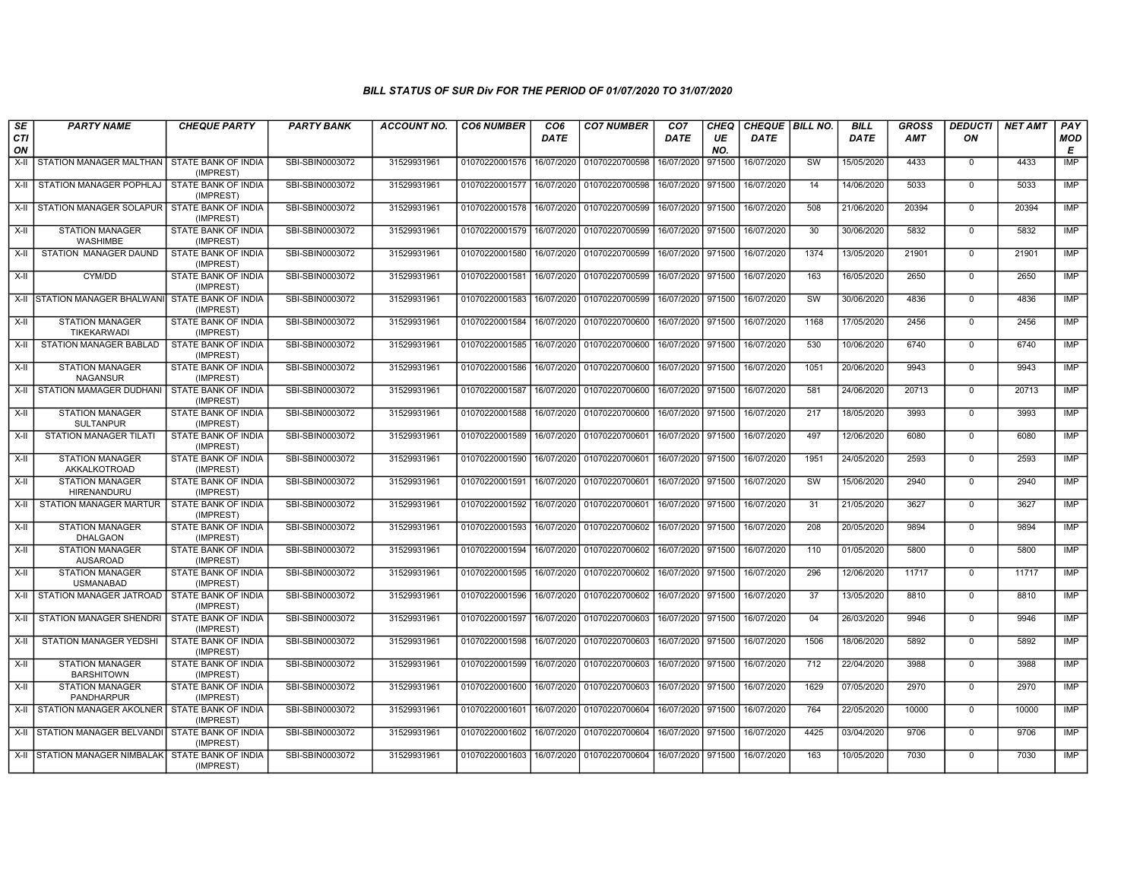| SE<br><b>CTI</b><br>ON | <b>PARTY NAME</b>                                 | <b>CHEQUE PARTY</b>                     | <b>PARTY BANK</b> | <b>ACCOUNT NO.</b> | <b>CO6 NUMBER</b> | CO <sub>6</sub><br><b>DATE</b> | <b>CO7 NUMBER</b>         | CO <sub>7</sub><br><b>DATE</b> | <b>CHEQ</b><br>UE<br>NO. | CHEQUE   BILL NO.<br><b>DATE</b> |                 | <b>BILL</b><br><b>DATE</b> | <b>GROSS</b><br><b>AMT</b> | <b>DEDUCTI</b><br>ON | <b>NET AMT</b> | PAY<br><b>MOD</b><br>E |
|------------------------|---------------------------------------------------|-----------------------------------------|-------------------|--------------------|-------------------|--------------------------------|---------------------------|--------------------------------|--------------------------|----------------------------------|-----------------|----------------------------|----------------------------|----------------------|----------------|------------------------|
| X-II                   | STATION MANAGER MALTHAN   STATE BANK OF INDIA     | (IMPREST)                               | SBI-SBIN0003072   | 31529931961        | 01070220001576    | 16/07/2020                     | 01070220700598            | 16/07/2020                     | 971500                   | 16/07/2020                       | SW              | 15/05/2020                 | 4433                       | $\mathbf 0$          | 4433           | <b>IMP</b>             |
| X-II                   | STATION MANAGER POPHLAJ STATE BANK OF INDIA       | (IMPREST)                               | SBI-SBIN0003072   | 31529931961        | 01070220001577    | 16/07/2020                     | 01070220700598            | 16/07/2020                     | 971500                   | 16/07/2020                       | 14              | 14/06/2020                 | 5033                       | $\mathbf{0}$         | 5033           | <b>IMP</b>             |
| $X-H$                  | STATION MANAGER SOLAPUR STATE BANK OF INDIA       | (IMPREST)                               | SBI-SBIN0003072   | 31529931961        | 01070220001578    | 16/07/2020                     | 01070220700599            | 16/07/2020                     | 971500                   | 16/07/2020                       | 508             | 21/06/2020                 | 20394                      | $\mathbf 0$          | 20394          | <b>IMP</b>             |
| $X-H$                  | <b>STATION MANAGER</b><br>WASHIMBE                | <b>STATE BANK OF INDIA</b><br>(IMPREST) | SBI-SBIN0003072   | 31529931961        | 01070220001579    | 16/07/2020                     | 01070220700599            | 16/07/2020                     | 971500                   | 16/07/2020                       | 30              | 30/06/2020                 | 5832                       | $\Omega$             | 5832           | <b>IMP</b>             |
| $X-II$                 | STATION MANAGER DAUND                             | <b>STATE BANK OF INDIA</b><br>(IMPREST) | SBI-SBIN0003072   | 31529931961        | 01070220001580    | 16/07/2020                     | 01070220700599            | 16/07/2020                     | 971500                   | 16/07/2020                       | 1374            | 13/05/2020                 | 21901                      | $\mathbf{0}$         | 21901          | <b>IMP</b>             |
| $X-II$                 | CYM/DD                                            | STATE BANK OF INDIA<br>(IMPREST)        | SBI-SBIN0003072   | 31529931961        | 01070220001581    | 16/07/2020                     | 01070220700599            | 16/07/2020 971500              |                          | 16/07/2020                       | 163             | 16/05/2020                 | 2650                       | $\mathbf 0$          | 2650           | <b>IMP</b>             |
| $X-H$                  | STATION MANAGER BHALWANI STATE BANK OF INDIA      | (IMPREST)                               | SBI-SBIN0003072   | 31529931961        | 01070220001583    | 16/07/2020                     | 01070220700599            | 16/07/2020                     | 971500                   | 16/07/2020                       | SW              | 30/06/2020                 | 4836                       | $\mathbf 0$          | 4836           | <b>IMP</b>             |
| X-II                   | <b>STATION MANAGER</b><br><b>TIKEKARWADI</b>      | STATE BANK OF INDIA<br>(IMPREST)        | SBI-SBIN0003072   | 31529931961        | 01070220001584    | 16/07/2020                     | 01070220700600            | 16/07/2020                     | 971500                   | 16/07/2020                       | 1168            | 17/05/2020                 | 2456                       | $\mathbf 0$          | 2456           | <b>IMP</b>             |
| $X-H$                  | <b>STATION MANAGER BABLAD</b>                     | <b>STATE BANK OF INDIA</b><br>(IMPREST) | SBI-SBIN0003072   | 31529931961        | 01070220001585    | 16/07/2020                     | 01070220700600            | 16/07/2020                     | 971500                   | 16/07/2020                       | 530             | 10/06/2020                 | 6740                       | $\Omega$             | 6740           | <b>IMP</b>             |
| $X-II$                 | <b>STATION MANAGER</b><br><b>NAGANSUR</b>         | STATE BANK OF INDIA<br>(IMPREST)        | SBI-SBIN0003072   | 31529931961        | 01070220001586    | 16/07/2020                     | 01070220700600            | 16/07/2020                     | 971500                   | 16/07/2020                       | 1051            | 20/06/2020                 | 9943                       | $\mathbf{0}$         | 9943           | <b>IMP</b>             |
| X-II                   | STATION MAMAGER DUDHANI                           | STATE BANK OF INDIA<br>(IMPREST)        | SBI-SBIN0003072   | 31529931961        | 01070220001587    | 16/07/2020                     | 01070220700600            | 16/07/2020 971500              |                          | 16/07/2020                       | 581             | 24/06/2020                 | 20713                      | $\mathbf 0$          | 20713          | <b>IMP</b>             |
| $X-H$                  | <b>STATION MANAGER</b><br><b>SULTANPUR</b>        | STATE BANK OF INDIA<br>(IMPREST)        | SBI-SBIN0003072   | 31529931961        | 01070220001588    | 16/07/2020                     | 01070220700600            | 16/07/2020                     | 971500                   | 16/07/2020                       | 217             | 18/05/2020                 | 3993                       | $\mathbf 0$          | 3993           | <b>IMP</b>             |
| X-II                   | <b>STATION MANAGER TILATI</b>                     | <b>STATE BANK OF INDIA</b><br>(IMPREST) | SBI-SBIN0003072   | 31529931961        | 01070220001589    | 16/07/2020                     | 01070220700601            | 16/07/2020                     | 971500                   | 16/07/2020                       | 497             | 12/06/2020                 | 6080                       | $\mathbf 0$          | 6080           | <b>IMP</b>             |
| X-II                   | <b>STATION MANAGER</b><br>AKKALKOTROAD            | STATE BANK OF INDIA<br>(IMPREST)        | SBI-SBIN0003072   | 31529931961        | 01070220001590    | 16/07/2020                     | 01070220700601            | 16/07/2020                     | 971500                   | 16/07/2020                       | 1951            | 24/05/2020                 | 2593                       | $\mathbf{0}$         | 2593           | <b>IMP</b>             |
| $X-II$                 | <b>STATION MANAGER</b><br>HIRENANDURU             | STATE BANK OF INDIA<br>(IMPREST)        | SBI-SBIN0003072   | 31529931961        | 01070220001591    |                                | 16/07/2020 01070220700601 | 16/07/2020                     | 971500                   | 16/07/2020                       | SW              | 15/06/2020                 | 2940                       | $\mathbf 0$          | 2940           | <b>IMP</b>             |
| $X-H$                  | <b>STATION MANAGER MARTUR</b>                     | STATE BANK OF INDIA<br>(IMPREST)        | SBI-SBIN0003072   | 31529931961        | 01070220001592    |                                | 16/07/2020 01070220700601 | 16/07/2020 971500              |                          | 16/07/2020                       | 31              | 21/05/2020                 | 3627                       | $\mathbf{0}$         | 3627           | <b>IMP</b>             |
| $X-H$                  | <b>STATION MANAGER</b><br><b>DHALGAON</b>         | STATE BANK OF INDIA<br>(IMPREST)        | SBI-SBIN0003072   | 31529931961        | 01070220001593    | 16/07/2020                     | 01070220700602            | 16/07/2020                     | 971500                   | 16/07/2020                       | 208             | 20/05/2020                 | 9894                       | $\mathbf 0$          | 9894           | IMP                    |
| X-II                   | <b>STATION MANAGER</b><br><b>AUSAROAD</b>         | STATE BANK OF INDIA<br>(IMPREST)        | SBI-SBIN0003072   | 31529931961        | 01070220001594    | 16/07/2020                     | 01070220700602            | 16/07/2020                     | 971500                   | 16/07/2020                       | 110             | 01/05/2020                 | 5800                       | $\mathbf{0}$         | 5800           | <b>IMP</b>             |
| $X-H$                  | <b>STATION MANAGER</b><br><b>USMANABAD</b>        | STATE BANK OF INDIA<br>(IMPREST)        | SBI-SBIN0003072   | 31529931961        | 01070220001595    | 16/07/2020                     | 01070220700602            | 16/07/2020                     | 971500                   | 16/07/2020                       | 296             | 12/06/2020                 | 11717                      | $\mathbf{0}$         | 11717          | <b>IMP</b>             |
| $X-H$                  | STATION MANAGER JATROAD                           | <b>STATE BANK OF INDIA</b><br>(IMPREST) | SBI-SBIN0003072   | 31529931961        | 01070220001596    |                                | 16/07/2020 01070220700602 | 16/07/2020                     | 971500                   | 16/07/2020                       | $\overline{37}$ | 13/05/2020                 | 8810                       | $\mathbf{0}$         | 8810           | <b>IMP</b>             |
| X-II                   | <b>STATION MANAGER SHENDRI</b>                    | <b>STATE BANK OF INDIA</b><br>(IMPREST) | SBI-SBIN0003072   | 31529931961        | 01070220001597    |                                | 16/07/2020 01070220700603 | 16/07/2020                     | 971500                   | 16/07/2020                       | 04              | 26/03/2020                 | 9946                       | $\mathbf{0}$         | 9946           | <b>IMP</b>             |
| $X-II$                 | <b>STATION MANAGER YEDSHI</b>                     | STATE BANK OF INDIA<br>(IMPREST)        | SBI-SBIN0003072   | 31529931961        | 01070220001598    | 16/07/2020                     | 01070220700603            | 16/07/2020                     | 971500                   | 16/07/2020                       | 1506            | 18/06/2020                 | 5892                       | $\mathbf 0$          | 5892           | <b>IMP</b>             |
| X-II                   | <b>STATION MANAGER</b><br><b>BARSHITOWN</b>       | STATE BANK OF INDIA<br>(IMPREST)        | SBI-SBIN0003072   | 31529931961        | 01070220001599    | 16/07/2020                     | 01070220700603            | 16/07/2020                     | 971500                   | 16/07/2020                       | 712             | 22/04/2020                 | 3988                       | $\mathbf 0$          | 3988           | <b>IMP</b>             |
| X-II                   | <b>STATION MANAGER</b><br>PANDHARPUR              | <b>STATE BANK OF INDIA</b><br>(IMPREST) | SBI-SBIN0003072   | 31529931961        | 01070220001600    | 16/07/2020                     | 01070220700603            | 16/07/2020                     | 971500                   | 16/07/2020                       | 1629            | 07/05/2020                 | 2970                       | $\mathbf{0}$         | 2970           | <b>IMP</b>             |
| X-II                   | STATION MANAGER AKOLNER   STATE BANK OF INDIA     | (IMPREST)                               | SBI-SBIN0003072   | 31529931961        | 01070220001601    | 16/07/2020                     | 01070220700604            | 16/07/2020                     | 971500                   | 16/07/2020                       | 764             | 22/05/2020                 | 10000                      | $\mathbf 0$          | 10000          | <b>IMP</b>             |
| $X-H$                  | STATION MANAGER BELVANDI                          | STATE BANK OF INDIA<br>(IMPREST)        | SBI-SBIN0003072   | 31529931961        | 01070220001602    | 16/07/2020                     | 01070220700604            | 16/07/2020                     | 971500                   | 16/07/2020                       | 4425            | 03/04/2020                 | 9706                       | $\mathbf{0}$         | 9706           | <b>IMP</b>             |
|                        | X-II STATION MANAGER NIMBALAK STATE BANK OF INDIA | (IMPREST)                               | SBI-SBIN0003072   | 31529931961        | 01070220001603    |                                | 16/07/2020 01070220700604 | 16/07/2020                     | 971500                   | 16/07/2020                       | 163             | 10/05/2020                 | 7030                       | $\mathbf 0$          | 7030           | <b>IMP</b>             |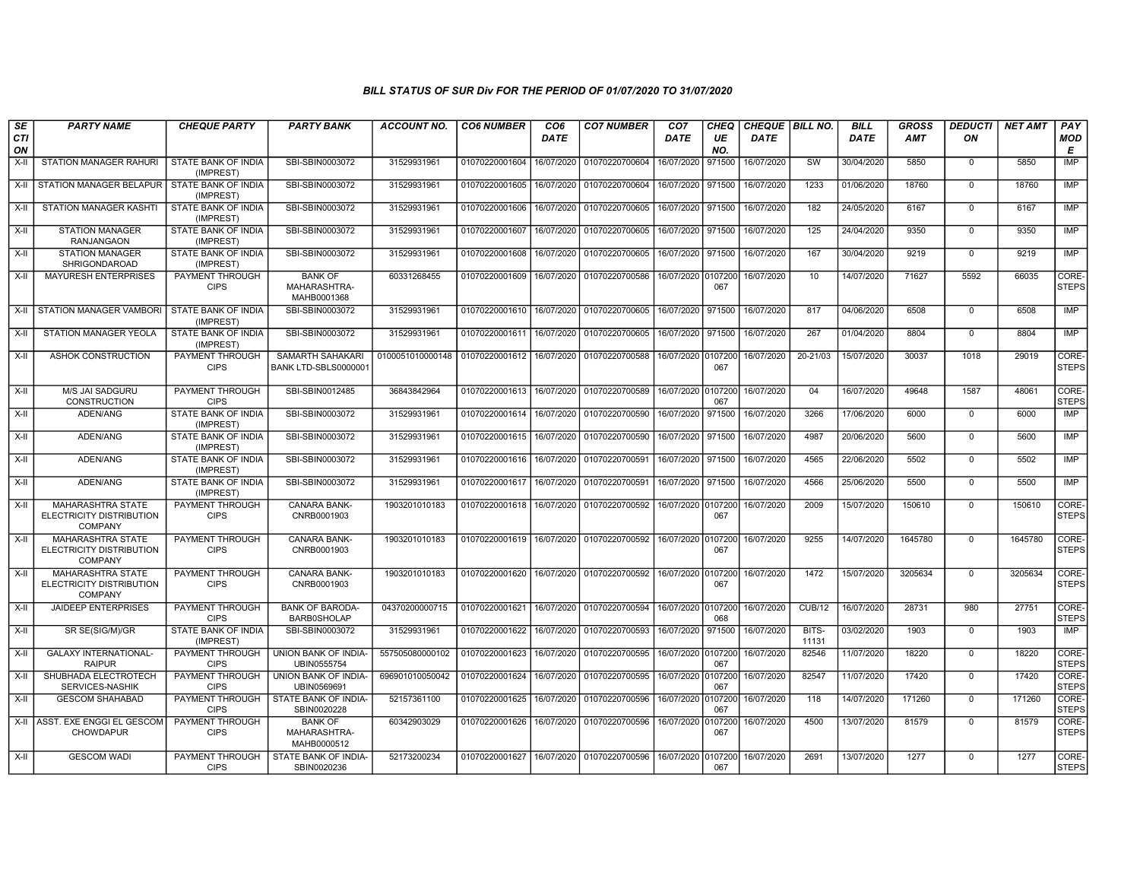| SE<br>CTI<br>ON | <b>PARTY NAME</b>                                                      | <b>CHEQUE PARTY</b>                     | <b>PARTY BANK</b>                             | <b>ACCOUNT NO.</b> | <b>CO6 NUMBER</b>         | CO <sub>6</sub><br><b>DATE</b> | <b>CO7 NUMBER</b>                 | CO <sub>7</sub><br>DATE | CHEQ<br>UE<br>NO. | CHEQUE   BILL NO.<br><b>DATE</b> |                | <b>BILL</b><br><b>DATE</b> | <b>GROSS</b><br>AMT | <b>DEDUCTI</b><br>ON | <b>NET AMT</b> | PAY<br>MOD<br>E       |
|-----------------|------------------------------------------------------------------------|-----------------------------------------|-----------------------------------------------|--------------------|---------------------------|--------------------------------|-----------------------------------|-------------------------|-------------------|----------------------------------|----------------|----------------------------|---------------------|----------------------|----------------|-----------------------|
| X-II            | STATION MANAGER RAHURI                                                 | STATE BANK OF INDIA<br>(IMPREST)        | SBI-SBIN0003072                               | 31529931961        | 01070220001604            | 16/07/2020                     | 01070220700604                    | 16/07/2020              | 971500            | 16/07/2020                       | SW             | 30/04/2020                 | 5850                | $\mathbf 0$          | 5850           | IMP                   |
| X-II            | <b>STATION MANAGER BELAPUR</b>                                         | STATE BANK OF INDIA<br>(IMPREST)        | SBI-SBIN0003072                               | 31529931961        | 01070220001605            | 16/07/2020                     | 01070220700604                    | 16/07/2020              | 971500            | 16/07/2020                       | 1233           | 01/06/2020                 | 18760               | $\mathbf 0$          | 18760          | <b>IMP</b>            |
| X-II            | <b>STATION MANAGER KASHTI</b>                                          | STATE BANK OF INDIA<br>(IMPREST)        | SBI-SBIN0003072                               | 31529931961        | 01070220001606            | 16/07/2020                     | 01070220700605                    | 16/07/2020 971500       |                   | 16/07/2020                       | 182            | 24/05/2020                 | 6167                | $\mathbf 0$          | 6167           | IMP                   |
| X-II            | <b>STATION MANAGER</b><br><b>RANJANGAON</b>                            | STATE BANK OF INDIA<br>(IMPREST)        | SBI-SBIN0003072                               | 31529931961        | 01070220001607            | 16/07/2020                     | 01070220700605                    | 16/07/2020              | 971500            | 16/07/2020                       | 125            | 24/04/2020                 | 9350                | $\Omega$             | 9350           | <b>IMP</b>            |
| $X-H$           | <b>STATION MANAGER</b><br>SHRIGONDAROAD                                | STATE BANK OF INDIA<br>(IMPREST)        | SBI-SBIN0003072                               | 31529931961        | 01070220001608            | 16/07/2020                     | 01070220700605                    | 16/07/2020              | 971500            | 16/07/2020                       | 167            | 30/04/2020                 | 9219                | $\mathbf 0$          | 9219           | <b>IMP</b>            |
| X-II            | <b>MAYURESH ENTERPRISES</b>                                            | PAYMENT THROUGH<br><b>CIPS</b>          | <b>BANK OF</b><br>MAHARASHTRA-<br>MAHB0001368 | 60331268455        | 01070220001609            | 16/07/2020                     | 01070220700586                    | 16/07/2020 0107200      | 067               | 16/07/2020                       | 10             | 14/07/2020                 | 71627               | 5592                 | 66035          | CORE-<br>STEPS        |
| X-II            | STATION MANAGER VAMBORI                                                | <b>STATE BANK OF INDIA</b><br>(IMPREST) | SBI-SBIN0003072                               | 31529931961        | 01070220001610            | 16/07/2020                     | 01070220700605                    | 16/07/2020 971500       |                   | 16/07/2020                       | 817            | 04/06/2020                 | 6508                | $\mathbf 0$          | 6508           | <b>IMP</b>            |
| $X-H$           | <b>STATION MANAGER YEOLA</b>                                           | STATE BANK OF INDIA<br>(IMPREST)        | SBI-SBIN0003072                               | 31529931961        | 01070220001611            | 16/07/2020                     | 01070220700605                    | 16/07/2020              | 971500            | 16/07/2020                       | 267            | 01/04/2020                 | 8804                | $\Omega$             | 8804           | <b>IMP</b>            |
| X-II            | ASHOK CONSTRUCTION                                                     | PAYMENT THROUGH<br><b>CIPS</b>          | SAMARTH SAHAKARI<br>BANK LTD-SBLS0000001      | 0100051010000148   | 01070220001612            | 16/07/2020                     | 01070220700588                    | 16/07/2020 0107200      | 067               | 16/07/2020                       | 20-21/03       | 15/07/2020                 | 30037               | 1018                 | 29019          | CORE-<br><b>STEPS</b> |
| $X-H$           | M/S JAI SADGURU<br><b>CONSTRUCTION</b>                                 | PAYMENT THROUGH<br><b>CIPS</b>          | SBI-SBIN0012485                               | 36843842964        | 01070220001613            | 16/07/2020                     | 01070220700589                    | 16/07/2020 0107200      | 067               | 16/07/2020                       | 04             | 16/07/2020                 | 49648               | 1587                 | 48061          | CORE-<br><b>STEPS</b> |
| X-II            | ADEN/ANG                                                               | STATE BANK OF INDIA<br>(IMPREST)        | SBI-SBIN0003072                               | 31529931961        | 01070220001614            | 16/07/2020                     | 01070220700590                    | 16/07/2020              | 971500            | 16/07/2020                       | 3266           | 17/06/2020                 | 6000                | $\overline{0}$       | 6000           | IMP                   |
| X-II            | ADEN/ANG                                                               | <b>STATE BANK OF INDIA</b><br>(IMPREST) | SBI-SBIN0003072                               | 31529931961        | 01070220001615            | 16/07/2020                     | 01070220700590                    | 16/07/2020 971500       |                   | 16/07/2020                       | 4987           | 20/06/2020                 | 5600                | $\Omega$             | 5600           | IMP                   |
| X-II            | ADEN/ANG                                                               | STATE BANK OF INDIA<br>(IMPREST)        | SBI-SBIN0003072                               | 31529931961        | 01070220001616            | 16/07/2020                     | 01070220700591                    | 16/07/2020 971500       |                   | 16/07/2020                       | 4565           | 22/06/2020                 | 5502                | $\mathbf 0$          | 5502           | <b>IMP</b>            |
| X-II            | ADEN/ANG                                                               | STATE BANK OF INDIA<br>(IMPREST)        | SBI-SBIN0003072                               | 31529931961        | 01070220001617            | 16/07/2020                     | 01070220700591                    | 16/07/2020              | 971500            | 16/07/2020                       | 4566           | 25/06/2020                 | 5500                | $\mathbf 0$          | 5500           | <b>IMP</b>            |
| X-II            | MAHARASHTRA STATE<br>ELECTRICITY DISTRIBUTION<br><b>COMPANY</b>        | PAYMENT THROUGH<br><b>CIPS</b>          | CANARA BANK-<br>CNRB0001903                   | 1903201010183      | 01070220001618            | 16/07/2020                     | 01070220700592                    | 16/07/2020 0107200      | 067               | 16/07/2020                       | 2009           | 15/07/2020                 | 150610              | $\Omega$             | 150610         | CORE-<br><b>STEPS</b> |
| $X-H$           | <b>MAHARASHTRA STATE</b><br>ELECTRICITY DISTRIBUTION<br><b>COMPANY</b> | PAYMENT THROUGH<br><b>CIPS</b>          | <b>CANARA BANK-</b><br>CNRB0001903            | 1903201010183      | 01070220001619 16/07/2020 |                                | 01070220700592 16/07/2020 0107200 |                         | 067               | 16/07/2020                       | 9255           | 14/07/2020                 | 1645780             | $\Omega$             | 1645780        | CORE-<br>STEPS        |
| $X-H$           | <b>MAHARASHTRA STATE</b><br>ELECTRICITY DISTRIBUTION<br><b>COMPANY</b> | PAYMENT THROUGH<br><b>CIPS</b>          | <b>CANARA BANK-</b><br>CNRB0001903            | 1903201010183      | 01070220001620            | 16/07/2020                     | 01070220700592                    | 16/07/2020 0107200      | 067               | 16/07/2020                       | 1472           | 15/07/2020                 | 3205634             | $\Omega$             | 3205634        | CORE-<br><b>STEPS</b> |
| $X-II$          | <b>JAIDEEP ENTERPRISES</b>                                             | PAYMENT THROUGH<br><b>CIPS</b>          | <b>BANK OF BARODA-</b><br><b>BARB0SHOLAP</b>  | 04370200000715     | 01070220001621            | 16/07/2020                     | 01070220700594                    | 16/07/2020              | 0107200<br>068    | 16/07/2020                       | <b>CUB/12</b>  | 16/07/2020                 | 28731               | 980                  | 27751          | CORE-<br><b>STEPS</b> |
| X-II            | SR SE(SIG/M)/GR                                                        | STATE BANK OF INDIA<br>(IMPREST)        | SBI-SBIN0003072                               | 31529931961        | 01070220001622            | 16/07/2020                     | 01070220700593                    | 16/07/2020              | 971500            | 16/07/2020                       | BITS-<br>11131 | 03/02/2020                 | 1903                | $\mathbf 0$          | 1903           | IMP                   |
| $X-II$          | <b>GALAXY INTERNATIONAL-</b><br><b>RAIPUR</b>                          | PAYMENT THROUGH<br><b>CIPS</b>          | <b>UNION BANK OF INDIA-</b><br>UBIN0555754    | 557505080000102    | 01070220001623            | 16/07/2020                     | 01070220700595                    | 16/07/2020 0107200      | 067               | 16/07/2020                       | 82546          | 11/07/2020                 | 18220               | $\Omega$             | 18220          | CORE-<br><b>STEPS</b> |
| $X-II$          | SHUBHADA ELECTROTECH<br>SERVICES-NASHIK                                | PAYMENT THROUGH<br><b>CIPS</b>          | UNION BANK OF INDIA-<br>UBIN0569691           | 696901010050042    | 01070220001624            | 16/07/2020                     | 01070220700595                    | 16/07/2020              | 0107200<br>067    | 16/07/2020                       | 82547          | 11/07/2020                 | 17420               | $\mathbf 0$          | 17420          | CORE-<br><b>STEPS</b> |
| X-II            | <b>GESCOM SHAHABAD</b>                                                 | PAYMENT THROUGH<br><b>CIPS</b>          | STATE BANK OF INDIA-<br>SBIN0020228           | 52157361100        | 01070220001625            | 16/07/2020                     | 01070220700596                    | 16/07/2020 0107200      | 067               | 16/07/2020                       | 118            | 14/07/2020                 | 171260              | $\mathbf 0$          | 171260         | CORE-<br><b>STEPS</b> |
| X-II            | ASST. EXE ENGGI EL GESCOM<br><b>CHOWDAPUR</b>                          | PAYMENT THROUGH<br><b>CIPS</b>          | <b>BANK OF</b><br>MAHARASHTRA-<br>MAHB0000512 | 60342903029        | 01070220001626            | 16/07/2020                     | 01070220700596                    | 16/07/2020              | 0107200<br>067    | 16/07/2020                       | 4500           | 13/07/2020                 | 81579               | $\mathbf 0$          | 81579          | CORE-<br><b>STEPS</b> |
| X-II            | <b>GESCOM WADI</b>                                                     | PAYMENT THROUGH<br><b>CIPS</b>          | STATE BANK OF INDIA-<br>SBIN0020236           | 52173200234        | 01070220001627            |                                | 16/07/2020 01070220700596         | 16/07/2020 0107200      | 067               | 16/07/2020                       | 2691           | 13/07/2020                 | 1277                | $\Omega$             | 1277           | CORE-<br><b>STEPS</b> |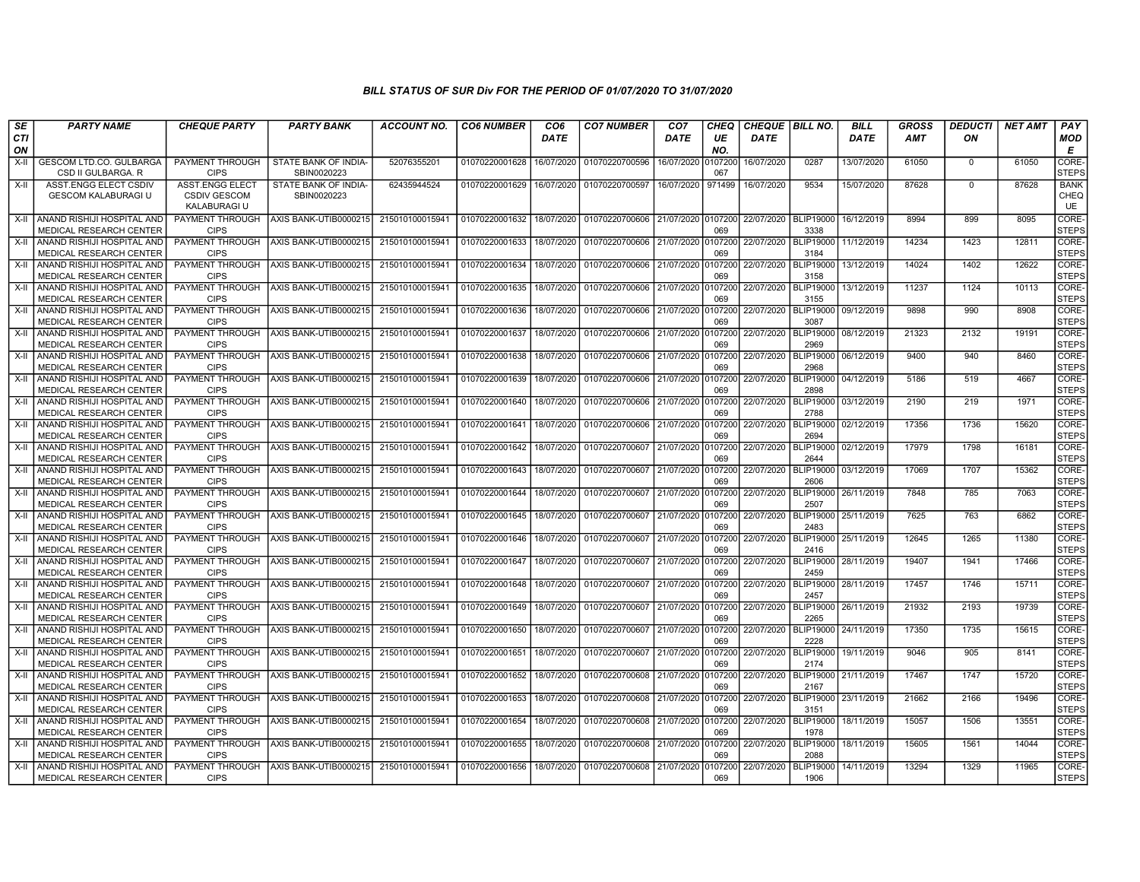| SE               | <b>PARTY NAME</b>                                                  | <b>CHEQUE PARTY</b>                                           | <b>PARTY BANK</b>                   | <b>ACCOUNT NO.</b> | <b>CO6 NUMBER</b> | CO <sub>6</sub> | <b>CO7 NUMBER</b>         | CO <sub>7</sub>      | CHEQ           | <b>CHEQUE   BILL NO.</b> |                          | <b>BILL</b> | <b>GROSS</b> | <b>DEDUCTI</b> | <b>NET AMT</b> | <b>PAY</b>                |
|------------------|--------------------------------------------------------------------|---------------------------------------------------------------|-------------------------------------|--------------------|-------------------|-----------------|---------------------------|----------------------|----------------|--------------------------|--------------------------|-------------|--------------|----------------|----------------|---------------------------|
| <b>CTI</b><br>ON |                                                                    |                                                               |                                     |                    |                   | <b>DATE</b>     |                           | <b>DATE</b>          | UE<br>NO.      | <b>DATE</b>              |                          | <b>DATE</b> | AMT          | ΟN             |                | <b>MOD</b><br>Е           |
| X-II             | <b>GESCOM LTD.CO. GULBARGA</b><br>CSD II GULBARGA. R               | PAYMENT THROUGH<br><b>CIPS</b>                                | STATE BANK OF INDIA-<br>SBIN0020223 | 52076355201        | 01070220001628    | 16/07/2020      | 01070220700596            | 16/07/2020           | 107200<br>067  | 16/07/2020               | 0287                     | 13/07/2020  | 61050        | $\mathbf 0$    | 61050          | CORE-<br><b>STEPS</b>     |
| $X-H$            | <b>ASST.ENGG ELECT CSDIV</b><br><b>GESCOM KALABURAGI U</b>         | <b>ASST.ENGG ELECT</b><br><b>CSDIV GESCOM</b><br>KALABURAGI U | STATE BANK OF INDIA-<br>SBIN0020223 | 62435944524        | 01070220001629    | 16/07/2020      | 01070220700597            | 16/07/2020           | 971499         | 16/07/2020               | 9534                     | 15/07/2020  | 87628        | $\Omega$       | 87628          | <b>BANK</b><br>CHEQ<br>UE |
|                  | X-II LANAND RISHIJI HOSPITAL AND<br><b>MEDICAL RESEARCH CENTER</b> | PAYMENT THROUGH<br><b>CIPS</b>                                | AXIS BANK-UTIB0000215               | 215010100015941    | 01070220001632    | 18/07/2020      | 01070220700606            | 21/07/2020   0107200 | 069            | 22/07/2020               | <b>BLIP19000</b><br>3338 | 16/12/2019  | 8994         | 899            | 8095           | CORE-<br><b>STEPS</b>     |
| X-II             | ANAND RISHIJI HOSPITAL AND<br>MEDICAL RESEARCH CENTER              | <b>PAYMENT THROUGH</b><br><b>CIPS</b>                         | AXIS BANK-UTIB0000215               | 215010100015941    | 01070220001633    | 18/07/2020      | 01070220700606            | 21/07/2020           | 0107200<br>069 | 22/07/2020               | <b>BLIP19000</b><br>3184 | 11/12/2019  | 14234        | 1423           | 12811          | CORE-<br><b>STEPS</b>     |
| X-II             | ANAND RISHIJI HOSPITAL AND<br><b>MEDICAL RESEARCH CENTER</b>       | PAYMENT THROUGH<br><b>CIPS</b>                                | AXIS BANK-UTIB0000215               | 215010100015941    | 01070220001634    | 18/07/2020      | 01070220700606            | 21/07/2020           | 0107200<br>069 | 22/07/2020               | <b>BLIP19000</b><br>3158 | 13/12/2019  | 14024        | 1402           | 12622          | CORE-<br><b>STEPS</b>     |
| X-II             | ANAND RISHIJI HOSPITAL AND<br><b>MEDICAL RESEARCH CENTER</b>       | <b>PAYMENT THROUGH</b><br><b>CIPS</b>                         | AXIS BANK-UTIB0000215               | 215010100015941    | 01070220001635    | 18/07/2020      | 01070220700606            | 21/07/2020 0107200   | 069            | 22/07/2020               | <b>BLIP19000</b><br>3155 | 13/12/2019  | 11237        | 1124           | 10113          | CORE-<br><b>STEPS</b>     |
| X-II             | ANAND RISHIJI HOSPITAL AND<br>MEDICAL RESEARCH CENTER              | <b>PAYMENT THROUGH</b><br><b>CIPS</b>                         | AXIS BANK-UTIB0000215               | 215010100015941    | 01070220001636    | 18/07/2020      | 01070220700606            | 21/07/2020           | 0107200<br>069 | 22/07/2020               | <b>BLIP19000</b><br>3087 | 09/12/2019  | 9898         | 990            | 8908           | CORE-<br><b>STEPS</b>     |
| X-II             | ANAND RISHIJI HOSPITAL AND<br>MEDICAL RESEARCH CENTER              | <b>PAYMENT THROUGH</b><br><b>CIPS</b>                         | AXIS BANK-UTIB0000215               | 215010100015941    | 01070220001637    | 18/07/2020      | 01070220700606 21/07/2020 |                      | 0107200<br>069 | 22/07/2020               | <b>BLIP19000</b><br>2969 | 08/12/2019  | 21323        | 2132           | 19191          | CORE-<br><b>STEPS</b>     |
| X-II             | ANAND RISHIJI HOSPITAL AND<br>MEDICAL RESEARCH CENTER              | <b>PAYMENT THROUGH</b><br><b>CIPS</b>                         | AXIS BANK-UTIB000021                | 215010100015941    | 01070220001638    | 18/07/2020      | 01070220700606            | 21/07/2020           | 0107200<br>069 | 22/07/2020               | <b>BLIP19000</b><br>2968 | 06/12/2019  | 9400         | 940            | 8460           | CORE-<br><b>STEPS</b>     |
| X-II             | ANAND RISHIJI HOSPITAL AND<br><b>MEDICAL RESEARCH CENTER</b>       | <b>PAYMENT THROUGH</b><br><b>CIPS</b>                         | AXIS BANK-UTIB0000215               | 215010100015941    | 01070220001639    | 18/07/2020      | 01070220700606            | 21/07/2020           | 0107200<br>069 | 22/07/2020               | <b>BLIP19000</b><br>2898 | 04/12/2019  | 5186         | 519            | 4667           | CORE-<br>STEPS            |
| X-II             | ANAND RISHIJI HOSPITAL AND<br><b>MEDICAL RESEARCH CENTER</b>       | <b>PAYMENT THROUGH</b><br><b>CIPS</b>                         | AXIS BANK-UTIB0000215               | 215010100015941    | 01070220001640    | 18/07/2020      | 01070220700606            | 21/07/2020           | 0107200<br>069 | 22/07/2020               | <b>BLIP19000</b><br>2788 | 03/12/2019  | 2190         | 219            | 1971           | CORE-<br><b>STEPS</b>     |
| X-II             | ANAND RISHIJI HOSPITAL AND<br>MEDICAL RESEARCH CENTER              | PAYMENT THROUGH<br><b>CIPS</b>                                | AXIS BANK-UTIB0000215               | 215010100015941    | 01070220001641    | 18/07/2020      | 01070220700606            | 21/07/2020           | 0107200<br>069 | 22/07/2020               | <b>BLIP19000</b><br>2694 | 02/12/2019  | 17356        | 1736           | 15620          | CORE-<br><b>STEPS</b>     |
| X-II             | ANAND RISHIJI HOSPITAL AND<br>MEDICAL RESEARCH CENTER              | PAYMENT THROUGH<br><b>CIPS</b>                                | AXIS BANK-UTIB0000215               | 215010100015941    | 01070220001642    | 18/07/2020      | 01070220700607            | 21/07/2020           | 0107200<br>069 | 22/07/2020               | <b>BLIP19000</b><br>2644 | 02/12/2019  | 17979        | 1798           | 16181          | CORE-<br><b>STEPS</b>     |
| X-II             | ANAND RISHIJI HOSPITAL AND<br>MEDICAL RESEARCH CENTER              | <b>PAYMENT THROUGH</b><br><b>CIPS</b>                         | AXIS BANK-UTIB0000215               | 215010100015941    | 01070220001643    | 18/07/2020      | 01070220700607 21/07/2020 |                      | 0107200<br>069 | 22/07/2020               | <b>BLIP19000</b><br>2606 | 03/12/2019  | 17069        | 1707           | 15362          | CORE-<br><b>STEPS</b>     |
| X-II             | ANAND RISHIJI HOSPITAL AND<br><b>MEDICAL RESEARCH CENTER</b>       | PAYMENT THROUGH<br><b>CIPS</b>                                | AXIS BANK-UTIB0000215               | 215010100015941    | 01070220001644    | 18/07/2020      | 01070220700607 21/07/2020 |                      | 0107200<br>069 | 22/07/2020               | <b>BLIP19000</b><br>2507 | 26/11/2019  | 7848         | 785            | 7063           | CORE-<br><b>STEPS</b>     |
| X-II             | ANAND RISHIJI HOSPITAL AND<br>MEDICAL RESEARCH CENTER              | PAYMENT THROUGH<br><b>CIPS</b>                                | AXIS BANK-UTIB0000215               | 215010100015941    | 01070220001645    | 18/07/2020      | 01070220700607            | 21/07/2020           | 0107200<br>069 | 22/07/2020               | BLIP19000<br>2483        | 25/11/2019  | 7625         | 763            | 6862           | CORE-<br><b>STEPS</b>     |
| X-II             | ANAND RISHIJI HOSPITAL AND<br><b>MEDICAL RESEARCH CENTER</b>       | PAYMENT THROUGH<br><b>CIPS</b>                                | AXIS BANK-UTIB0000215               | 215010100015941    | 01070220001646    | 18/07/2020      | 01070220700607            | 21/07/2020           | 0107200<br>069 | 22/07/2020               | <b>BLIP19000</b><br>2416 | 25/11/2019  | 12645        | 1265           | 11380          | CORE-<br><b>STEPS</b>     |
| X-II             | ANAND RISHIJI HOSPITAL AND<br>MEDICAL RESEARCH CENTER              | <b>PAYMENT THROUGH</b><br><b>CIPS</b>                         | AXIS BANK-UTIB0000215               | 215010100015941    | 01070220001647    | 18/07/2020      | 01070220700607            | 21/07/2020           | 0107200<br>069 | 22/07/2020               | <b>BLIP19000</b><br>2459 | 28/11/2019  | 19407        | 1941           | 17466          | CORE-<br><b>STEPS</b>     |
| $X-H$            | ANAND RISHIJI HOSPITAL AND<br>MEDICAL RESEARCH CENTER              | <b>PAYMENT THROUGH</b><br><b>CIPS</b>                         | AXIS BANK-UTIB0000215               | 215010100015941    | 01070220001648    | 18/07/2020      | 01070220700607            | 21/07/2020           | 0107200<br>069 | 22/07/2020               | <b>BLIP19000</b><br>2457 | 28/11/2019  | 17457        | 1746           | 15711          | CORE-<br><b>STEPS</b>     |
| X-II             | ANAND RISHIJI HOSPITAL AND<br>MEDICAL RESEARCH CENTER              | PAYMENT THROUGH<br><b>CIPS</b>                                | AXIS BANK-UTIB0000215               | 215010100015941    | 01070220001649    | 18/07/2020      | 01070220700607            | 21/07/2020           | 0107200<br>069 | 22/07/2020               | <b>BLIP19000</b><br>2265 | 26/11/2019  | 21932        | 2193           | 19739          | CORE-<br><b>STEPS</b>     |
| X-II             | I ANAND RISHIJI HOSPITAL AND<br><b>MEDICAL RESEARCH CENTER</b>     | <b>PAYMENT THROUGH</b><br><b>CIPS</b>                         | AXIS BANK-UTIB0000215               | 215010100015941    | 01070220001650    | 18/07/2020      | 01070220700607            | 21/07/2020           | 0107200<br>069 | 22/07/2020               | <b>BLIP19000</b><br>2228 | 24/11/2019  | 17350        | 1735           | 15615          | CORE-<br><b>STEPS</b>     |
| X-II             | ANAND RISHIJI HOSPITAL AND<br><b>MEDICAL RESEARCH CENTER</b>       | <b>PAYMENT THROUGH</b><br><b>CIPS</b>                         | AXIS BANK-UTIB0000215               | 215010100015941    | 01070220001651    | 18/07/2020      | 01070220700607            | 21/07/2020           | 0107200<br>069 | 22/07/2020               | <b>BLIP19000</b><br>2174 | 19/11/2019  | 9046         | 905            | 8141           | CORE-<br><b>STEPS</b>     |
| X-II             | ANAND RISHIJI HOSPITAL AND<br>MEDICAL RESEARCH CENTER              | <b>PAYMENT THROUGH</b><br><b>CIPS</b>                         | AXIS BANK-UTIB0000215               | 215010100015941    | 01070220001652    | 18/07/2020      | 01070220700608            | 21/07/2020           | 0107200<br>069 | 22/07/2020               | <b>BLIP19000</b><br>2167 | 21/11/2019  | 17467        | 1747           | 15720          | CORE-<br><b>STEPS</b>     |
| X-II             | ANAND RISHIJI HOSPITAL AND<br>MEDICAL RESEARCH CENTER              | PAYMENT THROUGH<br><b>CIPS</b>                                | AXIS BANK-UTIB0000215               | 215010100015941    | 01070220001653    | 18/07/2020      | 01070220700608            | 21/07/2020           | 0107200<br>069 | 22/07/2020               | <b>BLIP19000</b><br>3151 | 23/11/2019  | 21662        | 2166           | 19496          | CORE-<br><b>STEPS</b>     |
| X-II             | ANAND RISHIJI HOSPITAL AND<br><b>MEDICAL RESEARCH CENTER</b>       | <b>PAYMENT THROUGH</b><br><b>CIPS</b>                         | AXIS BANK-UTIB0000215               | 215010100015941    | 01070220001654    | 18/07/2020      | 01070220700608            | 21/07/2020           | 0107200<br>069 | 22/07/2020               | <b>BLIP19000</b><br>1978 | 18/11/2019  | 15057        | 1506           | 13551          | CORE-<br><b>STEPS</b>     |
| X-II             | ANAND RISHIJI HOSPITAL AND<br><b>MEDICAL RESEARCH CENTER</b>       | <b>PAYMENT THROUGH</b><br><b>CIPS</b>                         | AXIS BANK-UTIB0000215               | 215010100015941    | 01070220001655    | 18/07/2020      | 01070220700608            | 21/07/2020           | 0107200<br>069 | 22/07/2020               | <b>BLIP19000</b><br>2088 | 18/11/2019  | 15605        | 1561           | 14044          | CORE-<br><b>STEPS</b>     |
| X-II             | ANAND RISHIJI HOSPITAL AND<br>MEDICAL RESEARCH CENTER              | <b>PAYMENT THROUGH</b><br><b>CIPS</b>                         | AXIS BANK-UTIB0000215               | 215010100015941    | 01070220001656    | 18/07/2020      | 01070220700608            | 21/07/2020           | 107200<br>069  | 22/07/2020               | <b>BLIP19000</b><br>1906 | 14/11/2019  | 13294        | 1329           | 11965          | CORE-<br><b>STEPS</b>     |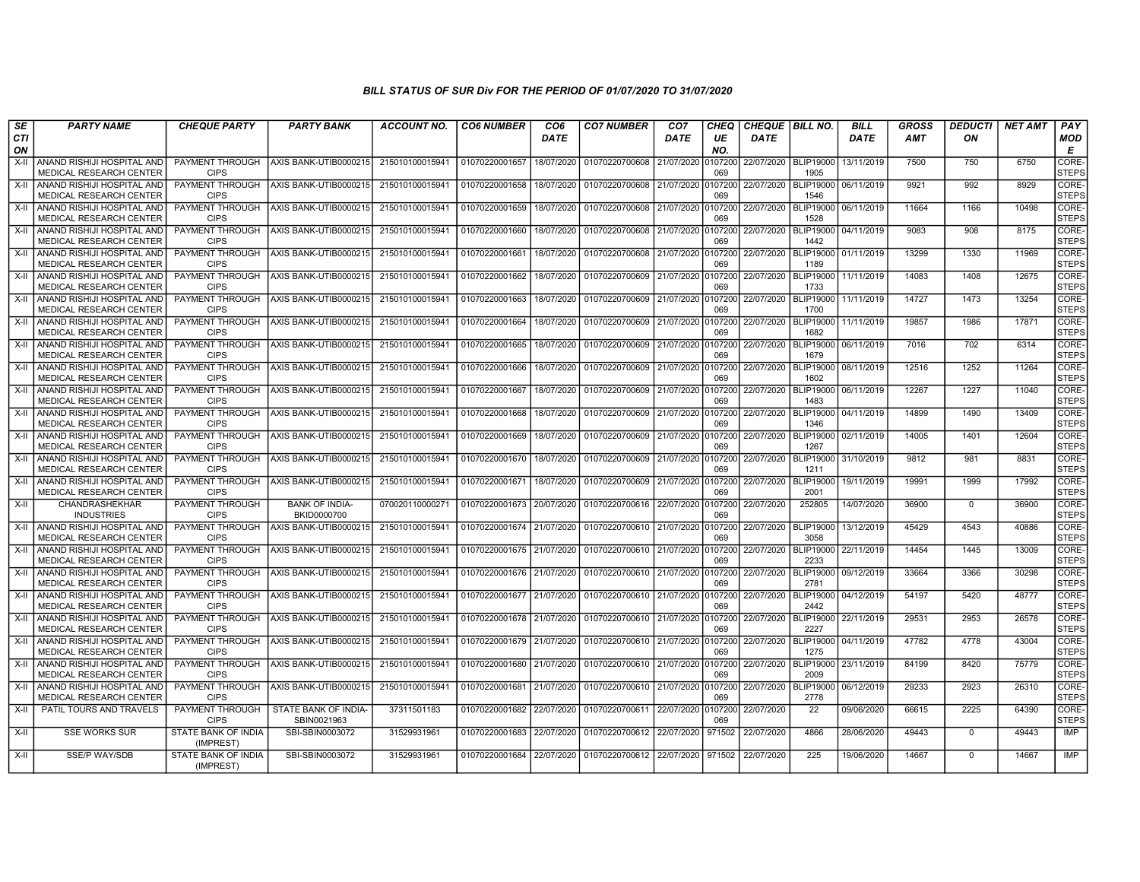| SE                 | <b>PARTY NAME</b>                                                | <b>CHEQUE PARTY</b>                     | <b>PARTY BANK</b>                    | <b>ACCOUNT NO.</b> | <b>CO6 NUMBER</b>         | CO6         | <b>CO7 NUMBER</b>         | CO <sub>7</sub> | CHEQ           | <b>CHEQUE   BILL NO.</b> |                          | <b>BILL</b>          | <b>GROSS</b> | DEDUCTI      | NET AMT | <b>PAY</b>            |
|--------------------|------------------------------------------------------------------|-----------------------------------------|--------------------------------------|--------------------|---------------------------|-------------|---------------------------|-----------------|----------------|--------------------------|--------------------------|----------------------|--------------|--------------|---------|-----------------------|
| <b>CTI</b><br>ON   |                                                                  |                                         |                                      |                    |                           | <b>DATE</b> |                           | <b>DATE</b>     | UE<br>NO.      | <b>DATE</b>              |                          | DATE                 | AMT          | ON           |         | MOD<br>Е              |
| $X-I$              | ANAND RISHIJI HOSPITAL AND<br>MEDICAL RESEARCH CENTER            | <b>PAYMENT THROUGH</b><br><b>CIPS</b>   | AXIS BANK-UTIB0000215                | 215010100015941    | 01070220001657            | 18/07/2020  | 01070220700608            | 21/07/2020      | 0107200<br>069 | 22/07/2020   BLIP19000   | 1905                     | 13/11/2019           | 7500         | 750          | 6750    | CORE-<br><b>STEPS</b> |
| X-II               | ANAND RISHIJI HOSPITAL AND<br>MEDICAL RESEARCH CENTER            | PAYMENT THROUGH<br><b>CIPS</b>          | AXIS BANK-UTIB0000215                | 215010100015941    | 01070220001658            | 18/07/2020  | 01070220700608 21/07/2020 |                 | 107200<br>069  | 22/07/2020               | <b>BLIP19000</b><br>1546 | 06/11/2019           | 9921         | 992          | 8929    | CORE-<br><b>STEPS</b> |
| $\overline{X}$ -II | ANAND RISHIJI HOSPITAL AND<br>MEDICAL RESEARCH CENTER            | <b>PAYMENT THROUGH</b><br><b>CIPS</b>   | AXIS BANK-UTIB0000215                | 215010100015941    | 01070220001659            | 18/07/2020  | 01070220700608            | 21/07/2020      | 0107200<br>069 | 22/07/2020               | <b>BLIP19000</b><br>1528 | 06/11/2019           | 11664        | 1166         | 10498   | CORE-<br><b>STEPS</b> |
| X-II               | I ANAND RISHIJI HOSPITAL AND I<br><b>MEDICAL RESEARCH CENTER</b> | PAYMENT THROUGH<br><b>CIPS</b>          | AXIS BANK-UTIB0000215                | 215010100015941    | 01070220001660            | 18/07/2020  | 01070220700608            | 21/07/2020      | 0107200<br>069 | 22/07/2020               | <b>BLIP19000</b><br>1442 | 04/11/2019           | 9083         | 908          | 8175    | CORE-<br><b>STEPS</b> |
| X-II               | ANAND RISHIJI HOSPITAL AND<br>MEDICAL RESEARCH CENTER            | PAYMENT THROUGH<br><b>CIPS</b>          | AXIS BANK-UTIB0000215                | 21501010001594     | 01070220001661            | 18/07/2020  | 01070220700608            | 21/07/2020      | 0107200<br>069 | 22/07/2020               | <b>BLIP19000</b><br>1189 | 01/11/2019           | 13299        | 1330         | 11969   | CORE-<br><b>STEPS</b> |
| X-II               | ANAND RISHIJI HOSPITAL AND<br><b>MEDICAL RESEARCH CENTER</b>     | PAYMENT THROUGH<br><b>CIPS</b>          | AXIS BANK-UTIB0000215                | 215010100015941    | 01070220001662            | 18/07/2020  | 01070220700609 21/07/2020 |                 | 0107200<br>069 | 22/07/2020               | <b>BLIP19000</b><br>1733 | 11/11/2019           | 14083        | 1408         | 12675   | CORE-<br><b>STEPS</b> |
| $X-H$              | ANAND RISHIJI HOSPITAL AND<br>MEDICAL RESEARCH CENTER            | PAYMENT THROUGH<br><b>CIPS</b>          | AXIS BANK-UTIB0000215                | 21501010001594     | 01070220001663            | 18/07/2020  | 01070220700609            | 21/07/2020      | 107200<br>069  | 22/07/2020               | <b>BLIP19000</b><br>1700 | 11/11/2019           | 14727        | 1473         | 13254   | CORE-<br><b>STEPS</b> |
| X-II               | ANAND RISHIJI HOSPITAL AND<br><b>MEDICAL RESEARCH CENTER</b>     | PAYMENT THROUGH<br><b>CIPS</b>          | AXIS BANK-UTIB0000215                | 21501010001594     | 01070220001664            | 18/07/2020  | 01070220700609            | 21/07/2020      | 0107200<br>069 | 22/07/2020               | BLIP19000<br>1682        | 11/11/2019           | 19857        | 1986         | 17871   | CORE-<br><b>STEPS</b> |
| X-II               | ANAND RISHIJI HOSPITAL AND<br>MEDICAL RESEARCH CENTER            | PAYMENT THROUGH<br><b>CIPS</b>          | AXIS BANK-UTIB0000215                | 215010100015941    | 01070220001665            | 18/07/2020  | 01070220700609            | 21/07/2020      | 107200<br>069  | 22/07/2020               | <b>BLIP19000</b><br>1679 | 06/11/2019           | 7016         | 702          | 6314    | CORE-<br><b>STEPS</b> |
| X-II               | ANAND RISHIJI HOSPITAL AND<br><b>MEDICAL RESEARCH CENTER</b>     | PAYMENT THROUGH<br><b>CIPS</b>          | AXIS BANK-UTIB0000215                | 21501010001594     | 01070220001666            | 18/07/2020  | 01070220700609            | 21/07/2020      | 107200<br>069  | 22/07/2020               | <b>BLIP19000</b><br>1602 | 08/11/2019           | 12516        | 1252         | 11264   | CORE-<br><b>STEPS</b> |
| X-II               | ANAND RISHIJI HOSPITAL AND<br>MEDICAL RESEARCH CENTER            | PAYMENT THROUGH<br><b>CIPS</b>          | AXIS BANK-UTIB0000215                | 215010100015941    | 01070220001667            | 18/07/2020  | 01070220700609            | 21/07/2020      | 0107200<br>069 | 22/07/2020               | <b>BLIP19000</b><br>1483 | 06/11/2019           | 12267        | 1227         | 11040   | CORE-<br><b>STEPS</b> |
| X-II               | I ANAND RISHIJI HOSPITAL AND I<br><b>MEDICAL RESEARCH CENTER</b> | PAYMENT THROUGH<br><b>CIPS</b>          | AXIS BANK-UTIB0000215                | 215010100015941    | 01070220001668            | 18/07/2020  | 01070220700609            | 21/07/2020      | 0107200<br>069 | 22/07/2020               | 1346                     | BLIP19000 04/11/2019 | 14899        | 1490         | 13409   | CORE-<br><b>STEPS</b> |
| $X-II$             | I ANAND RISHIJI HOSPITAL AND I<br>MEDICAL RESEARCH CENTER        | <b>PAYMENT THROUGH</b><br><b>CIPS</b>   | AXIS BANK-UTIB0000215                | 215010100015941    | 01070220001669            | 18/07/2020  | 01070220700609            | 21/07/2020      | 0107200<br>069 | 22/07/2020               | <b>BLIP19000</b><br>1267 | 02/11/2019           | 14005        | 1401         | 12604   | CORE-<br><b>STEPS</b> |
| X-II               | ANAND RISHIJI HOSPITAL AND<br>MEDICAL RESEARCH CENTER            | PAYMENT THROUGH<br><b>CIPS</b>          | AXIS BANK-UTIB0000215                | 215010100015941    | 01070220001670            | 18/07/2020  | 01070220700609            | 21/07/2020      | 0107200<br>069 | 22/07/2020               | <b>BLIP19000</b><br>1211 | 31/10/2019           | 9812         | 981          | 8831    | CORE-<br><b>STEPS</b> |
| $X-H$              | I ANAND RISHIJI HOSPITAL AND I<br>MEDICAL RESEARCH CENTER        | PAYMENT THROUGH<br><b>CIPS</b>          | AXIS BANK-UTIB0000215                | 215010100015941    | 01070220001671            | 18/07/2020  | 01070220700609            | 21/07/2020      | 0107200<br>069 | 22/07/2020               | <b>BLIP19000</b><br>2001 | 19/11/2019           | 19991        | 1999         | 17992   | CORE-<br><b>STEPS</b> |
| X-II               | CHANDRASHEKHAR<br><b>INDUSTRIES</b>                              | PAYMENT THROUGH<br><b>CIPS</b>          | <b>BANK OF INDIA-</b><br>BKID0000700 | 070020110000271    | 01070220001673 20/07/2020 |             | 01070220700616 22/07/2020 |                 | 107200<br>069  | 22/07/2020               | 252805                   | 14/07/2020           | 36900        | $\Omega$     | 36900   | CORE-<br><b>STEPS</b> |
| X-II               | ANAND RISHIJI HOSPITAL AND I<br>MEDICAL RESEARCH CENTER          | PAYMENT THROUGH<br><b>CIPS</b>          | AXIS BANK-UTIB0000215                | 21501010001594     | 01070220001674            | 21/07/2020  | 01070220700610            | 21/07/2020      | 107200<br>069  | 22/07/2020               | <b>BLIP19000</b><br>3058 | 13/12/2019           | 45429        | 4543         | 40886   | CORE-<br><b>STEPS</b> |
| X-II               | ANAND RISHIJI HOSPITAL AND<br>MEDICAL RESEARCH CENTER            | PAYMENT THROUGH<br><b>CIPS</b>          | AXIS BANK-UTIB0000215                | 21501010001594     | 01070220001675            | 21/07/2020  | 01070220700610            | 21/07/2020      | 107200<br>069  | 22/07/2020               | <b>BLIP19000</b><br>2233 | 22/11/2019           | 14454        | 1445         | 13009   | CORE-<br><b>STEPS</b> |
| X-II               | ANAND RISHIJI HOSPITAL AND<br>MEDICAL RESEARCH CENTER            | PAYMENT THROUGH<br><b>CIPS</b>          | AXIS BANK-UTIB0000215                | 215010100015941    | 01070220001676 21/07/2020 |             | 01070220700610 21/07/2020 |                 | 0107200<br>069 | 22/07/2020               | 2781                     | BLIP19000 09/12/2019 | 33664        | 3366         | 30298   | CORE-<br><b>STEPS</b> |
| X-II               | ANAND RISHIJI HOSPITAL AND<br>MEDICAL RESEARCH CENTER            | PAYMENT THROUGH<br><b>CIPS</b>          | AXIS BANK-UTIB0000215                | 215010100015941    | 01070220001677 21/07/2020 |             | 01070220700610 21/07/2020 |                 | 107200<br>069  | 22/07/2020               | <b>BLIP19000</b><br>2442 | 04/12/2019           | 54197        | 5420         | 48777   | CORE-<br><b>STEPS</b> |
| X-II               | I ANAND RISHIJI HOSPITAL AND I<br><b>MEDICAL RESEARCH CENTER</b> | PAYMENT THROUGH<br><b>CIPS</b>          | AXIS BANK-UTIB0000215                | 215010100015941    | 01070220001678 21/07/2020 |             | 01070220700610 21/07/2020 |                 | 0107200<br>069 | 22/07/2020               | 2227                     | BLIP19000 22/11/2019 | 29531        | 2953         | 26578   | CORE-<br><b>STEPS</b> |
| X-II               | ANAND RISHIJI HOSPITAL AND<br><b>MEDICAL RESEARCH CENTER</b>     | PAYMENT THROUGH<br><b>CIPS</b>          | AXIS BANK-UTIB0000215                | 215010100015941    | 01070220001679            | 21/07/2020  | 01070220700610            | 21/07/2020      | 107200<br>069  | 22/07/2020               | <b>BLIP19000</b><br>1275 | 04/11/2019           | 47782        | 4778         | 43004   | CORE-<br><b>STEPS</b> |
| X-II               | ANAND RISHIJI HOSPITAL AND<br><b>MEDICAL RESEARCH CENTER</b>     | PAYMENT THROUGH<br><b>CIPS</b>          | AXIS BANK-UTIB0000215                | 21501010001594     | 01070220001680            | 21/07/2020  | 01070220700610 21/07/2020 |                 | 107200<br>069  | 22/07/2020               | <b>BLIP19000</b><br>2009 | 23/11/2019           | 84199        | 8420         | 75779   | CORE-<br><b>STEPS</b> |
| $X-H$              | ANAND RISHIJI HOSPITAL AND<br><b>MEDICAL RESEARCH CENTER</b>     | PAYMENT THROUGH<br><b>CIPS</b>          | AXIS BANK-UTIB0000215                | 21501010001594     | 01070220001681            | 21/07/2020  | 01070220700610            | 21/07/2020      | 0107200<br>069 | 22/07/2020               | <b>BLIP19000</b><br>2778 | 06/12/2019           | 29233        | 2923         | 26310   | CORE-<br><b>STEPS</b> |
| $X-H$              | PATIL TOURS AND TRAVELS                                          | PAYMENT THROUGH<br><b>CIPS</b>          | STATE BANK OF INDIA-<br>SBIN0021963  | 37311501183        | 01070220001682            | 22/07/2020  | 01070220700611 22/07/2020 |                 | 107200<br>069  | 22/07/2020               | $\overline{22}$          | 09/06/2020           | 66615        | 2225         | 64390   | CORE-<br><b>STEPS</b> |
| X-II               | <b>SSE WORKS SUR</b>                                             | <b>STATE BANK OF INDIA</b><br>(IMPREST) | SBI-SBIN0003072                      | 31529931961        | 01070220001683            | 22/07/2020  | 01070220700612            | 22/07/2020      | 971502         | 22/07/2020               | 4866                     | 28/06/2020           | 49443        | $\mathbf{0}$ | 49443   | <b>IMP</b>            |
| $X-II$             | <b>SSE/P WAY/SDB</b>                                             | STATE BANK OF INDIA<br>(IMPREST)        | SBI-SBIN0003072                      | 31529931961        | 01070220001684            | 22/07/2020  | 01070220700612            | 22/07/2020      | 971502         | 22/07/2020               | 225                      | 19/06/2020           | 14667        | $\Omega$     | 14667   | <b>IMP</b>            |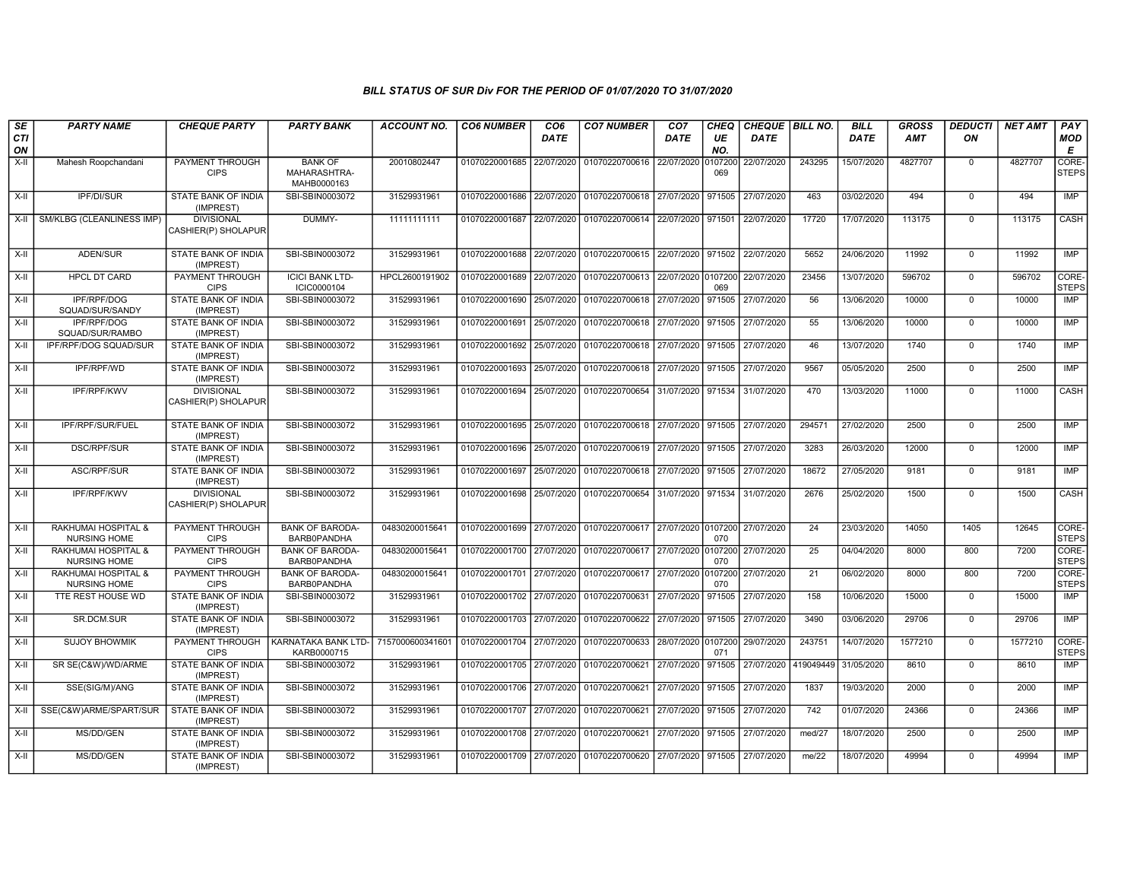| SE               | <b>PARTY NAME</b>                            | <b>CHEQUE PARTY</b>                      | <b>PARTY BANK</b>                             | <b>ACCOUNT NO.</b> | <b>CO6 NUMBER</b>                        | CO <sub>6</sub> | <b>CO7 NUMBER</b>                                                      | CO <sub>7</sub>    | <b>CHEQ</b>    | CHEQUE   BILL NO. |           | <b>BILL</b> | <b>GROSS</b> | <b>DEDUCTI</b> | <b>NET AMT</b> | PAY                              |
|------------------|----------------------------------------------|------------------------------------------|-----------------------------------------------|--------------------|------------------------------------------|-----------------|------------------------------------------------------------------------|--------------------|----------------|-------------------|-----------|-------------|--------------|----------------|----------------|----------------------------------|
| <b>CTI</b><br>ON |                                              |                                          |                                               |                    |                                          | <b>DATE</b>     |                                                                        | <b>DATE</b>        | UE<br>NO.      | <b>DATE</b>       |           | DATE        | <b>AMT</b>   | ON             |                | <b>MOD</b><br>$\pmb{\mathsf{E}}$ |
| X-II             | Mahesh Roopchandani                          | PAYMENT THROUGH<br><b>CIPS</b>           | <b>BANK OF</b><br>MAHARASHTRA-<br>MAHB0000163 | 20010802447        | 01070220001685 22/07/2020                |                 | 01070220700616                                                         | 22/07/2020         | 0107200<br>069 | 22/07/2020        | 243295    | 15/07/2020  | 4827707      | $\mathbf 0$    | 4827707        | CORE-<br><b>STEPS</b>            |
| $X-H$            | <b>IPF/DI/SUR</b>                            | <b>STATE BANK OF INDIA</b><br>(IMPREST)  | SBI-SBIN0003072                               | 31529931961        |                                          |                 | 01070220001686 22/07/2020 01070220700618 27/07/2020 971505             |                    |                | 27/07/2020        | 463       | 03/02/2020  | 494          | $\mathbf 0$    | 494            | <b>IMP</b>                       |
| $X-H$            | SM/KLBG (CLEANLINESS IMP)                    | <b>DIVISIONAL</b><br>CASHIER(P) SHOLAPUR | DUMMY-                                        | 11111111111        | 01070220001687 22/07/2020                |                 | 01070220700614 22/07/2020 971501                                       |                    |                | 22/07/2020        | 17720     | 17/07/2020  | 113175       | $\Omega$       | 113175         | CASH                             |
| $X-H$            | ADEN/SUR                                     | <b>STATE BANK OF INDIA</b><br>(IMPREST)  | SBI-SBIN0003072                               | 31529931961        |                                          |                 | 01070220001688 22/07/2020 01070220700615 22/07/2020 971502 22/07/2020  |                    |                |                   | 5652      | 24/06/2020  | 11992        | $\Omega$       | 11992          | <b>IMP</b>                       |
| X-II             | <b>HPCL DT CARD</b>                          | <b>PAYMENT THROUGH</b><br><b>CIPS</b>    | <b>ICICI BANK LTD-</b><br>ICIC0000104         | HPCL2600191902     | 01070220001689 22/07/2020                |                 | 01070220700613 22/07/2020 0107200                                      |                    | 069            | 22/07/2020        | 23456     | 13/07/2020  | 596702       | $\mathbf 0$    | 596702         | CORE-<br><b>STEPS</b>            |
| X-II             | IPF/RPF/DOG<br>SQUAD/SUR/SANDY               | <b>STATE BANK OF INDIA</b><br>(IMPREST)  | SBI-SBIN0003072                               | 31529931961        | 01070220001690 25/07/2020                |                 | 01070220700618                                                         | 27/07/2020         | 971505         | 27/07/2020        | 56        | 13/06/2020  | 10000        | $\mathbf 0$    | 10000          | IMP                              |
| $X-II$           | IPF/RPF/DOG<br>SQUAD/SUR/RAMBO               | STATE BANK OF INDIA<br>(IMPREST)         | SBI-SBIN0003072                               | 31529931961        | 01070220001691                           | 25/07/2020      | 01070220700618 27/07/2020 971505                                       |                    |                | 27/07/2020        | 55        | 13/06/2020  | 10000        | $\Omega$       | 10000          | <b>IMP</b>                       |
| X-II             | IPF/RPF/DOG SQUAD/SUR                        | STATE BANK OF INDIA<br>(IMPREST)         | SBI-SBIN0003072                               | 31529931961        | 01070220001692                           | 25/07/2020      | 01070220700618                                                         | 27/07/2020 971505  |                | 27/07/2020        | 46        | 13/07/2020  | 1740         | $\mathbf 0$    | 1740           | IMP                              |
| $X-H$            | <b>IPF/RPF/WD</b>                            | <b>STATE BANK OF INDIA</b><br>(IMPREST)  | SBI-SBIN0003072                               | 31529931961        | 01070220001693 25/07/2020                |                 | 01070220700618 27/07/2020 971505                                       |                    |                | 27/07/2020        | 9567      | 05/05/2020  | 2500         | $\Omega$       | 2500           | <b>IMP</b>                       |
| X-II             | IPF/RPF/KWV                                  | <b>DIVISIONAL</b><br>CASHIER(P) SHOLAPUR | SBI-SBIN0003072                               | 31529931961        | 01070220001694 25/07/2020                |                 | 01070220700654                                                         | 31/07/2020         | 971534         | 31/07/2020        | 470       | 13/03/2020  | 11000        | $\mathbf 0$    | 11000          | CASH                             |
| $X-H$            | IPF/RPF/SUR/FUEL                             | <b>STATE BANK OF INDIA</b><br>(IMPREST)  | SBI-SBIN0003072                               | 31529931961        |                                          |                 | 01070220001695 25/07/2020 01070220700618 27/07/2020 971505 27/07/2020  |                    |                |                   | 294571    | 27/02/2020  | 2500         | $\Omega$       | 2500           | <b>IMP</b>                       |
| X-II             | <b>DSC/RPF/SUR</b>                           | <b>STATE BANK OF INDIA</b><br>(IMPREST)  | SBI-SBIN0003072                               | 31529931961        | 01070220001696 25/07/2020                |                 | 01070220700619 27/07/2020                                              |                    | 971505         | 27/07/2020        | 3283      | 26/03/2020  | 12000        | $\mathbf 0$    | 12000          | IMP                              |
| X-II             | ASC/RPF/SUR                                  | STATE BANK OF INDIA<br>(IMPREST)         | SBI-SBIN0003072                               | 31529931961        | 01070220001697 25/07/2020                |                 | 01070220700618 27/07/2020                                              |                    | 971505         | 27/07/2020        | 18672     | 27/05/2020  | 9181         | $\Omega$       | 9181           | IMP                              |
| X-II             | IPF/RPF/KWV                                  | <b>DIVISIONAL</b><br>CASHIER(P) SHOLAPUR | SBI-SBIN0003072                               | 31529931961        | 01070220001698 25/07/2020 01070220700654 |                 |                                                                        | 31/07/2020 971534  |                | 31/07/2020        | 2676      | 25/02/2020  | 1500         | $\Omega$       | 1500           | CASH                             |
| X-II             | RAKHUMAI HOSPITAL &<br><b>NURSING HOME</b>   | PAYMENT THROUGH<br><b>CIPS</b>           | <b>BANK OF BARODA-</b><br><b>BARB0PANDHA</b>  | 04830200015641     |                                          |                 | 01070220001699 27/07/2020 01070220700617 27/07/2020 0107200 27/07/2020 |                    | 070            |                   | 24        | 23/03/2020  | 14050        | 1405           | 12645          | CORE-<br><b>STEPS</b>            |
| $X-II$           | RAKHUMAI HOSPITAL &<br><b>NURSING HOME</b>   | PAYMENT THROUGH<br><b>CIPS</b>           | <b>BANK OF BARODA-</b><br>BARB0PANDHA         | 04830200015641     | 01070220001700 27/07/2020                |                 | 01070220700617                                                         | 27/07/2020 0107200 | 070            | 27/07/2020        | 25        | 04/04/2020  | 8000         | 800            | 7200           | CORE-<br><b>STEPS</b>            |
| $X-H$            | RAKHUMAI HOSPITAL &<br><b>NURSING HOME</b>   | PAYMENT THROUGH<br><b>CIPS</b>           | <b>BANK OF BARODA-</b><br><b>BARB0PANDHA</b>  | 0483020001564      | 01070220001701 27/07/2020                |                 | 01070220700617 27/07/2020 0107200                                      |                    | 070            | 27/07/2020        | 21        | 06/02/2020  | 8000         | 800            | 7200           | CORE-<br><b>STEPS</b>            |
| $X-H$            | TTE REST HOUSE WD                            | <b>STATE BANK OF INDIA</b><br>(IMPREST)  | SBI-SBIN0003072                               | 31529931961        | 01070220001702 27/07/2020                |                 | 01070220700631                                                         | 27/07/2020         | 971505         | 27/07/2020        | 158       | 10/06/2020  | 15000        | $\overline{0}$ | 15000          | <b>IMP</b>                       |
| X-II             | SR.DCM.SUR                                   | STATE BANK OF INDIA<br>(IMPREST)         | SBI-SBIN0003072                               | 31529931961        | 01070220001703 27/07/2020                |                 | 01070220700622                                                         | 27/07/2020         | 971505         | 27/07/2020        | 3490      | 03/06/2020  | 29706        | $\Omega$       | 29706          | <b>IMP</b>                       |
| X-II             | <b>SUJOY BHOWMIK</b>                         | PAYMENT THROUGH<br><b>CIPS</b>           | KARNATAKA BANK LTD-<br>KARB0000715            | 7157000600341601   | 01070220001704 27/07/2020                |                 | 01070220700633                                                         | 28/07/2020 0107200 | 071            | 29/07/2020        | 243751    | 14/07/2020  | 1577210      | $\mathbf 0$    | 1577210        | CORE-<br><b>STEPS</b>            |
| $X-H$            | SR SE(C&W)/WD/ARME                           | STATE BANK OF INDIA<br>(IMPREST)         | SBI-SBIN0003072                               | 31529931961        | 01070220001705 27/07/2020                |                 | 01070220700621                                                         | 27/07/2020         | 971505         | 27/07/2020        | 419049449 | 31/05/2020  | 8610         | $\Omega$       | 8610           | <b>IMP</b>                       |
| $X-H$            | SSE(SIG/M)/ANG                               | <b>STATE BANK OF INDIA</b><br>(IMPREST)  | SBI-SBIN0003072                               | 31529931961        | 01070220001706 27/07/2020 01070220700621 |                 |                                                                        | 27/07/2020 971505  |                | 27/07/2020        | 1837      | 19/03/2020  | 2000         | $\Omega$       | 2000           | IMP                              |
| X-II             | SSE(C&W)ARME/SPART/SUR   STATE BANK OF INDIA | (IMPREST)                                | SBI-SBIN0003072                               | 31529931961        | 01070220001707 27/07/2020                |                 | 01070220700621                                                         | 27/07/2020         | 971505         | 27/07/2020        | 742       | 01/07/2020  | 24366        | $\mathbf 0$    | 24366          | IMP                              |
| $X-II$           | MS/DD/GEN                                    | STATE BANK OF INDIA<br>(IMPREST)         | SBI-SBIN0003072                               | 31529931961        | 01070220001708 27/07/2020                |                 | 01070220700621                                                         | 27/07/2020         | 971505         | 27/07/2020        | med/27    | 18/07/2020  | 2500         | $\Omega$       | 2500           | <b>IMP</b>                       |
| X-II             | MS/DD/GEN                                    | STATE BANK OF INDIA<br>(IMPREST)         | SBI-SBIN0003072                               | 31529931961        |                                          |                 | 01070220001709 27/07/2020 01070220700620 27/07/2020 971505             |                    |                | 27/07/2020        | me/22     | 18/07/2020  | 49994        | $\Omega$       | 49994          | <b>IMP</b>                       |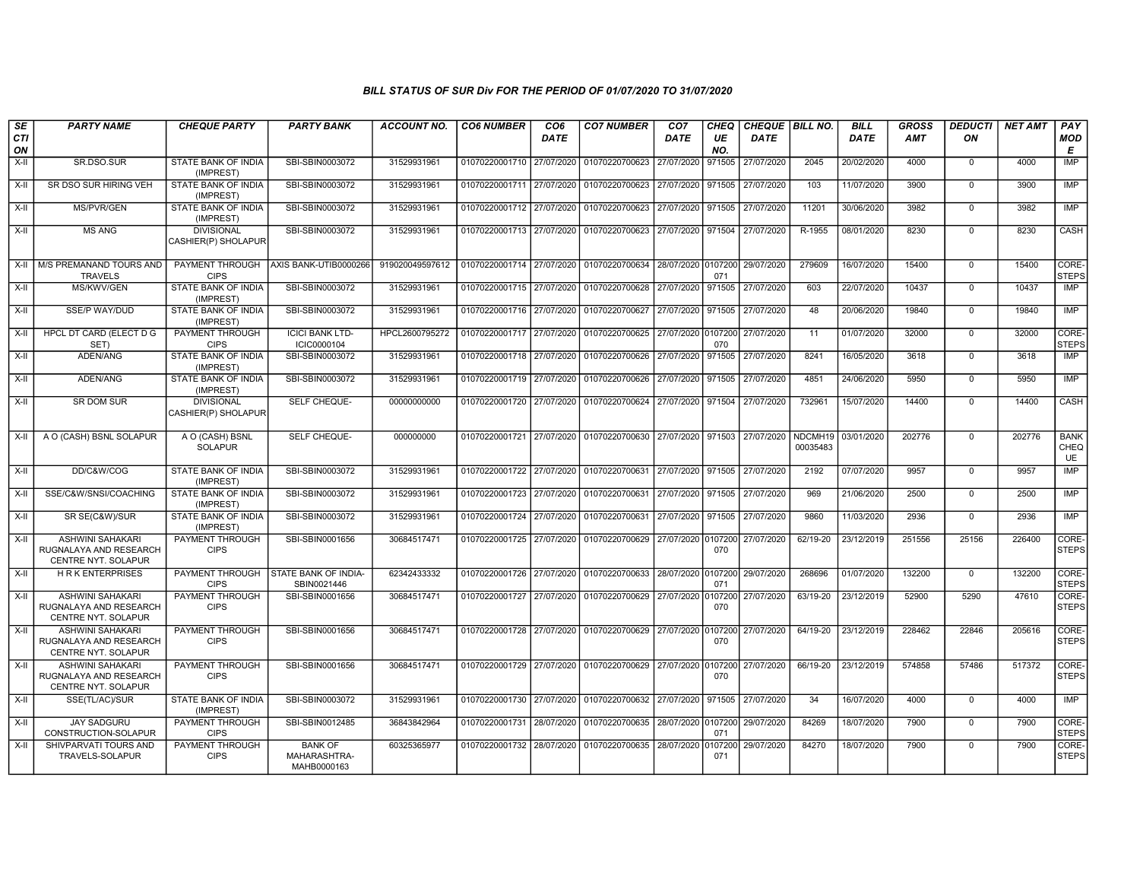| SE<br>CTI<br>ON | <b>PARTY NAME</b>                                                               | <b>CHEQUE PARTY</b>                      | <b>PARTY BANK</b>                             | <b>ACCOUNT NO.</b> | <b>CO6 NUMBER</b>         | CO <sub>6</sub><br><b>DATE</b> | <b>CO7 NUMBER</b>                                                     | CO <sub>7</sub><br><b>DATE</b> | CHEQ<br>UE<br>NO. | CHEQUE   BILL NO.<br><b>DATE</b> |                     | <b>BILL</b><br><b>DATE</b> | <b>GROSS</b><br>AMT | <b>DEDUCTI</b><br>ON | <b>NET AMT</b> | PAY<br><b>MOD</b><br>Е           |
|-----------------|---------------------------------------------------------------------------------|------------------------------------------|-----------------------------------------------|--------------------|---------------------------|--------------------------------|-----------------------------------------------------------------------|--------------------------------|-------------------|----------------------------------|---------------------|----------------------------|---------------------|----------------------|----------------|----------------------------------|
| X-II            | SR.DSO.SUR                                                                      | STATE BANK OF INDIA<br>(IMPREST)         | SBI-SBIN0003072                               | 31529931961        | 01070220001710 27/07/2020 |                                | 01070220700623                                                        | 27/07/2020                     | 971505            | 27/07/2020                       | 2045                | 20/02/2020                 | 4000                | $\mathbf 0$          | 4000           | <b>IMP</b>                       |
| X-II            | SR DSO SUR HIRING VEH                                                           | STATE BANK OF INDIA<br>(IMPREST)         | SBI-SBIN0003072                               | 31529931961        | 01070220001711 27/07/2020 |                                | 01070220700623 27/07/2020                                             |                                | 971505            | 27/07/2020                       | 103                 | 11/07/2020                 | 3900                | $\overline{0}$       | 3900           | IMP                              |
| X-II            | <b>MS/PVR/GEN</b>                                                               | STATE BANK OF INDIA<br>(IMPREST)         | SBI-SBIN0003072                               | 31529931961        | 01070220001712 27/07/2020 |                                | 01070220700623 27/07/2020 971505                                      |                                |                   | 27/07/2020                       | 11201               | 30/06/2020                 | 3982                | $\Omega$             | 3982           | <b>IMP</b>                       |
| X-II            | <b>MS ANG</b>                                                                   | <b>DIVISIONAL</b><br>CASHIER(P) SHOLAPUR | SBI-SBIN0003072                               | 31529931961        | 01070220001713 27/07/2020 |                                | 01070220700623 27/07/2020 971504                                      |                                |                   | 27/07/2020                       | R-1955              | 08/01/2020                 | 8230                | $\mathbf 0$          | 8230           | CASH                             |
| X-II            | M/S PREMANAND TOURS AND<br><b>TRAVELS</b>                                       | PAYMENT THROUGH<br><b>CIPS</b>           | AXIS BANK-UTIB0000266                         | 919020049597612    | 01070220001714 27/07/2020 |                                | 01070220700634 28/07/2020 0107200                                     |                                | 071               | 29/07/2020                       | 279609              | 16/07/2020                 | 15400               | $\mathbf 0$          | 15400          | CORE-<br><b>STEPS</b>            |
| $X-H$           | MS/KWV/GEN                                                                      | <b>STATE BANK OF INDIA</b><br>(IMPREST)  | SBI-SBIN0003072                               | 31529931961        | 01070220001715 27/07/2020 |                                | 01070220700628 27/07/2020                                             |                                | 971505            | 27/07/2020                       | 603                 | 22/07/2020                 | 10437               | $\Omega$             | 10437          | <b>IMP</b>                       |
| X-II            | <b>SSE/P WAY/DUD</b>                                                            | <b>STATE BANK OF INDIA</b><br>(IMPREST)  | SBI-SBIN0003072                               | 31529931961        | 01070220001716 27/07/2020 |                                | 01070220700627 27/07/2020 971505                                      |                                |                   | 27/07/2020                       | 48                  | 20/06/2020                 | 19840               | $\mathbf 0$          | 19840          | IMP                              |
| $X-H$           | HPCL DT CARD (ELECT D G<br>SET)                                                 | PAYMENT THROUGH<br><b>CIPS</b>           | <b>ICICI BANK LTD-</b><br>ICIC0000104         | HPCL2600795272     | 01070220001717 27/07/2020 |                                | 01070220700625 27/07/2020 0107200                                     |                                | 070               | 27/07/2020                       | 11                  | 01/07/2020                 | 32000               | $\mathbf 0$          | 32000          | CORE-<br><b>STEPS</b>            |
| X-II            | ADEN/ANG                                                                        | <b>STATE BANK OF INDIA</b><br>(IMPREST)  | SBI-SBIN0003072                               | 31529931961        | 01070220001718 27/07/2020 |                                | 01070220700626 27/07/2020                                             |                                | 971505            | 27/07/2020                       | 8241                | 16/05/2020                 | 3618                | $\overline{0}$       | 3618           | IMP                              |
| X-II            | ADEN/ANG                                                                        | STATE BANK OF INDIA<br>(IMPREST)         | SBI-SBIN0003072                               | 31529931961        | 01070220001719 27/07/2020 |                                | 01070220700626 27/07/2020 971505                                      |                                |                   | 27/07/2020                       | 4851                | 24/06/2020                 | 5950                | $\mathbf 0$          | 5950           | IMP                              |
| X-II            | <b>SR DOM SUR</b>                                                               | <b>DIVISIONAL</b><br>CASHIER(P) SHOLAPUR | SELF CHEQUE-                                  | 00000000000        |                           |                                | 01070220001720 27/07/2020 01070220700624 27/07/2020 971504 27/07/2020 |                                |                   |                                  | 732961              | 15/07/2020                 | 14400               | $\Omega$             | 14400          | CASH                             |
| X-II            | A O (CASH) BSNL SOLAPUR                                                         | A O (CASH) BSNL<br><b>SOLAPUR</b>        | SELF CHEQUE-                                  | 000000000          | 01070220001721 27/07/2020 |                                | 01070220700630 27/07/2020 971503                                      |                                |                   | 27/07/2020                       | NDCMH19<br>00035483 | 03/01/2020                 | 202776              | $\mathbf 0$          | 202776         | <b>BANK</b><br>CHEQ<br><b>UE</b> |
| X-II            | DD/C&W/COG                                                                      | STATE BANK OF INDIA<br>(IMPREST)         | SBI-SBIN0003072                               | 31529931961        | 01070220001722 27/07/2020 |                                | 01070220700631 27/07/2020 971505 27/07/2020                           |                                |                   |                                  | 2192                | 07/07/2020                 | 9957                | $\mathbf 0$          | 9957           | IMP                              |
| $X-H$           | SSE/C&W/SNSI/COACHING                                                           | STATE BANK OF INDIA<br>(IMPREST)         | SBI-SBIN0003072                               | 31529931961        | 01070220001723 27/07/2020 |                                | 01070220700631 27/07/2020 971505                                      |                                |                   | 27/07/2020                       | 969                 | 21/06/2020                 | 2500                | $\mathbf 0$          | 2500           | <b>IMP</b>                       |
| X-II            | SR SE(C&W)/SUR                                                                  | STATE BANK OF INDIA<br>(IMPREST)         | SBI-SBIN0003072                               | 31529931961        | 01070220001724 27/07/2020 |                                | 01070220700631 27/07/2020 971505                                      |                                |                   | 27/07/2020                       | 9860                | 11/03/2020                 | 2936                | $\mathbf 0$          | 2936           | IMP                              |
| X-II            | ASHWINI SAHAKARI<br>RUGNALAYA AND RESEARCH<br>CENTRE NYT. SOLAPUR               | PAYMENT THROUGH<br><b>CIPS</b>           | SBI-SBIN0001656                               | 30684517471        | 01070220001725 27/07/2020 |                                | 01070220700629 27/07/2020 0107200                                     |                                | 070               | 27/07/2020                       | 62/19-20            | 23/12/2019                 | 251556              | 25156                | 226400         | CORE-<br><b>STEPS</b>            |
| X-II            | <b>HRK ENTERPRISES</b>                                                          | PAYMENT THROUGH<br><b>CIPS</b>           | <b>STATE BANK OF INDIA-</b><br>SBIN0021446    | 62342433332        | 01070220001726 27/07/2020 |                                | 01070220700633 28/07/2020 0107200                                     |                                | 071               | 29/07/2020                       | 268696              | 01/07/2020                 | 132200              | $\mathbf 0$          | 132200         | CORE-<br><b>STEPS</b>            |
| $X-H$           | <b>ASHWINI SAHAKARI</b><br>RUGNALAYA AND RESEARCH<br><b>CENTRE NYT, SOLAPUR</b> | <b>PAYMENT THROUGH</b><br><b>CIPS</b>    | SBI-SBIN0001656                               | 30684517471        | 01070220001727 27/07/2020 |                                | 01070220700629 27/07/2020 0107200                                     |                                | 070               | 27/07/2020                       | 63/19-20            | 23/12/2019                 | 52900               | 5290                 | 47610          | CORE-<br><b>STEPS</b>            |
| X-II            | <b>ASHWINI SAHAKARI</b><br>RUGNALAYA AND RESEARCH<br>CENTRE NYT. SOLAPUR        | PAYMENT THROUGH<br><b>CIPS</b>           | SBI-SBIN0001656                               | 30684517471        | 01070220001728 27/07/2020 |                                | 01070220700629 27/07/2020 0107200                                     |                                | 070               | 27/07/2020                       | 64/19-20            | 23/12/2019                 | 228462              | 22846                | 205616         | CORE-<br><b>STEPS</b>            |
| X-II            | <b>ASHWINI SAHAKARI</b><br>RUGNALAYA AND RESEARCH<br>CENTRE NYT. SOLAPUR        | PAYMENT THROUGH<br><b>CIPS</b>           | SBI-SBIN0001656                               | 30684517471        |                           |                                | 01070220001729 27/07/2020 01070220700629 27/07/2020 0107200           |                                | 070               | 27/07/2020                       | 66/19-20            | 23/12/2019                 | 574858              | 57486                | 517372         | CORE-<br><b>STEPS</b>            |
| X-II            | SSE(TL/AC)/SUR                                                                  | <b>STATE BANK OF INDIA</b><br>(IMPREST)  | SBI-SBIN0003072                               | 31529931961        | 01070220001730 27/07/2020 |                                | 01070220700632 27/07/2020                                             |                                | 971505            | 27/07/2020                       | 34                  | 16/07/2020                 | 4000                | $\Omega$             | 4000           | IMP                              |
| $X-H$           | <b>JAY SADGURU</b><br>CONSTRUCTION-SOLAPUR                                      | PAYMENT THROUGH<br><b>CIPS</b>           | SBI-SBIN0012485                               | 36843842964        | 01070220001731            | 28/07/2020                     | 01070220700635 28/07/2020 0107200                                     |                                | 071               | 29/07/2020                       | 84269               | 18/07/2020                 | 7900                | $\mathbf 0$          | 7900           | CORE-<br><b>STEPS</b>            |
| $X-II$          | SHIVPARVATI TOURS AND<br>TRAVELS-SOLAPUR                                        | PAYMENT THROUGH<br><b>CIPS</b>           | <b>BANK OF</b><br>MAHARASHTRA-<br>MAHB0000163 | 60325365977        | 01070220001732            | 28/07/2020                     | 01070220700635                                                        | 28/07/2020                     | 0107200<br>071    | 29/07/2020                       | 84270               | 18/07/2020                 | 7900                | $\overline{0}$       | 7900           | CORE-<br><b>STEPS</b>            |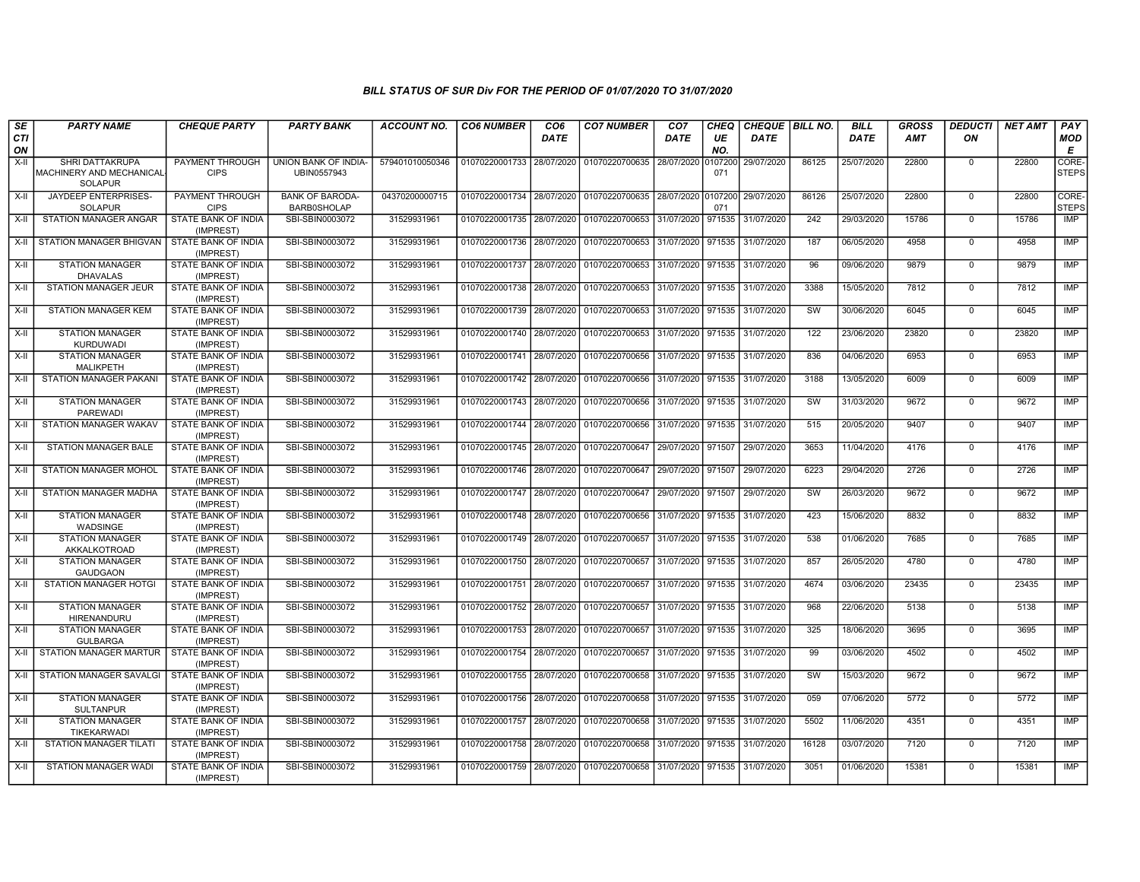| SE        | <b>PARTY NAME</b>                                              | <b>CHEQUE PARTY</b>                     | <b>PARTY BANK</b>                           | <b>ACCOUNT NO.</b> | <b>CO6 NUMBER</b>                        | CO <sub>6</sub> | <b>CO7 NUMBER</b>                                   | CO <sub>7</sub>   | CHEQ           | CHEQUE   BILL NO. |       | <b>BILL</b> | <b>GROSS</b> | <b>DEDUCTI</b> | <b>NET AMT</b> | <b>PAY</b>            |
|-----------|----------------------------------------------------------------|-----------------------------------------|---------------------------------------------|--------------------|------------------------------------------|-----------------|-----------------------------------------------------|-------------------|----------------|-------------------|-------|-------------|--------------|----------------|----------------|-----------------------|
| CTI<br>ON |                                                                |                                         |                                             |                    |                                          | <b>DATE</b>     |                                                     | DATE              | UE<br>NO.      | DATE              |       | <b>DATE</b> | <b>AMT</b>   | ON             |                | <b>MOD</b><br>Е       |
| X-II      | SHRI DATTAKRUPA<br>MACHINERY AND MECHANICAL-<br><b>SOLAPUR</b> | PAYMENT THROUGH<br><b>CIPS</b>          | UNION BANK OF INDIA-<br>UBIN0557943         | 579401010050346    | 01070220001733 28/07/2020                |                 | 01070220700635                                      | 28/07/2020        | 0107200<br>071 | 29/07/2020        | 86125 | 25/07/2020  | 22800        | $\mathbf 0$    | 22800          | CORE-<br><b>STEPS</b> |
| X-II      | JAYDEEP ENTERPRISES-<br><b>SOLAPUR</b>                         | PAYMENT THROUGH<br><b>CIPS</b>          | <b>BANK OF BARODA</b><br><b>BARB0SHOLAP</b> | 04370200000715     |                                          |                 | 01070220001734 28/07/2020 01070220700635 28/07/2020 |                   | 0107200<br>071 | 29/07/2020        | 86126 | 25/07/2020  | 22800        | $\mathbf 0$    | 22800          | CORE-<br><b>STEPS</b> |
| $X-H$     | STATION MANAGER ANGAR                                          | <b>STATE BANK OF INDIA</b><br>(IMPREST) | SBI-SBIN0003072                             | 31529931961        |                                          |                 | 01070220001735 28/07/2020 01070220700653            | 31/07/2020        | 971535         | 31/07/2020        | 242   | 29/03/2020  | 15786        | $\Omega$       | 15786          | IMP                   |
| X-II      | STATION MANAGER BHIGVAN                                        | <b>STATE BANK OF INDIA</b><br>(IMPREST) | SBI-SBIN0003072                             | 31529931961        | 01070220001736 28/07/2020 01070220700653 |                 |                                                     | 31/07/2020        | 971535         | 31/07/2020        | 187   | 06/05/2020  | 4958         | $\mathbf 0$    | 4958           | <b>IMP</b>            |
| $X-II$    | <b>STATION MANAGER</b><br><b>DHAVALAS</b>                      | STATE BANK OF INDIA<br>(IMPREST)        | SBI-SBIN0003072                             | 31529931961        |                                          |                 | 01070220001737 28/07/2020 01070220700653            | 31/07/2020        | 971535         | 31/07/2020        | 96    | 09/06/2020  | 9879         | $\mathbf 0$    | 9879           | <b>IMP</b>            |
| X-II      | STATION MANAGER JEUR                                           | <b>STATE BANK OF INDIA</b><br>(IMPREST) | SBI-SBIN0003072                             | 31529931961        |                                          |                 | 01070220001738 28/07/2020 01070220700653            | 31/07/2020 971535 |                | 31/07/2020        | 3388  | 15/05/2020  | 7812         | $\mathbf 0$    | 7812           | <b>IMP</b>            |
| $X-H$     | <b>STATION MANAGER KEM</b>                                     | <b>STATE BANK OF INDIA</b><br>(IMPREST) | SBI-SBIN0003072                             | 31529931961        | 01070220001739 28/07/2020                |                 | 01070220700653                                      | 31/07/2020        | 971535         | 31/07/2020        | SW    | 30/06/2020  | 6045         | $\mathbf 0$    | 6045           | IMP                   |
| X-II      | <b>STATION MANAGER</b><br><b>KURDUWADI</b>                     | STATE BANK OF INDIA<br>(IMPREST)        | SBI-SBIN0003072                             | 31529931961        | 01070220001740 28/07/2020                |                 | 01070220700653                                      | 31/07/2020 971535 |                | 31/07/2020        | 122   | 23/06/2020  | 23820        | $\mathbf 0$    | 23820          | IMP                   |
| X-II      | <b>STATION MANAGER</b><br><b>MALIKPETH</b>                     | <b>STATE BANK OF INDIA</b><br>(IMPREST) | SBI-SBIN0003072                             | 31529931961        | 01070220001741 28/07/2020                |                 | 01070220700656                                      | 31/07/2020        | 971535         | 31/07/2020        | 836   | 04/06/2020  | 6953         | $\mathbf 0$    | 6953           | <b>IMP</b>            |
| $X-H$     | <b>STATION MANAGER PAKANI</b>                                  | <b>STATE BANK OF INDIA</b><br>(IMPREST) | SBI-SBIN0003072                             | 31529931961        |                                          |                 | 01070220001742 28/07/2020 01070220700656            | 31/07/2020 971535 |                | 31/07/2020        | 3188  | 13/05/2020  | 6009         | $\Omega$       | 6009           | IMP                   |
| X-II      | <b>STATION MANAGER</b><br><b>PAREWADI</b>                      | <b>STATE BANK OF INDIA</b><br>(IMPREST) | SBI-SBIN0003072                             | 31529931961        | 01070220001743 28/07/2020 01070220700656 |                 |                                                     | 31/07/2020        | 971535         | 31/07/2020        | SW    | 31/03/2020  | 9672         | $\mathbf 0$    | 9672           | <b>IMP</b>            |
| X-II      | STATION MANAGER WAKAV                                          | STATE BANK OF INDIA<br>(IMPREST)        | SBI-SBIN0003072                             | 31529931961        | 01070220001744 28/07/2020                |                 | 01070220700656                                      | 31/07/2020        | 971535         | 31/07/2020        | 515   | 20/05/2020  | 9407         | $\mathbf 0$    | 9407           | IMP                   |
| $X-II$    | <b>STATION MANAGER BALE</b>                                    | STATE BANK OF INDIA<br>(IMPREST)        | SBI-SBIN0003072                             | 31529931961        | 01070220001745 28/07/2020 01070220700647 |                 |                                                     | 29/07/2020 971507 |                | 29/07/2020        | 3653  | 11/04/2020  | 4176         | $\mathbf 0$    | 4176           | <b>IMP</b>            |
| X-II      | <b>STATION MANAGER MOHOL</b>                                   | <b>STATE BANK OF INDIA</b><br>(IMPREST) | SBI-SBIN0003072                             | 31529931961        |                                          |                 | 01070220001746 28/07/2020 01070220700647            | 29/07/2020 971507 |                | 29/07/2020        | 6223  | 29/04/2020  | 2726         | $\mathbf 0$    | 2726           | <b>IMP</b>            |
| X-II      | <b>STATION MANAGER MADHA</b>                                   | <b>STATE BANK OF INDIA</b><br>(IMPREST) | SBI-SBIN0003072                             | 31529931961        | 01070220001747 28/07/2020                |                 | 01070220700647                                      | 29/07/2020 971507 |                | 29/07/2020        | SW    | 26/03/2020  | 9672         | $\mathbf 0$    | 9672           | IMP                   |
| X-II      | <b>STATION MANAGER</b><br>WADSINGE                             | STATE BANK OF INDIA<br>(IMPREST)        | SBI-SBIN0003072                             | 31529931961        | 01070220001748 28/07/2020                |                 | 01070220700656                                      | 31/07/2020        | 971535         | 31/07/2020        | 423   | 15/06/2020  | 8832         | $\mathbf 0$    | 8832           | IMP                   |
| $X-II$    | <b>STATION MANAGER</b><br>AKKALKOTROAD                         | STATE BANK OF INDIA<br>(IMPREST)        | SBI-SBIN0003072                             | 31529931961        | 01070220001749 28/07/2020                |                 | 01070220700657                                      | 31/07/2020        | 971535         | 31/07/2020        | 538   | 01/06/2020  | 7685         | $\mathbf 0$    | 7685           | IMP                   |
| X-II      | <b>STATION MANAGER</b><br><b>GAUDGAON</b>                      | STATE BANK OF INDIA<br>(IMPREST)        | SBI-SBIN0003072                             | 31529931961        | 01070220001750 28/07/2020 01070220700657 |                 |                                                     | 31/07/2020 971535 |                | 31/07/2020        | 857   | 26/05/2020  | 4780         | $\mathbf 0$    | 4780           | <b>IMP</b>            |
| X-II      | STATION MANAGER HOTGI                                          | STATE BANK OF INDIA<br>(IMPREST)        | SBI-SBIN0003072                             | 31529931961        | 01070220001751 28/07/2020                |                 | 01070220700657                                      | 31/07/2020        | 971535         | 31/07/2020        | 4674  | 03/06/2020  | 23435        | $\Omega$       | 23435          | <b>IMP</b>            |
| $X-II$    | <b>STATION MANAGER</b><br>HIRENANDURU                          | STATE BANK OF INDIA<br>(IMPREST)        | SBI-SBIN0003072                             | 31529931961        | 01070220001752 28/07/2020                |                 | 01070220700657                                      | 31/07/2020        | 971535         | 31/07/2020        | 968   | 22/06/2020  | 5138         | $\mathbf 0$    | 5138           | <b>IMP</b>            |
| $X-II$    | <b>STATION MANAGER</b><br><b>GULBARGA</b>                      | STATE BANK OF INDIA<br>(IMPREST)        | SBI-SBIN0003072                             | 31529931961        | 01070220001753 28/07/2020                |                 | 01070220700657                                      | 31/07/2020        | 971535         | 31/07/2020        | 325   | 18/06/2020  | 3695         | $\mathbf 0$    | 3695           | IMP                   |
| $X-II$    | STATION MANAGER MARTUR                                         | STATE BANK OF INDIA<br>(IMPREST)        | SBI-SBIN0003072                             | 31529931961        | 01070220001754 28/07/2020 01070220700657 |                 |                                                     | 31/07/2020 971535 |                | 31/07/2020        | 99    | 03/06/2020  | 4502         | $\mathbf 0$    | 4502           | <b>IMP</b>            |
| X-II      | STATION MANAGER SAVALGI                                        | STATE BANK OF INDIA<br>(IMPREST)        | SBI-SBIN0003072                             | 31529931961        | 01070220001755 28/07/2020                |                 | 01070220700658                                      | 31/07/2020        | 971535         | 31/07/2020        | SW    | 15/03/2020  | 9672         | $\mathbf 0$    | 9672           | IMP                   |
| $X-H$     | <b>STATION MANAGER</b><br><b>SULTANPUR</b>                     | STATE BANK OF INDIA<br>(IMPREST)        | SBI-SBIN0003072                             | 31529931961        | 01070220001756 28/07/2020                |                 | 01070220700658                                      | 31/07/2020        | 971535         | 31/07/2020        | 059   | 07/06/2020  | 5772         | $\mathbf 0$    | 5772           | <b>IMP</b>            |
| $X-H$     | <b>STATION MANAGER</b><br><b>TIKEKARWADI</b>                   | <b>STATE BANK OF INDIA</b><br>(IMPREST) | SBI-SBIN0003072                             | 31529931961        | 01070220001757 28/07/2020 01070220700658 |                 |                                                     | 31/07/2020        | 971535         | 31/07/2020        | 5502  | 11/06/2020  | 4351         | $\mathbf 0$    | 4351           | <b>IMP</b>            |
| $X-II$    | <b>STATION MANAGER TILATI</b>                                  | STATE BANK OF INDIA<br>(IMPREST)        | SBI-SBIN0003072                             | 31529931961        |                                          |                 | 01070220001758 28/07/2020 01070220700658            | 31/07/2020        | 971535         | 31/07/2020        | 16128 | 03/07/2020  | 7120         | $\Omega$       | 7120           | <b>IMP</b>            |
| $X-H$     | STATION MANAGER WADI                                           | <b>STATE BANK OF INDIA</b><br>(IMPREST) | SBI-SBIN0003072                             | 31529931961        |                                          |                 | 01070220001759 28/07/2020 01070220700658            | 31/07/2020        | 971535         | 31/07/2020        | 3051  | 01/06/2020  | 15381        | $\mathbf 0$    | 15381          | <b>IMP</b>            |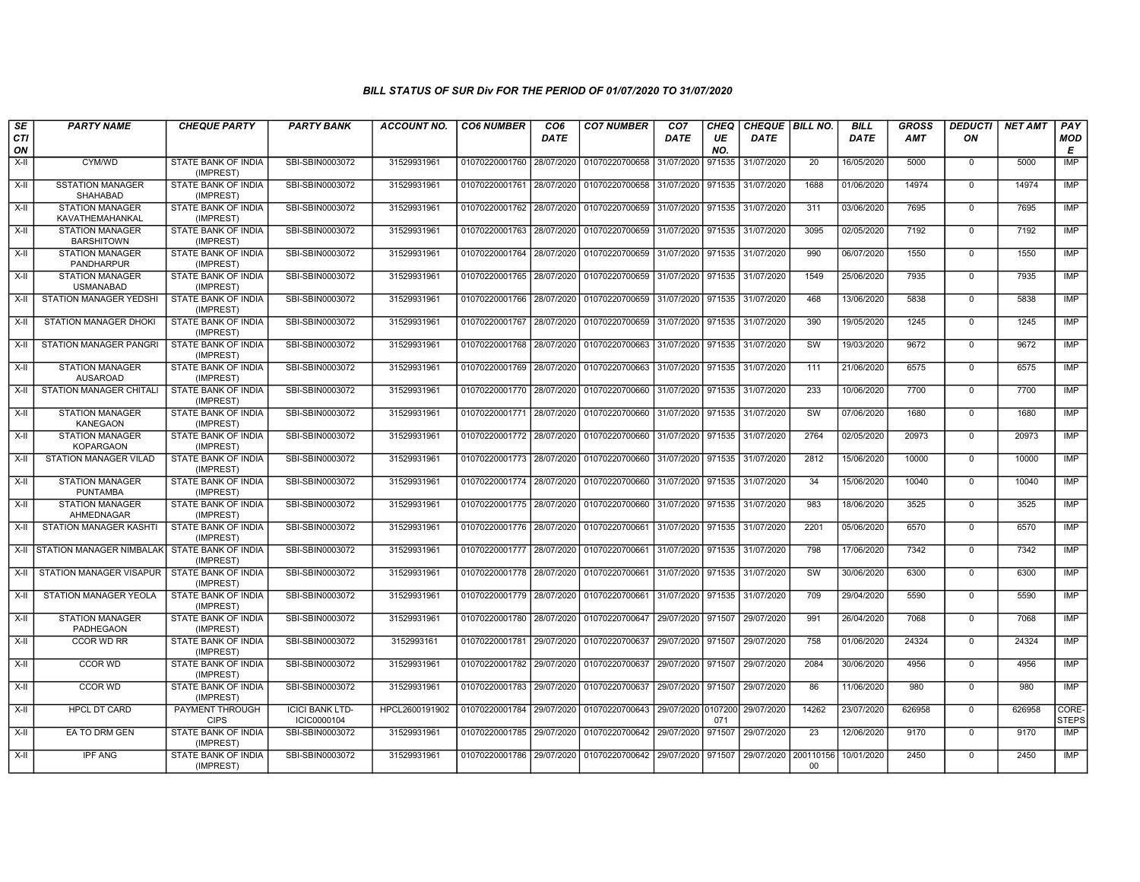| SE        | <b>PARTY NAME</b>                           | <b>CHEQUE PARTY</b>                     | <b>PARTY BANK</b>                     | <b>ACCOUNT NO.</b> | <b>CO6 NUMBER</b>                        | CO <sub>6</sub> | <b>CO7 NUMBER</b>                        | CO <sub>7</sub>    | CHEQ      | CHEQUE   BILL NO. |                        | <b>BILL</b> | <b>GROSS</b> | <b>DEDUCTI</b> | <b>NET AMT</b> | <b>PAY</b>            |
|-----------|---------------------------------------------|-----------------------------------------|---------------------------------------|--------------------|------------------------------------------|-----------------|------------------------------------------|--------------------|-----------|-------------------|------------------------|-------------|--------------|----------------|----------------|-----------------------|
| CTI<br>ON |                                             |                                         |                                       |                    |                                          | <b>DATE</b>     |                                          | <b>DATE</b>        | UE<br>NO. | <b>DATE</b>       |                        | <b>DATE</b> | AMT          | ON             |                | <b>MOD</b><br>Е       |
| $X-H$     | CYM/WD                                      | <b>STATE BANK OF INDIA</b><br>(IMPREST) | SBI-SBIN0003072                       | 31529931961        | 01070220001760 28/07/2020                |                 | 01070220700658                           | 31/07/2020         | 971535    | 31/07/2020        | 20                     | 16/05/2020  | 5000         | $\mathbf 0$    | 5000           | <b>IMP</b>            |
| $X-II$    | <b>SSTATION MANAGER</b><br>SHAHABAD         | STATE BANK OF INDIA<br>(IMPREST)        | SBI-SBIN0003072                       | 31529931961        | 01070220001761 28/07/2020                |                 | 01070220700658                           | 31/07/2020         | 971535    | 31/07/2020        | 1688                   | 01/06/2020  | 14974        | $\Omega$       | 14974          | <b>IMP</b>            |
| $X-H$     | <b>STATION MANAGER</b><br>KAVATHEMAHANKAL   | STATE BANK OF INDIA<br>(IMPREST)        | SBI-SBIN0003072                       | 31529931961        |                                          |                 | 01070220001762 28/07/2020 01070220700659 | 31/07/2020 971535  |           | 31/07/2020        | 311                    | 03/06/2020  | 7695         | $\mathbf 0$    | 7695           | <b>IMP</b>            |
| X-II      | <b>STATION MANAGER</b><br><b>BARSHITOWN</b> | STATE BANK OF INDIA<br>(IMPREST)        | SBI-SBIN0003072                       | 31529931961        | 01070220001763 28/07/2020                |                 | 01070220700659                           | 31/07/2020         | 971535    | 31/07/2020        | 3095                   | 02/05/2020  | 7192         | $\mathbf 0$    | 7192           | <b>IMP</b>            |
| $X-H$     | <b>STATION MANAGER</b><br>PANDHARPUR        | STATE BANK OF INDIA<br>(IMPREST)        | SBI-SBIN0003072                       | 31529931961        | 01070220001764 28/07/2020                |                 | 01070220700659                           | 31/07/2020         | 971535    | 31/07/2020        | 990                    | 06/07/2020  | 1550         | $\mathbf 0$    | 1550           | <b>IMP</b>            |
| X-II      | <b>STATION MANAGER</b><br><b>USMANABAD</b>  | STATE BANK OF INDIA<br>(IMPREST)        | SBI-SBIN0003072                       | 31529931961        |                                          |                 | 01070220001765 28/07/2020 01070220700659 | 31/07/2020 971535  |           | 31/07/2020        | 1549                   | 25/06/2020  | 7935         | $\mathbf 0$    | 7935           | IMP                   |
| X-II      | STATION MANAGER YEDSHI                      | STATE BANK OF INDIA<br>(IMPREST)        | SBI-SBIN0003072                       | 31529931961        | 01070220001766 28/07/2020                |                 | 01070220700659                           | 31/07/2020         | 971535    | 31/07/2020        | 468                    | 13/06/2020  | 5838         | $\mathbf 0$    | 5838           | <b>IMP</b>            |
| X-II      | <b>STATION MANAGER DHOKI</b>                | <b>STATE BANK OF INDIA</b><br>(IMPREST) | SBI-SBIN0003072                       | 31529931961        |                                          |                 | 01070220001767 28/07/2020 01070220700659 | 31/07/2020         | 971535    | 31/07/2020        | 390                    | 19/05/2020  | 1245         | $\mathbf 0$    | 1245           | IMP                   |
| X-II      | <b>STATION MANAGER PANGRI</b>               | STATE BANK OF INDIA<br>(IMPREST)        | SBI-SBIN0003072                       | 31529931961        | 01070220001768 28/07/2020 01070220700663 |                 |                                          | 31/07/2020         | 971535    | 31/07/2020        | $\overline{\text{sw}}$ | 19/03/2020  | 9672         | $\Omega$       | 9672           | <b>IMP</b>            |
| X-II      | <b>STATION MANAGER</b><br><b>AUSAROAD</b>   | STATE BANK OF INDIA<br>(IMPREST)        | SBI-SBIN0003072                       | 31529931961        |                                          |                 | 01070220001769 28/07/2020 01070220700663 | 31/07/2020 971535  |           | 31/07/2020        | 111                    | 21/06/2020  | 6575         | $\mathbf 0$    | 6575           | <b>IMP</b>            |
| X-II      | <b>STATION MANAGER CHITALI</b>              | STATE BANK OF INDIA<br>(IMPREST)        | SBI-SBIN0003072                       | 31529931961        |                                          |                 | 01070220001770 28/07/2020 01070220700660 | 31/07/2020 971535  |           | 31/07/2020        | 233                    | 10/06/2020  | 7700         | $\Omega$       | 7700           | <b>IMP</b>            |
| $X-H$     | <b>STATION MANAGER</b><br><b>KANEGAON</b>   | STATE BANK OF INDIA<br>(IMPREST)        | SBI-SBIN0003072                       | 31529931961        | 01070220001771 28/07/2020                |                 | 01070220700660                           | 31/07/2020         | 971535    | 31/07/2020        | SW                     | 07/06/2020  | 1680         | $\mathbf 0$    | 1680           | IMP                   |
| $X-H$     | <b>STATION MANAGER</b><br><b>KOPARGAON</b>  | <b>STATE BANK OF INDIA</b><br>(IMPREST) | SBI-SBIN0003072                       | 31529931961        |                                          |                 | 01070220001772 28/07/2020 01070220700660 | 31/07/2020 971535  |           | 31/07/2020        | 2764                   | 02/05/2020  | 20973        | $\Omega$       | 20973          | IMP                   |
| X-II      | STATION MANAGER VILAD                       | STATE BANK OF INDIA<br>(IMPREST)        | SBI-SBIN0003072                       | 31529931961        | 01070220001773 28/07/2020                |                 | 01070220700660                           | 31/07/2020         | 971535    | 31/07/2020        | 2812                   | 15/06/2020  | 10000        | $\mathbf 0$    | 10000          | IMP                   |
| $X-II$    | <b>STATION MANAGER</b><br><b>PUNTAMBA</b>   | STATE BANK OF INDIA<br>(IMPREST)        | SBI-SBIN0003072                       | 31529931961        | 01070220001774 28/07/2020                |                 | 01070220700660                           | 31/07/2020         | 971535    | 31/07/2020        | 34                     | 15/06/2020  | 10040        | $\Omega$       | 10040          | IMP                   |
| X-II      | <b>STATION MANAGER</b><br>AHMEDNAGAR        | STATE BANK OF INDIA<br>(IMPREST)        | SBI-SBIN0003072                       | 31529931961        |                                          |                 | 01070220001775 28/07/2020 01070220700660 | 31/07/2020 971535  |           | 31/07/2020        | 983                    | 18/06/2020  | 3525         | $\mathbf 0$    | 3525           | IMP                   |
| $X-H$     | <b>STATION MANAGER KASHTI</b>               | STATE BANK OF INDIA<br>(IMPREST)        | SBI-SBIN0003072                       | 31529931961        | 01070220001776 28/07/2020                |                 | 01070220700661                           | 31/07/2020         | 971535    | 31/07/2020        | 2201                   | 05/06/2020  | 6570         | $\mathbf 0$    | 6570           | IMP                   |
| X-II      | <b>STATION MANAGER NIMBALAK</b>             | STATE BANK OF INDIA<br>(IMPREST)        | SBI-SBIN0003072                       | 31529931961        | 01070220001777 28/07/2020                |                 | 01070220700661                           | 31/07/2020         | 971535    | 31/07/2020        | 798                    | 17/06/2020  | 7342         | $\Omega$       | 7342           | IMP                   |
| $X-II$    | <b>STATION MANAGER VISAPUR</b>              | STATE BANK OF INDIA<br>(IMPREST)        | SBI-SBIN0003072                       | 31529931961        | 01070220001778 28/07/2020 01070220700661 |                 |                                          | 31/07/2020 971535  |           | 31/07/2020        | SW                     | 30/06/2020  | 6300         | $\mathbf 0$    | 6300           | <b>IMP</b>            |
| X-II      | STATION MANAGER YEOLA                       | STATE BANK OF INDIA<br>(IMPREST)        | SBI-SBIN0003072                       | 31529931961        | 01070220001779 28/07/2020                |                 | 01070220700661                           | 31/07/2020 971535  |           | 31/07/2020        | 709                    | 29/04/2020  | 5590         | $\mathbf 0$    | 5590           | <b>IMP</b>            |
| $X-H$     | <b>STATION MANAGER</b><br>PADHEGAON         | <b>STATE BANK OF INDIA</b><br>(IMPREST) | SBI-SBIN0003072                       | 31529931961        | 01070220001780 28/07/2020                |                 | 01070220700647                           | 29/07/2020         | 971507    | 29/07/2020        | 991                    | 26/04/2020  | 7068         | $\mathbf 0$    | 7068           | <b>IMP</b>            |
| X-II      | CCOR WD RR                                  | STATE BANK OF INDIA<br>(IMPREST)        | SBI-SBIN0003072                       | 3152993161         | 01070220001781 29/07/2020                |                 | 01070220700637                           | 29/07/2020         | 971507    | 29/07/2020        | 758                    | 01/06/2020  | 24324        | $\mathbf 0$    | 24324          | <b>IMP</b>            |
| $X-II$    | <b>CCOR WD</b>                              | STATE BANK OF INDIA<br>(IMPREST)        | SBI-SBIN0003072                       | 31529931961        | 01070220001782 29/07/2020                |                 | 01070220700637                           | 29/07/2020         | 971507    | 29/07/2020        | 2084                   | 30/06/2020  | 4956         | $\Omega$       | 4956           | <b>IMP</b>            |
| X-II      | CCOR WD                                     | STATE BANK OF INDIA<br>(IMPREST)        | SBI-SBIN0003072                       | 31529931961        | 01070220001783 29/07/2020                |                 | 01070220700637                           | 29/07/2020 971507  |           | 29/07/2020        | 86                     | 11/06/2020  | 980          | $\mathbf 0$    | 980            | <b>IMP</b>            |
| $X-H$     | <b>HPCL DT CARD</b>                         | <b>PAYMENT THROUGH</b><br><b>CIPS</b>   | <b>ICICI BANK LTD-</b><br>ICIC0000104 | HPCL2600191902     | 01070220001784 29/07/2020                |                 | 01070220700643                           | 29/07/2020 0107200 | 071       | 29/07/2020        | 14262                  | 23/07/2020  | 626958       | $\Omega$       | 626958         | CORE-<br><b>STEPS</b> |
| X-II      | EA TO DRM GEN                               | STATE BANK OF INDIA<br>(IMPREST)        | SBI-SBIN0003072                       | 31529931961        |                                          |                 | 01070220001785 29/07/2020 01070220700642 | 29/07/2020         | 971507    | 29/07/2020        | 23                     | 12/06/2020  | 9170         | $\Omega$       | 9170           | IMP                   |
| X-II      | <b>IPF ANG</b>                              | STATE BANK OF INDIA<br>(IMPREST)        | SBI-SBIN0003072                       | 31529931961        |                                          |                 | 01070220001786 29/07/2020 01070220700642 | 29/07/2020         | 971507    | 29/07/2020        | 200110156<br>$00 \,$   | 10/01/2020  | 2450         | $\Omega$       | 2450           | <b>IMP</b>            |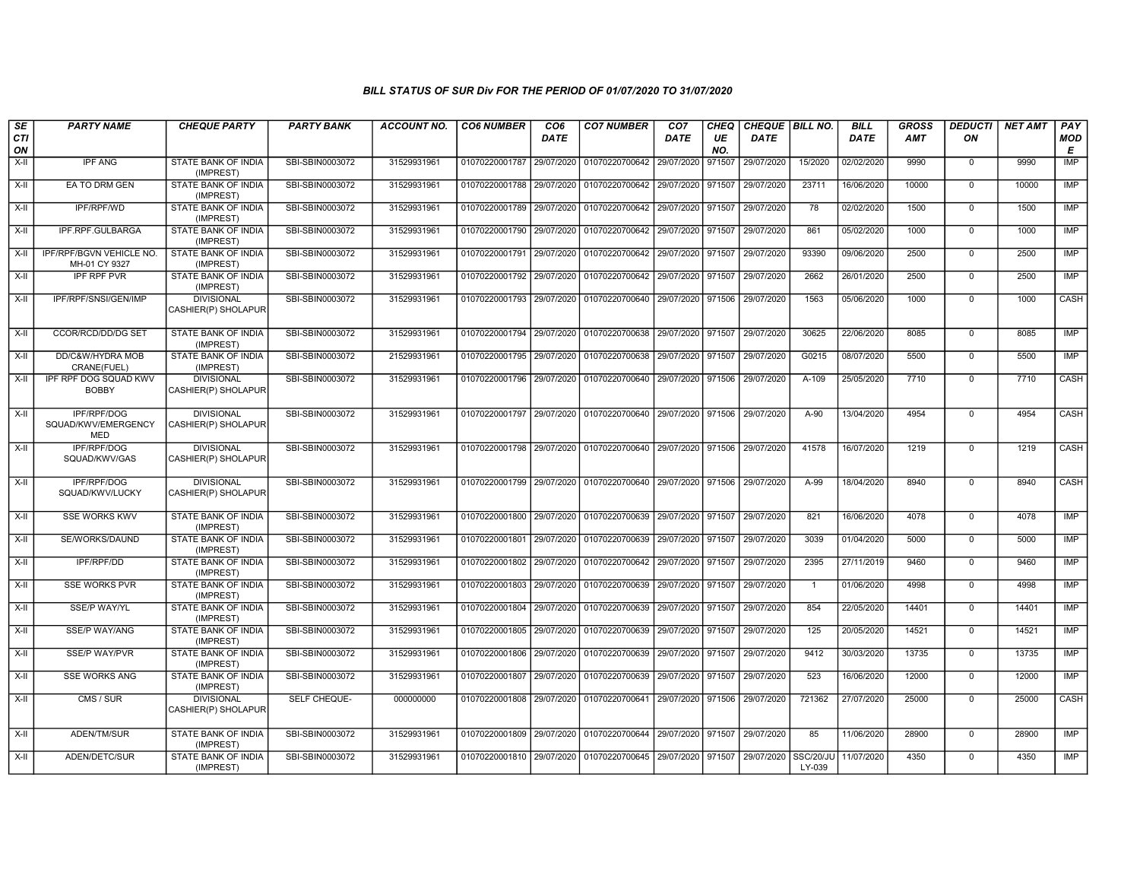| SE        | <b>PARTY NAME</b>                                | <b>CHEQUE PARTY</b>                      | <b>PARTY BANK</b> | <b>ACCOUNT NO.</b> | <b>CO6 NUMBER</b>         | CO <sub>6</sub> | <b>CO7 NUMBER</b>                                          | CO <sub>7</sub>   | <b>CHEQ</b> | CHEQUE   BILL NO. |                     | <b>BILL</b> | <b>GROSS</b> | <b>DEDUCTI</b> | <b>NET AMT</b> | <b>PAY</b>  |
|-----------|--------------------------------------------------|------------------------------------------|-------------------|--------------------|---------------------------|-----------------|------------------------------------------------------------|-------------------|-------------|-------------------|---------------------|-------------|--------------|----------------|----------------|-------------|
| CTI<br>ON |                                                  |                                          |                   |                    |                           | <b>DATE</b>     |                                                            | <b>DATE</b>       | UE<br>NO.   | <b>DATE</b>       |                     | <b>DATE</b> | AMT          | ON             |                | MOD<br>E    |
| X-II      | <b>IPF ANG</b>                                   | STATE BANK OF INDIA<br>(IMPREST)         | SBI-SBIN0003072   | 31529931961        | 01070220001787 29/07/2020 |                 | 01070220700642                                             | 29/07/2020        | 971507      | 29/07/2020        | 15/2020             | 02/02/2020  | 9990         | $\mathbf 0$    | 9990           | <b>IMP</b>  |
| X-II      | EA TO DRM GEN                                    | STATE BANK OF INDIA<br>(IMPREST)         | SBI-SBIN0003072   | 31529931961        | 01070220001788 29/07/2020 |                 | 01070220700642                                             | 29/07/2020        | 971507      | 29/07/2020        | 23711               | 16/06/2020  | 10000        | $\Omega$       | 10000          | <b>IMP</b>  |
| X-II      | IPF/RPF/WD                                       | STATE BANK OF INDIA<br>(IMPREST)         | SBI-SBIN0003072   | 31529931961        | 01070220001789 29/07/2020 |                 | 01070220700642                                             | 29/07/2020        | 971507      | 29/07/2020        | 78                  | 02/02/2020  | 1500         | $\mathbf 0$    | 1500           | IMP         |
| X-II      | IPF.RPF.GULBARGA                                 | STATE BANK OF INDIA<br>(IMPREST)         | SBI-SBIN0003072   | 31529931961        | 01070220001790 29/07/2020 |                 | 01070220700642                                             | 29/07/2020        | 971507      | 29/07/2020        | 861                 | 05/02/2020  | 1000         | $\mathbf 0$    | 1000           | <b>IMP</b>  |
| X-II      | IPF/RPF/BGVN VEHICLE NO.<br>MH-01 CY 9327        | STATE BANK OF INDIA<br>(IMPREST)         | SBI-SBIN0003072   | 31529931961        | 01070220001791 29/07/2020 |                 | 01070220700642                                             | 29/07/2020        | 971507      | 29/07/2020        | 93390               | 09/06/2020  | 2500         | $\Omega$       | 2500           | IMP         |
| X-II      | <b>IPF RPF PVR</b>                               | <b>STATE BANK OF INDIA</b><br>(IMPREST)  | SBI-SBIN0003072   | 31529931961        | 01070220001792 29/07/2020 |                 | 01070220700642                                             | 29/07/2020 971507 |             | 29/07/2020        | 2662                | 26/01/2020  | 2500         | $\mathbf 0$    | 2500           | <b>IMP</b>  |
| X-II      | IPF/RPF/SNSI/GEN/IMP                             | <b>DIVISIONAL</b><br>CASHIER(P) SHOLAPUR | SBI-SBIN0003072   | 31529931961        | 01070220001793 29/07/2020 |                 | 01070220700640                                             | 29/07/2020        | 971506      | 29/07/2020        | 1563                | 05/06/2020  | 1000         | $\mathbf 0$    | 1000           | CASH        |
| X-II      | CCOR/RCD/DD/DG SET                               | STATE BANK OF INDIA<br>(IMPREST)         | SBI-SBIN0003072   | 31529931961        | 01070220001794 29/07/2020 |                 | 01070220700638                                             | 29/07/2020 971507 |             | 29/07/2020        | 30625               | 22/06/2020  | 8085         | $\mathbf 0$    | 8085           | IMP         |
| $X-II$    | DD/C&W/HYDRA MOB<br>CRANE(FUEL)                  | STATE BANK OF INDIA<br>(IMPREST)         | SBI-SBIN0003072   | 21529931961        | 01070220001795 29/07/2020 |                 | 01070220700638                                             | 29/07/2020        | 971507      | 29/07/2020        | G0215               | 08/07/2020  | 5500         | $\mathbf 0$    | 5500           | <b>IMP</b>  |
| X-II      | IPF RPF DOG SQUAD KWV<br><b>BOBBY</b>            | <b>DIVISIONAL</b><br>CASHIER(P) SHOLAPUR | SBI-SBIN0003072   | 31529931961        |                           |                 | 01070220001796 29/07/2020 01070220700640 29/07/2020 971506 |                   |             | 29/07/2020        | A-109               | 25/05/2020  | 7710         | $\mathbf 0$    | 7710           | CASH        |
| X-II      | IPF/RPF/DOG<br>SQUAD/KWV/EMERGENCY<br><b>MED</b> | <b>DIVISIONAL</b><br>CASHIER(P) SHOLAPUR | SBI-SBIN0003072   | 31529931961        |                           |                 | 01070220001797 29/07/2020 01070220700640 29/07/2020 971506 |                   |             | 29/07/2020        | A-90                | 13/04/2020  | 4954         | $\mathbf 0$    | 4954           | CASH        |
| $X-H$     | IPF/RPF/DOG<br>SQUAD/KWV/GAS                     | <b>DIVISIONAL</b><br>CASHIER(P) SHOLAPUR | SBI-SBIN0003072   | 31529931961        |                           |                 | 01070220001798 29/07/2020 01070220700640 29/07/2020 971506 |                   |             | 29/07/2020        | 41578               | 16/07/2020  | 1219         | $\mathbf 0$    | 1219           | CASH        |
| X-II      | <b>IPF/RPF/DOG</b><br>SQUAD/KWV/LUCKY            | <b>DIVISIONAL</b><br>CASHIER(P) SHOLAPUR | SBI-SBIN0003072   | 31529931961        |                           |                 | 01070220001799 29/07/2020 01070220700640 29/07/2020 971506 |                   |             | 29/07/2020        | A-99                | 18/04/2020  | 8940         | $\Omega$       | 8940           | <b>CASH</b> |
| $X-II$    | <b>SSE WORKS KWV</b>                             | STATE BANK OF INDIA<br>(IMPREST)         | SBI-SBIN0003072   | 31529931961        | 01070220001800 29/07/2020 |                 | 01070220700639                                             | 29/07/2020 971507 |             | 29/07/2020        | 821                 | 16/06/2020  | 4078         | $\mathbf 0$    | 4078           | <b>IMP</b>  |
| X-II      | SE/WORKS/DAUND                                   | STATE BANK OF INDIA<br>(IMPREST)         | SBI-SBIN0003072   | 31529931961        |                           |                 | 01070220001801 29/07/2020 01070220700639 29/07/2020 971507 |                   |             | 29/07/2020        | 3039                | 01/04/2020  | 5000         | $\mathbf 0$    | 5000           | IMP         |
| X-II      | <b>IPF/RPF/DD</b>                                | <b>STATE BANK OF INDIA</b><br>(IMPREST)  | SBI-SBIN0003072   | 31529931961        | 01070220001802 29/07/2020 |                 | 01070220700642                                             | 29/07/2020        | 971507      | 29/07/2020        | 2395                | 27/11/2019  | 9460         | $\mathbf 0$    | 9460           | IMP         |
| X-II      | <b>SSE WORKS PVR</b>                             | <b>STATE BANK OF INDIA</b><br>(IMPREST)  | SBI-SBIN0003072   | 31529931961        | 01070220001803 29/07/2020 |                 | 01070220700639                                             | 29/07/2020        | 971507      | 29/07/2020        | $\overline{1}$      | 01/06/2020  | 4998         | $\Omega$       | 4998           | IMP         |
| X-II      | <b>SSE/P WAY/YL</b>                              | STATE BANK OF INDIA<br>(IMPREST)         | SBI-SBIN0003072   | 31529931961        | 01070220001804 29/07/2020 |                 | 01070220700639                                             | 29/07/2020        | 971507      | 29/07/2020        | 854                 | 22/05/2020  | 14401        | $\overline{0}$ | 14401          | <b>IMP</b>  |
| $X-II$    | <b>SSE/P WAY/ANG</b>                             | STATE BANK OF INDIA<br>(IMPREST)         | SBI-SBIN0003072   | 31529931961        | 01070220001805 29/07/2020 |                 | 01070220700639                                             | 29/07/2020 971507 |             | 29/07/2020        | 125                 | 20/05/2020  | 14521        | $\mathbf 0$    | 14521          | <b>IMP</b>  |
| X-II      | <b>SSE/P WAY/PVR</b>                             | <b>STATE BANK OF INDIA</b><br>(IMPREST)  | SBI-SBIN0003072   | 31529931961        | 01070220001806 29/07/2020 |                 | 01070220700639                                             | 29/07/2020 971507 |             | 29/07/2020        | 9412                | 30/03/2020  | 13735        | $\mathbf 0$    | 13735          | <b>IMP</b>  |
| X-II      | <b>SSE WORKS ANG</b>                             | STATE BANK OF INDIA<br>(IMPREST)         | SBI-SBIN0003072   | 31529931961        | 01070220001807 29/07/2020 |                 | 01070220700639                                             | 29/07/2020 971507 |             | 29/07/2020        | 523                 | 16/06/2020  | 12000        | $\mathbf 0$    | 12000          | <b>IMP</b>  |
| X-II      | CMS / SUR                                        | <b>DIVISIONAL</b><br>CASHIER(P) SHOLAPUR | SELF CHEQUE-      | 000000000          |                           |                 | 01070220001808 29/07/2020 01070220700641                   | 29/07/2020 971506 |             | 29/07/2020        | 721362              | 27/07/2020  | 25000        | $\mathbf 0$    | 25000          | CASH        |
| X-II      | ADEN/TM/SUR                                      | <b>STATE BANK OF INDIA</b><br>(IMPREST)  | SBI-SBIN0003072   | 31529931961        |                           |                 | 01070220001809 29/07/2020 01070220700644                   | 29/07/2020 971507 |             | 29/07/2020        | 85                  | 11/06/2020  | 28900        | $\mathbf 0$    | 28900          | <b>IMP</b>  |
| X-II      | ADEN/DETC/SUR                                    | STATE BANK OF INDIA<br>(IMPREST)         | SBI-SBIN0003072   | 31529931961        |                           |                 | 01070220001810 29/07/2020 01070220700645 29/07/2020 971507 |                   |             | 29/07/2020        | SSC/20/Jl<br>LY-039 | 11/07/2020  | 4350         | $\Omega$       | 4350           | <b>IMP</b>  |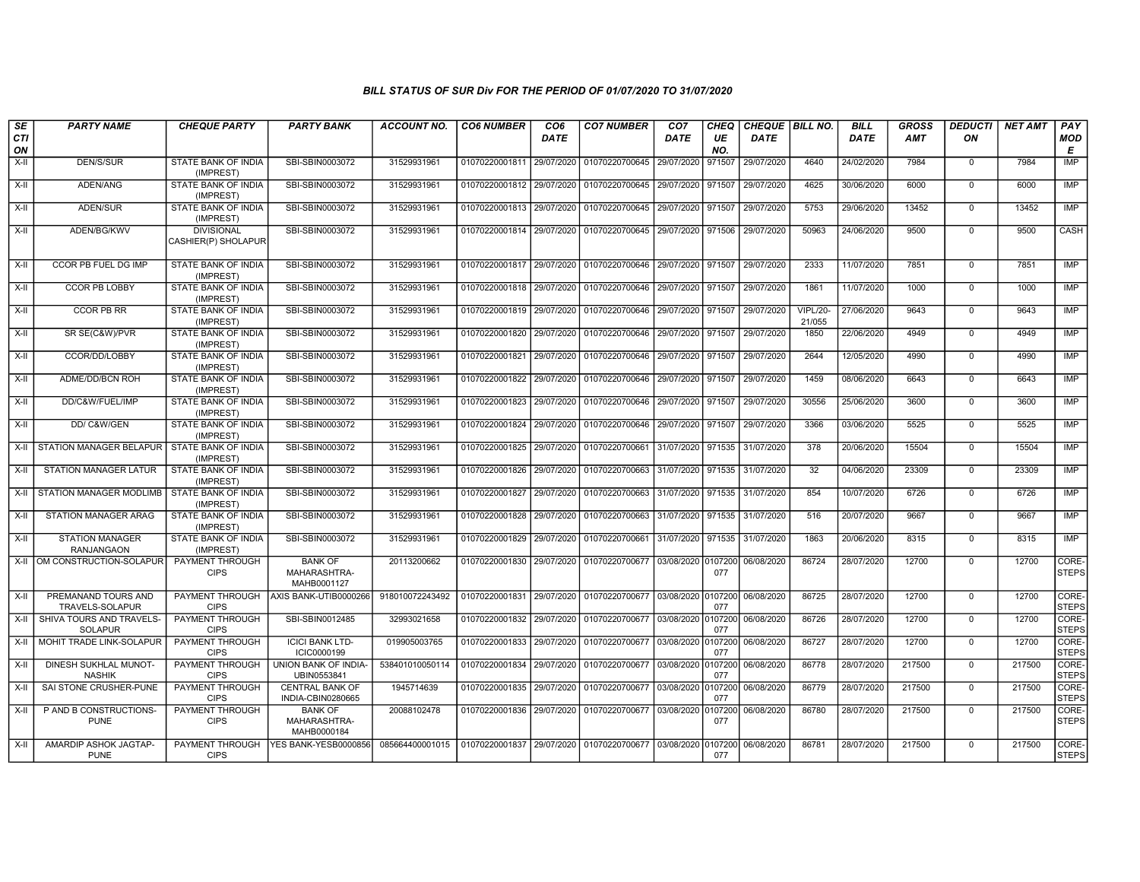| SE<br><b>CTI</b><br>ON | <b>PARTY NAME</b>                             | <b>CHEQUE PARTY</b>                      | <b>PARTY BANK</b>                             | <b>ACCOUNT NO.</b>                                                                    | <b>CO6 NUMBER</b>                        | CO <sub>6</sub><br><b>DATE</b> | <b>CO7 NUMBER</b>                                           | CO <sub>7</sub><br><b>DATE</b> | <b>CHEQ</b><br>UE<br>NO. | CHEQUE BILL NO.<br><b>DATE</b> |                           | <b>BILL</b><br>DATE | <b>GROSS</b><br><b>AMT</b> | <b>DEDUCTI</b><br>ON | <b>NET AMT</b> | PAY<br><b>MOD</b><br>E |
|------------------------|-----------------------------------------------|------------------------------------------|-----------------------------------------------|---------------------------------------------------------------------------------------|------------------------------------------|--------------------------------|-------------------------------------------------------------|--------------------------------|--------------------------|--------------------------------|---------------------------|---------------------|----------------------------|----------------------|----------------|------------------------|
| X-II                   | DEN/S/SUR                                     | STATE BANK OF INDIA<br>(IMPREST)         | SBI-SBIN0003072                               | 31529931961                                                                           | 01070220001811 29/07/2020                |                                | 01070220700645                                              | 29/07/2020                     | 971507                   | 29/07/2020                     | 4640                      | 24/02/2020          | 7984                       | $\mathbf{0}$         | 7984           | <b>IMP</b>             |
| X-II                   | ADEN/ANG                                      | STATE BANK OF INDIA<br>(IMPREST)         | SBI-SBIN0003072                               | 31529931961                                                                           | 01070220001812 29/07/2020                |                                | 01070220700645                                              | 29/07/2020                     | 971507                   | 29/07/2020                     | 4625                      | 30/06/2020          | 6000                       | $\mathbf 0$          | 6000           | IMP                    |
| X-II                   | ADEN/SUR                                      | STATE BANK OF INDIA<br>(IMPREST)         | SBI-SBIN0003072                               | 31529931961                                                                           |                                          |                                | 01070220001813 29/07/2020 01070220700645                    | 29/07/2020 971507              |                          | 29/07/2020                     | 5753                      | 29/06/2020          | 13452                      | $\mathbf 0$          | 13452          | <b>IMP</b>             |
| X-II                   | ADEN/BG/KWV                                   | <b>DIVISIONAL</b><br>CASHIER(P) SHOLAPUR | SBI-SBIN0003072                               | 31529931961                                                                           |                                          |                                | 01070220001814 29/07/2020 01070220700645                    | 29/07/2020 971506              |                          | 29/07/2020                     | 50963                     | 24/06/2020          | 9500                       | $\overline{0}$       | 9500           | <b>CASH</b>            |
| $X-H$                  | CCOR PB FUEL DG IMP                           | STATE BANK OF INDIA<br>(IMPREST)         | SBI-SBIN0003072                               | 31529931961                                                                           |                                          |                                | 01070220001817 29/07/2020 01070220700646 29/07/2020 971507  |                                |                          | 29/07/2020                     | 2333                      | 11/07/2020          | 7851                       | $\overline{0}$       | 7851           | <b>IMP</b>             |
| X-II                   | <b>CCOR PB LOBBY</b>                          | <b>STATE BANK OF INDIA</b><br>(IMPREST)  | SBI-SBIN0003072                               | 31529931961                                                                           |                                          |                                | 01070220001818 29/07/2020 01070220700646                    | 29/07/2020                     | 971507                   | 29/07/2020                     | 1861                      | 11/07/2020          | 1000                       | $\mathbf{0}$         | 1000           | IMP                    |
| X-II                   | <b>CCOR PB RR</b>                             | STATE BANK OF INDIA<br>(IMPREST)         | SBI-SBIN0003072                               | 31529931961                                                                           |                                          |                                | 01070220001819 29/07/2020 01070220700646 29/07/2020 971507  |                                |                          | 29/07/2020                     | <b>VIPL/20-</b><br>21/055 | 27/06/2020          | 9643                       | $\mathbf 0$          | 9643           | IMP                    |
| X-II                   | SR SE(C&W)/PVR                                | STATE BANK OF INDIA<br>(IMPREST)         | SBI-SBIN0003072                               | 31529931961                                                                           |                                          |                                | 01070220001820 29/07/2020 01070220700646                    | 29/07/2020 971507              |                          | 29/07/2020                     | 1850                      | 22/06/2020          | 4949                       | $\Omega$             | 4949           | <b>IMP</b>             |
| $X-H$                  | CCOR/DD/LOBBY                                 | STATE BANK OF INDIA<br>(IMPREST)         | SBI-SBIN0003072                               | 31529931961                                                                           | 01070220001821 29/07/2020                |                                | 01070220700646                                              | 29/07/2020                     | 971507                   | 29/07/2020                     | 2644                      | 12/05/2020          | 4990                       | $\overline{0}$       | 4990           | IMP                    |
| $X-H$                  | ADME/DD/BCN ROH                               | <b>STATE BANK OF INDIA</b><br>(IMPREST)  | SBI-SBIN0003072                               | 31529931961                                                                           |                                          |                                | 01070220001822 29/07/2020 01070220700646 29/07/2020 971507  |                                |                          | 29/07/2020                     | 1459                      | 08/06/2020          | 6643                       | $\Omega$             | 6643           | <b>IMP</b>             |
| X-II                   | DD/C&W/FUEL/IMP                               | <b>STATE BANK OF INDIA</b><br>(IMPREST)  | SBI-SBIN0003072                               | 31529931961                                                                           |                                          |                                | 01070220001823 29/07/2020 01070220700646 29/07/2020 971507  |                                |                          | 29/07/2020                     | 30556                     | 25/06/2020          | 3600                       | $\mathbf 0$          | 3600           | IMP                    |
| X-II                   | DD/C&W/GEN                                    | STATE BANK OF INDIA<br>(IMPREST)         | SBI-SBIN0003072                               | 31529931961                                                                           | 01070220001824 29/07/2020                |                                | 01070220700646                                              | 29/07/2020                     | 971507                   | 29/07/2020                     | 3366                      | 03/06/2020          | 5525                       | $\mathbf{0}$         | 5525           | IMP                    |
|                        | X-II   STATION MANAGER BELAPUR                | STATE BANK OF INDIA<br>(IMPREST)         | SBI-SBIN0003072                               | 31529931961                                                                           | 01070220001825 29/07/2020 01070220700661 |                                |                                                             | 31/07/2020 971535              |                          | 31/07/2020                     | 378                       | 20/06/2020          | 15504                      | $\overline{0}$       | 15504          | <b>IMP</b>             |
| X-II                   | <b>STATION MANAGER LATUR</b>                  | <b>STATE BANK OF INDIA</b><br>(IMPREST)  | SBI-SBIN0003072                               | 31529931961                                                                           |                                          |                                | 01070220001826 29/07/2020 01070220700663                    | 31/07/2020 971535              |                          | 31/07/2020                     | 32                        | 04/06/2020          | 23309                      | $\overline{0}$       | 23309          | IMP                    |
|                        | X-II STATION MANAGER MODLIMB                  | <b>STATE BANK OF INDIA</b><br>(IMPREST)  | SBI-SBIN0003072                               | 31529931961                                                                           | 01070220001827 29/07/2020                |                                | 01070220700663                                              | 31/07/2020 971535              |                          | 31/07/2020                     | 854                       | 10/07/2020          | 6726                       | $\overline{0}$       | 6726           | IMP                    |
| X-II                   | STATION MANAGER ARAG                          | STATE BANK OF INDIA<br>(IMPREST)         | SBI-SBIN0003072                               | 31529931961                                                                           |                                          |                                | 01070220001828 29/07/2020 01070220700663                    | 31/07/2020 971535              |                          | 31/07/2020                     | 516                       | 20/07/2020          | 9667                       | $\Omega$             | 9667           | IMP                    |
| X-II                   | <b>STATION MANAGER</b><br><b>RANJANGAON</b>   | STATE BANK OF INDIA<br>(IMPREST)         | SBI-SBIN0003072                               | 31529931961                                                                           | 01070220001829 29/07/2020 01070220700661 |                                |                                                             | 31/07/2020 971535              |                          | 31/07/2020                     | 1863                      | 20/06/2020          | 8315                       | $\mathbf 0$          | 8315           | IMP                    |
|                        | X-II OM CONSTRUCTION-SOLAPUR                  | PAYMENT THROUGH<br><b>CIPS</b>           | <b>BANK OF</b><br>MAHARASHTRA-<br>MAHB0001127 | 20113200662                                                                           |                                          |                                | 01070220001830 29/07/2020 01070220700677 03/08/2020 0107200 |                                | 077                      | 06/08/2020                     | 86724                     | 28/07/2020          | 12700                      | $\overline{0}$       | 12700          | CORE-<br><b>STEPS</b>  |
| X-II                   | PREMANAND TOURS AND<br>TRAVELS-SOLAPUR        | PAYMENT THROUGH<br><b>CIPS</b>           | AXIS BANK-UTIB0000266                         | 918010072243492                                                                       |                                          |                                | 01070220001831 29/07/2020 01070220700677 03/08/2020 0107200 |                                | 077                      | 06/08/2020                     | 86725                     | 28/07/2020          | 12700                      | $\Omega$             | 12700          | CORE-<br><b>STEPS</b>  |
| X-II                   | SHIVA TOURS AND TRAVELS-<br><b>SOLAPUR</b>    | <b>PAYMENT THROUGH</b><br><b>CIPS</b>    | SBI-SBIN0012485                               | 32993021658                                                                           |                                          |                                | 01070220001832 29/07/2020 01070220700677                    | 03/08/2020 0107200             | 077                      | 06/08/2020                     | 86726                     | 28/07/2020          | 12700                      | $\mathbf 0$          | 12700          | CORE-<br><b>STEPS</b>  |
| X-II                   | MOHIT TRADE LINK-SOLAPUR                      | <b>PAYMENT THROUGH</b><br><b>CIPS</b>    | <b>ICICI BANK LTD-</b><br>ICIC0000199         | 019905003765                                                                          |                                          |                                | 01070220001833 29/07/2020 01070220700677                    | 03/08/2020 0107200             | 077                      | 06/08/2020                     | 86727                     | 28/07/2020          | 12700                      | $\mathbf{0}$         | 12700          | CORE-<br><b>STEPS</b>  |
| X-II                   | <b>DINESH SUKHLAL MUNOT-</b><br><b>NASHIK</b> | <b>PAYMENT THROUGH</b><br><b>CIPS</b>    | <b>UNION BANK OF INDIA-</b><br>UBIN0553841    | 538401010050114                                                                       |                                          |                                | 01070220001834 29/07/2020 01070220700677 03/08/2020 0107200 |                                | 077                      | 06/08/2020                     | 86778                     | 28/07/2020          | 217500                     | $\Omega$             | 217500         | CORE-<br><b>STEPS</b>  |
| $X-II$                 | SAI STONE CRUSHER-PUNE                        | PAYMENT THROUGH<br><b>CIPS</b>           | <b>CENTRAL BANK OF</b><br>INDIA-CBIN0280665   | 1945714639                                                                            |                                          |                                | 01070220001835 29/07/2020 01070220700677                    | 03/08/2020 0107200             | 077                      | 06/08/2020                     | 86779                     | 28/07/2020          | 217500                     | $\mathbf 0$          | 217500         | CORE-<br><b>STEPS</b>  |
| X-II                   | P AND B CONSTRUCTIONS-<br><b>PUNE</b>         | PAYMENT THROUGH<br><b>CIPS</b>           | <b>BANK OF</b><br>MAHARASHTRA-<br>MAHB0000184 | 20088102478                                                                           |                                          |                                | 01070220001836 29/07/2020 01070220700677                    | 03/08/2020 0107200             | 077                      | 06/08/2020                     | 86780                     | 28/07/2020          | 217500                     | $\mathbf{0}$         | 217500         | CORE-<br><b>STEPS</b>  |
| $X-H$                  | AMARDIP ASHOK JAGTAP-<br><b>PUNE</b>          | PAYMENT THROUGH<br><b>CIPS</b>           | YES BANK-YESB0000856                          | 085664400001015   01070220001837   29/07/2020   01070220700677   03/08/2020   0107200 |                                          |                                |                                                             |                                | 077                      | 06/08/2020                     | 86781                     | 28/07/2020          | 217500                     | $\mathbf 0$          | 217500         | CORE-<br><b>STEPS</b>  |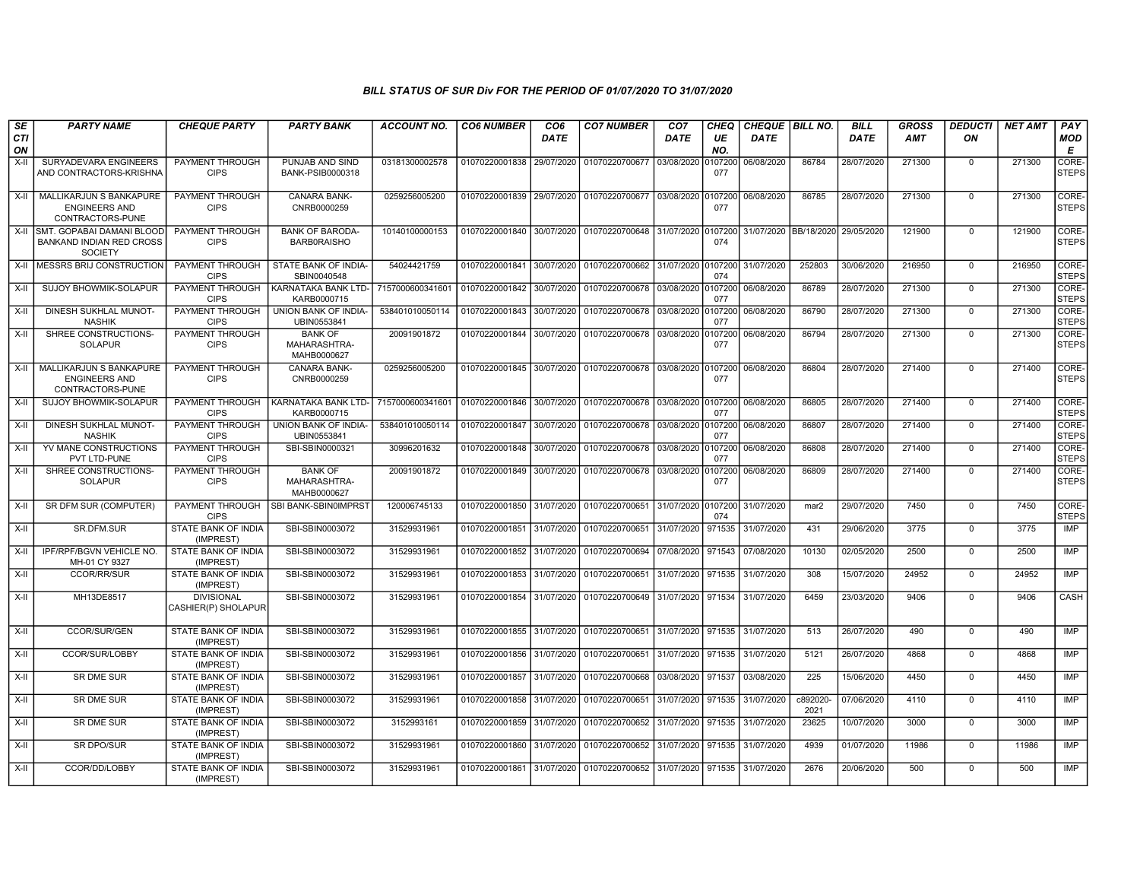| SE               | <b>PARTY NAME</b>                                                                   | <b>CHEQUE PARTY</b>                      | <b>PARTY BANK</b>                             | <b>ACCOUNT NO.</b>                                                                     | <b>CO6 NUMBER</b>                        | CO <sub>6</sub> | <b>CO7 NUMBER</b>                                           | CO <sub>7</sub>    | <b>CHEQ</b>    | CHEQUE   BILL NO.     |                  | <b>BILL</b> | <b>GROSS</b> | <b>DEDUCTI</b> | <b>NET AMT</b> | <b>PAY</b>            |
|------------------|-------------------------------------------------------------------------------------|------------------------------------------|-----------------------------------------------|----------------------------------------------------------------------------------------|------------------------------------------|-----------------|-------------------------------------------------------------|--------------------|----------------|-----------------------|------------------|-------------|--------------|----------------|----------------|-----------------------|
| <b>CTI</b><br>ON |                                                                                     |                                          |                                               |                                                                                        |                                          | <b>DATE</b>     |                                                             | DATE               | UE<br>NO.      | <b>DATE</b>           |                  | <b>DATE</b> | <b>AMT</b>   | ON             |                | <b>MOD</b><br>E       |
| X-II             | SURYADEVARA ENGINEERS<br>AND CONTRACTORS-KRISHNA                                    | PAYMENT THROUGH<br><b>CIPS</b>           | PUNJAB AND SIND<br>BANK-PSIB0000318           | 03181300002578                                                                         | 01070220001838 29/07/2020                |                 | 01070220700677                                              | 03/08/2020         | 0107200<br>077 | 06/08/2020            | 86784            | 28/07/2020  | 271300       | $\mathbf 0$    | 271300         | CORE-<br><b>STEPS</b> |
| X-II             | <b>MALLIKARJUN S BANKAPURE</b><br><b>ENGINEERS AND</b><br>CONTRACTORS-PUNE          | <b>PAYMENT THROUGH</b><br><b>CIPS</b>    | <b>CANARA BANK-</b><br>CNRB0000259            | 0259256005200                                                                          |                                          |                 | 01070220001839 29/07/2020 01070220700677                    | 03/08/2020         | 0107200<br>077 | 06/08/2020            | 86785            | 28/07/2020  | 271300       | $\mathbf 0$    | 271300         | CORE-<br><b>STEPS</b> |
|                  | X-II SMT, GOPABAI DAMANI BLOOD<br><b>BANKAND INDIAN RED CROSS</b><br><b>SOCIETY</b> | PAYMENT THROUGH<br><b>CIPS</b>           | <b>BANK OF BARODA-</b><br><b>BARB0RAISHO</b>  | 10140100000153                                                                         |                                          |                 | 01070220001840 30/07/2020 01070220700648 31/07/2020         |                    | 0107200<br>074 | 31/07/2020 BB/18/2020 |                  | 29/05/2020  | 121900       | $\Omega$       | 121900         | CORE-<br><b>STEPS</b> |
| X-II             | <b>IMESSRS BRIJ CONSTRUCTION</b>                                                    | PAYMENT THROUGH<br><b>CIPS</b>           | STATE BANK OF INDIA-<br>SBIN0040548           | 54024421759                                                                            |                                          |                 | 01070220001841 30/07/2020 01070220700662                    | 31/07/2020 0107200 | 074            | 31/07/2020            | 252803           | 30/06/2020  | 216950       | $\Omega$       | 216950         | CORE-<br><b>STEPS</b> |
| $X-H$            | <b>SUJOY BHOWMIK-SOLAPUR</b>                                                        | <b>PAYMENT THROUGH</b><br><b>CIPS</b>    | KARNATAKA BANK LTD-<br>KARB0000715            | 7157000600341601   01070220001842   30/07/2020   01070220700678   03/08/2020   0107200 |                                          |                 |                                                             |                    | 077            | 06/08/2020            | 86789            | 28/07/2020  | 271300       | $\Omega$       | 271300         | CORE-<br><b>STEPS</b> |
| $X-H$            | DINESH SUKHLAL MUNOT-<br><b>NASHIK</b>                                              | <b>PAYMENT THROUGH</b><br><b>CIPS</b>    | UNION BANK OF INDIA-<br>UBIN0553841           | 538401010050114                                                                        | 01070220001843 30/07/2020                |                 | 01070220700678 03/08/2020 0107200                           |                    | 077            | 06/08/2020            | 86790            | 28/07/2020  | 271300       | $\mathbf 0$    | 271300         | CORE-<br><b>STEPS</b> |
| X-II             | SHREE CONSTRUCTIONS-<br><b>SOLAPUR</b>                                              | PAYMENT THROUGH<br><b>CIPS</b>           | <b>BANK OF</b><br>MAHARASHTRA-<br>MAHB0000627 | 20091901872                                                                            |                                          |                 | 01070220001844 30/07/2020 01070220700678                    | 03/08/2020         | 0107200<br>077 | 06/08/2020            | 86794            | 28/07/2020  | 271300       | $\mathbf 0$    | 271300         | CORE-<br><b>STEPS</b> |
| $X-H$            | MALLIKARJUN S BANKAPURE<br><b>ENGINEERS AND</b><br>CONTRACTORS-PUNE                 | PAYMENT THROUGH<br><b>CIPS</b>           | <b>CANARA BANK-</b><br>CNRB0000259            | 0259256005200                                                                          |                                          |                 | 01070220001845 30/07/2020 01070220700678 03/08/2020 0107200 |                    | 077            | 06/08/2020            | 86804            | 28/07/2020  | 271400       | $\mathbf 0$    | 271400         | CORE-<br><b>STEPS</b> |
| X-II             | SUJOY BHOWMIK-SOLAPUR                                                               | PAYMENT THROUGH<br><b>CIPS</b>           | KARNATAKA BANK LTD-<br>KARB0000715            | 7157000600341601 01070220001846 30/07/2020 01070220700678 03/08/2020 0107200           |                                          |                 |                                                             |                    | 077            | 06/08/2020            | 86805            | 28/07/2020  | 271400       | $\mathbf 0$    | 271400         | CORE-<br><b>STEPS</b> |
| $X-II$           | DINESH SUKHLAL MUNOT-<br><b>NASHIK</b>                                              | PAYMENT THROUGH<br><b>CIPS</b>           | UNION BANK OF INDIA-<br>UBIN0553841           | 538401010050114                                                                        | 01070220001847 30/07/2020 01070220700678 |                 |                                                             | 03/08/2020 0107200 | 077            | 06/08/2020            | 86807            | 28/07/2020  | 271400       | $\mathbf 0$    | 271400         | CORE-<br><b>STEPS</b> |
| $X-II$           | YV MANE CONSTRUCTIONS<br>PVT LTD-PUNE                                               | <b>PAYMENT THROUGH</b><br><b>CIPS</b>    | SBI-SBIN0000321                               | 30996201632                                                                            |                                          |                 | 01070220001848 30/07/2020 01070220700678                    | 03/08/2020 0107200 | 077            | 06/08/2020            | 86808            | 28/07/2020  | 271400       | $\Omega$       | 271400         | CORE-<br><b>STEPS</b> |
| $X-H$            | SHREE CONSTRUCTIONS-<br><b>SOLAPUR</b>                                              | <b>PAYMENT THROUGH</b><br><b>CIPS</b>    | <b>BANK OF</b><br>MAHARASHTRA-<br>MAHB0000627 | 20091901872                                                                            |                                          |                 | 01070220001849 30/07/2020 01070220700678 03/08/2020 0107200 |                    | 077            | 06/08/2020            | 86809            | 28/07/2020  | 271400       | $\mathbf 0$    | 271400         | CORE-<br><b>STEPS</b> |
| $X-H$            | SR DFM SUR (COMPUTER)                                                               | <b>PAYMENT THROUGH</b><br><b>CIPS</b>    | SBI BANK-SBIN0IMPRST                          | 120006745133                                                                           | 01070220001850 31/07/2020 01070220700651 |                 |                                                             | 31/07/2020 0107200 | 074            | 31/07/2020            | mar <sub>2</sub> | 29/07/2020  | 7450         | $\Omega$       | 7450           | CORE-<br><b>STEPS</b> |
| X-II             | SR.DFM.SUR                                                                          | <b>STATE BANK OF INDIA</b><br>(IMPREST)  | SBI-SBIN0003072                               | 31529931961                                                                            | 01070220001851 31/07/2020 01070220700651 |                 |                                                             | 31/07/2020         | 971535         | 31/07/2020            | 431              | 29/06/2020  | 3775         | $\mathbf 0$    | 3775           | IMP                   |
| $X-H$            | IPF/RPF/BGVN VEHICLE NO.<br>MH-01 CY 9327                                           | STATE BANK OF INDIA<br>(IMPREST)         | SBI-SBIN0003072                               | 31529931961                                                                            | 01070220001852 31/07/2020                |                 | 01070220700694                                              | 07/08/2020         | 971543         | 07/08/2020            | 10130            | 02/05/2020  | 2500         | $\Omega$       | 2500           | <b>IMP</b>            |
| X-II             | CCOR/RR/SUR                                                                         | STATE BANK OF INDIA<br>(IMPREST)         | SBI-SBIN0003072                               | 31529931961                                                                            |                                          |                 | 01070220001853 31/07/2020 01070220700651                    | 31/07/2020 971535  |                | 31/07/2020            | 308              | 15/07/2020  | 24952        | $\mathbf 0$    | 24952          | IMP                   |
| $X-H$            | MH13DE8517                                                                          | <b>DIVISIONAL</b><br>CASHIER(P) SHOLAPUR | SBI-SBIN0003072                               | 31529931961                                                                            | 01070220001854 31/07/2020                |                 | 01070220700649                                              | 31/07/2020 971534  |                | 31/07/2020            | 6459             | 23/03/2020  | 9406         | $\overline{0}$ | 9406           | <b>CASH</b>           |
| $X-I$            | CCOR/SUR/GEN                                                                        | STATE BANK OF INDIA<br>(IMPREST)         | SBI-SBIN0003072                               | 31529931961                                                                            | 01070220001855 31/07/2020 01070220700651 |                 |                                                             | 31/07/2020 971535  |                | 31/07/2020            | 513              | 26/07/2020  | 490          | $\mathbf 0$    | 490            | <b>IMP</b>            |
| X-II             | CCOR/SUR/LOBBY                                                                      | STATE BANK OF INDIA<br>(IMPREST)         | SBI-SBIN0003072                               | 31529931961                                                                            | 01070220001856 31/07/2020 01070220700651 |                 |                                                             | 31/07/2020 971535  |                | 31/07/2020            | 5121             | 26/07/2020  | 4868         | $\Omega$       | 4868           | <b>IMP</b>            |
| $X-H$            | <b>SR DME SUR</b>                                                                   | <b>STATE BANK OF INDIA</b><br>(IMPREST)  | SBI-SBIN0003072                               | 31529931961                                                                            | 01070220001857 31/07/2020                |                 | 01070220700668                                              | 03/08/2020         | 971537         | 03/08/2020            | 225              | 15/06/2020  | 4450         | $\Omega$       | 4450           | <b>IMP</b>            |
| $X-H$            | <b>SR DME SUR</b>                                                                   | <b>STATE BANK OF INDIA</b><br>(IMPREST)  | SBI-SBIN0003072                               | 31529931961                                                                            | 01070220001858 31/07/2020 01070220700651 |                 |                                                             | 31/07/2020 971535  |                | 31/07/2020            | c892020-<br>2021 | 07/06/2020  | 4110         | $\mathbf 0$    | 4110           | <b>IMP</b>            |
| X-II             | SR DME SUR                                                                          | <b>STATE BANK OF INDIA</b><br>(IMPREST)  | SBI-SBIN0003072                               | 3152993161                                                                             |                                          |                 | 01070220001859 31/07/2020 01070220700652                    | 31/07/2020         | 971535         | 31/07/2020            | 23625            | 10/07/2020  | 3000         | $\mathbf 0$    | 3000           | IMP                   |
| X-II             | <b>SR DPO/SUR</b>                                                                   | <b>STATE BANK OF INDIA</b><br>(IMPREST)  | SBI-SBIN0003072                               | 31529931961                                                                            |                                          |                 | 01070220001860 31/07/2020 01070220700652                    | 31/07/2020 971535  |                | 31/07/2020            | 4939             | 01/07/2020  | 11986        | $\Omega$       | 11986          | IMP                   |
| $X-H$            | CCOR/DD/LOBBY                                                                       | <b>STATE BANK OF INDIA</b><br>(IMPREST)  | SBI-SBIN0003072                               | 31529931961                                                                            |                                          |                 | 01070220001861 31/07/2020 01070220700652                    | 31/07/2020 971535  |                | 31/07/2020            | 2676             | 20/06/2020  | 500          | $\Omega$       | 500            | <b>IMP</b>            |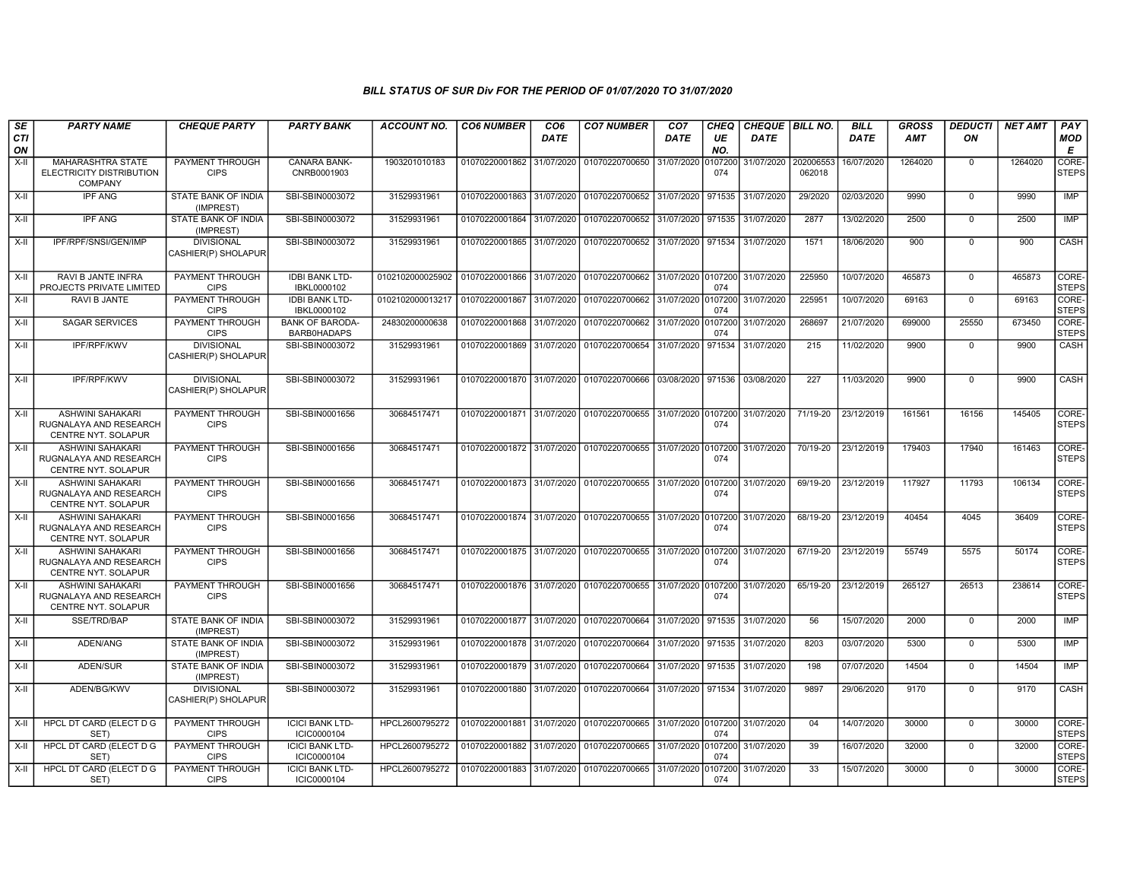| SE               | <b>PARTY NAME</b>                                                               | <b>CHEQUE PARTY</b>                      | <b>PARTY BANK</b>                            | <b>ACCOUNT NO.</b>                                                           | <b>CO6 NUMBER</b>         | CO <sub>6</sub> | <b>CO7 NUMBER</b>                                           | CO <sub>7</sub>   | <b>CHEQ</b>    | CHEQUE BILL NO. |                     | <b>BILL</b> | <b>GROSS</b> | <b>DEDUCTI</b> | <b>NET AMT</b> | PAY                   |
|------------------|---------------------------------------------------------------------------------|------------------------------------------|----------------------------------------------|------------------------------------------------------------------------------|---------------------------|-----------------|-------------------------------------------------------------|-------------------|----------------|-----------------|---------------------|-------------|--------------|----------------|----------------|-----------------------|
| <b>CTI</b><br>ON |                                                                                 |                                          |                                              |                                                                              |                           | <b>DATE</b>     |                                                             | <b>DATE</b>       | UE<br>NO.      | <b>DATE</b>     |                     | <b>DATE</b> | AMT          | ON             |                | <b>MOD</b><br>E       |
| $X-H$            | <b>MAHARASHTRA STATE</b><br>ELECTRICITY DISTRIBUTION<br>COMPANY                 | PAYMENT THROUGH<br><b>CIPS</b>           | CANARA BANK-<br>CNRB0001903                  | 1903201010183                                                                | 01070220001862            | 31/07/2020      | 01070220700650                                              | 31/07/2020        | 0107200<br>074 | 31/07/2020      | 202006553<br>062018 | 16/07/2020  | 1264020      | $\mathbf 0$    | 1264020        | CORE-<br>STEPS        |
| $X-H$            | <b>IPF ANG</b>                                                                  | <b>STATE BANK OF INDIA</b><br>(IMPREST)  | SBI-SBIN0003072                              | 31529931961                                                                  |                           |                 | 01070220001863 31/07/2020 01070220700652 31/07/2020 971535  |                   |                | 31/07/2020      | 29/2020             | 02/03/2020  | 9990         | $\overline{0}$ | 9990           | <b>IMP</b>            |
| X-II             | <b>IPF ANG</b>                                                                  | STATE BANK OF INDIA<br>(IMPREST)         | SBI-SBIN0003072                              | 31529931961                                                                  | 01070220001864            | 31/07/2020      | 01070220700652 31/07/2020 971535                            |                   |                | 31/07/2020      | 2877                | 13/02/2020  | 2500         | $\Omega$       | 2500           | <b>IMP</b>            |
| X-II             | IPF/RPF/SNSI/GEN/IMP                                                            | <b>DIVISIONAL</b><br>CASHIER(P) SHOLAPUR | SBI-SBIN0003072                              | 31529931961                                                                  | 01070220001865            | 31/07/2020      | 01070220700652 31/07/2020 971534                            |                   |                | 31/07/2020      | 1571                | 18/06/2020  | 900          | $\mathbf 0$    | 900            | CASH                  |
| X-II             | <b>RAVI B JANTE INFRA</b><br>PROJECTS PRIVATE LIMITED                           | <b>PAYMENT THROUGH</b><br><b>CIPS</b>    | <b>IDBI BANK LTD-</b><br>IBKL0000102         | 0102102000025902 01070220001866 31/07/2020 01070220700662 31/07/2020 0107200 |                           |                 |                                                             |                   | 074            | 31/07/2020      | 225950              | 10/07/2020  | 465873       | $\mathbf 0$    | 465873         | CORE-<br><b>STEPS</b> |
| X-II             | RAVI B JANTE                                                                    | PAYMENT THROUGH<br><b>CIPS</b>           | <b>IDBI BANK LTD-</b><br>IBKL0000102         | 0102102000013217                                                             | 01070220001867            | 31/07/2020      | 01070220700662 31/07/2020 0107200                           |                   | 074            | 31/07/2020      | 225951              | 10/07/2020  | 69163        | $\Omega$       | 69163          | CORE-<br><b>STEPS</b> |
| $X-II$           | <b>SAGAR SERVICES</b>                                                           | PAYMENT THROUGH<br><b>CIPS</b>           | <b>BANK OF BARODA-</b><br><b>BARB0HADAPS</b> | 24830200000638                                                               | 01070220001868            | 31/07/2020      | 01070220700662                                              | 31/07/2020        | 0107200<br>074 | 31/07/2020      | 268697              | 21/07/2020  | 699000       | 25550          | 673450         | CORE-<br><b>STEPS</b> |
| $X-II$           | <b>IPF/RPF/KWV</b>                                                              | <b>DIVISIONAL</b><br>CASHIER(P) SHOLAPUR | SBI-SBIN0003072                              | 31529931961                                                                  | 01070220001869 31/07/2020 |                 | 01070220700654 31/07/2020 971534 31/07/2020                 |                   |                |                 | 215                 | 11/02/2020  | 9900         | $\mathbf 0$    | 9900           | CASH                  |
| X-II             | IPF/RPF/KWV                                                                     | <b>DIVISIONAL</b><br>CASHIER(P) SHOLAPUR | SBI-SBIN0003072                              | 31529931961                                                                  |                           |                 | 01070220001870 31/07/2020 01070220700666 03/08/2020 971536  |                   |                | 03/08/2020      | 227                 | 11/03/2020  | 9900         | $\Omega$       | 9900           | CASH                  |
| X-II             | <b>ASHWINI SAHAKARI</b><br>RUGNALAYA AND RESEARCH<br><b>CENTRE NYT, SOLAPUR</b> | <b>PAYMENT THROUGH</b><br><b>CIPS</b>    | SBI-SBIN0001656                              | 30684517471                                                                  | 01070220001871 31/07/2020 |                 | 01070220700655 31/07/2020 0107200                           |                   | 074            | 31/07/2020      | 71/19-20            | 23/12/2019  | 161561       | 16156          | 145405         | CORE-<br><b>STEPS</b> |
| $X-H$            | <b>ASHWINI SAHAKARI</b><br>RUGNALAYA AND RESEARCH<br>CENTRE NYT. SOLAPUR        | <b>PAYMENT THROUGH</b><br><b>CIPS</b>    | SBI-SBIN0001656                              | 30684517471                                                                  |                           |                 | 01070220001872 31/07/2020 01070220700655 31/07/2020 0107200 |                   | 074            | 31/07/2020      | 70/19-20            | 23/12/2019  | 179403       | 17940          | 161463         | CORE-<br><b>STEPS</b> |
| X-II             | ASHWINI SAHAKARI<br>RUGNALAYA AND RESEARCH<br>CENTRE NYT. SOLAPUR               | PAYMENT THROUGH<br><b>CIPS</b>           | SBI-SBIN0001656                              | 30684517471                                                                  |                           |                 | 01070220001873 31/07/2020 01070220700655 31/07/2020 0107200 |                   | 074            | 31/07/2020      | 69/19-20            | 23/12/2019  | 117927       | 11793          | 106134         | CORE-<br><b>STEPS</b> |
| X-II             | ASHWINI SAHAKARI<br>RUGNALAYA AND RESEARCH<br>CENTRE NYT. SOLAPUR               | PAYMENT THROUGH<br><b>CIPS</b>           | SBI-SBIN0001656                              | 30684517471                                                                  | 01070220001874 31/07/2020 |                 | 01070220700655 31/07/2020 0107200                           |                   | 074            | 31/07/2020      | 68/19-20            | 23/12/2019  | 40454        | 4045           | 36409          | CORE-<br>STEPS        |
| $X-H$            | <b>ASHWINI SAHAKARI</b><br>RUGNALAYA AND RESEARCH<br>CENTRE NYT. SOLAPUR        | <b>PAYMENT THROUGH</b><br><b>CIPS</b>    | SBI-SBIN0001656                              | 30684517471                                                                  | 01070220001875 31/07/2020 |                 | 01070220700655 31/07/2020 0107200                           |                   | 074            | 31/07/2020      | 67/19-20            | 23/12/2019  | 55749        | 5575           | 50174          | CORE-<br><b>STEPS</b> |
| $X-II$           | <b>ASHWINI SAHAKARI</b><br>RUGNALAYA AND RESEARCH<br>CENTRE NYT. SOLAPUR        | PAYMENT THROUGH<br><b>CIPS</b>           | SBI-SBIN0001656                              | 30684517471                                                                  |                           |                 | 01070220001876 31/07/2020 01070220700655 31/07/2020 0107200 |                   | 074            | 31/07/2020      | 65/19-20            | 23/12/2019  | 265127       | 26513          | 238614         | CORE-<br><b>STEPS</b> |
| X-II             | SSE/TRD/BAP                                                                     | STATE BANK OF INDIA<br>(IMPREST)         | SBI-SBIN0003072                              | 31529931961                                                                  | 01070220001877 31/07/2020 |                 | 01070220700664 31/07/2020 971535                            |                   |                | 31/07/2020      | 56                  | 15/07/2020  | 2000         | $\mathbf 0$    | 2000           | IMP                   |
| $X-H$            | ADEN/ANG                                                                        | STATE BANK OF INDIA<br>(IMPREST)         | SBI-SBIN0003072                              | 31529931961                                                                  | 01070220001878 31/07/2020 |                 | 01070220700664                                              | 31/07/2020 971535 |                | 31/07/2020      | 8203                | 03/07/2020  | 5300         | $\mathbf 0$    | 5300           | <b>IMP</b>            |
| X-II             | ADEN/SUR                                                                        | STATE BANK OF INDIA<br>(IMPREST)         | SBI-SBIN0003072                              | 31529931961                                                                  | 01070220001879 31/07/2020 |                 | 01070220700664 31/07/2020 971535                            |                   |                | 31/07/2020      | 198                 | 07/07/2020  | 14504        | $\mathbf 0$    | 14504          | IMP                   |
| X-II             | ADEN/BG/KWV                                                                     | <b>DIVISIONAL</b><br>CASHIER(P) SHOLAPUR | SBI-SBIN0003072                              | 31529931961                                                                  |                           |                 | 01070220001880 31/07/2020 01070220700664 31/07/2020 971534  |                   |                | 31/07/2020      | 9897                | 29/06/2020  | 9170         | $\mathbf 0$    | 9170           | CASH                  |
| X-II             | HPCL DT CARD (ELECT D G<br>SET)                                                 | PAYMENT THROUGH<br><b>CIPS</b>           | <b>ICICI BANK LTD-</b><br>ICIC0000104        | HPCL2600795272                                                               | 01070220001881 31/07/2020 |                 | 01070220700665 31/07/2020 0107200                           |                   | 074            | 31/07/2020      | 04                  | 14/07/2020  | 30000        | $\overline{0}$ | 30000          | CORE-<br><b>STEPS</b> |
| $X-H$            | <b>HPCL DT CARD (ELECT D G</b><br>SET)                                          | <b>PAYMENT THROUGH</b><br><b>CIPS</b>    | <b>ICICI BANK LTD-</b><br>ICIC0000104        | HPCL2600795272                                                               | 01070220001882            | 31/07/2020      | 01070220700665 31/07/2020 0107200                           |                   | 074            | 31/07/2020      | 39                  | 16/07/2020  | 32000        | $\mathbf 0$    | 32000          | CORE-<br><b>STEPS</b> |
| $X-H$            | HPCL DT CARD (ELECT D G<br>SET)                                                 | PAYMENT THROUGH<br><b>CIPS</b>           | <b>ICICI BANK LTD-</b><br>ICIC0000104        | HPCL2600795272                                                               | 01070220001883 31/07/2020 |                 | 01070220700665 31/07/2020                                   |                   | 0107200<br>074 | 31/07/2020      | $\overline{33}$     | 15/07/2020  | 30000        | $\Omega$       | 30000          | CORE-<br><b>STEPS</b> |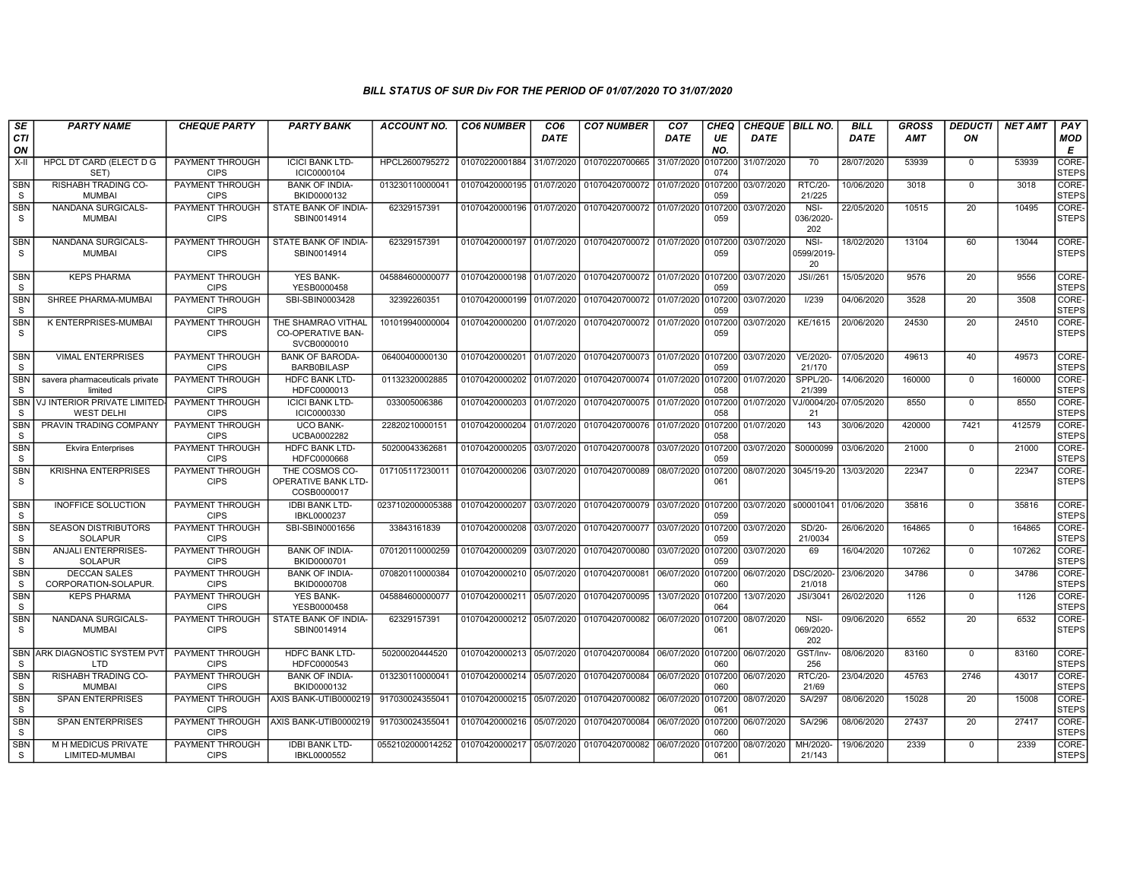| SE<br><b>CTI</b>           | <b>PARTY NAME</b>                                 | <b>CHEQUE PARTY</b>                   | <b>PARTY BANK</b>                                             | <b>ACCOUNT NO.</b>              | <b>CO6 NUMBER</b>         | CO <sub>6</sub><br><b>DATE</b> | <b>CO7 NUMBER</b>                                           | CO <sub>7</sub><br><b>DATE</b> | CHEQ<br>UE     | <b>CHEQUE BILL NO.</b><br><b>DATE</b> |                           | <b>BILL</b><br><b>DATE</b> | <b>GROSS</b><br><b>AMT</b> | <b>DEDUCTI</b><br>ON | <b>NET AMT</b> | PAY<br>MOD            |
|----------------------------|---------------------------------------------------|---------------------------------------|---------------------------------------------------------------|---------------------------------|---------------------------|--------------------------------|-------------------------------------------------------------|--------------------------------|----------------|---------------------------------------|---------------------------|----------------------------|----------------------------|----------------------|----------------|-----------------------|
| ON                         |                                                   |                                       |                                                               |                                 |                           |                                |                                                             |                                | NO.            |                                       |                           |                            |                            |                      |                | E                     |
| X-II                       | HPCL DT CARD (ELECT D G<br>SET)                   | PAYMENT THROUGH<br><b>CIPS</b>        | <b>ICICI BANK LTD-</b><br>ICIC0000104                         | HPCL2600795272                  | 01070220001884            | 31/07/2020                     | 01070220700665                                              | 31/07/2020                     | 107200<br>074  | 31/07/2020                            | 70                        | 28/07/2020                 | 53939                      | $\Omega$             | 53939          | CORE-<br><b>STEPS</b> |
| SBN<br>S                   | <b>RISHABH TRADING CO-</b><br><b>MUMBAI</b>       | PAYMENT THROUGH<br><b>CIPS</b>        | <b>BANK OF INDIA-</b><br>BKID0000132                          | 013230110000041                 | 01070420000195 01/07/2020 |                                | 01070420700072                                              | 01/07/2020                     | 107200<br>059  | 03/07/2020                            | <b>RTC/20-</b><br>21/225  | 10/06/2020                 | 3018                       | $\Omega$             | 3018           | CORE-<br><b>STEPS</b> |
| <b>SBN</b><br>S            | NANDANA SURGICALS-<br><b>MUMBAI</b>               | PAYMENT THROUGH<br><b>CIPS</b>        | STATE BANK OF INDIA-<br>SBIN0014914                           | 62329157391                     | 01070420000196 01/07/2020 |                                | 01070420700072 01/07/2020                                   |                                | 107200<br>059  | 03/07/2020                            | NSI-<br>036/2020-<br>202  | 22/05/2020                 | 10515                      | 20                   | 10495          | CORE-<br><b>STEPS</b> |
| SBN<br>S                   | NANDANA SURGICALS-<br><b>MUMBAI</b>               | PAYMENT THROUGH<br><b>CIPS</b>        | STATE BANK OF INDIA-<br>SBIN0014914                           | 62329157391                     |                           |                                | 01070420000197 01/07/2020 01070420700072 01/07/2020 0107200 |                                | 059            | 03/07/2020                            | NSI-<br>0599/2019<br>20   | 18/02/2020                 | 13104                      | 60                   | 13044          | CORE-<br><b>STEPS</b> |
| <b>SBN</b><br>S            | <b>KEPS PHARMA</b>                                | PAYMENT THROUGH<br><b>CIPS</b>        | <b>YES BANK-</b><br>YESB0000458                               | 045884600000077                 |                           |                                | 01070420000198 01/07/2020 01070420700072 01/07/2020 0107200 |                                | 059            | 03/07/2020                            | JSI//261                  | 15/05/2020                 | 9576                       | 20                   | 9556           | CORE-<br><b>STEPS</b> |
| SBN<br>S                   | SHREE PHARMA-MUMBAI                               | PAYMENT THROUGH<br><b>CIPS</b>        | SBI-SBIN0003428                                               | 32392260351                     | 01070420000199            | 01/07/2020                     | 01070420700072 01/07/2020                                   |                                | 0107200<br>059 | 03/07/2020                            | 1/239                     | 04/06/2020                 | 3528                       | 20                   | 3508           | CORE-<br><b>STEPS</b> |
| SBN<br>S                   | K ENTERPRISES-MUMBAI                              | PAYMENT THROUGH<br><b>CIPS</b>        | THE SHAMRAO VITHAL<br><b>CO-OPERATIVE BAN-</b><br>SVCB0000010 | 101019940000004                 | 01070420000200 01/07/2020 |                                | 01070420700072 01/07/2020                                   |                                | 107200<br>059  | 03/07/2020                            | KE/1615                   | 20/06/2020                 | 24530                      | 20                   | 24510          | CORE-<br><b>STEPS</b> |
| SBN<br>S                   | <b>VIMAL ENTERPRISES</b>                          | PAYMENT THROUGH<br><b>CIPS</b>        | <b>BANK OF BARODA-</b><br><b>BARB0BILASP</b>                  | 06400400000130                  | 01070420000201 01/07/2020 |                                | 01070420700073 01/07/2020                                   |                                | 107200<br>059  | 03/07/2020                            | VE/2020-<br>21/170        | 07/05/2020                 | 49613                      | 40                   | 49573          | CORE-<br><b>STEPS</b> |
| <b>SBN</b><br>S            | savera pharmaceuticals private<br>limited         | PAYMENT THROUGH<br><b>CIPS</b>        | <b>HDFC BANK LTD-</b><br>HDFC0000013                          | 01132320002885                  | 01070420000202            | 01/07/2020                     | 01070420700074 01/07/2020                                   |                                | 0107200<br>058 | 01/07/2020                            | SPPL/20-<br>21/399        | 14/06/2020                 | 160000                     | $\Omega$             | 160000         | CORE-<br><b>STEPS</b> |
| <b>SBN</b><br><sub>S</sub> | VJ INTERIOR PRIVATE LIMITED-<br><b>WEST DELHI</b> | PAYMENT THROUGH<br><b>CIPS</b>        | <b>ICICI BANK LTD-</b><br>ICIC0000330                         | 033005006386                    | 01070420000203            | 01/07/2020                     | 01070420700075 01/07/2020                                   |                                | 107200<br>058  | 01/07/2020                            | VJ/0004/20-<br>21         | 07/05/2020                 | 8550                       | $\mathbf 0$          | 8550           | CORE-<br><b>STEPS</b> |
| <b>SBN</b><br>S            | PRAVIN TRADING COMPANY                            | <b>PAYMENT THROUGH</b><br><b>CIPS</b> | <b>UCO BANK-</b><br>UCBA0002282                               | 22820210000151                  | 01070420000204 01/07/2020 |                                | 01070420700076 01/07/2020                                   |                                | 107200<br>058  | 01/07/2020                            | 143                       | 30/06/2020                 | 420000                     | 7421                 | 412579         | CORE-<br><b>STEPS</b> |
| <b>SBN</b><br>S            | <b>Ekvira Enterprises</b>                         | PAYMENT THROUGH<br><b>CIPS</b>        | <b>HDFC BANK LTD-</b><br>HDFC0000668                          | 50200043362681                  | 01070420000205            | 03/07/2020                     | 01070420700078                                              | 03/07/2020                     | 0107200<br>059 | 03/07/2020                            | S0000099                  | 03/06/2020                 | 21000                      | $\mathbf 0$          | 21000          | CORE-<br><b>STEPS</b> |
| <b>SBN</b><br>S            | <b>KRISHNA ENTERPRISES</b>                        | PAYMENT THROUGH<br><b>CIPS</b>        | THE COSMOS CO-<br>OPERATIVE BANK LTD-<br>COSB0000017          | 017105117230011                 | 01070420000206            | 03/07/2020                     | 01070420700089                                              | 08/07/2020                     | 107200<br>061  | 08/07/2020                            | 3045/19-20                | 13/03/2020                 | 22347                      | $\mathbf 0$          | 22347          | CORE-<br><b>STEPS</b> |
| <b>SBN</b><br>S            | INOFFICE SOLUCTION                                | PAYMENT THROUGH<br><b>CIPS</b>        | <b>IDBI BANK LTD-</b><br>IBKL0000237                          | 0237102000005388 01070420000207 |                           | 03/07/2020                     | 01070420700079 03/07/2020                                   |                                | 0107200<br>059 | 03/07/2020 S00001041                  |                           | 01/06/2020                 | 35816                      | $\mathbf 0$          | 35816          | CORE-<br><b>STEPS</b> |
| <b>SBN</b><br>S            | <b>SEASON DISTRIBUTORS</b><br><b>SOLAPUR</b>      | PAYMENT THROUGH<br><b>CIPS</b>        | SBI-SBIN0001656                                               | 33843161839                     | 01070420000208            | 03/07/2020                     | 01070420700077 03/07/2020                                   |                                | 107200<br>059  | 03/07/2020                            | SD/20-<br>21/0034         | 26/06/2020                 | 164865                     | $\mathbf{0}$         | 164865         | CORE-<br><b>STEPS</b> |
| <b>SBN</b><br>S            | <b>ANJALI ENTERPRISES-</b><br><b>SOLAPUR</b>      | PAYMENT THROUGH<br><b>CIPS</b>        | <b>BANK OF INDIA-</b><br>BKID0000701                          | 070120110000259                 | 01070420000209            | 03/07/2020                     | 01070420700080                                              | 03/07/2020                     | 107200<br>059  | 03/07/2020                            | 69                        | 16/04/2020                 | 107262                     | $\Omega$             | 107262         | CORE-<br><b>STEPS</b> |
| <b>SBN</b><br>S            | <b>DECCAN SALES</b><br>CORPORATION-SOLAPUR.       | PAYMENT THROUGH<br><b>CIPS</b>        | <b>BANK OF INDIA-</b><br>BKID0000708                          | 070820110000384                 | 01070420000210            | 05/07/2020                     | 01070420700081                                              | 06/07/2020                     | 107200<br>060  | 06/07/2020                            | <b>DSC/2020</b><br>21/018 | 23/06/2020                 | 34786                      | $\Omega$             | 34786          | CORE-<br><b>STEPS</b> |
| <b>SBN</b><br>S            | <b>KEPS PHARMA</b>                                | <b>PAYMENT THROUGH</b><br><b>CIPS</b> | <b>YES BANK-</b><br>YESB0000458                               | 045884600000077                 | 01070420000211            | 05/07/2020                     | 01070420700095                                              | 13/07/2020                     | 107200<br>064  | 13/07/2020                            | <b>JSI/3041</b>           | 26/02/2020                 | 1126                       | $\mathbf 0$          | 1126           | CORE-<br><b>STEPS</b> |
| SBN<br>S                   | NANDANA SURGICALS-<br><b>MUMBAI</b>               | PAYMENT THROUGH<br><b>CIPS</b>        | STATE BANK OF INDIA-<br>SBIN0014914                           | 62329157391                     | 01070420000212 05/07/2020 |                                | 01070420700082 06/07/2020                                   |                                | 0107200<br>061 | 08/07/2020                            | NSI-<br>069/2020-<br>202  | 09/06/2020                 | 6552                       | 20                   | 6532           | CORE-<br><b>STEPS</b> |
| <sub>S</sub>               | SBN ARK DIAGNOSTIC SYSTEM PVT<br><b>LTD</b>       | PAYMENT THROUGH<br><b>CIPS</b>        | <b>HDFC BANK LTD-</b><br>HDFC0000543                          | 50200020444520                  | 01070420000213 05/07/2020 |                                | 01070420700084 06/07/2020 0107200 06/07/2020                |                                | 060            |                                       | GST/Inv-<br>256           | 08/06/2020                 | 83160                      | $\Omega$             | 83160          | CORE-<br><b>STEPS</b> |
| <b>SBN</b><br>S            | <b>RISHABH TRADING CO-</b><br><b>MUMBAI</b>       | PAYMENT THROUGH<br><b>CIPS</b>        | <b>BANK OF INDIA-</b><br>BKID0000132                          | 013230110000041                 | 01070420000214            | 05/07/2020                     | 01070420700084                                              | 06/07/2020                     | 107200<br>060  | 06/07/2020                            | <b>RTC/20-</b><br>21/69   | 23/04/2020                 | 45763                      | 2746                 | 43017          | CORE-<br><b>STEPS</b> |
| SBN<br>S                   | <b>SPAN ENTERPRISES</b>                           | PAYMENT THROUGH<br><b>CIPS</b>        | AXIS BANK-UTIB0000219                                         | 91703002435504                  | 01070420000215            | 05/07/2020                     | 01070420700082                                              | 06/07/2020                     | 107200<br>061  | 08/07/2020                            | SA/297                    | 08/06/2020                 | 15028                      | 20                   | 15008          | CORE-<br><b>STEPS</b> |
| <b>SBN</b><br>S            | <b>SPAN ENTERPRISES</b>                           | PAYMENT THROUGH<br><b>CIPS</b>        | AXIS BANK-UTIB0000219                                         | 917030024355041                 | 01070420000216            | 05/07/2020                     | 01070420700084                                              | 06/07/2020                     | 0107200<br>060 | 06/07/2020                            | <b>SA/296</b>             | 08/06/2020                 | 27437                      | 20                   | 27417          | CORE-<br><b>STEPS</b> |
| <b>SBN</b><br>S.           | M H MEDICUS PRIVATE<br>LIMITED-MUMBAI             | PAYMENT THROUGH<br><b>CIPS</b>        | <b>IDBI BANK LTD-</b><br>IBKL0000552                          | 0552102000014252                | 01070420000217 05/07/2020 |                                | 01070420700082 06/07/2020                                   |                                | 107200<br>061  | 08/07/2020                            | MH/2020-<br>21/143        | 19/06/2020                 | 2339                       | $\mathbf{0}$         | 2339           | CORE-<br><b>STEPS</b> |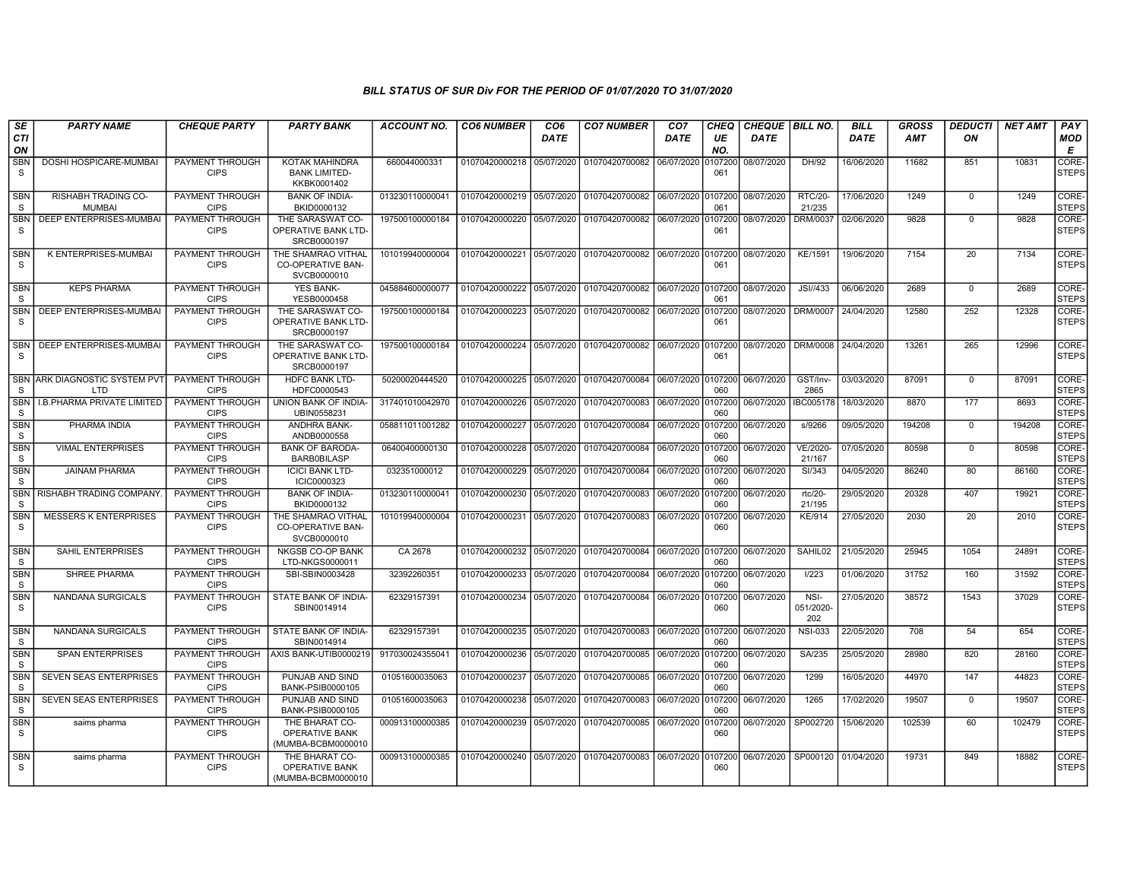| SE                         | <b>PARTY NAME</b>                                  | <b>CHEQUE PARTY</b>                   | <b>PARTY BANK</b>                                             | <b>ACCOUNT NO.</b> | <b>CO6 NUMBER</b>         | CO <sub>6</sub> | <b>CO7 NUMBER</b>                 | CO <sub>7</sub> | CHEQ           | <b>CHEQUE   BILL NO.</b> |                          | <b>BILL</b> | GROSS      | <b>DEDUCTI</b> | NET AMT | <b>PAY</b>            |
|----------------------------|----------------------------------------------------|---------------------------------------|---------------------------------------------------------------|--------------------|---------------------------|-----------------|-----------------------------------|-----------------|----------------|--------------------------|--------------------------|-------------|------------|----------------|---------|-----------------------|
| <b>CTI</b><br>ON           |                                                    |                                       |                                                               |                    |                           | DATE            |                                   | DATE            | UE<br>NO.      | <b>DATE</b>              |                          | DATE        | <b>AMT</b> | ON             |         | <b>MOD</b><br>E       |
| <b>SBN</b><br>S            | DOSHI HOSPICARE-MUMBAI                             | PAYMENT THROUGH<br><b>CIPS</b>        | <b>KOTAK MAHINDRA</b><br><b>BANK LIMITED-</b><br>KKBK0001402  | 660044000331       | 01070420000218 05/07/2020 |                 | 01070420700082 06/07/2020         |                 | 107200<br>061  | 08/07/2020               | DH/92                    | 16/06/2020  | 11682      | 851            | 10831   | CORE-<br><b>STEPS</b> |
| <b>SBN</b><br>S            | RISHABH TRADING CO-<br><b>MUMBAI</b>               | <b>PAYMENT THROUGH</b><br><b>CIPS</b> | <b>BANK OF INDIA-</b><br>BKID0000132                          | 013230110000041    | 01070420000219 05/07/2020 |                 | 01070420700082 06/07/2020 0107200 |                 | 061            | 08/07/2020               | <b>RTC/20-</b><br>21/235 | 17/06/2020  | 1249       | $\overline{0}$ | 1249    | CORE-<br><b>STEPS</b> |
| <b>SBN</b><br>S            | DEEP ENTERPRISES-MUMBAI                            | <b>PAYMENT THROUGH</b><br><b>CIPS</b> | THE SARASWAT CO-<br>OPERATIVE BANK LTD-<br>SRCB0000197        | 197500100000184    | 01070420000220 05/07/2020 |                 |                                   |                 | 061            | 08/07/2020               | DRM/0037                 | 02/06/2020  | 9828       | $\mathbf{0}$   | 9828    | CORE-<br>STEPS        |
| <b>SBN</b><br>S            | K ENTERPRISES-MUMBAI                               | <b>PAYMENT THROUGH</b><br><b>CIPS</b> | THE SHAMRAO VITHAL<br><b>CO-OPERATIVE BAN-</b><br>SVCB0000010 | 101019940000004    | 01070420000221 05/07/2020 |                 | 01070420700082 06/07/2020 0107200 |                 | 061            | 08/07/2020               | KE/1591                  | 19/06/2020  | 7154       | 20             | 7134    | CORE-<br><b>STEPS</b> |
| <b>SBN</b><br>S            | <b>KEPS PHARMA</b>                                 | PAYMENT THROUGH<br><b>CIPS</b>        | <b>YES BANK-</b><br>YESB0000458                               | 045884600000077    | 01070420000222 05/07/2020 |                 | 01070420700082 06/07/2020 0107200 |                 | 061            | 08/07/2020               | JSI//433                 | 06/06/2020  | 2689       | $\mathbf 0$    | 2689    | CORE-<br><b>STEPS</b> |
| <b>SBN</b><br><sub>S</sub> | DEEP ENTERPRISES-MUMBAI                            | PAYMENT THROUGH<br><b>CIPS</b>        | THE SARASWAT CO-<br><b>OPERATIVE BANK LTD-</b><br>SRCB0000197 | 197500100000184    | 01070420000223 05/07/2020 |                 | 01070420700082 06/07/2020 0107200 |                 | 061            | 08/07/2020               | <b>DRM/0007</b>          | 24/04/2020  | 12580      | 252            | 12328   | CORE-<br><b>STEPS</b> |
| <b>SBN</b><br>S            | <b>DEEP ENTERPRISES-MUMBAI</b>                     | PAYMENT THROUGH<br><b>CIPS</b>        | THE SARASWAT CO-<br><b>OPERATIVE BANK LTD-</b><br>SRCB0000197 | 197500100000184    | 01070420000224 05/07/2020 |                 | 01070420700082 06/07/2020 0107200 |                 | 061            | 08/07/2020               | DRM/0008                 | 24/04/2020  | 13261      | 265            | 12996   | CORE-<br><b>STEPS</b> |
| S                          | <b>SBN ARK DIAGNOSTIC SYSTEM PVT</b><br><b>LTD</b> | PAYMENT THROUGH<br><b>CIPS</b>        | <b>HDFC BANK LTD-</b><br>HDFC0000543                          | 50200020444520     | 01070420000225 05/07/2020 |                 | 01070420700084 06/07/2020 0107200 |                 | 060            | 06/07/2020               | GST/Inv-<br>2865         | 03/03/2020  | 87091      | $\Omega$       | 87091   | CORE-<br><b>STEPS</b> |
| <b>SBN</b><br>S            | I.B. PHARMA PRIVATE LIMITED                        | PAYMENT THROUGH<br><b>CIPS</b>        | UNION BANK OF INDIA-<br>UBIN0558231                           | 317401010042970    | 01070420000226            | 05/07/2020      | 01070420700083                    | 06/07/2020      | 0107200<br>060 | 06/07/2020               | IBC005178                | 18/03/2020  | 8870       | 177            | 8693    | CORE-<br><b>STEPS</b> |
| <b>SBN</b><br>S            | PHARMA INDIA                                       | <b>PAYMENT THROUGH</b><br><b>CIPS</b> | ANDHRA BANK-<br>ANDB0000558                                   | 058811011001282    | 01070420000227            | 05/07/2020      | 01070420700084                    | 06/07/2020      | 0107200<br>060 | 06/07/2020               | s/9266                   | 09/05/2020  | 194208     | $\overline{0}$ | 194208  | CORE-<br><b>STEPS</b> |
| <b>SBN</b><br>S            | <b>VIMAL ENTERPRISES</b>                           | <b>PAYMENT THROUGH</b><br><b>CIPS</b> | <b>BANK OF BARODA-</b><br><b>BARB0BILASP</b>                  | 06400400000130     | 01070420000228 05/07/2020 |                 | 01070420700084 06/07/2020         |                 | 0107200<br>060 | 06/07/2020               | VE/2020-<br>21/167       | 07/05/2020  | 80598      | $^{\circ}$     | 80598   | CORE-<br><b>STEPS</b> |
| <b>SBN</b><br>S.           | <b>JAINAM PHARMA</b>                               | <b>PAYMENT THROUGH</b><br><b>CIPS</b> | <b>ICICI BANK LTD-</b><br>ICIC0000323                         | 032351000012       | 01070420000229 05/07/2020 |                 | 01070420700084 06/07/2020 0107200 |                 | 060            | 06/07/2020               | SI/343                   | 04/05/2020  | 86240      | 80             | 86160   | CORE-<br><b>STEPS</b> |
| SBN<br>S                   | RISHABH TRADING COMPANY                            | PAYMENT THROUGH<br><b>CIPS</b>        | <b>BANK OF INDIA-</b><br>BKID0000132                          | 013230110000041    | 01070420000230 05/07/2020 |                 | 01070420700083 06/07/2020         |                 | 0107200<br>060 | 06/07/2020               | rtc/20-<br>21/195        | 29/05/2020  | 20328      | 407            | 19921   | CORE-<br><b>STEPS</b> |
| <b>SBN</b><br>S            | <b>MESSERS K ENTERPRISES</b>                       | PAYMENT THROUGH<br><b>CIPS</b>        | THE SHAMRAO VITHAL<br><b>CO-OPERATIVE BAN-</b><br>SVCB0000010 | 101019940000004    | 01070420000231            | 05/07/2020      | 01070420700083                    | 06/07/2020      | 0107200<br>060 | 06/07/2020               | <b>KE/914</b>            | 27/05/2020  | 2030       | 20             | 2010    | CORE-<br><b>STEPS</b> |
| <b>SBN</b><br>S            | <b>SAHIL ENTERPRISES</b>                           | PAYMENT THROUGH<br><b>CIPS</b>        | NKGSB CO-OP BANK<br>LTD-NKGS0000011                           | CA 2678            | 01070420000232 05/07/2020 |                 | 01070420700084 06/07/2020 0107200 |                 | 060            | 06/07/2020               | SAHIL02                  | 21/05/2020  | 25945      | 1054           | 24891   | CORE-<br><b>STEPS</b> |
| <b>SBN</b><br>S            | SHREE PHARMA                                       | PAYMENT THROUGH<br><b>CIPS</b>        | SBI-SBIN0003428                                               | 32392260351        | 01070420000233 05/07/2020 |                 | 01070420700084                    | 06/07/2020      | 0107200<br>060 | 06/07/2020               | I/223                    | 01/06/2020  | 31752      | 160            | 31592   | CORE-<br><b>STEPS</b> |
| <b>SBN</b><br>S            | NANDANA SURGICALS                                  | PAYMENT THROUGH<br><b>CIPS</b>        | STATE BANK OF INDIA-<br>SBIN0014914                           | 62329157391        | 01070420000234 05/07/2020 |                 | 01070420700084 06/07/2020         |                 | 0107200<br>060 | 06/07/2020               | NSI-<br>051/2020-<br>202 | 27/05/2020  | 38572      | 1543           | 37029   | CORE-<br><b>STEPS</b> |
| SBN<br>S                   | NANDANA SURGICALS                                  | PAYMENT THROUGH<br><b>CIPS</b>        | STATE BANK OF INDIA-<br>SBIN0014914                           | 62329157391        | 01070420000235 05/07/2020 |                 | 01070420700083 06/07/2020 0107200 |                 | 060            | 06/07/2020               | <b>NSI-033</b>           | 22/05/2020  | 708        | 54             | 654     | CORE-<br><b>STEPS</b> |
| <b>SBN</b><br>S            | <b>SPAN ENTERPRISES</b>                            | <b>CIPS</b>                           | PAYMENT THROUGH AXIS BANK-UTIB0000219                         | 917030024355041    | 01070420000236 05/07/2020 |                 | 01070420700085 06/07/2020 0107200 |                 | 060            | 06/07/2020               | SA/235                   | 25/05/2020  | 28980      | 820            | 28160   | CORE-<br><b>STEPS</b> |
| <b>SBN</b><br>S            | <b>SEVEN SEAS ENTERPRISES</b>                      | <b>PAYMENT THROUGH</b><br><b>CIPS</b> | PUNJAB AND SIND<br>BANK-PSIB0000105                           | 01051600035063     | 01070420000237            | 05/07/2020      | 01070420700085                    | 06/07/2020      | 0107200<br>060 | 06/07/2020               | 1299                     | 16/05/2020  | 44970      | 147            | 44823   | CORE-<br><b>STEPS</b> |
| <b>SBN</b><br>S            | <b>SEVEN SEAS ENTERPRISES</b>                      | <b>PAYMENT THROUGH</b><br><b>CIPS</b> | PUNJAB AND SIND<br><b>BANK-PSIB0000105</b>                    | 01051600035063     | 01070420000238 05/07/2020 |                 | 01070420700083                    | 06/07/2020      | 0107200<br>060 | 06/07/2020               | 1265                     | 17/02/2020  | 19507      | $^{\circ}$     | 19507   | CORE-<br><b>STEPS</b> |
| <b>SBN</b><br>S            | saims pharma                                       | PAYMENT THROUGH<br><b>CIPS</b>        | THE BHARAT CO-<br>OPERATIVE BANK<br>(MUMBA-BCBM0000010        | 000913100000385    | 01070420000239 05/07/2020 |                 | 01070420700085 06/07/2020         |                 | 0107200<br>060 | 06/07/2020               | SP002720                 | 15/06/2020  | 102539     | 60             | 102479  | CORE-<br><b>STEPS</b> |
| <b>SBN</b><br>S            | saims pharma                                       | <b>PAYMENT THROUGH</b><br><b>CIPS</b> | THE BHARAT CO-<br>OPERATIVE BANK<br>(MUMBA-BCBM0000010        | 000913100000385    | 01070420000240 05/07/2020 |                 | 01070420700083 06/07/2020         |                 | 0107200<br>060 | 06/07/2020               | SP000120 01/04/2020      |             | 19731      | 849            | 18882   | CORE-<br><b>STEPS</b> |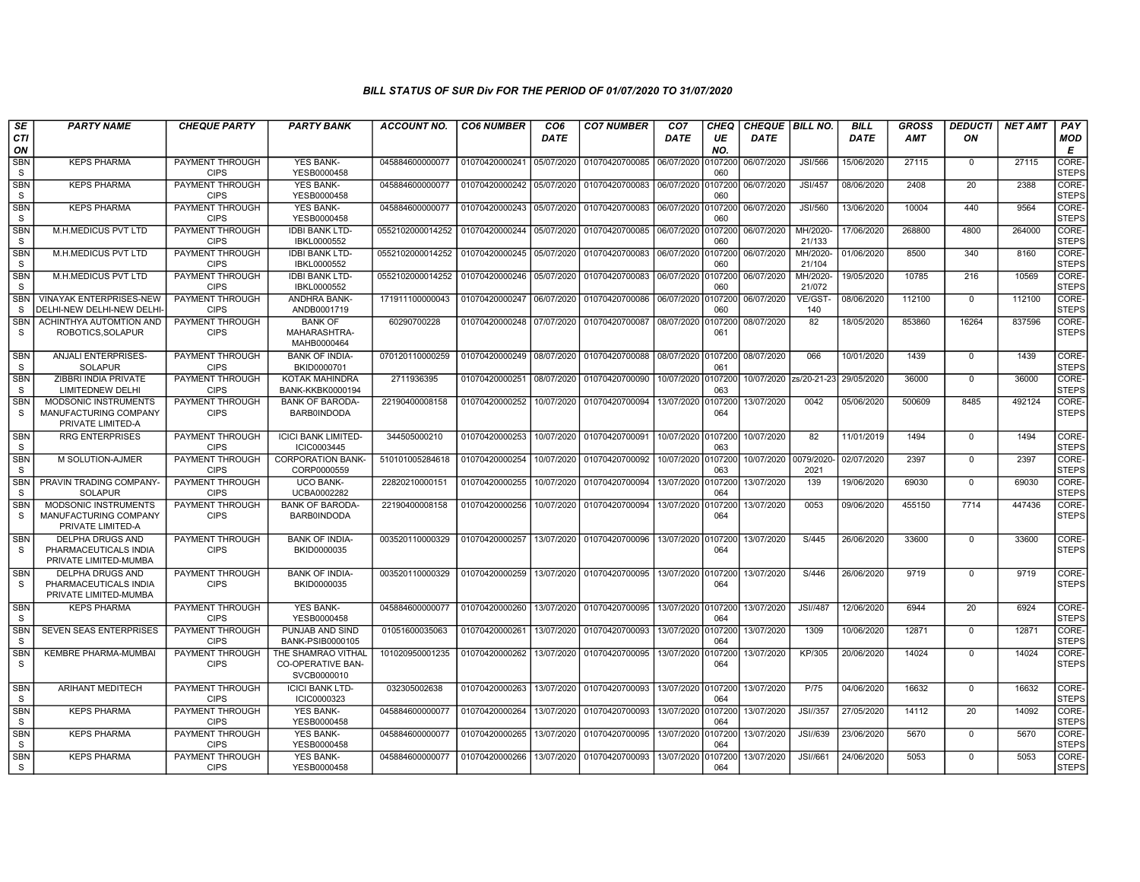| SE                         | <b>PARTY NAME</b>                                                         | <b>CHEQUE PARTY</b>                   | <b>PARTY BANK</b>                                      | <b>ACCOUNT NO.</b> | <b>CO6 NUMBER</b>         | CO <sub>6</sub> | <b>CO7 NUMBER</b>                 | CO <sub>7</sub>    | CHEQ           | <b>CHEQUE   BILL NO.</b> |                    | <b>BILL</b> | <b>GROSS</b> | <i><b>DEDUCTI</b></i> | <b>NET AMT</b> | <b>PAY</b>                  |
|----------------------------|---------------------------------------------------------------------------|---------------------------------------|--------------------------------------------------------|--------------------|---------------------------|-----------------|-----------------------------------|--------------------|----------------|--------------------------|--------------------|-------------|--------------|-----------------------|----------------|-----------------------------|
| CTI<br>ON                  |                                                                           |                                       |                                                        |                    |                           | <b>DATE</b>     |                                   | <b>DATE</b>        | UE<br>NO.      | <b>DATE</b>              |                    | <b>DATE</b> | AMT          | ON                    |                | <b>MOD</b><br>Е             |
| <b>SBN</b><br>S            | <b>KEPS PHARMA</b>                                                        | PAYMENT THROUGH<br><b>CIPS</b>        | <b>YES BANK-</b><br>YESB0000458                        | 045884600000077    | 01070420000241            | 05/07/2020      | 01070420700085                    | 06/07/2020         | 0107200<br>060 | 06/07/2020               | <b>JSI/566</b>     | 15/06/2020  | 27115        | $\mathbf 0$           | 27115          | <b>CORE</b><br><b>STEPS</b> |
| <b>SBN</b><br>S            | <b>KEPS PHARMA</b>                                                        | PAYMENT THROUGH<br><b>CIPS</b>        | <b>YES BANK-</b><br>YESB0000458                        | 045884600000077    | 01070420000242            | 05/07/2020      | 01070420700083                    | 06/07/2020         | 107200<br>060  | 06/07/2020               | <b>JSI/457</b>     | 08/06/2020  | 2408         | 20                    | 2388           | CORE-<br>STEPS              |
| <b>SBN</b><br>S            | <b>KEPS PHARMA</b>                                                        | PAYMENT THROUGH<br><b>CIPS</b>        | <b>YES BANK-</b><br>YESB0000458                        | 045884600000077    | 01070420000243            | 05/07/2020      | 01070420700083 06/07/2020         |                    | 0107200<br>060 | 06/07/2020               | <b>JSI/560</b>     | 13/06/2020  | 10004        | 440                   | 9564           | CORE-<br><b>STEPS</b>       |
| <b>SBN</b><br><sub>S</sub> | M.H.MEDICUS PVT LTD                                                       | PAYMENT THROUGH<br><b>CIPS</b>        | <b>IDBI BANK LTD-</b><br>IBKL0000552                   | 0552102000014252   | 01070420000244            | 05/07/2020      | 01070420700085                    | 06/07/2020         | 107200<br>060  | 06/07/2020               | MH/2020-<br>21/133 | 17/06/2020  | 268800       | 4800                  | 264000         | CORE-<br><b>STEPS</b>       |
| <b>SBN</b><br>S            | M.H.MEDICUS PVT LTD                                                       | PAYMENT THROUGH<br><b>CIPS</b>        | <b>IDBI BANK LTD-</b><br>IBKL0000552                   | 0552102000014252   | 01070420000245            | 05/07/2020      | 01070420700083                    | 06/07/2020         | 107200<br>060  | 06/07/2020               | MH/2020-<br>21/104 | 01/06/2020  | 8500         | 340                   | 8160           | CORE-<br><b>STEPS</b>       |
| <b>SBN</b><br><sub>S</sub> | M.H.MEDICUS PVT LTD                                                       | PAYMENT THROUGH<br><b>CIPS</b>        | <b>IDBI BANK LTD-</b><br>IBKL0000552                   | 0552102000014252   | 01070420000246            | 05/07/2020      | 01070420700083                    | 06/07/2020         | 0107200<br>060 | 06/07/2020               | MH/2020-<br>21/072 | 19/05/2020  | 10785        | 216                   | 10569          | CORE-<br>Isteps             |
| <b>SBN</b><br><sub>S</sub> | <b>VINAYAK ENTERPRISES-NEW</b><br>DELHI-NEW DELHI-NEW DELHI-              | PAYMENT THROUGH<br><b>CIPS</b>        | ANDHRA BANK-<br>ANDB0001719                            | 171911100000043    | 01070420000247 06/07/2020 |                 | 01070420700086                    | 06/07/2020         | 107200<br>060  | 06/07/2020               | VE/GST-<br>140     | 08/06/2020  | 112100       | $\mathbf 0$           | 112100         | CORE-<br><b>STEPS</b>       |
| <b>SBN</b><br><sub>S</sub> | ACHINTHYA AUTOMTION AND<br>ROBOTICS, SOLAPUR                              | <b>PAYMENT THROUGH</b><br><b>CIPS</b> | <b>BANK OF</b><br>MAHARASHTRA-<br>MAHB0000464          | 60290700228        | 01070420000248 07/07/2020 |                 | 01070420700087                    | 08/07/2020         | 0107200<br>061 | 08/07/2020               | 82                 | 18/05/2020  | 853860       | 16264                 | 837596         | CORE-<br><b>STEPS</b>       |
| <b>SBN</b><br><b>S</b>     | <b>ANJALI ENTERPRISES-</b><br><b>SOLAPUR</b>                              | PAYMENT THROUGH<br><b>CIPS</b>        | <b>BANK OF INDIA-</b><br>BKID0000701                   | 070120110000259    | 01070420000249            | 08/07/2020      | 01070420700088 08/07/2020         |                    | 0107200<br>061 | 08/07/2020               | 066                | 10/01/2020  | 1439         | $\mathbf 0$           | 1439           | CORE-<br><b>STEPS</b>       |
| <b>SBN</b><br>S            | ZIBBRI INDIA PRIVATE<br>LIMITEDNEW DELHI                                  | PAYMENT THROUGH<br><b>CIPS</b>        | <b>KOTAK MAHINDRA</b><br><b>BANK-KKBK0000194</b>       | 2711936395         | 01070420000251            | 08/07/2020      | 01070420700090                    | 10/07/2020         | 0107200<br>063 | 10/07/2020 zs/20-21-23   |                    | 29/05/2020  | 36000        | $\mathbf 0$           | 36000          | CORE-<br><b>STEPS</b>       |
| <b>SBN</b><br>S            | MODSONIC INSTRUMENTS<br>MANUFACTURING COMPANY<br>PRIVATE LIMITED-A        | <b>PAYMENT THROUGH</b><br><b>CIPS</b> | <b>BANK OF BARODA-</b><br><b>BARB0INDODA</b>           | 22190400008158     | 01070420000252            | 10/07/2020      | 01070420700094                    | 13/07/2020         | 0107200<br>064 | 13/07/2020               | 0042               | 05/06/2020  | 500609       | 8485                  | 492124         | CORE-<br><b>STEPS</b>       |
| <b>SBN</b><br><sub>S</sub> | <b>RRG ENTERPRISES</b>                                                    | PAYMENT THROUGH<br><b>CIPS</b>        | <b>ICICI BANK LIMITED-</b><br>ICIC0003445              | 344505000210       | 01070420000253            | 10/07/2020      | 01070420700091                    | 10/07/2020 0107200 | 063            | 10/07/2020               | 82                 | 11/01/2019  | 1494         | $\Omega$              | 1494           | CORE-<br><b>STEPS</b>       |
| <b>SBN</b><br><sub>S</sub> | M SOLUTION-AJMER                                                          | PAYMENT THROUGH<br><b>CIPS</b>        | <b>CORPORATION BANK-</b><br>CORP0000559                | 510101005284618    | 01070420000254            | 10/07/2020      | 01070420700092                    | 10/07/2020         | 0107200<br>063 | 10/07/2020               | 0079/2020-<br>2021 | 02/07/2020  | 2397         | $\mathbf 0$           | 2397           | CORE-<br><b>STEPS</b>       |
| <b>SBN</b><br><sub>S</sub> | PRAVIN TRADING COMPANY-<br><b>SOLAPUR</b>                                 | PAYMENT THROUGH<br><b>CIPS</b>        | <b>UCO BANK-</b><br>UCBA0002282                        | 22820210000151     | 01070420000255            | 10/07/2020      | 01070420700094                    | 13/07/2020         | 107200<br>064  | 13/07/2020               | 139                | 19/06/2020  | 69030        | $\mathbf 0$           | 69030          | CORE-<br><b>STEPS</b>       |
| <b>SBN</b><br>S.           | <b>MODSONIC INSTRUMENTS</b><br>MANUFACTURING COMPANY<br>PRIVATE LIMITED-A | PAYMENT THROUGH<br><b>CIPS</b>        | <b>BANK OF BARODA-</b><br><b>BARB0INDODA</b>           | 22190400008158     | 01070420000256            | 10/07/2020      | 01070420700094                    | 13/07/2020         | 0107200<br>064 | 13/07/2020               | 0053               | 09/06/2020  | 455150       | 7714                  | 447436         | CORE-<br>Isteps             |
| <b>SBN</b><br><sub>S</sub> | <b>DELPHA DRUGS AND</b><br>PHARMACEUTICALS INDIA<br>PRIVATE LIMITED-MUMBA | PAYMENT THROUGH<br><b>CIPS</b>        | <b>BANK OF INDIA-</b><br>BKID0000035                   | 003520110000329    | 01070420000257            | 13/07/2020      | 01070420700096                    | 13/07/2020         | 0107200<br>064 | 13/07/2020               | S/445              | 26/06/2020  | 33600        | $\mathbf 0$           | 33600          | CORE-<br><b>STEPS</b>       |
| <b>SBN</b><br>S.           | <b>DELPHA DRUGS AND</b><br>PHARMACEUTICALS INDIA<br>PRIVATE LIMITED-MUMBA | PAYMENT THROUGH<br><b>CIPS</b>        | <b>BANK OF INDIA-</b><br>BKID0000035                   | 003520110000329    | 01070420000259            | 13/07/2020      | 01070420700095                    | 13/07/2020         | 0107200<br>064 | 13/07/2020               | S/446              | 26/06/2020  | 9719         | $\mathbf 0$           | 9719           | CORE-<br><b>STEPS</b>       |
| <b>SBN</b><br><sub>S</sub> | <b>KEPS PHARMA</b>                                                        | PAYMENT THROUGH<br><b>CIPS</b>        | <b>YES BANK-</b><br>YESB0000458                        | 045884600000077    | 01070420000260            | 13/07/2020      | 01070420700095 13/07/2020 0107200 |                    | 064            | 13/07/2020               | <b>JSI//487</b>    | 12/06/2020  | 6944         | 20                    | 6924           | CORE-<br><b>STEPS</b>       |
| <b>SBN</b><br><sub>S</sub> | <b>SEVEN SEAS ENTERPRISES</b>                                             | PAYMENT THROUGH<br><b>CIPS</b>        | PUNJAB AND SIND<br>BANK-PSIB0000105                    | 01051600035063     | 01070420000261            | 13/07/2020      | 01070420700093                    | 13/07/2020         | 0107200<br>064 | 13/07/2020               | 1309               | 10/06/2020  | 12871        | $\overline{0}$        | 12871          | CORE-<br><b>STEPS</b>       |
| <b>SBN</b><br>S            | <b>KEMBRE PHARMA-MUMBAI</b>                                               | PAYMENT THROUGH<br><b>CIPS</b>        | THE SHAMRAO VITHAL<br>CO-OPERATIVE BAN-<br>SVCB0000010 | 101020950001235    | 01070420000262            | 13/07/2020      | 01070420700095                    | 13/07/2020         | 0107200<br>064 | 13/07/2020               | KP/305             | 20/06/2020  | 14024        | $\Omega$              | 14024          | CORE-<br><b>STEPS</b>       |
| <b>SBN</b><br>S            | <b>ARIHANT MEDITECH</b>                                                   | PAYMENT THROUGH<br><b>CIPS</b>        | <b>ICICI BANK LTD-</b><br>ICIC0000323                  | 032305002638       | 01070420000263            | 13/07/2020      | 01070420700093                    | 13/07/2020         | 0107200<br>064 | 13/07/2020               | P/75               | 04/06/2020  | 16632        | $\mathbf 0$           | 16632          | CORE-<br><b>STEPS</b>       |
| <b>SBN</b><br>S.           | <b>KEPS PHARMA</b>                                                        | PAYMENT THROUGH<br><b>CIPS</b>        | <b>YES BANK-</b><br>YESB0000458                        | 045884600000077    | 01070420000264            | 13/07/2020      | 01070420700093                    | 13/07/2020         | 0107200<br>064 | 13/07/2020               | <b>JSI//357</b>    | 27/05/2020  | 14112        | 20                    | 14092          | CORE-<br><b>STEPS</b>       |
| <b>SBN</b><br>S.           | <b>KEPS PHARMA</b>                                                        | PAYMENT THROUGH<br><b>CIPS</b>        | <b>YES BANK-</b><br>YESB0000458                        | 045884600000077    | 01070420000265            | 13/07/2020      | 01070420700095                    | 13/07/2020         | 0107200<br>064 | 13/07/2020               | JSI//639           | 23/06/2020  | 5670         | $\Omega$              | 5670           | CORE-<br>STEPS              |
| SBN<br>S.                  | <b>KEPS PHARMA</b>                                                        | PAYMENT THROUGH<br><b>CIPS</b>        | <b>YES BANK-</b><br>YESB0000458                        | 045884600000077    | 01070420000266            | 13/07/2020      | 01070420700093                    | 13/07/2020         | 107200<br>064  | 13/07/2020               | JSI//661           | 24/06/2020  | 5053         | $\mathbf 0$           | 5053           | CORE-<br><b>STEPS</b>       |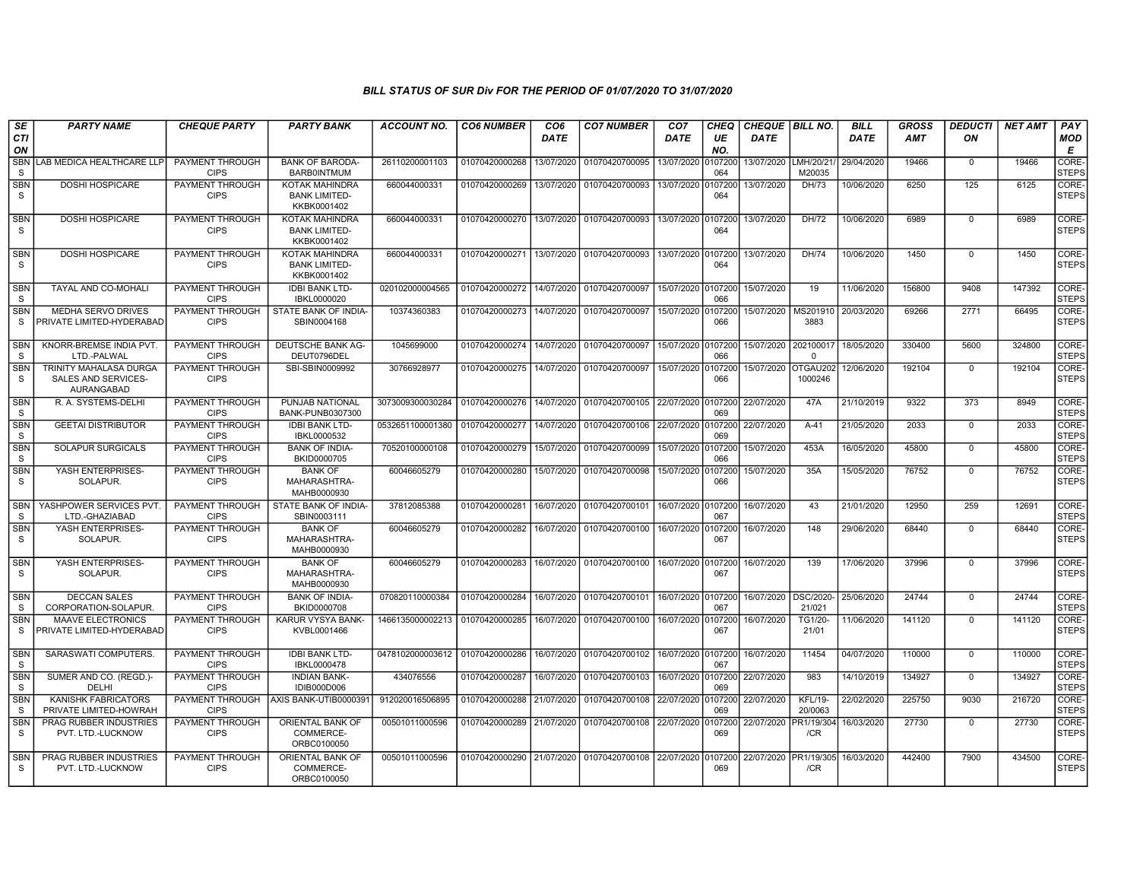| SE                         | <b>PARTY NAME</b>                                           | <b>CHEQUE PARTY</b>                   | <b>PARTY BANK</b>                                            | <b>ACCOUNT NO.</b>              | <b>CO6 NUMBER</b>         | CO <sub>6</sub> | <b>CO7 NUMBER</b>                                   | CO <sub>7</sub>    | <b>CHEQ</b>    | <b>CHEQUE   BILL NO.</b> |                           | <b>BILL</b> | GROSS      | <i><b>DEDUCTI</b></i> | <b>NET AMT</b> | <b>PAY</b>                       |
|----------------------------|-------------------------------------------------------------|---------------------------------------|--------------------------------------------------------------|---------------------------------|---------------------------|-----------------|-----------------------------------------------------|--------------------|----------------|--------------------------|---------------------------|-------------|------------|-----------------------|----------------|----------------------------------|
| CTI<br>ON                  |                                                             |                                       |                                                              |                                 |                           | DATE            |                                                     | DATE               | UE<br>NO.      | <b>DATE</b>              |                           | <b>DATE</b> | <b>AMT</b> | ON                    |                | <b>MOD</b><br>Е                  |
| <b>SBN</b><br>S            | LAB MEDICA HEALTHCARE LLP                                   | PAYMENT THROUGH<br><b>CIPS</b>        | <b>BANK OF BARODA</b><br><b>BARB0INTMUM</b>                  | 26110200001103                  | 01070420000268            | 13/07/2020      | 01070420700095                                      | 13/07/2020         | 107200<br>064  | 13/07/2020               | LMH/20/21<br>M20035       | 29/04/2020  | 19466      | $\mathbf 0$           | 19466          | CORE <sub></sub><br><b>STEPS</b> |
| <b>SBN</b><br>S            | <b>DOSHI HOSPICARE</b>                                      | PAYMENT THROUGH<br><b>CIPS</b>        | KOTAK MAHINDRA<br><b>BANK LIMITED-</b><br>KKBK0001402        | 660044000331                    | 01070420000269            | 13/07/2020      | 01070420700093                                      | 13/07/2020         | 107200<br>064  | 13/07/2020               | DH/73                     | 10/06/2020  | 6250       | 125                   | 6125           | CORE-<br><b>STEPS</b>            |
| <b>SBN</b><br><sub>S</sub> | <b>DOSHI HOSPICARE</b>                                      | PAYMENT THROUGH<br><b>CIPS</b>        | <b>KOTAK MAHINDRA</b><br><b>BANK LIMITED-</b><br>KKBK0001402 | 660044000331                    | 01070420000270            |                 | 13/07/2020 01070420700093                           | 13/07/2020 0107200 | 064            | 13/07/2020               | DH/72                     | 10/06/2020  | 6989       | $\Omega$              | 6989           | CORE-<br><b>STEPS</b>            |
| <b>SBN</b><br>S            | <b>DOSHI HOSPICARE</b>                                      | PAYMENT THROUGH<br><b>CIPS</b>        | <b>KOTAK MAHINDRA</b><br><b>BANK LIMITED-</b><br>KKBK0001402 | 660044000331                    | 01070420000271            |                 | 13/07/2020 01070420700093                           | 13/07/2020         | 0107200<br>064 | 13/07/2020               | DH/74                     | 10/06/2020  | 1450       | $\mathbf 0$           | 1450           | CORE-<br><b>STEPS</b>            |
| <b>SBN</b><br><sub>S</sub> | <b>TAYAL AND CO-MOHALI</b>                                  | PAYMENT THROUGH<br><b>CIPS</b>        | <b>IDBI BANK LTD-</b><br>IBKL0000020                         | 020102000004565                 | 01070420000272            | 14/07/2020      | 01070420700097                                      | 15/07/2020 0107200 | 066            | 15/07/2020               | 19                        | 11/06/2020  | 156800     | 9408                  | 147392         | CORE-<br><b>STEPS</b>            |
| <b>SBN</b><br><sub>S</sub> | <b>MEDHA SERVO DRIVES</b><br>PRIVATE LIMITED-HYDERABAD      | PAYMENT THROUGH<br><b>CIPS</b>        | STATE BANK OF INDIA-<br>SBIN0004168                          | 10374360383                     | 01070420000273            | 14/07/2020      | 01070420700097                                      | 15/07/2020         | 107200<br>066  | 15/07/2020               | MS201910<br>3883          | 20/03/2020  | 69266      | 2771                  | 66495          | CORE-<br><b>STEPS</b>            |
| <b>SBN</b><br>S            | KNORR-BREMSE INDIA PVT.<br>LTD.-PALWAL                      | PAYMENT THROUGH<br><b>CIPS</b>        | DEUTSCHE BANK AG-<br>DEUT0796DEL                             | 1045699000                      | 01070420000274            | 14/07/2020      | 01070420700097                                      | 15/07/2020         | 0107200<br>066 | 15/07/2020               | 20210001<br>$\Omega$      | 18/05/2020  | 330400     | 5600                  | 324800         | <b>CORE</b><br><b>STEPS</b>      |
| <b>SBN</b><br>S.           | TRINITY MAHALASA DURGA<br>SALES AND SERVICES-<br>AURANGABAD | <b>PAYMENT THROUGH</b><br><b>CIPS</b> | SBI-SBIN0009992                                              | 30766928977                     | 01070420000275 14/07/2020 |                 | 01070420700097                                      | 15/07/2020         | 107200<br>066  | 15/07/2020 OTGAU202      | 1000246                   | 12/06/2020  | 192104     | $\Omega$              | 192104         | CORE-<br><b>STEPS</b>            |
| SBN<br>S                   | R. A. SYSTEMS-DELHI                                         | PAYMENT THROUGH<br><b>CIPS</b>        | PUNJAB NATIONAL<br>BANK-PUNB0307300                          | 3073009300030284                | 01070420000276 14/07/2020 |                 | 01070420700105 22/07/2020                           |                    | 0107200<br>069 | 22/07/2020               | 47A                       | 21/10/2019  | 9322       | 373                   | 8949           | CORE-<br><b>STEPS</b>            |
| <b>SBN</b><br>S            | <b>GEETAI DISTRIBUTOR</b>                                   | PAYMENT THROUGH<br><b>CIPS</b>        | <b>IDBI BANK LTD-</b><br>IBKL0000532                         | 0532651100001380                | 01070420000277            | 14/07/2020      | 01070420700106                                      | 22/07/2020         | 0107200<br>069 | 22/07/2020               | $A-41$                    | 21/05/2020  | 2033       | $\mathbf 0$           | 2033           | CORE-<br><b>STEPS</b>            |
| <b>SBN</b><br>S            | <b>SOLAPUR SURGICALS</b>                                    | PAYMENT THROUGH<br><b>CIPS</b>        | <b>BANK OF INDIA-</b><br>BKID0000705                         | 70520100000108                  | 01070420000279            | 15/07/2020      | 01070420700099                                      | 15/07/2020         | 0107200<br>066 | 15/07/2020               | 453A                      | 16/05/2020  | 45800      | $^{\circ}$            | 45800          | CORE-<br><b>STEPS</b>            |
| SBN<br>S.                  | YASH ENTERPRISES-<br>SOLAPUR.                               | PAYMENT THROUGH<br><b>CIPS</b>        | <b>BANK OF</b><br>MAHARASHTRA-<br>MAHB0000930                | 60046605279                     | 01070420000280            | 15/07/2020      | 01070420700098                                      | 15/07/2020         | 107200<br>066  | 15/07/2020               | 35A                       | 15/05/2020  | 76752      | $\Omega$              | 76752          | CORE-<br><b>STEPS</b>            |
| <b>SBN</b><br>S            | YASHPOWER SERVICES PVT.<br>LTD.-GHAZIABAD                   | PAYMENT THROUGH<br><b>CIPS</b>        | STATE BANK OF INDIA-<br>SBIN0003111                          | 37812085388                     | 01070420000281            | 16/07/2020      | 01070420700101                                      | 16/07/2020         | 0107200<br>067 | 16/07/2020               | 43                        | 21/01/2020  | 12950      | 259                   | 12691          | CORE-<br><b>STEPS</b>            |
| <b>SBN</b><br>S.           | YASH ENTERPRISES-<br>SOLAPUR.                               | PAYMENT THROUGH<br><b>CIPS</b>        | <b>BANK OF</b><br>MAHARASHTRA-<br>MAHB0000930                | 60046605279                     | 01070420000282            |                 | 16/07/2020 01070420700100                           | 16/07/2020         | 0107200<br>067 | 16/07/2020               | 148                       | 29/06/2020  | 68440      | $\Omega$              | 68440          | CORE-<br><b>STEPS</b>            |
| SBN<br><sub>S</sub>        | YASH ENTERPRISES-<br>SOLAPUR.                               | PAYMENT THROUGH<br><b>CIPS</b>        | <b>BANK OF</b><br>MAHARASHTRA-<br>MAHB0000930                | 60046605279                     | 01070420000283            |                 | 16/07/2020 01070420700100                           | 16/07/2020         | 0107200<br>067 | 16/07/2020               | 139                       | 17/06/2020  | 37996      | $\mathbf 0$           | 37996          | CORE-<br><b>STEPS</b>            |
| <b>SBN</b><br>S            | <b>DECCAN SALES</b><br>CORPORATION-SOLAPUR.                 | PAYMENT THROUGH<br><b>CIPS</b>        | <b>BANK OF INDIA-</b><br>BKID0000708                         | 070820110000384                 | 01070420000284            | 16/07/2020      | 01070420700101                                      | 16/07/2020         | 0107200<br>067 | 16/07/2020               | DSC/2020-<br>21/021       | 25/06/2020  | 24744      | $\Omega$              | 24744          | CORE-<br><b>STEPS</b>            |
| <b>SBN</b><br>S.           | MAAVE ELECTRONICS<br>PRIVATE LIMITED-HYDERABAD              | PAYMENT THROUGH<br><b>CIPS</b>        | KARUR VYSYA BANK-<br>KVBL0001466                             | 1466135000002213 01070420000285 |                           | 16/07/2020      | 01070420700100                                      | 16/07/2020         | 0107200<br>067 | 16/07/2020               | TG1/20-<br>21/01          | 11/06/2020  | 141120     | $\Omega$              | 141120         | CORE-<br><b>STEPS</b>            |
| SBN<br><sub>S</sub>        | SARASWATI COMPUTERS.                                        | PAYMENT THROUGH<br><b>CIPS</b>        | <b>IDBI BANK LTD-</b><br>IBKL0000478                         | 0478102000003612 01070420000286 |                           | 16/07/2020      | 01070420700102                                      | 16/07/2020         | 0107200<br>067 | 16/07/2020               | 11454                     | 04/07/2020  | 110000     | $\mathbf 0$           | 110000         | CORE-<br><b>STEPS</b>            |
| <b>SBN</b><br>S.           | SUMER AND CO. (REGD.)-<br>DELHI                             | PAYMENT THROUGH<br><b>CIPS</b>        | <b>INDIAN BANK-</b><br>IDIB000D006                           | 434076556                       | 01070420000287            | 16/07/2020      | 01070420700103                                      | 16/07/2020         | 107200<br>069  | 22/07/2020               | 983                       | 14/10/2019  | 134927     | $\mathbf 0$           | 134927         | CORE-<br><b>STEPS</b>            |
| <b>SBN</b><br>S            | <b>KANISHK FABRICATORS</b><br>PRIVATE LIMITED-HOWRAH        | PAYMENT THROUGH<br><b>CIPS</b>        | AXIS BANK-UTIB0000391                                        | 912020016506895                 | 01070420000288            | 21/07/2020      | 01070420700108                                      | 22/07/2020         | 107200<br>069  | 22/07/2020               | <b>KFL/19-</b><br>20/0063 | 22/02/2020  | 225750     | 9030                  | 216720         | CORE-<br>Isteps                  |
| <b>SBN</b><br>S.           | <b>PRAG RUBBER INDUSTRIES</b><br>PVT. LTD.-LUCKNOW          | PAYMENT THROUGH<br><b>CIPS</b>        | ORIENTAL BANK OF<br>COMMERCE-<br>ORBC0100050                 | 00501011000596                  | 01070420000289 21/07/2020 |                 | 01070420700108                                      | 22/07/2020         | 107200<br>069  | 22/07/2020               | PR1/19/304<br>/CR         | 16/03/2020  | 27730      | $\mathbf 0$           | 27730          | CORE-<br><b>STEPS</b>            |
| <b>SBN</b><br><sub>S</sub> | <b>PRAG RUBBER INDUSTRIES</b><br>PVT. LTD.-LUCKNOW          | PAYMENT THROUGH<br><b>CIPS</b>        | ORIENTAL BANK OF<br>COMMERCE-<br>ORBC0100050                 | 00501011000596                  |                           |                 | 01070420000290 21/07/2020 01070420700108 22/07/2020 |                    | 107200<br>069  | 22/07/2020 PR1/19/305    | /CR                       | 16/03/2020  | 442400     | 7900                  | 434500         | CORE-<br>STEPS                   |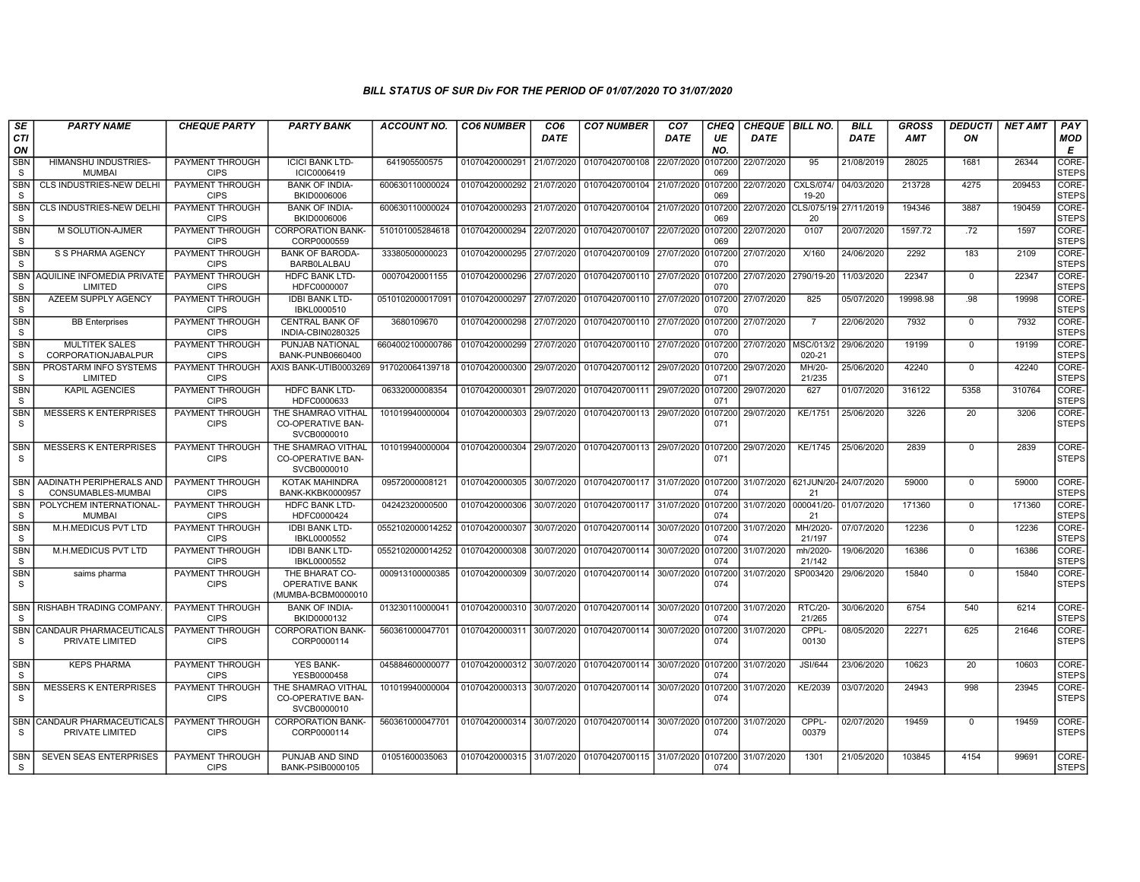| SE                         | <b>PARTY NAME</b>                              | <b>CHEQUE PARTY</b>                   | <b>PARTY BANK</b>                                             | <b>ACCOUNT NO.</b> | <b>CO6 NUMBER</b>         | CO <sub>6</sub> | <b>CO7 NUMBER</b>                                   | CO <sub>7</sub>    | CHEQ           | <b>CHEQUE   BILL NO.</b> |                                        | <b>BILL</b> | <b>GROSS</b> | <b>DEDUCTI</b> | <b>NET AMT</b> | PAY                         |
|----------------------------|------------------------------------------------|---------------------------------------|---------------------------------------------------------------|--------------------|---------------------------|-----------------|-----------------------------------------------------|--------------------|----------------|--------------------------|----------------------------------------|-------------|--------------|----------------|----------------|-----------------------------|
| CTI<br>ON                  |                                                |                                       |                                                               |                    |                           | <b>DATE</b>     |                                                     | <b>DATE</b>        | UE<br>NO.      | <b>DATE</b>              |                                        | DATE        | AMT          | ON             |                | MOD<br>Е                    |
| SBN<br>S                   | <b>HIMANSHU INDUSTRIES-</b><br><b>MUMBAI</b>   | PAYMENT THROUGH<br><b>CIPS</b>        | <b>ICICI BANK LTD-</b><br>ICIC0006419                         | 641905500575       | 01070420000291            | 21/07/2020      | 01070420700108                                      | 22/07/2020         | 107200<br>069  | 22/07/2020               | 95                                     | 21/08/2019  | 28025        | 1681           | 26344          | <b>CORE</b><br><b>STEPS</b> |
| <b>SBN</b><br><sub>S</sub> | CLS INDUSTRIES-NEW DELHI                       | PAYMENT THROUGH<br><b>CIPS</b>        | <b>BANK OF INDIA-</b><br>BKID0006006                          | 600630110000024    | 01070420000292 21/07/2020 |                 | 01070420700104                                      | 21/07/2020         | 107200<br>069  | 22/07/2020               | CXLS/074/<br>19-20                     | 04/03/2020  | 213728       | 4275           | 209453         | CORE-<br><b>STEPS</b>       |
| <b>SBN</b><br><sub>S</sub> | CLS INDUSTRIES-NEW DELHI                       | PAYMENT THROUGH<br><b>CIPS</b>        | <b>BANK OF INDIA-</b><br>BKID0006006                          | 600630110000024    | 01070420000293            | 21/07/2020      | 01070420700104                                      | 21/07/2020         | 0107200<br>069 | 22/07/2020               | CLS/075/19 27/11/2019<br>20            |             | 194346       | 3887           | 190459         | CORE-<br><b>STEPS</b>       |
| <b>SBN</b><br>S            | M SOLUTION-AJMER                               | PAYMENT THROUGH<br><b>CIPS</b>        | <b>CORPORATION BANK-</b><br>CORP0000559                       | 510101005284618    | 01070420000294            | 22/07/2020      | 01070420700107                                      | 22/07/2020         | 107200<br>069  | 22/07/2020               | 0107                                   | 20/07/2020  | 1597.72      | .72            | 1597           | CORE-<br><b>STEPS</b>       |
| SBN<br>S                   | S S PHARMA AGENCY                              | PAYMENT THROUGH<br><b>CIPS</b>        | <b>BANK OF BARODA-</b><br><b>BARBOLALBAU</b>                  | 33380500000023     | 01070420000295            | 27/07/2020      | 01070420700109                                      | 27/07/2020         | 0107200<br>070 | 27/07/2020               | X/160                                  | 24/06/2020  | 2292         | 183            | 2109           | CORE-<br><b>STEPS</b>       |
| <sub>S</sub>               | SBN AQUILINE INFOMEDIA PRIVATE<br>LIMITED      | PAYMENT THROUGH<br><b>CIPS</b>        | <b>HDFC BANK LTD-</b><br>HDFC0000007                          | 00070420001155     | 01070420000296            | 27/07/2020      | 01070420700110                                      | 27/07/2020         | 0107200<br>070 | 27/07/2020               | 2790/19-20                             | 11/03/2020  | 22347        | $\Omega$       | 22347          | CORE-<br><b>STEPS</b>       |
| <b>SBN</b><br><sub>S</sub> | AZEEM SUPPLY AGENCY                            | PAYMENT THROUGH<br><b>CIPS</b>        | <b>IDBI BANK LTD-</b><br>IBKL0000510                          | 0510102000017091   | 01070420000297            | 27/07/2020      | 01070420700110                                      | 27/07/2020         | 107200<br>070  | 27/07/2020               | 825                                    | 05/07/2020  | 19998.98     | .98            | 19998          | CORE-<br><b>STEPS</b>       |
| <b>SBN</b><br><sub>S</sub> | <b>BB</b> Enterprises                          | <b>PAYMENT THROUGH</b><br><b>CIPS</b> | <b>CENTRAL BANK OF</b><br>INDIA-CBIN0280325                   | 3680109670         | 01070420000298            | 27/07/2020      | 01070420700110                                      | 27/07/2020         | 0107200<br>070 | 27/07/2020               | 7                                      | 22/06/2020  | 7932         | $\mathbf{0}$   | 7932           | CORE-<br><b>STEPS</b>       |
| <b>SBN</b><br>S            | <b>MULTITEK SALES</b><br>CORPORATIONJABALPUR   | PAYMENT THROUGH<br><b>CIPS</b>        | PUNJAB NATIONAL<br>BANK-PUNB0660400                           | 6604002100000786   | 01070420000299            | 27/07/2020      | 01070420700110                                      | 27/07/2020         | 107200<br>070  | 27/07/2020   MSC/013/    | 020-21                                 | 29/06/2020  | 19199        | $\mathbf{0}$   | 19199          | CORE-<br><b>STEPS</b>       |
| <b>SBN</b><br><sub>S</sub> | PROSTARM INFO SYSTEMS<br>LIMITED               | PAYMENT THROUGH<br><b>CIPS</b>        | XIS BANK-UTIB0003269                                          | 917020064139718    | 01070420000300            | 29/07/2020      | 01070420700112                                      | 29/07/2020         | 0107200<br>071 | 29/07/2020               | MH/20-<br>21/235                       | 25/06/2020  | 42240        | $\Omega$       | 42240          | CORE-<br><b>STEPS</b>       |
| <b>SBN</b><br><sub>S</sub> | <b>KAPIL AGENCIES</b>                          | PAYMENT THROUGH<br><b>CIPS</b>        | <b>HDFC BANK LTD-</b><br>HDFC0000633                          | 06332000008354     | 01070420000301            | 29/07/2020      | 01070420700111                                      | 29/07/2020         | 0107200<br>071 | 29/07/2020               | 627                                    | 01/07/2020  | 316122       | 5358           | 310764         | CORE-<br><b>STEPS</b>       |
| <b>SBN</b><br>S.           | <b>MESSERS K ENTERPRISES</b>                   | PAYMENT THROUGH<br><b>CIPS</b>        | THE SHAMRAO VITHAL<br>CO-OPERATIVE BAN-<br>SVCB0000010        | 101019940000004    | 01070420000303            | 29/07/2020      | 01070420700113                                      | 29/07/2020         | 0107200<br>071 | 29/07/2020               | <b>KE/1751</b>                         | 25/06/2020  | 3226         | 20             | 3206           | CORE-<br><b>STEPS</b>       |
| <b>SBN</b><br>S.           | <b>MESSERS K ENTERPRISES</b>                   | PAYMENT THROUGH<br><b>CIPS</b>        | THE SHAMRAO VITHAL<br><b>CO-OPERATIVE BAN-</b><br>SVCB0000010 | 101019940000004    | 01070420000304            | 29/07/2020      | 01070420700113                                      | 29/07/2020 0107200 | 071            | 29/07/2020               | KE/1745                                | 25/06/2020  | 2839         | $\mathbf 0$    | 2839           | CORE-<br><b>STEPS</b>       |
| <b>SBN</b><br><sub>S</sub> | AADINATH PERIPHERALS AND<br>CONSUMABLES-MUMBAI | PAYMENT THROUGH<br><b>CIPS</b>        | KOTAK MAHINDRA<br><b>BANK-KKBK0000957</b>                     | 09572000008121     | 01070420000305            | 30/07/2020      | 01070420700117                                      | 31/07/2020         | 0107200<br>074 |                          | 31/07/2020 621JUN/20- 24/07/2020<br>21 |             | 59000        | $\mathbf 0$    | 59000          | CORE-<br><b>STEPS</b>       |
| <b>SBN</b><br>S.           | POLYCHEM INTERNATIONAL<br><b>MUMBAI</b>        | PAYMENT THROUGH<br><b>CIPS</b>        | <b>HDFC BANK LTD-</b><br>HDFC0000424                          | 04242320000500     | 01070420000306            | 30/07/2020      | 01070420700117                                      | 31/07/2020         | 0107200<br>074 | 31/07/2020 000041/20-    | 21                                     | 01/07/2020  | 171360       | $\Omega$       | 171360         | CORE-<br><b>STEPS</b>       |
| SBN<br><sub>S</sub>        | M.H.MEDICUS PVT LTD                            | PAYMENT THROUGH<br><b>CIPS</b>        | <b>IDBI BANK LTD-</b><br>IBKL0000552                          | 0552102000014252   | 01070420000307            | 30/07/2020      | 01070420700114                                      | 30/07/2020         | 107200<br>074  | 31/07/2020               | MH/2020-<br>21/197                     | 07/07/2020  | 12236        | $\mathbf 0$    | 12236          | CORE-<br><b>STEPS</b>       |
| <b>SBN</b><br>S            | M.H.MEDICUS PVT LTD                            | PAYMENT THROUGH<br><b>CIPS</b>        | <b>IDBI BANK LTD-</b><br>IBKL0000552                          | 0552102000014252   | 01070420000308            | 30/07/2020      | 01070420700114                                      | 30/07/2020         | 0107200<br>074 | 31/07/2020               | mh/2020-<br>21/142                     | 19/06/2020  | 16386        | $\Omega$       | 16386          | CORE-<br><b>STEPS</b>       |
| SBN<br>S.                  | saims pharma                                   | PAYMENT THROUGH<br><b>CIPS</b>        | THE BHARAT CO-<br><b>OPERATIVE BANK</b><br>(MUMBA-BCBM0000010 | 000913100000385    | 01070420000309            | 30/07/2020      | 01070420700114                                      | 30/07/2020         | 0107200<br>074 | 31/07/2020               | SP003420                               | 29/06/2020  | 15840        | $\mathbf 0$    | 15840          | CORE-<br><b>STEPS</b>       |
| S                          | SBN   RISHABH TRADING COMPANY                  | PAYMENT THROUGH<br><b>CIPS</b>        | <b>BANK OF INDIA-</b><br>BKID0000132                          | 013230110000041    | 01070420000310            | 30/07/2020      | 01070420700114                                      | 30/07/2020         | 0107200<br>074 | 31/07/2020               | <b>RTC/20-</b><br>21/265               | 30/06/2020  | 6754         | 540            | 6214           | CORE-<br><b>STEPS</b>       |
| <b>SBN</b><br>S            | CANDAUR PHARMACEUTICALS<br>PRIVATE LIMITED     | <b>PAYMENT THROUGH</b><br><b>CIPS</b> | <b>CORPORATION BANK-</b><br>CORP0000114                       | 560361000047701    | 01070420000311            | 30/07/2020      | 01070420700114                                      | 30/07/2020         | 010720<br>074  | 31/07/2020               | CPPL-<br>00130                         | 08/05/2020  | 22271        | 625            | 21646          | CORE-<br><b>STEPS</b>       |
| <b>SBN</b><br>-S           | <b>KEPS PHARMA</b>                             | PAYMENT THROUGH<br><b>CIPS</b>        | <b>YES BANK-</b><br>YESB0000458                               | 045884600000077    | 01070420000312            | 30/07/2020      | 01070420700114                                      | 30/07/2020         | 0107200<br>074 | 31/07/2020               | <b>JSI/644</b>                         | 23/06/2020  | 10623        | 20             | 10603          | CORE-<br><b>STEPS</b>       |
| <b>SBN</b><br>S            | <b>MESSERS K ENTERPRISES</b>                   | PAYMENT THROUGH<br><b>CIPS</b>        | THE SHAMRAO VITHAL<br><b>CO-OPERATIVE BAN-</b><br>SVCB0000010 | 101019940000004    | 01070420000313            | 30/07/2020      | 01070420700114                                      | 30/07/2020         | 0107200<br>074 | 31/07/2020               | KE/2039                                | 03/07/2020  | 24943        | 998            | 23945          | CORE-<br><b>STEPS</b>       |
| S.                         | SBN CANDAUR PHARMACEUTICALS<br>PRIVATE LIMITED | <b>PAYMENT THROUGH</b><br><b>CIPS</b> | <b>CORPORATION BANK-</b><br>CORP0000114                       | 560361000047701    |                           |                 | 01070420000314 30/07/2020 01070420700114 30/07/2020 |                    | 0107200<br>074 | 31/07/2020               | CPPL-<br>00379                         | 02/07/2020  | 19459        | $\Omega$       | 19459          | CORE-<br><b>STEPS</b>       |
| <b>SBN</b><br>S.           | <b>SEVEN SEAS ENTERPRISES</b>                  | PAYMENT THROUGH<br><b>CIPS</b>        | PUNJAB AND SIND<br>BANK-PSIB0000105                           | 01051600035063     |                           |                 | 01070420000315 31/07/2020 01070420700115 31/07/2020 |                    | 0107200<br>074 | 31/07/2020               | 1301                                   | 21/05/2020  | 103845       | 4154           | 99691          | CORE-<br><b>STEPS</b>       |